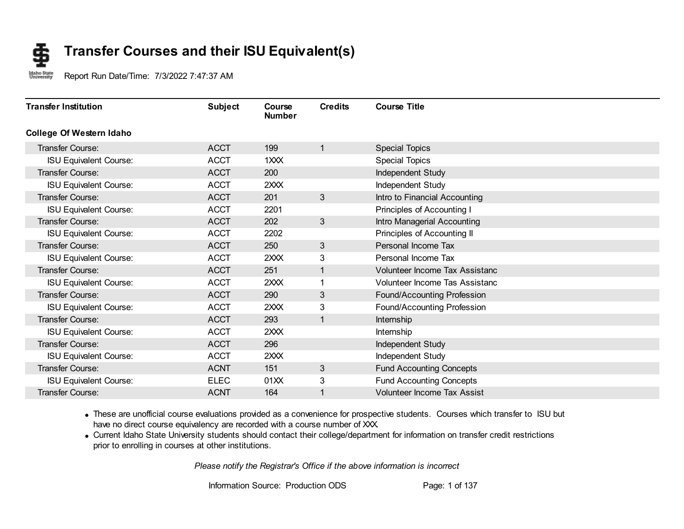#### **Transfer Courses and their ISU Equivalent(s)** S

Idaho State<br>University Report Run Date/Time: 7/3/2022 7:47:37 AM

| <b>Transfer Institution</b>     | <b>Subject</b> | Course<br><b>Number</b> | <b>Credits</b> | <b>Course Title</b>                |  |
|---------------------------------|----------------|-------------------------|----------------|------------------------------------|--|
| <b>College Of Western Idaho</b> |                |                         |                |                                    |  |
| Transfer Course:                | <b>ACCT</b>    | 199                     | 1              | <b>Special Topics</b>              |  |
| <b>ISU Equivalent Course:</b>   | <b>ACCT</b>    | 1XXX                    |                | <b>Special Topics</b>              |  |
| Transfer Course:                | <b>ACCT</b>    | 200                     |                | Independent Study                  |  |
| <b>ISU Equivalent Course:</b>   | <b>ACCT</b>    | 2XXX                    |                | Independent Study                  |  |
| <b>Transfer Course:</b>         | <b>ACCT</b>    | 201                     | 3              | Intro to Financial Accounting      |  |
| <b>ISU Equivalent Course:</b>   | <b>ACCT</b>    | 2201                    |                | Principles of Accounting I         |  |
| Transfer Course:                | <b>ACCT</b>    | 202                     | 3              | Intro Managerial Accounting        |  |
| <b>ISU Equivalent Course:</b>   | <b>ACCT</b>    | 2202                    |                | Principles of Accounting II        |  |
| Transfer Course:                | <b>ACCT</b>    | 250                     | 3              | Personal Income Tax                |  |
| <b>ISU Equivalent Course:</b>   | <b>ACCT</b>    | 2XXX                    | 3              | Personal Income Tax                |  |
| <b>Transfer Course:</b>         | <b>ACCT</b>    | 251                     |                | Volunteer Income Tax Assistanc     |  |
| <b>ISU Equivalent Course:</b>   | <b>ACCT</b>    | 2XXX                    |                | Volunteer Income Tas Assistanc     |  |
| <b>Transfer Course:</b>         | <b>ACCT</b>    | 290                     | 3              | Found/Accounting Profession        |  |
| <b>ISU Equivalent Course:</b>   | <b>ACCT</b>    | 2XXX                    | 3              | Found/Accounting Profession        |  |
| <b>Transfer Course:</b>         | <b>ACCT</b>    | 293                     | 1              | Internship                         |  |
| <b>ISU Equivalent Course:</b>   | <b>ACCT</b>    | 2XXX                    |                | Internship                         |  |
| <b>Transfer Course:</b>         | <b>ACCT</b>    | 296                     |                | Independent Study                  |  |
| <b>ISU Equivalent Course:</b>   | <b>ACCT</b>    | 2XXX                    |                | Independent Study                  |  |
| Transfer Course:                | <b>ACNT</b>    | 151                     | 3              | <b>Fund Accounting Concepts</b>    |  |
| <b>ISU Equivalent Course:</b>   | <b>ELEC</b>    | 01XX                    | 3              | <b>Fund Accounting Concepts</b>    |  |
| Transfer Course:                | <b>ACNT</b>    | 164                     |                | <b>Volunteer Income Tax Assist</b> |  |

· These are unofficial course evaluations provided as a convenience for prospective students. Courses which transfer to ISU but have no direct course equivalency are recorded with a course number of XXX.

· Current Idaho State University students should contact their college/department for information on transfer credit restrictions prior to enrolling in courses at other institutions.

*Please notify the Registrar's Office if the above information is incorrect*

Information Source: Production ODS Page: 1 of 137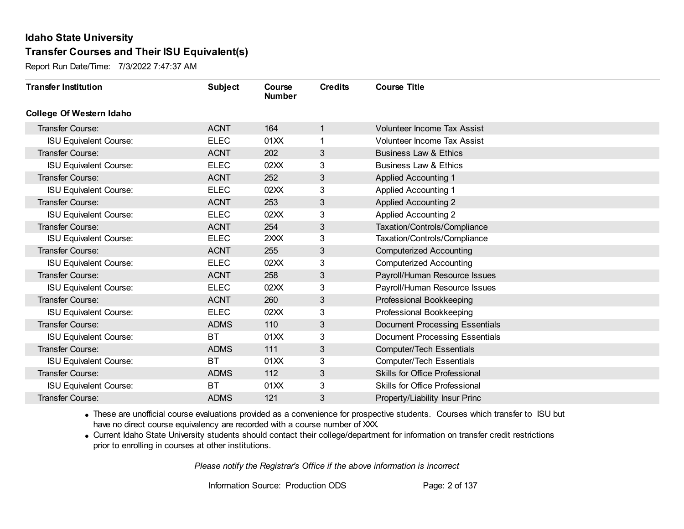Report Run Date/Time: 7/3/2022 7:47:37 AM

| <b>Transfer Institution</b>     | <b>Subject</b> | Course<br><b>Number</b> | <b>Credits</b> | <b>Course Title</b>                   |
|---------------------------------|----------------|-------------------------|----------------|---------------------------------------|
| <b>College Of Western Idaho</b> |                |                         |                |                                       |
| Transfer Course:                | <b>ACNT</b>    | 164                     | $\mathbf{1}$   | <b>Volunteer Income Tax Assist</b>    |
| <b>ISU Equivalent Course:</b>   | <b>ELEC</b>    | 01XX                    | 1              | <b>Volunteer Income Tax Assist</b>    |
| Transfer Course:                | <b>ACNT</b>    | 202                     | 3              | <b>Business Law &amp; Ethics</b>      |
| <b>ISU Equivalent Course:</b>   | <b>ELEC</b>    | 02XX                    | 3              | <b>Business Law &amp; Ethics</b>      |
| <b>Transfer Course:</b>         | <b>ACNT</b>    | 252                     | 3              | <b>Applied Accounting 1</b>           |
| <b>ISU Equivalent Course:</b>   | <b>ELEC</b>    | 02XX                    | 3              | <b>Applied Accounting 1</b>           |
| Transfer Course:                | <b>ACNT</b>    | 253                     | 3              | <b>Applied Accounting 2</b>           |
| <b>ISU Equivalent Course:</b>   | <b>ELEC</b>    | 02XX                    | 3              | <b>Applied Accounting 2</b>           |
| Transfer Course:                | <b>ACNT</b>    | 254                     | 3              | Taxation/Controls/Compliance          |
| <b>ISU Equivalent Course:</b>   | <b>ELEC</b>    | 2XXX                    | 3              | Taxation/Controls/Compliance          |
| <b>Transfer Course:</b>         | <b>ACNT</b>    | 255                     | 3              | <b>Computerized Accounting</b>        |
| <b>ISU Equivalent Course:</b>   | <b>ELEC</b>    | 02XX                    | 3              | <b>Computerized Accounting</b>        |
| Transfer Course:                | <b>ACNT</b>    | 258                     | 3              | Payroll/Human Resource Issues         |
| <b>ISU Equivalent Course:</b>   | <b>ELEC</b>    | 02XX                    | 3              | Payroll/Human Resource Issues         |
| Transfer Course:                | <b>ACNT</b>    | 260                     | 3              | Professional Bookkeeping              |
| <b>ISU Equivalent Course:</b>   | <b>ELEC</b>    | 02XX                    | 3              | Professional Bookkeeping              |
| <b>Transfer Course:</b>         | <b>ADMS</b>    | 110                     | 3              | <b>Document Processing Essentials</b> |
| <b>ISU Equivalent Course:</b>   | <b>BT</b>      | 01XX                    | 3              | <b>Document Processing Essentials</b> |
| <b>Transfer Course:</b>         | <b>ADMS</b>    | 111                     | 3              | <b>Computer/Tech Essentials</b>       |
| <b>ISU Equivalent Course:</b>   | <b>BT</b>      | 01XX                    | 3              | <b>Computer/Tech Essentials</b>       |
| Transfer Course:                | <b>ADMS</b>    | 112                     | 3              | <b>Skills for Office Professional</b> |
| <b>ISU Equivalent Course:</b>   | <b>BT</b>      | 01XX                    | 3              | <b>Skills for Office Professional</b> |
| <b>Transfer Course:</b>         | <b>ADMS</b>    | 121                     | 3              | Property/Liability Insur Princ        |

· These are unofficial course evaluations provided as a convenience for prospective students. Courses which transfer to ISU but have no direct course equivalency are recorded with a course number of XXX.

· Current Idaho State University students should contact their college/department for information on transfer credit restrictions prior to enrolling in courses at other institutions.

*Please notify the Registrar's Office if the above information is incorrect*

Information Source: Production ODS Page: 2 of 137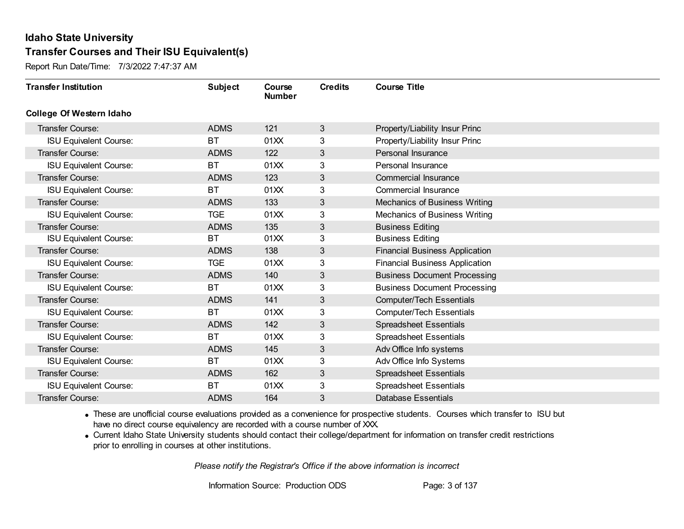Report Run Date/Time: 7/3/2022 7:47:37 AM

| <b>Transfer Institution</b>     | <b>Subject</b> | Course<br><b>Number</b> | <b>Credits</b> | <b>Course Title</b>                   |
|---------------------------------|----------------|-------------------------|----------------|---------------------------------------|
| <b>College Of Western Idaho</b> |                |                         |                |                                       |
| Transfer Course:                | <b>ADMS</b>    | 121                     | 3              | Property/Liability Insur Princ        |
| <b>ISU Equivalent Course:</b>   | <b>BT</b>      | 01XX                    | 3              | Property/Liability Insur Princ        |
| Transfer Course:                | <b>ADMS</b>    | 122                     | 3              | Personal Insurance                    |
| <b>ISU Equivalent Course:</b>   | <b>BT</b>      | 01XX                    | 3              | Personal Insurance                    |
| Transfer Course:                | <b>ADMS</b>    | 123                     | 3              | <b>Commercial Insurance</b>           |
| <b>ISU Equivalent Course:</b>   | <b>BT</b>      | 01XX                    | 3              | Commercial Insurance                  |
| Transfer Course:                | <b>ADMS</b>    | 133                     | 3              | Mechanics of Business Writing         |
| <b>ISU Equivalent Course:</b>   | <b>TGE</b>     | 01XX                    | 3              | Mechanics of Business Writing         |
| <b>Transfer Course:</b>         | <b>ADMS</b>    | 135                     | 3              | <b>Business Editing</b>               |
| <b>ISU Equivalent Course:</b>   | <b>BT</b>      | 01XX                    | 3              | <b>Business Editing</b>               |
| <b>Transfer Course:</b>         | <b>ADMS</b>    | 138                     | 3              | <b>Financial Business Application</b> |
| <b>ISU Equivalent Course:</b>   | <b>TGE</b>     | 01XX                    | 3              | <b>Financial Business Application</b> |
| Transfer Course:                | <b>ADMS</b>    | 140                     | 3              | <b>Business Document Processing</b>   |
| <b>ISU Equivalent Course:</b>   | <b>BT</b>      | 01XX                    | 3              | <b>Business Document Processing</b>   |
| Transfer Course:                | <b>ADMS</b>    | 141                     | 3              | <b>Computer/Tech Essentials</b>       |
| <b>ISU Equivalent Course:</b>   | <b>BT</b>      | 01XX                    | 3              | <b>Computer/Tech Essentials</b>       |
| Transfer Course:                | <b>ADMS</b>    | 142                     | 3              | <b>Spreadsheet Essentials</b>         |
| <b>ISU Equivalent Course:</b>   | BT             | 01XX                    | 3              | <b>Spreadsheet Essentials</b>         |
| Transfer Course:                | <b>ADMS</b>    | 145                     | 3              | Adv Office Info systems               |
| <b>ISU Equivalent Course:</b>   | BT             | 01XX                    | 3              | Adv Office Info Systems               |
| Transfer Course:                | <b>ADMS</b>    | 162                     | 3              | <b>Spreadsheet Essentials</b>         |
| <b>ISU Equivalent Course:</b>   | BT             | 01XX                    | 3              | <b>Spreadsheet Essentials</b>         |
| Transfer Course:                | <b>ADMS</b>    | 164                     | 3              | Database Essentials                   |

· These are unofficial course evaluations provided as a convenience for prospective students. Courses which transfer to ISU but have no direct course equivalency are recorded with a course number of XXX.

· Current Idaho State University students should contact their college/department for information on transfer credit restrictions prior to enrolling in courses at other institutions.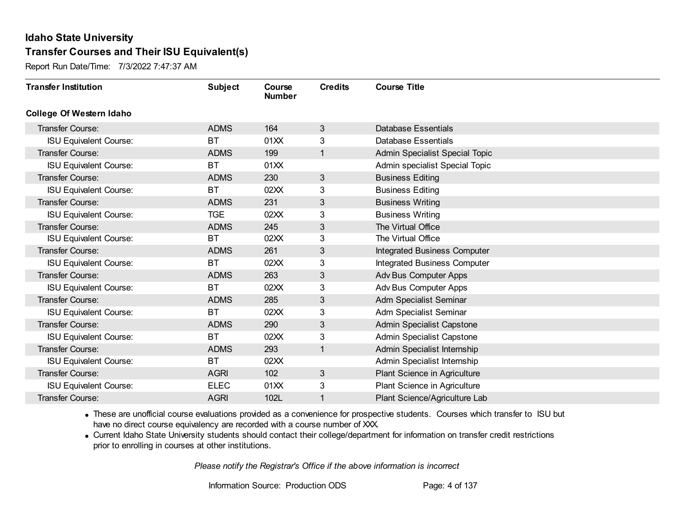Report Run Date/Time: 7/3/2022 7:47:37 AM

| <b>Transfer Institution</b>     | <b>Subject</b> | Course<br><b>Number</b> | <b>Credits</b> | <b>Course Title</b>                 |
|---------------------------------|----------------|-------------------------|----------------|-------------------------------------|
| <b>College Of Western Idaho</b> |                |                         |                |                                     |
| Transfer Course:                | <b>ADMS</b>    | 164                     | $\mathbf{3}$   | <b>Database Essentials</b>          |
| <b>ISU Equivalent Course:</b>   | <b>BT</b>      | 01XX                    | 3              | <b>Database Essentials</b>          |
| Transfer Course:                | <b>ADMS</b>    | 199                     | $\mathbf{1}$   | Admin Specialist Special Topic      |
| <b>ISU Equivalent Course:</b>   | <b>BT</b>      | 01XX                    |                | Admin specialist Special Topic      |
| <b>Transfer Course:</b>         | <b>ADMS</b>    | 230                     | 3              | <b>Business Editing</b>             |
| <b>ISU Equivalent Course:</b>   | <b>BT</b>      | 02XX                    | 3              | <b>Business Editing</b>             |
| Transfer Course:                | <b>ADMS</b>    | 231                     | 3              | <b>Business Writing</b>             |
| <b>ISU Equivalent Course:</b>   | <b>TGE</b>     | 02XX                    | 3              | <b>Business Writing</b>             |
| <b>Transfer Course:</b>         | <b>ADMS</b>    | 245                     | 3              | The Virtual Office                  |
| <b>ISU Equivalent Course:</b>   | <b>BT</b>      | 02XX                    | 3              | The Virtual Office                  |
| Transfer Course:                | <b>ADMS</b>    | 261                     | 3              | Integrated Business Computer        |
| <b>ISU Equivalent Course:</b>   | <b>BT</b>      | 02XX                    | 3              | <b>Integrated Business Computer</b> |
| Transfer Course:                | <b>ADMS</b>    | 263                     | 3              | Adv Bus Computer Apps               |
| <b>ISU Equivalent Course:</b>   | <b>BT</b>      | 02XX                    | 3              | Adv Bus Computer Apps               |
| Transfer Course:                | <b>ADMS</b>    | 285                     | 3              | Adm Specialist Seminar              |
| <b>ISU Equivalent Course:</b>   | <b>BT</b>      | 02XX                    | 3              | Adm Specialist Seminar              |
| Transfer Course:                | <b>ADMS</b>    | 290                     | 3              | Admin Specialist Capstone           |
| <b>ISU Equivalent Course:</b>   | <b>BT</b>      | 02XX                    | 3              | Admin Specialist Capstone           |
| Transfer Course:                | <b>ADMS</b>    | 293                     | $\mathbf{1}$   | Admin Specialist Internship         |
| <b>ISU Equivalent Course:</b>   | BT             | 02XX                    |                | Admin Specialist Internship         |
| Transfer Course:                | <b>AGRI</b>    | 102                     | 3              | Plant Science in Agriculture        |
| <b>ISU Equivalent Course:</b>   | <b>ELEC</b>    | 01XX                    | 3              | Plant Science in Agriculture        |
| Transfer Course:                | <b>AGRI</b>    | 102L                    | 1              | Plant Science/Agriculture Lab       |

· These are unofficial course evaluations provided as a convenience for prospective students. Courses which transfer to ISU but have no direct course equivalency are recorded with a course number of XXX.

· Current Idaho State University students should contact their college/department for information on transfer credit restrictions prior to enrolling in courses at other institutions.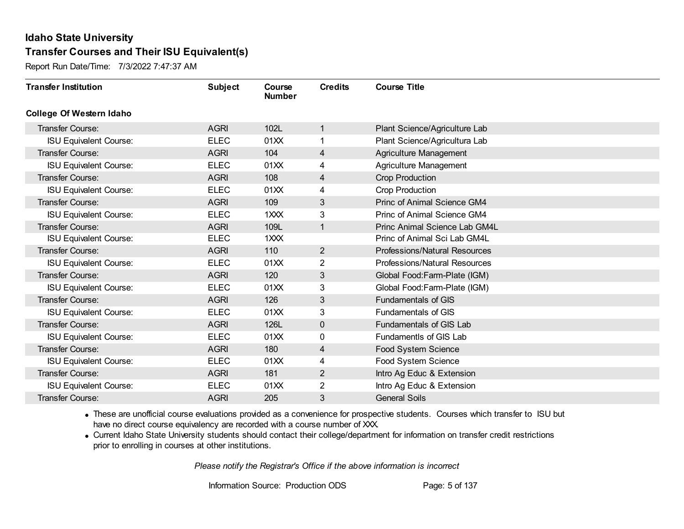Report Run Date/Time: 7/3/2022 7:47:37 AM

| <b>Transfer Institution</b>     | <b>Subject</b> | Course<br><b>Number</b> | <b>Credits</b> | <b>Course Title</b>           |
|---------------------------------|----------------|-------------------------|----------------|-------------------------------|
| <b>College Of Western Idaho</b> |                |                         |                |                               |
| Transfer Course:                | <b>AGRI</b>    | 102L                    | $\mathbf{1}$   | Plant Science/Agriculture Lab |
| <b>ISU Equivalent Course:</b>   | <b>ELEC</b>    | 01XX                    | 1              | Plant Science/Agricultura Lab |
| Transfer Course:                | <b>AGRI</b>    | 104                     | 4              | Agriculture Management        |
| <b>ISU Equivalent Course:</b>   | <b>ELEC</b>    | 01XX                    | 4              | Agriculture Management        |
| <b>Transfer Course:</b>         | <b>AGRI</b>    | 108                     | 4              | <b>Crop Production</b>        |
| <b>ISU Equivalent Course:</b>   | <b>ELEC</b>    | 01XX                    | 4              | Crop Production               |
| <b>Transfer Course:</b>         | <b>AGRI</b>    | 109                     | 3              | Princ of Animal Science GM4   |
| <b>ISU Equivalent Course:</b>   | <b>ELEC</b>    | 1XXX                    | 3              | Princ of Animal Science GM4   |
| <b>Transfer Course:</b>         | <b>AGRI</b>    | 109L                    | $\mathbf{1}$   | Princ Animal Science Lab GM4L |
| <b>ISU Equivalent Course:</b>   | <b>ELEC</b>    | 1XXX                    |                | Princ of Animal Sci Lab GM4L  |
| <b>Transfer Course:</b>         | <b>AGRI</b>    | 110                     | $\overline{2}$ | Professions/Natural Resources |
| <b>ISU Equivalent Course:</b>   | <b>ELEC</b>    | 01XX                    | $\overline{2}$ | Professions/Natural Resources |
| Transfer Course:                | <b>AGRI</b>    | 120                     | 3              | Global Food:Farm-Plate (IGM)  |
| <b>ISU Equivalent Course:</b>   | <b>ELEC</b>    | 01XX                    | 3              | Global Food:Farm-Plate (IGM)  |
| Transfer Course:                | <b>AGRI</b>    | 126                     | 3              | <b>Fundamentals of GIS</b>    |
| <b>ISU Equivalent Course:</b>   | <b>ELEC</b>    | 01XX                    | 3              | <b>Fundamentals of GIS</b>    |
| Transfer Course:                | <b>AGRI</b>    | 126L                    | 0              | Fundamentals of GIS Lab       |
| <b>ISU Equivalent Course:</b>   | <b>ELEC</b>    | 01XX                    | 0              | Fundamentls of GIS Lab        |
| Transfer Course:                | <b>AGRI</b>    | 180                     | 4              | Food System Science           |
| <b>ISU Equivalent Course:</b>   | <b>ELEC</b>    | 01XX                    | 4              | Food System Science           |
| Transfer Course:                | <b>AGRI</b>    | 181                     | $\overline{2}$ | Intro Ag Educ & Extension     |
| <b>ISU Equivalent Course:</b>   | <b>ELEC</b>    | 01XX                    | $\overline{2}$ | Intro Ag Educ & Extension     |
| Transfer Course:                | <b>AGRI</b>    | 205                     | 3              | <b>General Soils</b>          |

· These are unofficial course evaluations provided as a convenience for prospective students. Courses which transfer to ISU but have no direct course equivalency are recorded with a course number of XXX.

· Current Idaho State University students should contact their college/department for information on transfer credit restrictions prior to enrolling in courses at other institutions.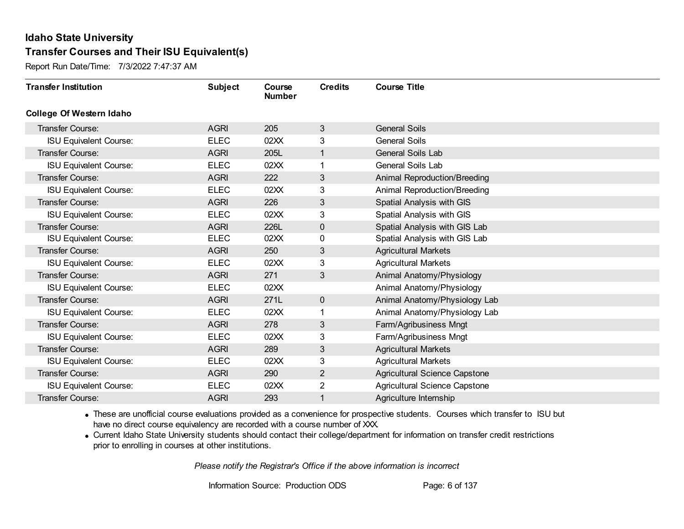Report Run Date/Time: 7/3/2022 7:47:37 AM

| <b>Transfer Institution</b>     | <b>Subject</b> | Course<br><b>Number</b> | <b>Credits</b> | <b>Course Title</b>                  |
|---------------------------------|----------------|-------------------------|----------------|--------------------------------------|
| <b>College Of Western Idaho</b> |                |                         |                |                                      |
| Transfer Course:                | <b>AGRI</b>    | 205                     | 3              | <b>General Soils</b>                 |
| <b>ISU Equivalent Course:</b>   | <b>ELEC</b>    | 02XX                    | 3              | <b>General Soils</b>                 |
| Transfer Course:                | <b>AGRI</b>    | 205L                    | 1              | <b>General Soils Lab</b>             |
| <b>ISU Equivalent Course:</b>   | <b>ELEC</b>    | 02XX                    |                | General Soils Lab                    |
| <b>Transfer Course:</b>         | <b>AGRI</b>    | 222                     | $\mathfrak{B}$ | Animal Reproduction/Breeding         |
| <b>ISU Equivalent Course:</b>   | <b>ELEC</b>    | 02XX                    | 3              | <b>Animal Reproduction/Breeding</b>  |
| Transfer Course:                | <b>AGRI</b>    | 226                     | 3              | Spatial Analysis with GIS            |
| <b>ISU Equivalent Course:</b>   | <b>ELEC</b>    | 02XX                    | 3              | Spatial Analysis with GIS            |
| Transfer Course:                | <b>AGRI</b>    | 226L                    | $\mathbf 0$    | Spatial Analysis with GIS Lab        |
| <b>ISU Equivalent Course:</b>   | <b>ELEC</b>    | 02XX                    | 0              | Spatial Analysis with GIS Lab        |
| Transfer Course:                | <b>AGRI</b>    | 250                     | 3              | <b>Agricultural Markets</b>          |
| <b>ISU Equivalent Course:</b>   | <b>ELEC</b>    | 02XX                    | 3              | <b>Agricultural Markets</b>          |
| Transfer Course:                | <b>AGRI</b>    | 271                     | 3              | Animal Anatomy/Physiology            |
| <b>ISU Equivalent Course:</b>   | <b>ELEC</b>    | 02XX                    |                | Animal Anatomy/Physiology            |
| Transfer Course:                | <b>AGRI</b>    | 271L                    | $\pmb{0}$      | Animal Anatomy/Physiology Lab        |
| <b>ISU Equivalent Course:</b>   | <b>ELEC</b>    | 02XX                    |                | Animal Anatomy/Physiology Lab        |
| Transfer Course:                | <b>AGRI</b>    | 278                     | 3              | Farm/Agribusiness Mngt               |
| <b>ISU Equivalent Course:</b>   | <b>ELEC</b>    | 02XX                    | 3              | Farm/Agribusiness Mngt               |
| <b>Transfer Course:</b>         | <b>AGRI</b>    | 289                     | 3              | <b>Agricultural Markets</b>          |
| <b>ISU Equivalent Course:</b>   | <b>ELEC</b>    | 02XX                    | 3              | <b>Agricultural Markets</b>          |
| Transfer Course:                | <b>AGRI</b>    | 290                     | $\overline{2}$ | Agricultural Science Capstone        |
| <b>ISU Equivalent Course:</b>   | <b>ELEC</b>    | 02XX                    | $\overline{2}$ | <b>Agricultural Science Capstone</b> |
| Transfer Course:                | <b>AGRI</b>    | 293                     |                | Agriculture Internship               |

· These are unofficial course evaluations provided as a convenience for prospective students. Courses which transfer to ISU but have no direct course equivalency are recorded with a course number of XXX.

· Current Idaho State University students should contact their college/department for information on transfer credit restrictions prior to enrolling in courses at other institutions.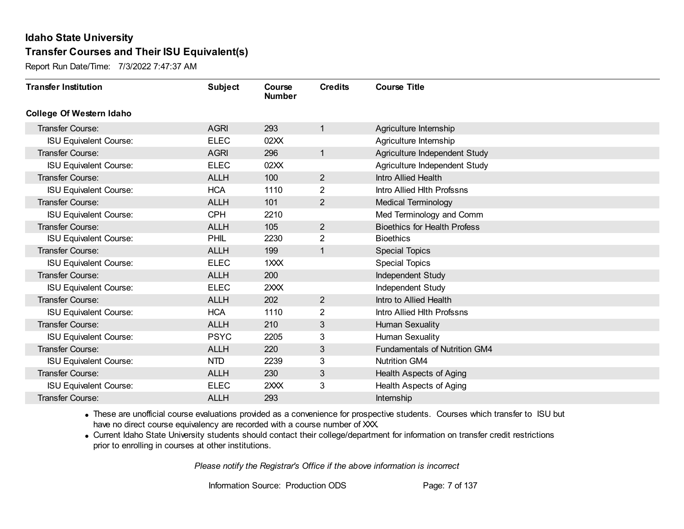Report Run Date/Time: 7/3/2022 7:47:37 AM

| <b>Transfer Institution</b>     | <b>Subject</b> | Course<br><b>Number</b> | <b>Credits</b> | <b>Course Title</b>                  |
|---------------------------------|----------------|-------------------------|----------------|--------------------------------------|
| <b>College Of Western Idaho</b> |                |                         |                |                                      |
| Transfer Course:                | <b>AGRI</b>    | 293                     | $\mathbf{1}$   | Agriculture Internship               |
| <b>ISU Equivalent Course:</b>   | <b>ELEC</b>    | 02XX                    |                | Agriculture Internship               |
| Transfer Course:                | <b>AGRI</b>    | 296                     | $\mathbf{1}$   | Agriculture Independent Study        |
| <b>ISU Equivalent Course:</b>   | <b>ELEC</b>    | 02XX                    |                | Agriculture Independent Study        |
| <b>Transfer Course:</b>         | <b>ALLH</b>    | 100                     | $\overline{2}$ | Intro Allied Health                  |
| <b>ISU Equivalent Course:</b>   | <b>HCA</b>     | 1110                    | 2              | Intro Allied Hith Profssns           |
| Transfer Course:                | <b>ALLH</b>    | 101                     | $\overline{2}$ | <b>Medical Terminology</b>           |
| <b>ISU Equivalent Course:</b>   | <b>CPH</b>     | 2210                    |                | Med Terminology and Comm             |
| <b>Transfer Course:</b>         | <b>ALLH</b>    | 105                     | $\overline{2}$ | <b>Bioethics for Health Profess</b>  |
| <b>ISU Equivalent Course:</b>   | PHIL           | 2230                    | $\overline{2}$ | <b>Bioethics</b>                     |
| Transfer Course:                | <b>ALLH</b>    | 199                     | $\mathbf{1}$   | <b>Special Topics</b>                |
| <b>ISU Equivalent Course:</b>   | <b>ELEC</b>    | 1XXX                    |                | <b>Special Topics</b>                |
| Transfer Course:                | <b>ALLH</b>    | 200                     |                | Independent Study                    |
| <b>ISU Equivalent Course:</b>   | <b>ELEC</b>    | 2XXX                    |                | Independent Study                    |
| Transfer Course:                | <b>ALLH</b>    | 202                     | $\overline{2}$ | Intro to Allied Health               |
| <b>ISU Equivalent Course:</b>   | <b>HCA</b>     | 1110                    | $\overline{2}$ | Intro Allied Hith Profssns           |
| Transfer Course:                | <b>ALLH</b>    | 210                     | 3              | Human Sexuality                      |
| <b>ISU Equivalent Course:</b>   | <b>PSYC</b>    | 2205                    | 3              | Human Sexuality                      |
| Transfer Course:                | <b>ALLH</b>    | 220                     | 3              | <b>Fundamentals of Nutrition GM4</b> |
| <b>ISU Equivalent Course:</b>   | <b>NTD</b>     | 2239                    | 3              | <b>Nutrition GM4</b>                 |
| <b>Transfer Course:</b>         | <b>ALLH</b>    | 230                     | $\mathbf{3}$   | Health Aspects of Aging              |
| <b>ISU Equivalent Course:</b>   | <b>ELEC</b>    | 2XXX                    | 3              | <b>Health Aspects of Aging</b>       |
| Transfer Course:                | <b>ALLH</b>    | 293                     |                | Internship                           |

· These are unofficial course evaluations provided as a convenience for prospective students. Courses which transfer to ISU but have no direct course equivalency are recorded with a course number of XXX.

· Current Idaho State University students should contact their college/department for information on transfer credit restrictions prior to enrolling in courses at other institutions.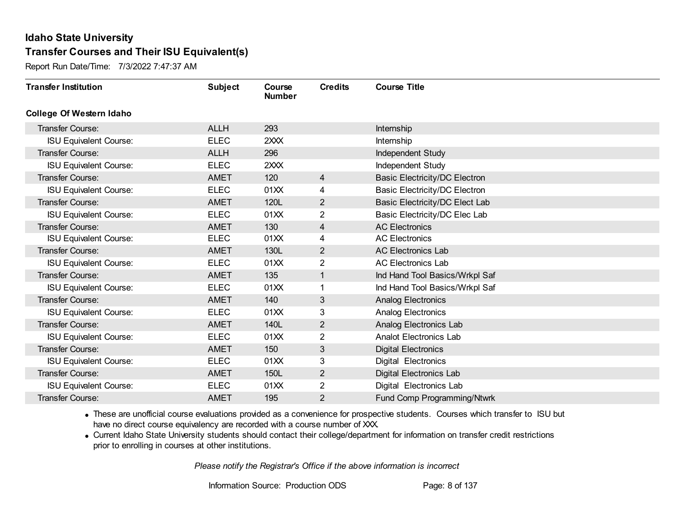Report Run Date/Time: 7/3/2022 7:47:37 AM

| <b>Transfer Institution</b>     | <b>Subject</b> | Course<br><b>Number</b> | <b>Credits</b> | <b>Course Title</b>                  |
|---------------------------------|----------------|-------------------------|----------------|--------------------------------------|
| <b>College Of Western Idaho</b> |                |                         |                |                                      |
| Transfer Course:                | <b>ALLH</b>    | 293                     |                | Internship                           |
| <b>ISU Equivalent Course:</b>   | <b>ELEC</b>    | 2XXX                    |                | Internship                           |
| Transfer Course:                | <b>ALLH</b>    | 296                     |                | Independent Study                    |
| <b>ISU Equivalent Course:</b>   | <b>ELEC</b>    | 2XXX                    |                | Independent Study                    |
| <b>Transfer Course:</b>         | <b>AMET</b>    | 120                     | $\overline{4}$ | <b>Basic Electricity/DC Electron</b> |
| <b>ISU Equivalent Course:</b>   | <b>ELEC</b>    | 01XX                    | 4              | <b>Basic Electricity/DC Electron</b> |
| Transfer Course:                | AMET           | 120L                    | $\overline{2}$ | Basic Electricity/DC Elect Lab       |
| <b>ISU Equivalent Course:</b>   | <b>ELEC</b>    | 01XX                    | 2              | Basic Electricity/DC Elec Lab        |
| <b>Transfer Course:</b>         | AMET           | 130                     | 4              | <b>AC Electronics</b>                |
| <b>ISU Equivalent Course:</b>   | <b>ELEC</b>    | 01XX                    | 4              | <b>AC Electronics</b>                |
| <b>Transfer Course:</b>         | AMET           | 130L                    | $\overline{2}$ | <b>AC Electronics Lab</b>            |
| <b>ISU Equivalent Course:</b>   | <b>ELEC</b>    | 01XX                    | 2              | <b>AC Electronics Lab</b>            |
| Transfer Course:                | <b>AMET</b>    | 135                     | 1              | Ind Hand Tool Basics/Wrkpl Saf       |
| <b>ISU Equivalent Course:</b>   | <b>ELEC</b>    | 01XX                    | 1              | Ind Hand Tool Basics/Wrkpl Saf       |
| Transfer Course:                | <b>AMET</b>    | 140                     | 3              | <b>Analog Electronics</b>            |
| <b>ISU Equivalent Course:</b>   | <b>ELEC</b>    | 01XX                    | 3              | Analog Electronics                   |
| Transfer Course:                | AMET           | 140L                    | $\overline{2}$ | Analog Electronics Lab               |
| <b>ISU Equivalent Course:</b>   | <b>ELEC</b>    | 01XX                    | $\overline{2}$ | <b>Analot Electronics Lab</b>        |
| Transfer Course:                | AMET           | 150                     | 3              | <b>Digital Electronics</b>           |
| <b>ISU Equivalent Course:</b>   | <b>ELEC</b>    | 01XX                    | 3              | Digital Electronics                  |
| <b>Transfer Course:</b>         | AMET           | 150L                    | $\overline{2}$ | <b>Digital Electronics Lab</b>       |
| <b>ISU Equivalent Course:</b>   | <b>ELEC</b>    | 01XX                    | 2              | Digital Electronics Lab              |
| Transfer Course:                | AMET           | 195                     | 2              | Fund Comp Programming/Ntwrk          |

· These are unofficial course evaluations provided as a convenience for prospective students. Courses which transfer to ISU but have no direct course equivalency are recorded with a course number of XXX.

· Current Idaho State University students should contact their college/department for information on transfer credit restrictions prior to enrolling in courses at other institutions.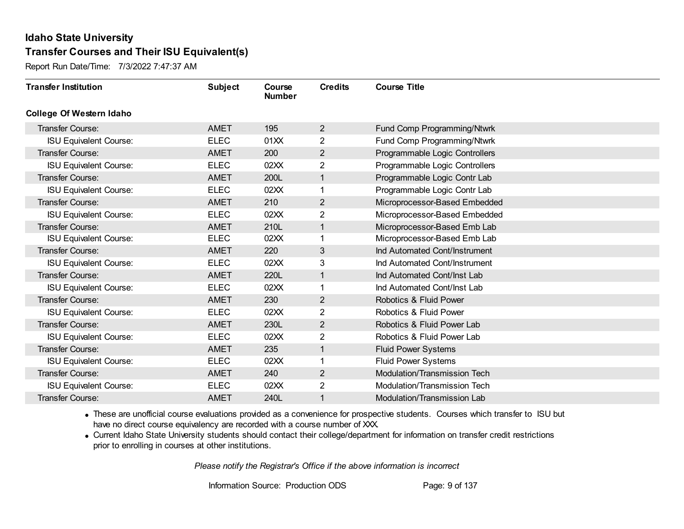Report Run Date/Time: 7/3/2022 7:47:37 AM

| <b>Transfer Institution</b>     | <b>Subject</b> | Course<br><b>Number</b> | <b>Credits</b> | <b>Course Title</b>            |
|---------------------------------|----------------|-------------------------|----------------|--------------------------------|
| <b>College Of Western Idaho</b> |                |                         |                |                                |
| Transfer Course:                | <b>AMET</b>    | 195                     | $\overline{2}$ | Fund Comp Programming/Ntwrk    |
| <b>ISU Equivalent Course:</b>   | <b>ELEC</b>    | 01XX                    | $\overline{2}$ | Fund Comp Programming/Ntwrk    |
| Transfer Course:                | <b>AMET</b>    | 200                     | $\overline{2}$ | Programmable Logic Controllers |
| <b>ISU Equivalent Course:</b>   | <b>ELEC</b>    | 02XX                    | $\mathbf{2}$   | Programmable Logic Controllers |
| Transfer Course:                | AMET           | 200L                    | 1              | Programmable Logic Contr Lab   |
| <b>ISU Equivalent Course:</b>   | <b>ELEC</b>    | 02XX                    | 1              | Programmable Logic Contr Lab   |
| Transfer Course:                | <b>AMET</b>    | 210                     | $\overline{2}$ | Microprocessor-Based Embedded  |
| <b>ISU Equivalent Course:</b>   | <b>ELEC</b>    | 02XX                    | 2              | Microprocessor-Based Embedded  |
| Transfer Course:                | <b>AMET</b>    | 210L                    | 1              | Microprocessor-Based Emb Lab   |
| <b>ISU Equivalent Course:</b>   | <b>ELEC</b>    | 02XX                    | 1              | Microprocessor-Based Emb Lab   |
| Transfer Course:                | <b>AMET</b>    | 220                     | 3              | Ind Automated Cont/Instrument  |
| <b>ISU Equivalent Course:</b>   | <b>ELEC</b>    | 02XX                    | 3              | Ind Automated Cont/Instrument  |
| Transfer Course:                | <b>AMET</b>    | 220L                    | 1              | Ind Automated Cont/Inst Lab    |
| <b>ISU Equivalent Course:</b>   | <b>ELEC</b>    | 02XX                    | 1              | Ind Automated Cont/Inst Lab    |
| Transfer Course:                | <b>AMET</b>    | 230                     | $\overline{2}$ | Robotics & Fluid Power         |
| <b>ISU Equivalent Course:</b>   | <b>ELEC</b>    | 02XX                    | $\overline{2}$ | Robotics & Fluid Power         |
| Transfer Course:                | <b>AMET</b>    | 230L                    | $\overline{2}$ | Robotics & Fluid Power Lab     |
| <b>ISU Equivalent Course:</b>   | <b>ELEC</b>    | 02XX                    | $\overline{2}$ | Robotics & Fluid Power Lab     |
| Transfer Course:                | AMET           | 235                     | 1              | Fluid Power Systems            |
| <b>ISU Equivalent Course:</b>   | <b>ELEC</b>    | 02XX                    |                | Fluid Power Systems            |
| Transfer Course:                | <b>AMET</b>    | 240                     | $\overline{2}$ | Modulation/Transmission Tech   |
| <b>ISU Equivalent Course:</b>   | <b>ELEC</b>    | 02XX                    | $\overline{2}$ | Modulation/Transmission Tech   |
| <b>Transfer Course:</b>         | <b>AMET</b>    | 240L                    | 1              | Modulation/Transmission Lab    |

· These are unofficial course evaluations provided as a convenience for prospective students. Courses which transfer to ISU but have no direct course equivalency are recorded with a course number of XXX.

· Current Idaho State University students should contact their college/department for information on transfer credit restrictions prior to enrolling in courses at other institutions.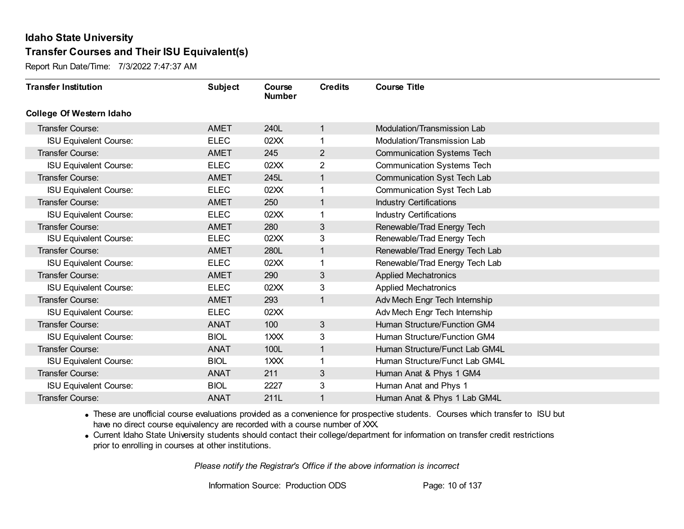Report Run Date/Time: 7/3/2022 7:47:37 AM

| <b>Transfer Institution</b>     | <b>Subject</b> | Course<br><b>Number</b> | <b>Credits</b> | <b>Course Title</b>               |
|---------------------------------|----------------|-------------------------|----------------|-----------------------------------|
| <b>College Of Western Idaho</b> |                |                         |                |                                   |
| Transfer Course:                | <b>AMET</b>    | 240L                    | 1              | Modulation/Transmission Lab       |
| <b>ISU Equivalent Course:</b>   | <b>ELEC</b>    | 02XX                    |                | Modulation/Transmission Lab       |
| Transfer Course:                | <b>AMET</b>    | 245                     | $\overline{2}$ | <b>Communication Systems Tech</b> |
| <b>ISU Equivalent Course:</b>   | <b>ELEC</b>    | 02XX                    | $\mathbf 2$    | <b>Communication Systems Tech</b> |
| <b>Transfer Course:</b>         | AMET           | 245L                    | $\mathbf{1}$   | Communication Syst Tech Lab       |
| <b>ISU Equivalent Course:</b>   | <b>ELEC</b>    | 02XX                    |                | Communication Syst Tech Lab       |
| Transfer Course:                | <b>AMET</b>    | 250                     | 1              | <b>Industry Certifications</b>    |
| <b>ISU Equivalent Course:</b>   | <b>ELEC</b>    | 02XX                    |                | <b>Industry Certifications</b>    |
| Transfer Course:                | <b>AMET</b>    | 280                     | 3              | Renewable/Trad Energy Tech        |
| <b>ISU Equivalent Course:</b>   | <b>ELEC</b>    | 02XX                    | 3              | Renewable/Trad Energy Tech        |
| Transfer Course:                | AMET           | 280L                    | 1              | Renewable/Trad Energy Tech Lab    |
| <b>ISU Equivalent Course:</b>   | <b>ELEC</b>    | 02XX                    | 1              | Renewable/Trad Energy Tech Lab    |
| Transfer Course:                | <b>AMET</b>    | 290                     | 3              | <b>Applied Mechatronics</b>       |
| <b>ISU Equivalent Course:</b>   | <b>ELEC</b>    | 02XX                    | 3              | <b>Applied Mechatronics</b>       |
| Transfer Course:                | <b>AMET</b>    | 293                     | 1              | Adv Mech Engr Tech Internship     |
| <b>ISU Equivalent Course:</b>   | <b>ELEC</b>    | 02XX                    |                | Adv Mech Engr Tech Internship     |
| Transfer Course:                | <b>ANAT</b>    | 100                     | $\mathbf{3}$   | Human Structure/Function GM4      |
| <b>ISU Equivalent Course:</b>   | <b>BIOL</b>    | 1XXX                    | 3              | Human Structure/Function GM4      |
| Transfer Course:                | <b>ANAT</b>    | 100L                    | 1              | Human Structure/Funct Lab GM4L    |
| <b>ISU Equivalent Course:</b>   | <b>BIOL</b>    | 1XXX                    |                | Human Structure/Funct Lab GM4L    |
| Transfer Course:                | <b>ANAT</b>    | 211                     | 3              | Human Anat & Phys 1 GM4           |
| <b>ISU Equivalent Course:</b>   | <b>BIOL</b>    | 2227                    | 3              | Human Anat and Phys 1             |
| <b>Transfer Course:</b>         | <b>ANAT</b>    | 211L                    | 1              | Human Anat & Phys 1 Lab GM4L      |

· These are unofficial course evaluations provided as a convenience for prospective students. Courses which transfer to ISU but have no direct course equivalency are recorded with a course number of XXX.

· Current Idaho State University students should contact their college/department for information on transfer credit restrictions prior to enrolling in courses at other institutions.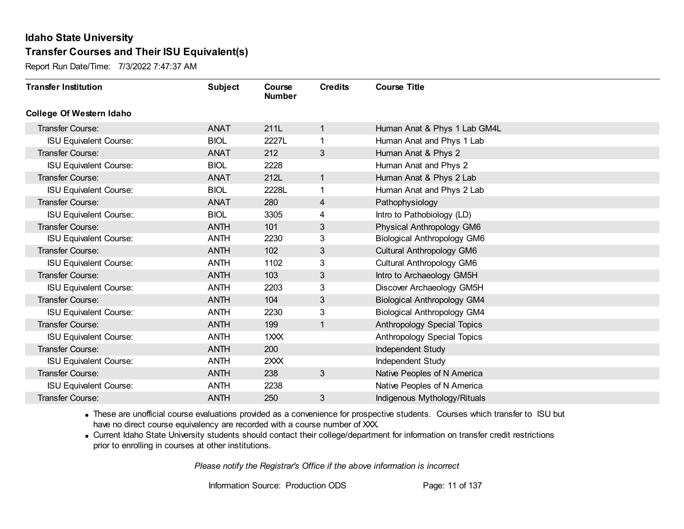Report Run Date/Time: 7/3/2022 7:47:37 AM

| <b>Transfer Institution</b>     | <b>Subject</b> | Course<br><b>Number</b> | <b>Credits</b> | <b>Course Title</b>                |
|---------------------------------|----------------|-------------------------|----------------|------------------------------------|
| <b>College Of Western Idaho</b> |                |                         |                |                                    |
| Transfer Course:                | <b>ANAT</b>    | 211L                    | $\mathbf{1}$   | Human Anat & Phys 1 Lab GM4L       |
| <b>ISU Equivalent Course:</b>   | <b>BIOL</b>    | 2227L                   | 1.             | Human Anat and Phys 1 Lab          |
| Transfer Course:                | <b>ANAT</b>    | 212                     | 3              | Human Anat & Phys 2                |
| <b>ISU Equivalent Course:</b>   | <b>BIOL</b>    | 2228                    |                | Human Anat and Phys 2              |
| <b>Transfer Course:</b>         | <b>ANAT</b>    | 212L                    | $\mathbf{1}$   | Human Anat & Phys 2 Lab            |
| <b>ISU Equivalent Course:</b>   | <b>BIOL</b>    | 2228L                   | 1              | Human Anat and Phys 2 Lab          |
| Transfer Course:                | <b>ANAT</b>    | 280                     | 4              | Pathophysiology                    |
| <b>ISU Equivalent Course:</b>   | <b>BIOL</b>    | 3305                    | 4              | Intro to Pathobiology (LD)         |
| Transfer Course:                | <b>ANTH</b>    | 101                     | 3              | Physical Anthropology GM6          |
| <b>ISU Equivalent Course:</b>   | <b>ANTH</b>    | 2230                    | 3              | <b>Biological Anthropology GM6</b> |
| <b>Transfer Course:</b>         | <b>ANTH</b>    | 102                     | 3              | Cultural Anthropology GM6          |
| <b>ISU Equivalent Course:</b>   | <b>ANTH</b>    | 1102                    | 3              | <b>Cultural Anthropology GM6</b>   |
| Transfer Course:                | <b>ANTH</b>    | 103                     | 3              | Intro to Archaeology GM5H          |
| <b>ISU Equivalent Course:</b>   | <b>ANTH</b>    | 2203                    | 3              | Discover Archaeology GM5H          |
| Transfer Course:                | <b>ANTH</b>    | 104                     | 3              | <b>Biological Anthropology GM4</b> |
| <b>ISU Equivalent Course:</b>   | <b>ANTH</b>    | 2230                    | 3              | <b>Biological Anthropology GM4</b> |
| Transfer Course:                | <b>ANTH</b>    | 199                     | $\mathbf{1}$   | <b>Anthropology Special Topics</b> |
| <b>ISU Equivalent Course:</b>   | <b>ANTH</b>    | 1XXX                    |                | <b>Anthropology Special Topics</b> |
| Transfer Course:                | <b>ANTH</b>    | 200                     |                | Independent Study                  |
| <b>ISU Equivalent Course:</b>   | <b>ANTH</b>    | 2XXX                    |                | Independent Study                  |
| Transfer Course:                | <b>ANTH</b>    | 238                     | 3              | Native Peoples of N America        |
| <b>ISU Equivalent Course:</b>   | <b>ANTH</b>    | 2238                    |                | Native Peoples of N America        |
| Transfer Course:                | <b>ANTH</b>    | 250                     | 3              | Indigenous Mythology/Rituals       |

· These are unofficial course evaluations provided as a convenience for prospective students. Courses which transfer to ISU but have no direct course equivalency are recorded with a course number of XXX.

· Current Idaho State University students should contact their college/department for information on transfer credit restrictions prior to enrolling in courses at other institutions.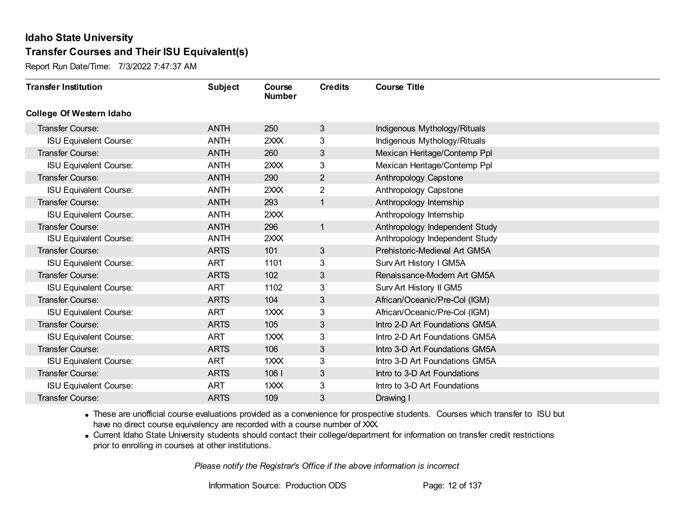Report Run Date/Time: 7/3/2022 7:47:37 AM

| <b>Transfer Institution</b>     | <b>Subject</b> | Course<br><b>Number</b> | <b>Credits</b> | <b>Course Title</b>            |
|---------------------------------|----------------|-------------------------|----------------|--------------------------------|
| <b>College Of Western Idaho</b> |                |                         |                |                                |
| Transfer Course:                | <b>ANTH</b>    | 250                     | $\mathbf{3}$   | Indigenous Mythology/Rituals   |
| <b>ISU Equivalent Course:</b>   | <b>ANTH</b>    | 2XXX                    | 3              | Indigenous Mythology/Rituals   |
| Transfer Course:                | <b>ANTH</b>    | 260                     | 3              | Mexican Heritage/Contemp Ppl   |
| <b>ISU Equivalent Course:</b>   | <b>ANTH</b>    | 2XXX                    | 3              | Mexican Heritage/Contemp Ppl   |
| Transfer Course:                | <b>ANTH</b>    | 290                     | $\overline{2}$ | Anthropology Capstone          |
| <b>ISU Equivalent Course:</b>   | <b>ANTH</b>    | 2XXX                    | $\overline{2}$ | Anthropology Capstone          |
| Transfer Course:                | <b>ANTH</b>    | 293                     | $\mathbf{1}$   | Anthropology Internship        |
| <b>ISU Equivalent Course:</b>   | <b>ANTH</b>    | 2XXX                    |                | Anthropology Internship        |
| Transfer Course:                | <b>ANTH</b>    | 296                     | 1              | Anthropology Independent Study |
| <b>ISU Equivalent Course:</b>   | <b>ANTH</b>    | 2XXX                    |                | Anthropology Independent Study |
| Transfer Course:                | <b>ARTS</b>    | 101                     | 3              | Prehistoric-Medieval Art GM5A  |
| <b>ISU Equivalent Course:</b>   | <b>ART</b>     | 1101                    | 3              | Surv Art History I GM5A        |
| Transfer Course:                | <b>ARTS</b>    | 102                     | 3              | Renaissance-Modern Art GM5A    |
| <b>ISU Equivalent Course:</b>   | <b>ART</b>     | 1102                    | 3              | Surv Art History II GM5        |
| Transfer Course:                | <b>ARTS</b>    | 104                     | 3              | African/Oceanic/Pre-Col (IGM)  |
| <b>ISU Equivalent Course:</b>   | <b>ART</b>     | 1XXX                    | 3              | African/Oceanic/Pre-Col (IGM)  |
| Transfer Course:                | <b>ARTS</b>    | 105                     | 3              | Intro 2-D Art Foundations GM5A |
| <b>ISU Equivalent Course:</b>   | <b>ART</b>     | 1XXX                    | 3              | Intro 2-D Art Foundations GM5A |
| Transfer Course:                | <b>ARTS</b>    | 106                     | 3              | Intro 3-D Art Foundations GM5A |
| <b>ISU Equivalent Course:</b>   | <b>ART</b>     | 1XXX                    | 3              | Intro 3-D Art Foundations GM5A |
| Transfer Course:                | <b>ARTS</b>    | 106                     | 3              | Intro to 3-D Art Foundations   |
| <b>ISU Equivalent Course:</b>   | <b>ART</b>     | 1XXX                    | 3              | Intro to 3-D Art Foundations   |
| <b>Transfer Course:</b>         | <b>ARTS</b>    | 109                     | 3              | Drawing I                      |

· These are unofficial course evaluations provided as a convenience for prospective students. Courses which transfer to ISU but have no direct course equivalency are recorded with a course number of XXX.

· Current Idaho State University students should contact their college/department for information on transfer credit restrictions prior to enrolling in courses at other institutions.

*Please notify the Registrar's Office if the above information is incorrect*

Information Source: Production ODS Page: 12 of 137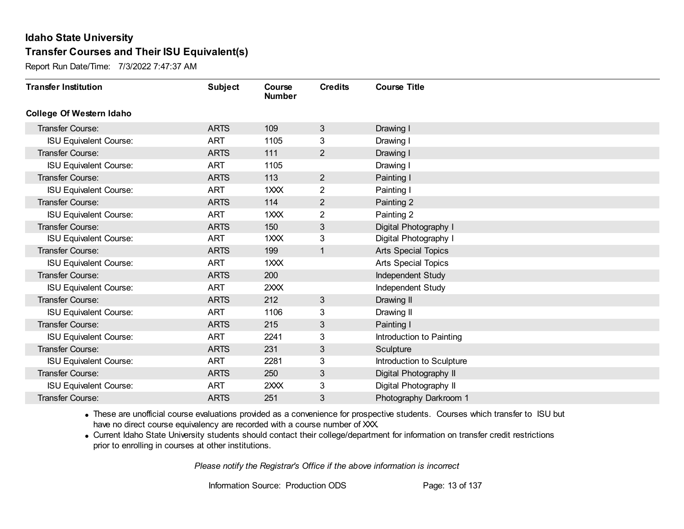Report Run Date/Time: 7/3/2022 7:47:37 AM

| <b>Transfer Institution</b>     | <b>Subject</b> | Course<br><b>Number</b> | <b>Credits</b> | <b>Course Title</b>       |
|---------------------------------|----------------|-------------------------|----------------|---------------------------|
| <b>College Of Western Idaho</b> |                |                         |                |                           |
| Transfer Course:                | <b>ARTS</b>    | 109                     | 3              | Drawing I                 |
| <b>ISU Equivalent Course:</b>   | <b>ART</b>     | 1105                    | 3              | Drawing I                 |
| Transfer Course:                | <b>ARTS</b>    | 111                     | $\overline{2}$ | Drawing I                 |
| <b>ISU Equivalent Course:</b>   | <b>ART</b>     | 1105                    |                | Drawing I                 |
| <b>Transfer Course:</b>         | <b>ARTS</b>    | 113                     | $\overline{2}$ | Painting I                |
| <b>ISU Equivalent Course:</b>   | <b>ART</b>     | 1XXX                    | 2              | Painting I                |
| Transfer Course:                | <b>ARTS</b>    | 114                     | $\overline{2}$ | Painting 2                |
| <b>ISU Equivalent Course:</b>   | <b>ART</b>     | 1XXX                    | 2              | Painting 2                |
| <b>Transfer Course:</b>         | <b>ARTS</b>    | 150                     | $\mathfrak{S}$ | Digital Photography I     |
| <b>ISU Equivalent Course:</b>   | <b>ART</b>     | 1XXX                    | 3              | Digital Photography I     |
| Transfer Course:                | <b>ARTS</b>    | 199                     | $\mathbf{1}$   | Arts Special Topics       |
| <b>ISU Equivalent Course:</b>   | <b>ART</b>     | 1XXX                    |                | Arts Special Topics       |
| Transfer Course:                | <b>ARTS</b>    | 200                     |                | Independent Study         |
| <b>ISU Equivalent Course:</b>   | <b>ART</b>     | 2XXX                    |                | Independent Study         |
| Transfer Course:                | <b>ARTS</b>    | 212                     | 3              | Drawing II                |
| <b>ISU Equivalent Course:</b>   | <b>ART</b>     | 1106                    | 3              | Drawing II                |
| Transfer Course:                | <b>ARTS</b>    | 215                     | 3              | Painting I                |
| <b>ISU Equivalent Course:</b>   | <b>ART</b>     | 2241                    | 3              | Introduction to Painting  |
| Transfer Course:                | <b>ARTS</b>    | 231                     | 3              | Sculpture                 |
| <b>ISU Equivalent Course:</b>   | <b>ART</b>     | 2281                    | 3              | Introduction to Sculpture |
| <b>Transfer Course:</b>         | <b>ARTS</b>    | 250                     | 3              | Digital Photography II    |
| <b>ISU Equivalent Course:</b>   | <b>ART</b>     | 2XXX                    | 3              | Digital Photography II    |
| Transfer Course:                | <b>ARTS</b>    | 251                     | 3              | Photography Darkroom 1    |

· These are unofficial course evaluations provided as a convenience for prospective students. Courses which transfer to ISU but have no direct course equivalency are recorded with a course number of XXX.

· Current Idaho State University students should contact their college/department for information on transfer credit restrictions prior to enrolling in courses at other institutions.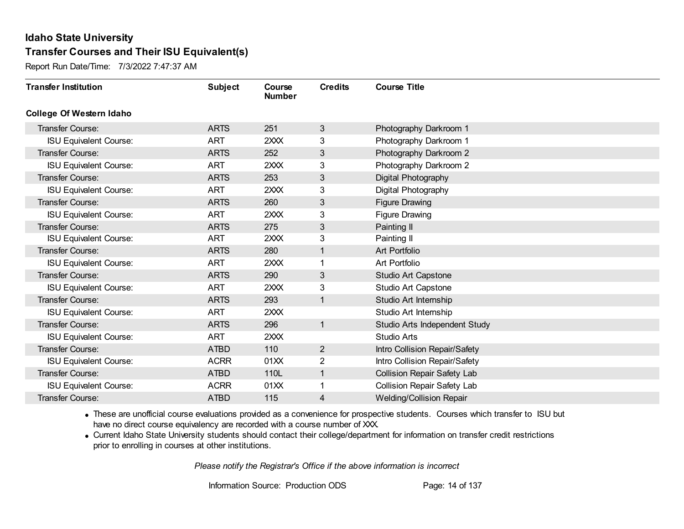Report Run Date/Time: 7/3/2022 7:47:37 AM

| <b>Transfer Institution</b>     | <b>Subject</b> | Course<br><b>Number</b> | <b>Credits</b> | <b>Course Title</b>                |
|---------------------------------|----------------|-------------------------|----------------|------------------------------------|
| <b>College Of Western Idaho</b> |                |                         |                |                                    |
| Transfer Course:                | <b>ARTS</b>    | 251                     | $\mathbf{3}$   | Photography Darkroom 1             |
| <b>ISU Equivalent Course:</b>   | <b>ART</b>     | 2XXX                    | 3              | Photography Darkroom 1             |
| Transfer Course:                | <b>ARTS</b>    | 252                     | 3              | Photography Darkroom 2             |
| <b>ISU Equivalent Course:</b>   | <b>ART</b>     | 2XXX                    | 3              | Photography Darkroom 2             |
| Transfer Course:                | <b>ARTS</b>    | 253                     | 3              | Digital Photography                |
| <b>ISU Equivalent Course:</b>   | <b>ART</b>     | 2XXX                    | 3              | Digital Photography                |
| Transfer Course:                | <b>ARTS</b>    | 260                     | 3              | <b>Figure Drawing</b>              |
| <b>ISU Equivalent Course:</b>   | <b>ART</b>     | 2XXX                    | 3              | Figure Drawing                     |
| <b>Transfer Course:</b>         | <b>ARTS</b>    | 275                     | $\mathbf{3}$   | Painting II                        |
| <b>ISU Equivalent Course:</b>   | <b>ART</b>     | 2XXX                    | 3              | Painting II                        |
| <b>Transfer Course:</b>         | <b>ARTS</b>    | 280                     | 1              | Art Portfolio                      |
| <b>ISU Equivalent Course:</b>   | <b>ART</b>     | 2XXX                    | 1              | Art Portfolio                      |
| Transfer Course:                | <b>ARTS</b>    | 290                     | 3              | Studio Art Capstone                |
| <b>ISU Equivalent Course:</b>   | <b>ART</b>     | 2XXX                    | 3              | Studio Art Capstone                |
| Transfer Course:                | <b>ARTS</b>    | 293                     | 1              | Studio Art Internship              |
| <b>ISU Equivalent Course:</b>   | <b>ART</b>     | 2XXX                    |                | Studio Art Internship              |
| Transfer Course:                | <b>ARTS</b>    | 296                     | $\mathbf{1}$   | Studio Arts Independent Study      |
| <b>ISU Equivalent Course:</b>   | <b>ART</b>     | 2XXX                    |                | <b>Studio Arts</b>                 |
| Transfer Course:                | <b>ATBD</b>    | 110                     | $\overline{2}$ | Intro Collision Repair/Safety      |
| <b>ISU Equivalent Course:</b>   | <b>ACRR</b>    | 01XX                    | 2              | Intro Collision Repair/Safety      |
| Transfer Course:                | <b>ATBD</b>    | 110L                    | $\mathbf{1}$   | <b>Collision Repair Safety Lab</b> |
| <b>ISU Equivalent Course:</b>   | <b>ACRR</b>    | 01XX                    | 1              | <b>Collision Repair Safety Lab</b> |
| Transfer Course:                | <b>ATBD</b>    | 115                     | 4              | <b>Welding/Collision Repair</b>    |

· These are unofficial course evaluations provided as a convenience for prospective students. Courses which transfer to ISU but have no direct course equivalency are recorded with a course number of XXX.

· Current Idaho State University students should contact their college/department for information on transfer credit restrictions prior to enrolling in courses at other institutions.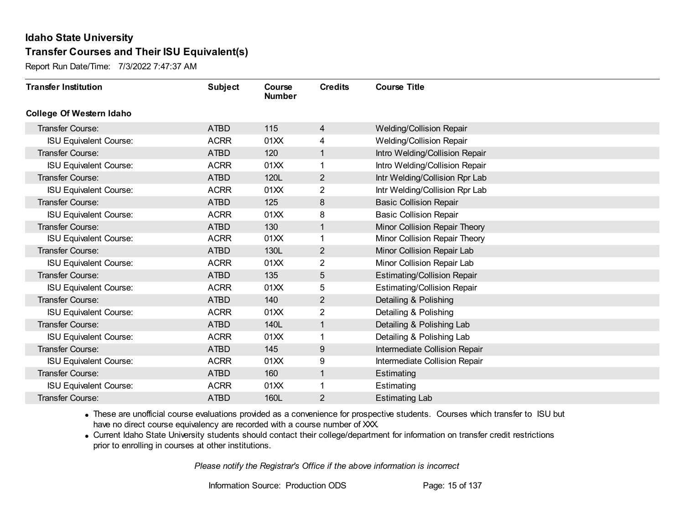Report Run Date/Time: 7/3/2022 7:47:37 AM

| <b>Transfer Institution</b>     | <b>Subject</b> | Course<br><b>Number</b> | <b>Credits</b> | <b>Course Title</b>                |
|---------------------------------|----------------|-------------------------|----------------|------------------------------------|
| <b>College Of Western Idaho</b> |                |                         |                |                                    |
| <b>Transfer Course:</b>         | <b>ATBD</b>    | 115                     | 4              | <b>Welding/Collision Repair</b>    |
| <b>ISU Equivalent Course:</b>   | <b>ACRR</b>    | 01XX                    | 4              | <b>Welding/Collision Repair</b>    |
| Transfer Course:                | <b>ATBD</b>    | 120                     | $\mathbf{1}$   | Intro Welding/Collision Repair     |
| <b>ISU Equivalent Course:</b>   | <b>ACRR</b>    | 01XX                    | 1              | Intro Welding/Collision Repair     |
| Transfer Course:                | <b>ATBD</b>    | 120L                    | 2              | Intr Welding/Collision Rpr Lab     |
| <b>ISU Equivalent Course:</b>   | <b>ACRR</b>    | 01XX                    | 2              | Intr Welding/Collision Rpr Lab     |
| Transfer Course:                | <b>ATBD</b>    | 125                     | 8              | <b>Basic Collision Repair</b>      |
| <b>ISU Equivalent Course:</b>   | <b>ACRR</b>    | 01XX                    | 8              | <b>Basic Collision Repair</b>      |
| Transfer Course:                | <b>ATBD</b>    | 130                     | 1              | Minor Collision Repair Theory      |
| <b>ISU Equivalent Course:</b>   | <b>ACRR</b>    | 01XX                    | 1              | Minor Collision Repair Theory      |
| Transfer Course:                | <b>ATBD</b>    | 130L                    | 2              | Minor Collision Repair Lab         |
| <b>ISU Equivalent Course:</b>   | <b>ACRR</b>    | 01XX                    | $\overline{2}$ | Minor Collision Repair Lab         |
| Transfer Course:                | <b>ATBD</b>    | 135                     | 5              | <b>Estimating/Collision Repair</b> |
| <b>ISU Equivalent Course:</b>   | <b>ACRR</b>    | 01XX                    | 5              | <b>Estimating/Collision Repair</b> |
| Transfer Course:                | <b>ATBD</b>    | 140                     | $\overline{2}$ | Detailing & Polishing              |
| <b>ISU Equivalent Course:</b>   | <b>ACRR</b>    | 01XX                    | $\overline{2}$ | Detailing & Polishing              |
| Transfer Course:                | <b>ATBD</b>    | 140L                    | 1              | Detailing & Polishing Lab          |
| <b>ISU Equivalent Course:</b>   | <b>ACRR</b>    | 01XX                    | 1              | Detailing & Polishing Lab          |
| Transfer Course:                | <b>ATBD</b>    | 145                     | 9              | Intermediate Collision Repair      |
| <b>ISU Equivalent Course:</b>   | <b>ACRR</b>    | 01XX                    | 9              | Intermediate Collision Repair      |
| Transfer Course:                | <b>ATBD</b>    | 160                     | 1              | Estimating                         |
| <b>ISU Equivalent Course:</b>   | <b>ACRR</b>    | 01XX                    | 1              | Estimating                         |
| <b>Transfer Course:</b>         | <b>ATBD</b>    | 160L                    | 2              | <b>Estimating Lab</b>              |

· These are unofficial course evaluations provided as a convenience for prospective students. Courses which transfer to ISU but have no direct course equivalency are recorded with a course number of XXX.

· Current Idaho State University students should contact their college/department for information on transfer credit restrictions prior to enrolling in courses at other institutions.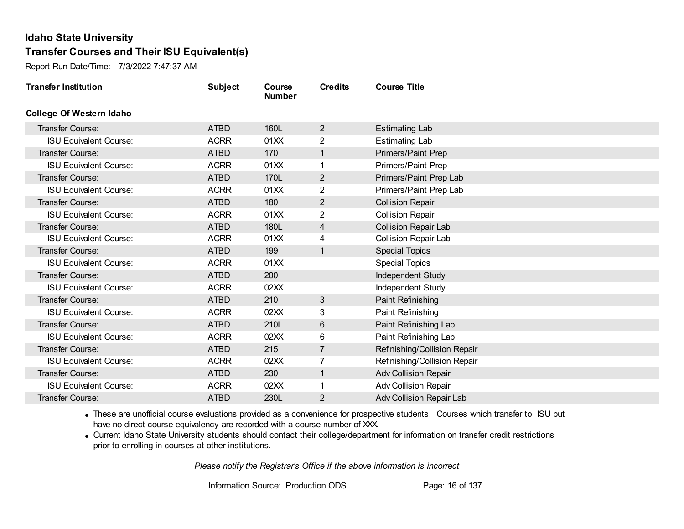Report Run Date/Time: 7/3/2022 7:47:37 AM

| <b>Transfer Institution</b>     | <b>Subject</b> | Course<br><b>Number</b> | <b>Credits</b> | <b>Course Title</b>          |
|---------------------------------|----------------|-------------------------|----------------|------------------------------|
| <b>College Of Western Idaho</b> |                |                         |                |                              |
| Transfer Course:                | <b>ATBD</b>    | 160L                    | $\overline{2}$ | <b>Estimating Lab</b>        |
| <b>ISU Equivalent Course:</b>   | <b>ACRR</b>    | 01XX                    | 2              | <b>Estimating Lab</b>        |
| Transfer Course:                | <b>ATBD</b>    | 170                     | 1              | Primers/Paint Prep           |
| <b>ISU Equivalent Course:</b>   | <b>ACRR</b>    | 01XX                    | 1              | Primers/Paint Prep           |
| Transfer Course:                | <b>ATBD</b>    | 170L                    | $\overline{2}$ | Primers/Paint Prep Lab       |
| <b>ISU Equivalent Course:</b>   | <b>ACRR</b>    | 01XX                    | 2              | Primers/Paint Prep Lab       |
| Transfer Course:                | <b>ATBD</b>    | 180                     | $\overline{2}$ | <b>Collision Repair</b>      |
| <b>ISU Equivalent Course:</b>   | <b>ACRR</b>    | 01XX                    | 2              | <b>Collision Repair</b>      |
| <b>Transfer Course:</b>         | <b>ATBD</b>    | 180L                    | 4              | <b>Collision Repair Lab</b>  |
| <b>ISU Equivalent Course:</b>   | <b>ACRR</b>    | 01XX                    | 4              | Collision Repair Lab         |
| <b>Transfer Course:</b>         | <b>ATBD</b>    | 199                     | 1              | <b>Special Topics</b>        |
| <b>ISU Equivalent Course:</b>   | <b>ACRR</b>    | 01XX                    |                | <b>Special Topics</b>        |
| Transfer Course:                | <b>ATBD</b>    | 200                     |                | Independent Study            |
| <b>ISU Equivalent Course:</b>   | <b>ACRR</b>    | 02XX                    |                | Independent Study            |
| Transfer Course:                | <b>ATBD</b>    | 210                     | 3              | Paint Refinishing            |
| <b>ISU Equivalent Course:</b>   | <b>ACRR</b>    | 02XX                    | 3              | Paint Refinishing            |
| Transfer Course:                | <b>ATBD</b>    | 210L                    | 6              | Paint Refinishing Lab        |
| <b>ISU Equivalent Course:</b>   | <b>ACRR</b>    | 02XX                    | 6              | Paint Refinishing Lab        |
| Transfer Course:                | <b>ATBD</b>    | 215                     | $\overline{7}$ | Refinishing/Collision Repair |
| <b>ISU Equivalent Course:</b>   | <b>ACRR</b>    | 02XX                    | 7              | Refinishing/Collision Repair |
| Transfer Course:                | <b>ATBD</b>    | 230                     | $\mathbf{1}$   | Adv Collision Repair         |
| <b>ISU Equivalent Course:</b>   | <b>ACRR</b>    | 02XX                    | 1              | <b>Adv Collision Repair</b>  |
| Transfer Course:                | <b>ATBD</b>    | 230L                    | $\overline{2}$ | Adv Collision Repair Lab     |

· These are unofficial course evaluations provided as a convenience for prospective students. Courses which transfer to ISU but have no direct course equivalency are recorded with a course number of XXX.

· Current Idaho State University students should contact their college/department for information on transfer credit restrictions prior to enrolling in courses at other institutions.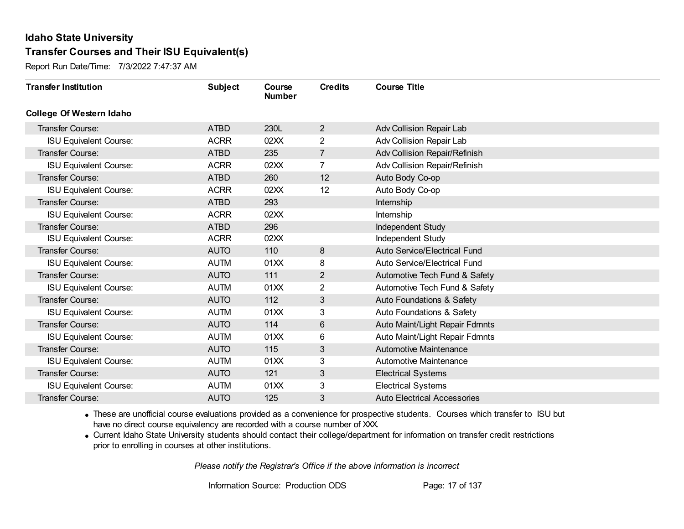Report Run Date/Time: 7/3/2022 7:47:37 AM

| <b>Transfer Institution</b>     | <b>Subject</b> | Course<br><b>Number</b> | <b>Credits</b> | <b>Course Title</b>                |
|---------------------------------|----------------|-------------------------|----------------|------------------------------------|
| <b>College Of Western Idaho</b> |                |                         |                |                                    |
| Transfer Course:                | <b>ATBD</b>    | 230L                    | $\overline{2}$ | Adv Collision Repair Lab           |
| <b>ISU Equivalent Course:</b>   | <b>ACRR</b>    | 02XX                    | $\overline{2}$ | Adv Collision Repair Lab           |
| Transfer Course:                | <b>ATBD</b>    | 235                     | $\overline{7}$ | Adv Collision Repair/Refinish      |
| <b>ISU Equivalent Course:</b>   | <b>ACRR</b>    | 02XX                    | $\overline{7}$ | Adv Collision Repair/Refinish      |
| <b>Transfer Course:</b>         | <b>ATBD</b>    | 260                     | 12             | Auto Body Co-op                    |
| <b>ISU Equivalent Course:</b>   | <b>ACRR</b>    | 02XX                    | 12             | Auto Body Co-op                    |
| Transfer Course:                | <b>ATBD</b>    | 293                     |                | Internship                         |
| <b>ISU Equivalent Course:</b>   | <b>ACRR</b>    | 02XX                    |                | Internship                         |
| Transfer Course:                | <b>ATBD</b>    | 296                     |                | Independent Study                  |
| <b>ISU Equivalent Course:</b>   | <b>ACRR</b>    | 02XX                    |                | Independent Study                  |
| Transfer Course:                | <b>AUTO</b>    | 110                     | 8              | Auto Service/Electrical Fund       |
| <b>ISU Equivalent Course:</b>   | <b>AUTM</b>    | 01XX                    | 8              | Auto Service/Electrical Fund       |
| Transfer Course:                | <b>AUTO</b>    | 111                     | 2              | Automotive Tech Fund & Safety      |
| <b>ISU Equivalent Course:</b>   | <b>AUTM</b>    | 01XX                    | $\overline{2}$ | Automotive Tech Fund & Safety      |
| Transfer Course:                | <b>AUTO</b>    | 112                     | 3              | Auto Foundations & Safety          |
| <b>ISU Equivalent Course:</b>   | <b>AUTM</b>    | 01XX                    | 3              | Auto Foundations & Safety          |
| Transfer Course:                | <b>AUTO</b>    | 114                     | 6              | Auto Maint/Light Repair Fdmnts     |
| <b>ISU Equivalent Course:</b>   | <b>AUTM</b>    | 01XX                    | 6              | Auto Maint/Light Repair Fdmnts     |
| Transfer Course:                | <b>AUTO</b>    | 115                     | 3              | <b>Automotive Maintenance</b>      |
| <b>ISU Equivalent Course:</b>   | <b>AUTM</b>    | 01XX                    | 3              | Automotive Maintenance             |
| Transfer Course:                | <b>AUTO</b>    | 121                     | 3              | <b>Electrical Systems</b>          |
| <b>ISU Equivalent Course:</b>   | <b>AUTM</b>    | 01XX                    | 3              | <b>Electrical Systems</b>          |
| Transfer Course:                | <b>AUTO</b>    | 125                     | 3              | <b>Auto Electrical Accessories</b> |

· These are unofficial course evaluations provided as a convenience for prospective students. Courses which transfer to ISU but have no direct course equivalency are recorded with a course number of XXX.

· Current Idaho State University students should contact their college/department for information on transfer credit restrictions prior to enrolling in courses at other institutions.

*Please notify the Registrar's Office if the above information is incorrect*

Information Source: Production ODS Page: 17 of 137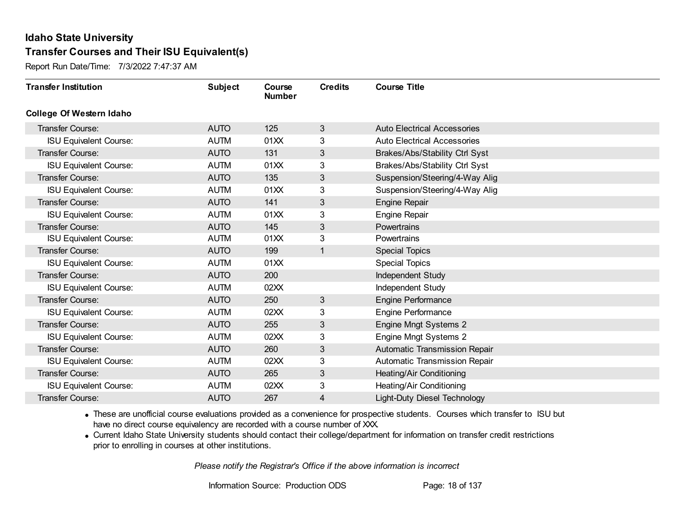Report Run Date/Time: 7/3/2022 7:47:37 AM

| <b>Transfer Institution</b>     | <b>Subject</b> | Course<br><b>Number</b> | <b>Credits</b> | <b>Course Title</b>                 |
|---------------------------------|----------------|-------------------------|----------------|-------------------------------------|
| <b>College Of Western Idaho</b> |                |                         |                |                                     |
| Transfer Course:                | <b>AUTO</b>    | 125                     | 3              | <b>Auto Electrical Accessories</b>  |
| <b>ISU Equivalent Course:</b>   | <b>AUTM</b>    | 01XX                    | 3              | <b>Auto Electrical Accessories</b>  |
| Transfer Course:                | <b>AUTO</b>    | 131                     | 3              | Brakes/Abs/Stability Ctrl Syst      |
| <b>ISU Equivalent Course:</b>   | <b>AUTM</b>    | 01XX                    | 3              | Brakes/Abs/Stability Ctrl Syst      |
| <b>Transfer Course:</b>         | <b>AUTO</b>    | 135                     | 3              | Suspension/Steering/4-Way Alig      |
| <b>ISU Equivalent Course:</b>   | <b>AUTM</b>    | 01XX                    | 3              | Suspension/Steering/4-Way Alig      |
| <b>Transfer Course:</b>         | <b>AUTO</b>    | 141                     | 3              | <b>Engine Repair</b>                |
| <b>ISU Equivalent Course:</b>   | <b>AUTM</b>    | 01XX                    | 3              | <b>Engine Repair</b>                |
| <b>Transfer Course:</b>         | <b>AUTO</b>    | 145                     | 3              | Powertrains                         |
| <b>ISU Equivalent Course:</b>   | <b>AUTM</b>    | 01XX                    | 3              | Powertrains                         |
| Transfer Course:                | <b>AUTO</b>    | 199                     | $\mathbf{1}$   | <b>Special Topics</b>               |
| <b>ISU Equivalent Course:</b>   | <b>AUTM</b>    | 01XX                    |                | <b>Special Topics</b>               |
| Transfer Course:                | <b>AUTO</b>    | 200                     |                | Independent Study                   |
| <b>ISU Equivalent Course:</b>   | <b>AUTM</b>    | 02XX                    |                | Independent Study                   |
| Transfer Course:                | <b>AUTO</b>    | 250                     | 3              | <b>Engine Performance</b>           |
| <b>ISU Equivalent Course:</b>   | <b>AUTM</b>    | 02XX                    | 3              | Engine Performance                  |
| Transfer Course:                | <b>AUTO</b>    | 255                     | 3              | <b>Engine Mngt Systems 2</b>        |
| <b>ISU Equivalent Course:</b>   | <b>AUTM</b>    | 02XX                    | 3              | <b>Engine Mngt Systems 2</b>        |
| Transfer Course:                | <b>AUTO</b>    | 260                     | 3              | Automatic Transmission Repair       |
| <b>ISU Equivalent Course:</b>   | <b>AUTM</b>    | 02XX                    | 3              | Automatic Transmission Repair       |
| <b>Transfer Course:</b>         | <b>AUTO</b>    | 265                     | 3              | Heating/Air Conditioning            |
| <b>ISU Equivalent Course:</b>   | <b>AUTM</b>    | 02XX                    | 3              | Heating/Air Conditioning            |
| Transfer Course:                | <b>AUTO</b>    | 267                     | 4              | <b>Light-Duty Diesel Technology</b> |

· These are unofficial course evaluations provided as a convenience for prospective students. Courses which transfer to ISU but have no direct course equivalency are recorded with a course number of XXX.

· Current Idaho State University students should contact their college/department for information on transfer credit restrictions prior to enrolling in courses at other institutions.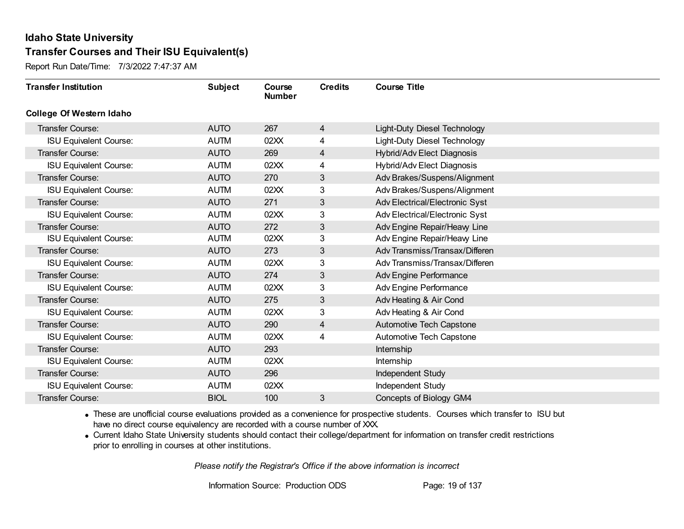Report Run Date/Time: 7/3/2022 7:47:37 AM

| <b>Transfer Institution</b>     | <b>Subject</b> | Course<br><b>Number</b> | <b>Credits</b> | <b>Course Title</b>            |
|---------------------------------|----------------|-------------------------|----------------|--------------------------------|
| <b>College Of Western Idaho</b> |                |                         |                |                                |
| Transfer Course:                | <b>AUTO</b>    | 267                     | $\overline{4}$ | Light-Duty Diesel Technology   |
| <b>ISU Equivalent Course:</b>   | <b>AUTM</b>    | 02XX                    | 4              | Light-Duty Diesel Technology   |
| Transfer Course:                | <b>AUTO</b>    | 269                     | 4              | Hybrid/Adv Elect Diagnosis     |
| <b>ISU Equivalent Course:</b>   | <b>AUTM</b>    | 02XX                    | 4              | Hybrid/Adv Elect Diagnosis     |
| <b>Transfer Course:</b>         | <b>AUTO</b>    | 270                     | $\mathfrak{S}$ | Adv Brakes/Suspens/Alignment   |
| <b>ISU Equivalent Course:</b>   | <b>AUTM</b>    | 02XX                    | 3              | Adv Brakes/Suspens/Alignment   |
| Transfer Course:                | <b>AUTO</b>    | 271                     | 3              | Adv Electrical/Electronic Syst |
| <b>ISU Equivalent Course:</b>   | <b>AUTM</b>    | 02XX                    | 3              | Adv Electrical/Electronic Syst |
| Transfer Course:                | <b>AUTO</b>    | 272                     | $\sqrt{3}$     | Adv Engine Repair/Heavy Line   |
| <b>ISU Equivalent Course:</b>   | <b>AUTM</b>    | 02XX                    | 3              | Adv Engine Repair/Heavy Line   |
| Transfer Course:                | <b>AUTO</b>    | 273                     | 3              | Adv Transmiss/Transax/Differen |
| <b>ISU Equivalent Course:</b>   | <b>AUTM</b>    | 02XX                    | 3              | Adv Transmiss/Transax/Differen |
| Transfer Course:                | <b>AUTO</b>    | 274                     | 3              | Adv Engine Performance         |
| <b>ISU Equivalent Course:</b>   | <b>AUTM</b>    | 02XX                    | 3              | Adv Engine Performance         |
| Transfer Course:                | <b>AUTO</b>    | 275                     | $\mathfrak{S}$ | Adv Heating & Air Cond         |
| <b>ISU Equivalent Course:</b>   | <b>AUTM</b>    | 02XX                    | 3              | Adv Heating & Air Cond         |
| Transfer Course:                | <b>AUTO</b>    | 290                     | 4              | Automotive Tech Capstone       |
| <b>ISU Equivalent Course:</b>   | <b>AUTM</b>    | 02XX                    | 4              | Automotive Tech Capstone       |
| Transfer Course:                | <b>AUTO</b>    | 293                     |                | Internship                     |
| <b>ISU Equivalent Course:</b>   | <b>AUTM</b>    | 02XX                    |                | Internship                     |
| Transfer Course:                | <b>AUTO</b>    | 296                     |                | Independent Study              |
| <b>ISU Equivalent Course:</b>   | <b>AUTM</b>    | 02XX                    |                | Independent Study              |
| Transfer Course:                | <b>BIOL</b>    | 100                     | 3              | Concepts of Biology GM4        |

· These are unofficial course evaluations provided as a convenience for prospective students. Courses which transfer to ISU but have no direct course equivalency are recorded with a course number of XXX.

· Current Idaho State University students should contact their college/department for information on transfer credit restrictions prior to enrolling in courses at other institutions.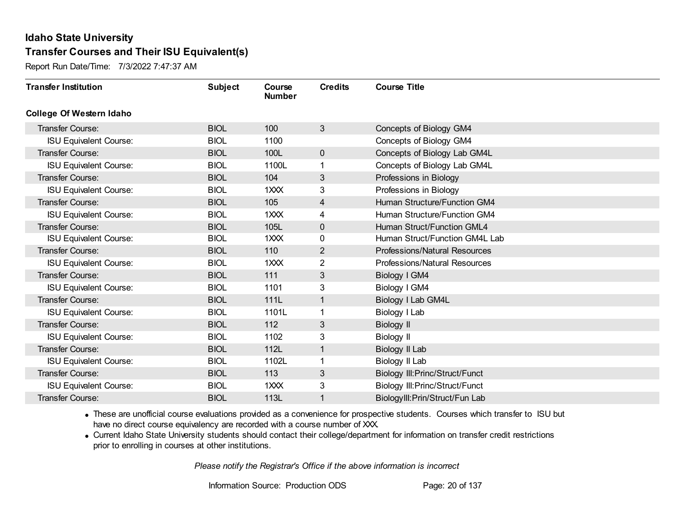Report Run Date/Time: 7/3/2022 7:47:37 AM

| <b>Transfer Institution</b>     | <b>Subject</b> | Course<br><b>Number</b> | <b>Credits</b> | <b>Course Title</b>             |
|---------------------------------|----------------|-------------------------|----------------|---------------------------------|
| <b>College Of Western Idaho</b> |                |                         |                |                                 |
| Transfer Course:                | <b>BIOL</b>    | 100                     | 3              | Concepts of Biology GM4         |
| <b>ISU Equivalent Course:</b>   | <b>BIOL</b>    | 1100                    |                | Concepts of Biology GM4         |
| Transfer Course:                | <b>BIOL</b>    | 100L                    | 0              | Concepts of Biology Lab GM4L    |
| <b>ISU Equivalent Course:</b>   | <b>BIOL</b>    | 1100L                   | 1              | Concepts of Biology Lab GM4L    |
| <b>Transfer Course:</b>         | <b>BIOL</b>    | 104                     | 3              | Professions in Biology          |
| <b>ISU Equivalent Course:</b>   | <b>BIOL</b>    | 1XXX                    | 3              | Professions in Biology          |
| Transfer Course:                | <b>BIOL</b>    | 105                     | 4              | Human Structure/Function GM4    |
| <b>ISU Equivalent Course:</b>   | <b>BIOL</b>    | $1$ $\times$ $\times$   | 4              | Human Structure/Function GM4    |
| <b>Transfer Course:</b>         | <b>BIOL</b>    | 105L                    | 0              | Human Struct/Function GML4      |
| <b>ISU Equivalent Course:</b>   | <b>BIOL</b>    | 1XXX                    | 0              | Human Struct/Function GM4L Lab  |
| Transfer Course:                | <b>BIOL</b>    | 110                     | $\overline{2}$ | Professions/Natural Resources   |
| <b>ISU Equivalent Course:</b>   | <b>BIOL</b>    | 1XXX                    | 2              | Professions/Natural Resources   |
| Transfer Course:                | <b>BIOL</b>    | 111                     | 3              | Biology I GM4                   |
| <b>ISU Equivalent Course:</b>   | <b>BIOL</b>    | 1101                    | 3              | Biology I GM4                   |
| Transfer Course:                | <b>BIOL</b>    | 111L                    | 1              | Biology I Lab GM4L              |
| <b>ISU Equivalent Course:</b>   | <b>BIOL</b>    | 1101L                   | 1              | Biology I Lab                   |
| Transfer Course:                | <b>BIOL</b>    | 112                     | 3              | <b>Biology II</b>               |
| <b>ISU Equivalent Course:</b>   | <b>BIOL</b>    | 1102                    | 3              | <b>Biology II</b>               |
| Transfer Course:                | <b>BIOL</b>    | 112L                    | $\mathbf{1}$   | Biology II Lab                  |
| <b>ISU Equivalent Course:</b>   | <b>BIOL</b>    | 1102L                   | 1              | Biology II Lab                  |
| <b>Transfer Course:</b>         | <b>BIOL</b>    | 113                     | 3              | Biology III: Princ/Struct/Funct |
| <b>ISU Equivalent Course:</b>   | <b>BIOL</b>    | 1XXX                    | 3              | Biology III: Princ/Struct/Funct |
| <b>Transfer Course:</b>         | <b>BIOL</b>    | 113L                    | 1              | BiologyIII: Prin/Struct/Fun Lab |

· These are unofficial course evaluations provided as a convenience for prospective students. Courses which transfer to ISU but have no direct course equivalency are recorded with a course number of XXX.

· Current Idaho State University students should contact their college/department for information on transfer credit restrictions prior to enrolling in courses at other institutions.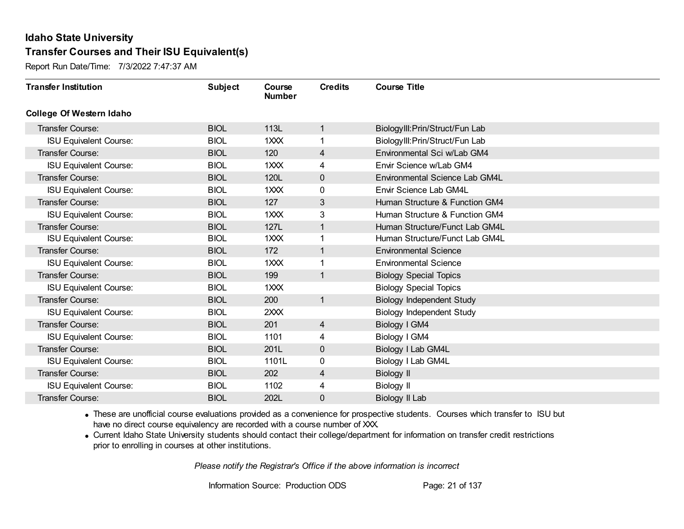Report Run Date/Time: 7/3/2022 7:47:37 AM

| <b>Transfer Institution</b>     | <b>Subject</b> | Course<br><b>Number</b> | <b>Credits</b> | <b>Course Title</b>              |
|---------------------------------|----------------|-------------------------|----------------|----------------------------------|
| <b>College Of Western Idaho</b> |                |                         |                |                                  |
| Transfer Course:                | <b>BIOL</b>    | 113L                    | $\mathbf{1}$   | BiologyIII: Prin/Struct/Fun Lab  |
| <b>ISU Equivalent Course:</b>   | <b>BIOL</b>    | 1XXX                    | 1              | BiologyIII: Prin/Struct/Fun Lab  |
| Transfer Course:                | <b>BIOL</b>    | 120                     | 4              | Environmental Sci w/Lab GM4      |
| <b>ISU Equivalent Course:</b>   | <b>BIOL</b>    | 1XXX                    | 4              | Envir Science w/Lab GM4          |
| Transfer Course:                | <b>BIOL</b>    | 120L                    | $\mathbf 0$    | Environmental Science Lab GM4L   |
| <b>ISU Equivalent Course:</b>   | <b>BIOL</b>    | 1XXX                    | 0              | Envir Science Lab GM4L           |
| Transfer Course:                | <b>BIOL</b>    | 127                     | 3              | Human Structure & Function GM4   |
| <b>ISU Equivalent Course:</b>   | <b>BIOL</b>    | 1XXX                    | 3              | Human Structure & Function GM4   |
| Transfer Course:                | <b>BIOL</b>    | <b>127L</b>             | 1              | Human Structure/Funct Lab GM4L   |
| <b>ISU Equivalent Course:</b>   | <b>BIOL</b>    | 1XXX                    | 1              | Human Structure/Funct Lab GM4L   |
| Transfer Course:                | <b>BIOL</b>    | 172                     | 1              | <b>Environmental Science</b>     |
| <b>ISU Equivalent Course:</b>   | <b>BIOL</b>    | 1XXX                    | 1              | <b>Environmental Science</b>     |
| Transfer Course:                | <b>BIOL</b>    | 199                     | 1              | <b>Biology Special Topics</b>    |
| <b>ISU Equivalent Course:</b>   | <b>BIOL</b>    | 1XXX                    |                | <b>Biology Special Topics</b>    |
| Transfer Course:                | <b>BIOL</b>    | 200                     | 1              | <b>Biology Independent Study</b> |
| <b>ISU Equivalent Course:</b>   | <b>BIOL</b>    | 2XXX                    |                | <b>Biology Independent Study</b> |
| Transfer Course:                | <b>BIOL</b>    | 201                     | $\overline{4}$ | Biology I GM4                    |
| <b>ISU Equivalent Course:</b>   | <b>BIOL</b>    | 1101                    | 4              | Biology I GM4                    |
| Transfer Course:                | <b>BIOL</b>    | 201L                    | $\mathbf 0$    | Biology I Lab GM4L               |
| <b>ISU Equivalent Course:</b>   | <b>BIOL</b>    | 1101L                   | 0              | Biology I Lab GM4L               |
| Transfer Course:                | <b>BIOL</b>    | 202                     | 4              | Biology II                       |
| <b>ISU Equivalent Course:</b>   | <b>BIOL</b>    | 1102                    | 4              | Biology II                       |
| <b>Transfer Course:</b>         | <b>BIOL</b>    | 202L                    | 0              | Biology II Lab                   |

· These are unofficial course evaluations provided as a convenience for prospective students. Courses which transfer to ISU but have no direct course equivalency are recorded with a course number of XXX.

· Current Idaho State University students should contact their college/department for information on transfer credit restrictions prior to enrolling in courses at other institutions.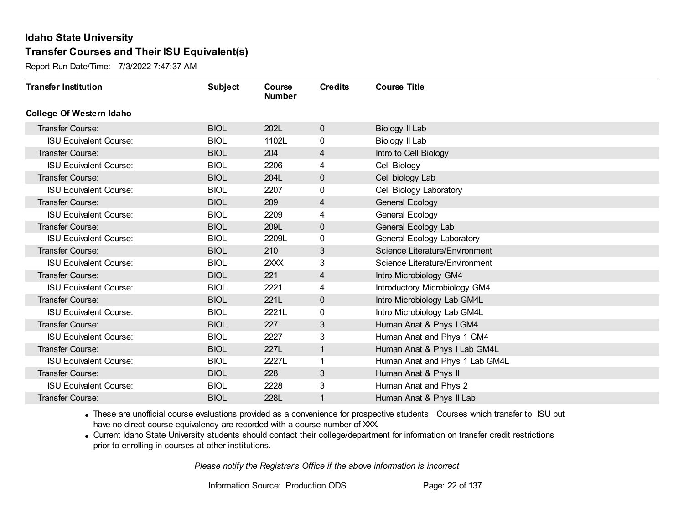Report Run Date/Time: 7/3/2022 7:47:37 AM

| <b>Transfer Institution</b>     | <b>Subject</b> | Course<br><b>Number</b> | <b>Credits</b> | <b>Course Title</b>            |
|---------------------------------|----------------|-------------------------|----------------|--------------------------------|
| <b>College Of Western Idaho</b> |                |                         |                |                                |
| Transfer Course:                | <b>BIOL</b>    | 202L                    | $\mathbf 0$    | Biology II Lab                 |
| <b>ISU Equivalent Course:</b>   | <b>BIOL</b>    | 1102L                   | 0              | Biology II Lab                 |
| Transfer Course:                | <b>BIOL</b>    | 204                     | 4              | Intro to Cell Biology          |
| <b>ISU Equivalent Course:</b>   | <b>BIOL</b>    | 2206                    | 4              | Cell Biology                   |
| Transfer Course:                | <b>BIOL</b>    | 204L                    | $\mathbf 0$    | Cell biology Lab               |
| <b>ISU Equivalent Course:</b>   | <b>BIOL</b>    | 2207                    | 0              | Cell Biology Laboratory        |
| Transfer Course:                | <b>BIOL</b>    | 209                     | 4              | <b>General Ecology</b>         |
| <b>ISU Equivalent Course:</b>   | <b>BIOL</b>    | 2209                    | 4              | <b>General Ecology</b>         |
| Transfer Course:                | <b>BIOL</b>    | 209L                    | $\mathbf 0$    | General Ecology Lab            |
| <b>ISU Equivalent Course:</b>   | <b>BIOL</b>    | 2209L                   | 0              | General Ecology Laboratory     |
| Transfer Course:                | <b>BIOL</b>    | 210                     | 3              | Science Literature/Environment |
| <b>ISU Equivalent Course:</b>   | <b>BIOL</b>    | 2XXX                    | 3              | Science Literature/Environment |
| Transfer Course:                | <b>BIOL</b>    | 221                     | 4              | Intro Microbiology GM4         |
| <b>ISU Equivalent Course:</b>   | <b>BIOL</b>    | 2221                    | 4              | Introductory Microbiology GM4  |
| Transfer Course:                | <b>BIOL</b>    | 221L                    | 0              | Intro Microbiology Lab GM4L    |
| <b>ISU Equivalent Course:</b>   | <b>BIOL</b>    | 2221L                   | 0              | Intro Microbiology Lab GM4L    |
| Transfer Course:                | <b>BIOL</b>    | 227                     | 3              | Human Anat & Phys I GM4        |
| <b>ISU Equivalent Course:</b>   | <b>BIOL</b>    | 2227                    | 3              | Human Anat and Phys 1 GM4      |
| Transfer Course:                | <b>BIOL</b>    | 227L                    | $\mathbf{1}$   | Human Anat & Phys I Lab GM4L   |
| <b>ISU Equivalent Course:</b>   | <b>BIOL</b>    | 2227L                   |                | Human Anat and Phys 1 Lab GM4L |
| Transfer Course:                | <b>BIOL</b>    | 228                     | 3              | Human Anat & Phys II           |
| <b>ISU Equivalent Course:</b>   | <b>BIOL</b>    | 2228                    | 3              | Human Anat and Phys 2          |
| <b>Transfer Course:</b>         | <b>BIOL</b>    | 228L                    | 1              | Human Anat & Phys II Lab       |

· These are unofficial course evaluations provided as a convenience for prospective students. Courses which transfer to ISU but have no direct course equivalency are recorded with a course number of XXX.

· Current Idaho State University students should contact their college/department for information on transfer credit restrictions prior to enrolling in courses at other institutions.

*Please notify the Registrar's Office if the above information is incorrect*

Information Source: Production ODS Page: 22 of 137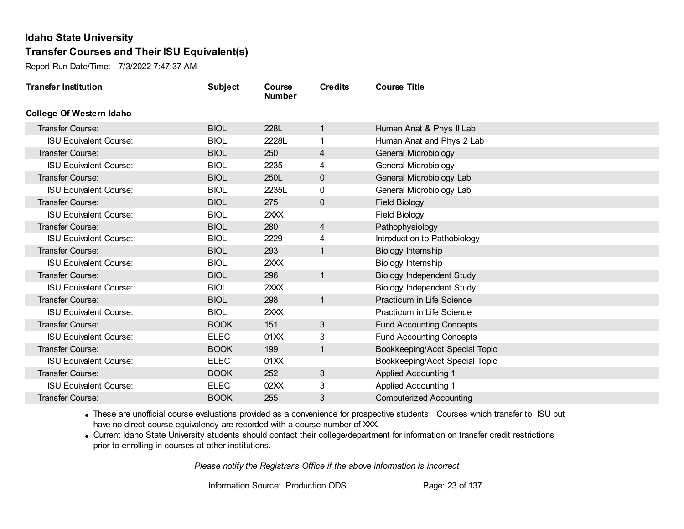Report Run Date/Time: 7/3/2022 7:47:37 AM

| <b>Transfer Institution</b>     | <b>Subject</b> | Course<br><b>Number</b> | <b>Credits</b> | <b>Course Title</b>              |
|---------------------------------|----------------|-------------------------|----------------|----------------------------------|
| <b>College Of Western Idaho</b> |                |                         |                |                                  |
| Transfer Course:                | <b>BIOL</b>    | 228L                    | $\mathbf{1}$   | Human Anat & Phys II Lab         |
| <b>ISU Equivalent Course:</b>   | <b>BIOL</b>    | 2228L                   | 1              | Human Anat and Phys 2 Lab        |
| Transfer Course:                | <b>BIOL</b>    | 250                     | 4              | General Microbiology             |
| <b>ISU Equivalent Course:</b>   | <b>BIOL</b>    | 2235                    | 4              | <b>General Microbiology</b>      |
| <b>Transfer Course:</b>         | <b>BIOL</b>    | 250L                    | $\mathbf{0}$   | General Microbiology Lab         |
| <b>ISU Equivalent Course:</b>   | <b>BIOL</b>    | 2235L                   | 0              | General Microbiology Lab         |
| Transfer Course:                | <b>BIOL</b>    | 275                     | 0              | <b>Field Biology</b>             |
| <b>ISU Equivalent Course:</b>   | <b>BIOL</b>    | 2XXX                    |                | <b>Field Biology</b>             |
| Transfer Course:                | <b>BIOL</b>    | 280                     | $\overline{4}$ | Pathophysiology                  |
| <b>ISU Equivalent Course:</b>   | <b>BIOL</b>    | 2229                    | 4              | Introduction to Pathobiology     |
| <b>Transfer Course:</b>         | <b>BIOL</b>    | 293                     | $\mathbf{1}$   | Biology Internship               |
| <b>ISU Equivalent Course:</b>   | <b>BIOL</b>    | 2XXX                    |                | Biology Internship               |
| Transfer Course:                | <b>BIOL</b>    | 296                     | $\mathbf{1}$   | <b>Biology Independent Study</b> |
| <b>ISU Equivalent Course:</b>   | <b>BIOL</b>    | 2XXX                    |                | <b>Biology Independent Study</b> |
| Transfer Course:                | <b>BIOL</b>    | 298                     | $\mathbf{1}$   | Practicum in Life Science        |
| <b>ISU Equivalent Course:</b>   | <b>BIOL</b>    | 2XXX                    |                | Practicum in Life Science        |
| Transfer Course:                | <b>BOOK</b>    | 151                     | 3              | <b>Fund Accounting Concepts</b>  |
| <b>ISU Equivalent Course:</b>   | <b>ELEC</b>    | 01XX                    | 3              | <b>Fund Accounting Concepts</b>  |
| <b>Transfer Course:</b>         | <b>BOOK</b>    | 199                     | $\mathbf{1}$   | Bookkeeping/Acct Special Topic   |
| <b>ISU Equivalent Course:</b>   | <b>ELEC</b>    | 01XX                    |                | Bookkeeping/Acct Special Topic   |
| Transfer Course:                | <b>BOOK</b>    | 252                     | 3              | <b>Applied Accounting 1</b>      |
| <b>ISU Equivalent Course:</b>   | <b>ELEC</b>    | 02XX                    | 3              | <b>Applied Accounting 1</b>      |
| <b>Transfer Course:</b>         | <b>BOOK</b>    | 255                     | 3              | <b>Computerized Accounting</b>   |

· These are unofficial course evaluations provided as a convenience for prospective students. Courses which transfer to ISU but have no direct course equivalency are recorded with a course number of XXX.

· Current Idaho State University students should contact their college/department for information on transfer credit restrictions prior to enrolling in courses at other institutions.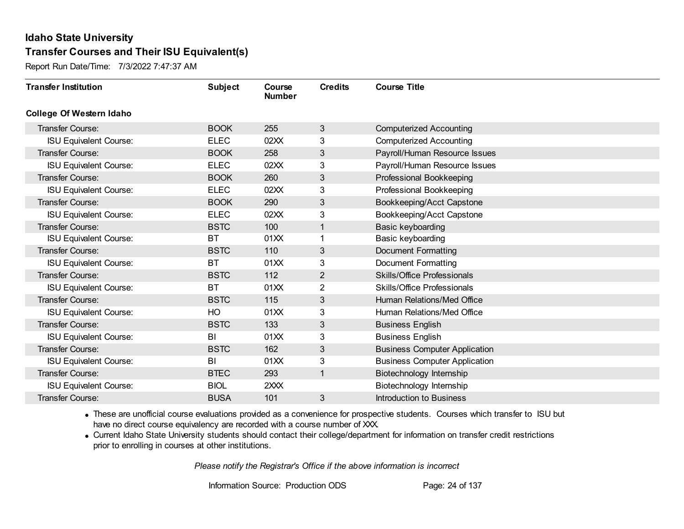Report Run Date/Time: 7/3/2022 7:47:37 AM

| <b>Transfer Institution</b>     | <b>Subject</b> | Course<br><b>Number</b> | <b>Credits</b> | <b>Course Title</b>                  |
|---------------------------------|----------------|-------------------------|----------------|--------------------------------------|
| <b>College Of Western Idaho</b> |                |                         |                |                                      |
| <b>Transfer Course:</b>         | <b>BOOK</b>    | 255                     | 3              | <b>Computerized Accounting</b>       |
| <b>ISU Equivalent Course:</b>   | <b>ELEC</b>    | 02XX                    | 3              | <b>Computerized Accounting</b>       |
| Transfer Course:                | <b>BOOK</b>    | 258                     | 3              | Payroll/Human Resource Issues        |
| <b>ISU Equivalent Course:</b>   | <b>ELEC</b>    | 02XX                    | 3              | Payroll/Human Resource Issues        |
| <b>Transfer Course:</b>         | <b>BOOK</b>    | 260                     | 3              | Professional Bookkeeping             |
| <b>ISU Equivalent Course:</b>   | <b>ELEC</b>    | 02XX                    | 3              | Professional Bookkeeping             |
| Transfer Course:                | <b>BOOK</b>    | 290                     | 3              | Bookkeeping/Acct Capstone            |
| <b>ISU Equivalent Course:</b>   | <b>ELEC</b>    | 02XX                    | 3              | Bookkeeping/Acct Capstone            |
| Transfer Course:                | <b>BSTC</b>    | 100                     | $\mathbf{1}$   | Basic keyboarding                    |
| <b>ISU Equivalent Course:</b>   | <b>BT</b>      | 01XX                    | 1              | Basic keyboarding                    |
| Transfer Course:                | <b>BSTC</b>    | 110                     | 3              | <b>Document Formatting</b>           |
| <b>ISU Equivalent Course:</b>   | <b>BT</b>      | 01XX                    | 3              | <b>Document Formatting</b>           |
| Transfer Course:                | <b>BSTC</b>    | 112                     | $\overline{2}$ | <b>Skills/Office Professionals</b>   |
| <b>ISU Equivalent Course:</b>   | <b>BT</b>      | 01XX                    | $\overline{2}$ | <b>Skills/Office Professionals</b>   |
| Transfer Course:                | <b>BSTC</b>    | 115                     | 3              | Human Relations/Med Office           |
| <b>ISU Equivalent Course:</b>   | HO             | 01XX                    | 3              | Human Relations/Med Office           |
| Transfer Course:                | <b>BSTC</b>    | 133                     | 3              | <b>Business English</b>              |
| <b>ISU Equivalent Course:</b>   | BI             | 01XX                    | 3              | <b>Business English</b>              |
| Transfer Course:                | <b>BSTC</b>    | 162                     | 3              | <b>Business Computer Application</b> |
| <b>ISU Equivalent Course:</b>   | BI             | 01XX                    | 3              | <b>Business Computer Application</b> |
| <b>Transfer Course:</b>         | <b>BTEC</b>    | 293                     | $\mathbf{1}$   | Biotechnology Internship             |
| <b>ISU Equivalent Course:</b>   | <b>BIOL</b>    | 2XXX                    |                | Biotechnology Internship             |
| Transfer Course:                | <b>BUSA</b>    | 101                     | 3              | Introduction to Business             |

· These are unofficial course evaluations provided as a convenience for prospective students. Courses which transfer to ISU but have no direct course equivalency are recorded with a course number of XXX.

· Current Idaho State University students should contact their college/department for information on transfer credit restrictions prior to enrolling in courses at other institutions.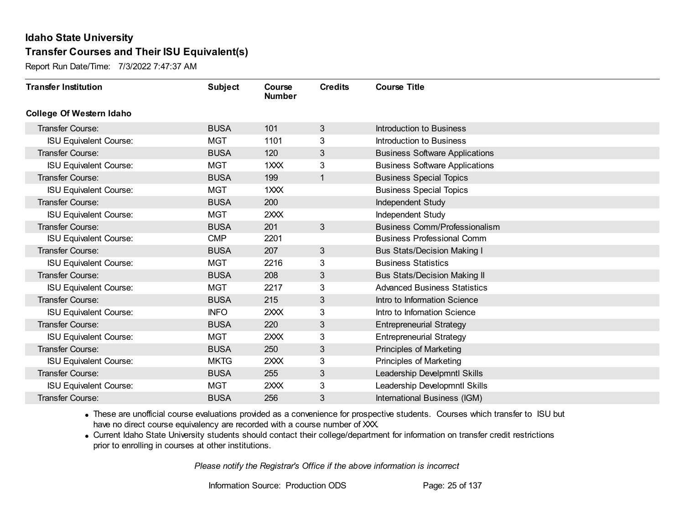Report Run Date/Time: 7/3/2022 7:47:37 AM

| <b>Transfer Institution</b>     | <b>Subject</b> | Course<br><b>Number</b> | <b>Credits</b> | <b>Course Title</b>                   |
|---------------------------------|----------------|-------------------------|----------------|---------------------------------------|
| <b>College Of Western Idaho</b> |                |                         |                |                                       |
| Transfer Course:                | <b>BUSA</b>    | 101                     | 3              | Introduction to Business              |
| <b>ISU Equivalent Course:</b>   | <b>MGT</b>     | 1101                    | 3              | Introduction to Business              |
| Transfer Course:                | <b>BUSA</b>    | 120                     | 3              | <b>Business Software Applications</b> |
| <b>ISU Equivalent Course:</b>   | <b>MGT</b>     | 1XXX                    | 3              | <b>Business Software Applications</b> |
| <b>Transfer Course:</b>         | <b>BUSA</b>    | 199                     | $\mathbf{1}$   | <b>Business Special Topics</b>        |
| <b>ISU Equivalent Course:</b>   | <b>MGT</b>     | 1XXX                    |                | <b>Business Special Topics</b>        |
| <b>Transfer Course:</b>         | <b>BUSA</b>    | 200                     |                | Independent Study                     |
| <b>ISU Equivalent Course:</b>   | <b>MGT</b>     | 2XXX                    |                | Independent Study                     |
| <b>Transfer Course:</b>         | <b>BUSA</b>    | 201                     | 3              | <b>Business Comm/Professionalism</b>  |
| <b>ISU Equivalent Course:</b>   | <b>CMP</b>     | 2201                    |                | <b>Business Professional Comm</b>     |
| Transfer Course:                | <b>BUSA</b>    | 207                     | 3              | <b>Bus Stats/Decision Making I</b>    |
| <b>ISU Equivalent Course:</b>   | <b>MGT</b>     | 2216                    | 3              | <b>Business Statistics</b>            |
| Transfer Course:                | <b>BUSA</b>    | 208                     | 3              | <b>Bus Stats/Decision Making II</b>   |
| <b>ISU Equivalent Course:</b>   | <b>MGT</b>     | 2217                    | 3              | <b>Advanced Business Statistics</b>   |
| Transfer Course:                | <b>BUSA</b>    | 215                     | 3              | Intro to Information Science          |
| <b>ISU Equivalent Course:</b>   | <b>INFO</b>    | 2XXX                    | 3              | Intro to Infomation Science           |
| Transfer Course:                | <b>BUSA</b>    | 220                     | 3              | <b>Entrepreneurial Strategy</b>       |
| <b>ISU Equivalent Course:</b>   | <b>MGT</b>     | 2XXX                    | 3              | <b>Entrepreneurial Strategy</b>       |
| Transfer Course:                | <b>BUSA</b>    | 250                     | 3              | <b>Principles of Marketing</b>        |
| <b>ISU Equivalent Course:</b>   | <b>MKTG</b>    | 2XXX                    | 3              | Principles of Marketing               |
| <b>Transfer Course:</b>         | <b>BUSA</b>    | 255                     | 3              | Leadership Develpmntl Skills          |
| <b>ISU Equivalent Course:</b>   | <b>MGT</b>     | 2XXX                    | 3              | Leadership Developmntl Skills         |
| Transfer Course:                | <b>BUSA</b>    | 256                     | 3              | International Business (IGM)          |

· These are unofficial course evaluations provided as a convenience for prospective students. Courses which transfer to ISU but have no direct course equivalency are recorded with a course number of XXX.

· Current Idaho State University students should contact their college/department for information on transfer credit restrictions prior to enrolling in courses at other institutions.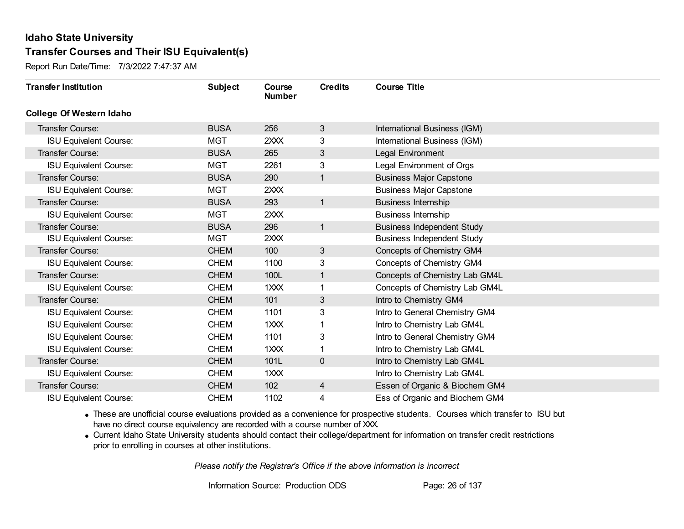Report Run Date/Time: 7/3/2022 7:47:37 AM

| <b>Transfer Institution</b>     | <b>Subject</b> | Course<br><b>Number</b> | <b>Credits</b> | <b>Course Title</b>               |
|---------------------------------|----------------|-------------------------|----------------|-----------------------------------|
| <b>College Of Western Idaho</b> |                |                         |                |                                   |
| Transfer Course:                | <b>BUSA</b>    | 256                     | 3              | International Business (IGM)      |
| <b>ISU Equivalent Course:</b>   | <b>MGT</b>     | 2XXX                    | 3              | International Business (IGM)      |
| Transfer Course:                | <b>BUSA</b>    | 265                     | 3              | <b>Legal Environment</b>          |
| <b>ISU Equivalent Course:</b>   | <b>MGT</b>     | 2261                    | 3              | Legal Environment of Orgs         |
| <b>Transfer Course:</b>         | <b>BUSA</b>    | 290                     | $\mathbf{1}$   | <b>Business Major Capstone</b>    |
| <b>ISU Equivalent Course:</b>   | <b>MGT</b>     | 2XXX                    |                | <b>Business Major Capstone</b>    |
| Transfer Course:                | <b>BUSA</b>    | 293                     | $\mathbf{1}$   | <b>Business Internship</b>        |
| <b>ISU Equivalent Course:</b>   | <b>MGT</b>     | 2XXX                    |                | <b>Business Internship</b>        |
| Transfer Course:                | <b>BUSA</b>    | 296                     | $\mathbf{1}$   | <b>Business Independent Study</b> |
| <b>ISU Equivalent Course:</b>   | <b>MGT</b>     | 2XXX                    |                | <b>Business Independent Study</b> |
| Transfer Course:                | <b>CHEM</b>    | 100                     | 3              | Concepts of Chemistry GM4         |
| <b>ISU Equivalent Course:</b>   | <b>CHEM</b>    | 1100                    | 3              | Concepts of Chemistry GM4         |
| Transfer Course:                | <b>CHEM</b>    | 100L                    | $\mathbf{1}$   | Concepts of Chemistry Lab GM4L    |
| <b>ISU Equivalent Course:</b>   | <b>CHEM</b>    | 1XXX                    |                | Concepts of Chemistry Lab GM4L    |
| Transfer Course:                | <b>CHEM</b>    | 101                     | 3              | Intro to Chemistry GM4            |
| <b>ISU Equivalent Course:</b>   | <b>CHEM</b>    | 1101                    | 3              | Intro to General Chemistry GM4    |
| <b>ISU Equivalent Course:</b>   | <b>CHEM</b>    | 1XXX                    |                | Intro to Chemistry Lab GM4L       |
| <b>ISU Equivalent Course:</b>   | <b>CHEM</b>    | 1101                    | 3              | Intro to General Chemistry GM4    |
| <b>ISU Equivalent Course:</b>   | <b>CHEM</b>    | 1XXX                    |                | Intro to Chemistry Lab GM4L       |
| Transfer Course:                | <b>CHEM</b>    | 101L                    | $\mathbf 0$    | Intro to Chemistry Lab GM4L       |
| <b>ISU Equivalent Course:</b>   | <b>CHEM</b>    | 1XXX                    |                | Intro to Chemistry Lab GM4L       |
| Transfer Course:                | <b>CHEM</b>    | 102                     | 4              | Essen of Organic & Biochem GM4    |
| <b>ISU Equivalent Course:</b>   | <b>CHEM</b>    | 1102                    | 4              | Ess of Organic and Biochem GM4    |

· These are unofficial course evaluations provided as a convenience for prospective students. Courses which transfer to ISU but have no direct course equivalency are recorded with a course number of XXX.

· Current Idaho State University students should contact their college/department for information on transfer credit restrictions prior to enrolling in courses at other institutions.

*Please notify the Registrar's Office if the above information is incorrect*

Information Source: Production ODS Page: 26 of 137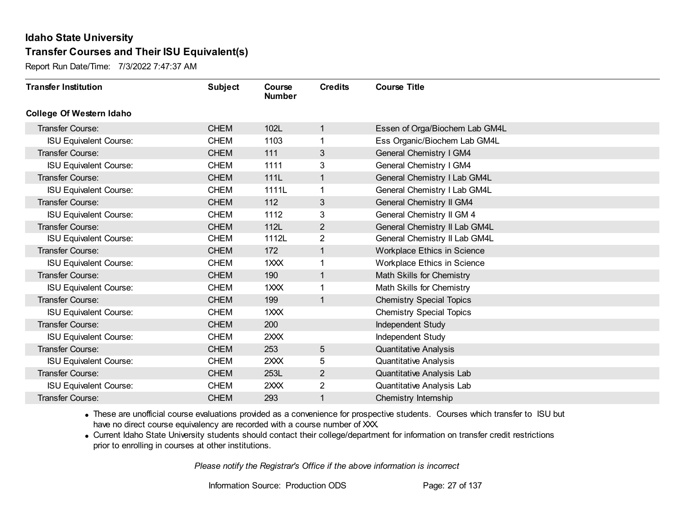Report Run Date/Time: 7/3/2022 7:47:37 AM

| <b>Transfer Institution</b>     | <b>Subject</b> | Course<br><b>Number</b> | <b>Credits</b> | <b>Course Title</b>             |
|---------------------------------|----------------|-------------------------|----------------|---------------------------------|
| <b>College Of Western Idaho</b> |                |                         |                |                                 |
| Transfer Course:                | <b>CHEM</b>    | 102L                    | $\mathbf{1}$   | Essen of Orga/Biochem Lab GM4L  |
| <b>ISU Equivalent Course:</b>   | <b>CHEM</b>    | 1103                    | 1              | Ess Organic/Biochem Lab GM4L    |
| Transfer Course:                | <b>CHEM</b>    | 111                     | 3              | General Chemistry I GM4         |
| <b>ISU Equivalent Course:</b>   | <b>CHEM</b>    | 1111                    | 3              | General Chemistry I GM4         |
| <b>Transfer Course:</b>         | <b>CHEM</b>    | 111L                    | 1              | General Chemistry I Lab GM4L    |
| <b>ISU Equivalent Course:</b>   | <b>CHEM</b>    | 1111L                   | 1              | General Chemistry I Lab GM4L    |
| <b>Transfer Course:</b>         | <b>CHEM</b>    | 112                     | 3              | General Chemistry II GM4        |
| <b>ISU Equivalent Course:</b>   | <b>CHEM</b>    | 1112                    | 3              | General Chemistry II GM 4       |
| Transfer Course:                | <b>CHEM</b>    | 112L                    | $\overline{2}$ | General Chemistry II Lab GM4L   |
| <b>ISU Equivalent Course:</b>   | <b>CHEM</b>    | 1112L                   | $\overline{2}$ | General Chemistry II Lab GM4L   |
| <b>Transfer Course:</b>         | <b>CHEM</b>    | 172                     | $\mathbf{1}$   | Workplace Ethics in Science     |
| <b>ISU Equivalent Course:</b>   | <b>CHEM</b>    | 1XXX                    | 1              | Workplace Ethics in Science     |
| Transfer Course:                | <b>CHEM</b>    | 190                     | 1              | Math Skills for Chemistry       |
| <b>ISU Equivalent Course:</b>   | <b>CHEM</b>    | 1XXX                    | 1              | Math Skills for Chemistry       |
| Transfer Course:                | <b>CHEM</b>    | 199                     | $\mathbf{1}$   | <b>Chemistry Special Topics</b> |
| <b>ISU Equivalent Course:</b>   | <b>CHEM</b>    | 1XXX                    |                | <b>Chemistry Special Topics</b> |
| Transfer Course:                | <b>CHEM</b>    | 200                     |                | Independent Study               |
| <b>ISU Equivalent Course:</b>   | <b>CHEM</b>    | 2XXX                    |                | Independent Study               |
| Transfer Course:                | <b>CHEM</b>    | 253                     | 5              | <b>Quantitative Analysis</b>    |
| <b>ISU Equivalent Course:</b>   | <b>CHEM</b>    | 2XXX                    | 5              | <b>Quantitative Analysis</b>    |
| Transfer Course:                | <b>CHEM</b>    | 253L                    | $\overline{2}$ | Quantitative Analysis Lab       |
| <b>ISU Equivalent Course:</b>   | <b>CHEM</b>    | 2XXX                    | $\overline{2}$ | Quantitative Analysis Lab       |
| <b>Transfer Course:</b>         | <b>CHEM</b>    | 293                     | 1              | Chemistry Internship            |

· These are unofficial course evaluations provided as a convenience for prospective students. Courses which transfer to ISU but have no direct course equivalency are recorded with a course number of XXX.

· Current Idaho State University students should contact their college/department for information on transfer credit restrictions prior to enrolling in courses at other institutions.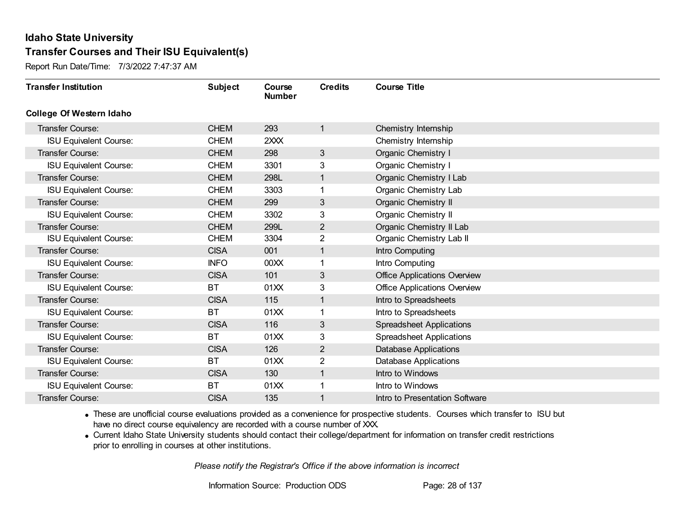Report Run Date/Time: 7/3/2022 7:47:37 AM

| <b>Transfer Institution</b>     | <b>Subject</b> | Course<br><b>Number</b> | <b>Credits</b> | <b>Course Title</b>                 |
|---------------------------------|----------------|-------------------------|----------------|-------------------------------------|
| <b>College Of Western Idaho</b> |                |                         |                |                                     |
| Transfer Course:                | <b>CHEM</b>    | 293                     | 1              | Chemistry Internship                |
| <b>ISU Equivalent Course:</b>   | <b>CHEM</b>    | 2XXX                    |                | Chemistry Internship                |
| Transfer Course:                | <b>CHEM</b>    | 298                     | 3              | Organic Chemistry I                 |
| <b>ISU Equivalent Course:</b>   | <b>CHEM</b>    | 3301                    | 3              | Organic Chemistry I                 |
| <b>Transfer Course:</b>         | <b>CHEM</b>    | 298L                    | 1              | Organic Chemistry I Lab             |
| <b>ISU Equivalent Course:</b>   | <b>CHEM</b>    | 3303                    |                | Organic Chemistry Lab               |
| Transfer Course:                | <b>CHEM</b>    | 299                     | 3              | <b>Organic Chemistry II</b>         |
| <b>ISU Equivalent Course:</b>   | <b>CHEM</b>    | 3302                    | 3              | Organic Chemistry II                |
| <b>Transfer Course:</b>         | <b>CHEM</b>    | 299L                    | $\overline{2}$ | Organic Chemistry II Lab            |
| <b>ISU Equivalent Course:</b>   | <b>CHEM</b>    | 3304                    | 2              | Organic Chemistry Lab II            |
| Transfer Course:                | <b>CISA</b>    | 001                     | 1              | Intro Computing                     |
| <b>ISU Equivalent Course:</b>   | <b>INFO</b>    | 00XX                    |                | Intro Computing                     |
| Transfer Course:                | <b>CISA</b>    | 101                     | 3              | <b>Office Applications Overview</b> |
| <b>ISU Equivalent Course:</b>   | <b>BT</b>      | 01XX                    | 3              | <b>Office Applications Overview</b> |
| Transfer Course:                | <b>CISA</b>    | 115                     |                | Intro to Spreadsheets               |
| <b>ISU Equivalent Course:</b>   | <b>BT</b>      | 01XX                    |                | Intro to Spreadsheets               |
| <b>Transfer Course:</b>         | <b>CISA</b>    | 116                     | 3              | <b>Spreadsheet Applications</b>     |
| <b>ISU Equivalent Course:</b>   | <b>BT</b>      | 01XX                    | 3              | <b>Spreadsheet Applications</b>     |
| Transfer Course:                | <b>CISA</b>    | 126                     | $\overline{2}$ | <b>Database Applications</b>        |
| <b>ISU Equivalent Course:</b>   | <b>BT</b>      | 01XX                    | 2              | Database Applications               |
| Transfer Course:                | <b>CISA</b>    | 130                     | 1              | Intro to Windows                    |
| <b>ISU Equivalent Course:</b>   | BT             | 01XX                    |                | Intro to Windows                    |
| <b>Transfer Course:</b>         | <b>CISA</b>    | 135                     |                | Intro to Presentation Software      |

· These are unofficial course evaluations provided as a convenience for prospective students. Courses which transfer to ISU but have no direct course equivalency are recorded with a course number of XXX.

· Current Idaho State University students should contact their college/department for information on transfer credit restrictions prior to enrolling in courses at other institutions.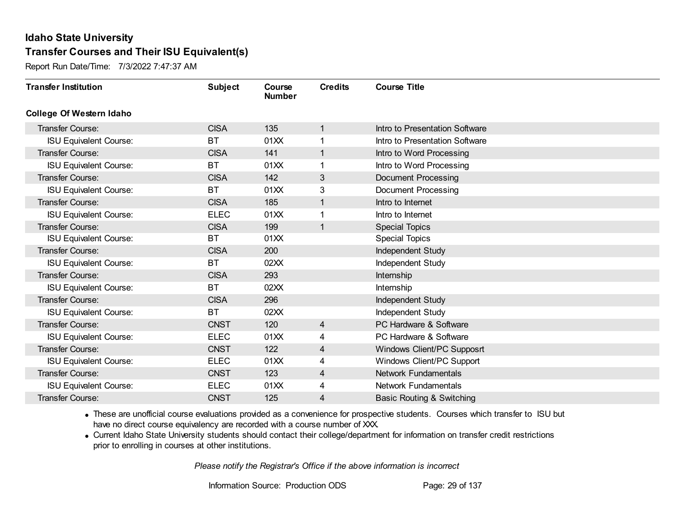Report Run Date/Time: 7/3/2022 7:47:37 AM

| <b>Transfer Institution</b>     | <b>Subject</b> | Course<br><b>Number</b> | <b>Credits</b> | <b>Course Title</b>                  |
|---------------------------------|----------------|-------------------------|----------------|--------------------------------------|
| <b>College Of Western Idaho</b> |                |                         |                |                                      |
| Transfer Course:                | <b>CISA</b>    | 135                     | 1              | Intro to Presentation Software       |
| <b>ISU Equivalent Course:</b>   | <b>BT</b>      | 01XX                    | 1              | Intro to Presentation Software       |
| Transfer Course:                | <b>CISA</b>    | 141                     | $\mathbf{1}$   | Intro to Word Processing             |
| <b>ISU Equivalent Course:</b>   | <b>BT</b>      | 01XX                    | 1              | Intro to Word Processing             |
| <b>Transfer Course:</b>         | <b>CISA</b>    | 142                     | 3              | <b>Document Processing</b>           |
| <b>ISU Equivalent Course:</b>   | <b>BT</b>      | 01XX                    | 3              | <b>Document Processing</b>           |
| Transfer Course:                | <b>CISA</b>    | 185                     | $\mathbf{1}$   | Intro to Internet                    |
| <b>ISU Equivalent Course:</b>   | <b>ELEC</b>    | 01XX                    | 1              | Intro to Internet                    |
| Transfer Course:                | <b>CISA</b>    | 199                     | $\mathbf{1}$   | <b>Special Topics</b>                |
| <b>ISU Equivalent Course:</b>   | <b>BT</b>      | 01XX                    |                | <b>Special Topics</b>                |
| <b>Transfer Course:</b>         | <b>CISA</b>    | 200                     |                | Independent Study                    |
| <b>ISU Equivalent Course:</b>   | <b>BT</b>      | 02XX                    |                | Independent Study                    |
| Transfer Course:                | <b>CISA</b>    | 293                     |                | Internship                           |
| <b>ISU Equivalent Course:</b>   | <b>BT</b>      | 02XX                    |                | Internship                           |
| Transfer Course:                | <b>CISA</b>    | 296                     |                | Independent Study                    |
| <b>ISU Equivalent Course:</b>   | <b>BT</b>      | 02XX                    |                | Independent Study                    |
| Transfer Course:                | <b>CNST</b>    | 120                     | $\overline{4}$ | PC Hardware & Software               |
| <b>ISU Equivalent Course:</b>   | <b>ELEC</b>    | 01XX                    | 4              | PC Hardware & Software               |
| Transfer Course:                | <b>CNST</b>    | 122                     | 4              | Windows Client/PC Supposrt           |
| <b>ISU Equivalent Course:</b>   | <b>ELEC</b>    | 01XX                    | 4              | Windows Client/PC Support            |
| Transfer Course:                | <b>CNST</b>    | 123                     | $\overline{4}$ | <b>Network Fundamentals</b>          |
| <b>ISU Equivalent Course:</b>   | <b>ELEC</b>    | 01XX                    | 4              | <b>Network Fundamentals</b>          |
| Transfer Course:                | <b>CNST</b>    | 125                     | 4              | <b>Basic Routing &amp; Switching</b> |

· These are unofficial course evaluations provided as a convenience for prospective students. Courses which transfer to ISU but have no direct course equivalency are recorded with a course number of XXX.

· Current Idaho State University students should contact their college/department for information on transfer credit restrictions prior to enrolling in courses at other institutions.

*Please notify the Registrar's Office if the above information is incorrect*

Information Source: Production ODS Page: 29 of 137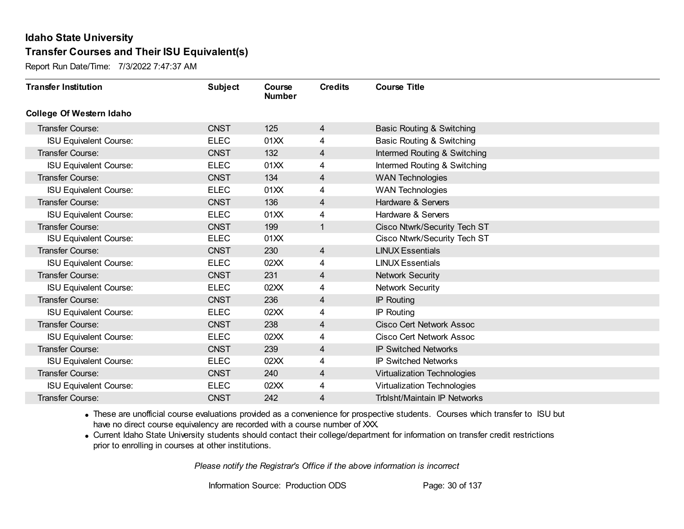Report Run Date/Time: 7/3/2022 7:47:37 AM

| <b>Transfer Institution</b>     | <b>Subject</b> | Course<br><b>Number</b> | <b>Credits</b> | <b>Course Title</b>                  |
|---------------------------------|----------------|-------------------------|----------------|--------------------------------------|
| <b>College Of Western Idaho</b> |                |                         |                |                                      |
| Transfer Course:                | <b>CNST</b>    | 125                     | $\overline{4}$ | <b>Basic Routing &amp; Switching</b> |
| <b>ISU Equivalent Course:</b>   | <b>ELEC</b>    | 01XX                    | 4              | <b>Basic Routing &amp; Switching</b> |
| Transfer Course:                | <b>CNST</b>    | 132                     | 4              | Intermed Routing & Switching         |
| <b>ISU Equivalent Course:</b>   | <b>ELEC</b>    | 01XX                    | 4              | Intermed Routing & Switching         |
| <b>Transfer Course:</b>         | <b>CNST</b>    | 134                     | 4              | <b>WAN Technologies</b>              |
| <b>ISU Equivalent Course:</b>   | <b>ELEC</b>    | 01XX                    | 4              | <b>WAN Technologies</b>              |
| Transfer Course:                | <b>CNST</b>    | 136                     | 4              | Hardware & Servers                   |
| <b>ISU Equivalent Course:</b>   | <b>ELEC</b>    | 01XX                    | 4              | Hardware & Servers                   |
| <b>Transfer Course:</b>         | <b>CNST</b>    | 199                     | $\mathbf{1}$   | Cisco Ntwrk/Security Tech ST         |
| <b>ISU Equivalent Course:</b>   | <b>ELEC</b>    | 01XX                    |                | Cisco Ntwrk/Security Tech ST         |
| <b>Transfer Course:</b>         | <b>CNST</b>    | 230                     | 4              | <b>LINUX Essentials</b>              |
| <b>ISU Equivalent Course:</b>   | <b>ELEC</b>    | 02XX                    | 4              | <b>LINUX Essentials</b>              |
| Transfer Course:                | <b>CNST</b>    | 231                     | $\overline{4}$ | <b>Network Security</b>              |
| <b>ISU Equivalent Course:</b>   | <b>ELEC</b>    | 02XX                    | 4              | <b>Network Security</b>              |
| Transfer Course:                | <b>CNST</b>    | 236                     | 4              | <b>IP Routing</b>                    |
| <b>ISU Equivalent Course:</b>   | <b>ELEC</b>    | 02XX                    | 4              | <b>IP Routing</b>                    |
| Transfer Course:                | <b>CNST</b>    | 238                     | 4              | <b>Cisco Cert Network Assoc</b>      |
| <b>ISU Equivalent Course:</b>   | <b>ELEC</b>    | 02XX                    | 4              | <b>Cisco Cert Network Assoc</b>      |
| Transfer Course:                | <b>CNST</b>    | 239                     | 4              | <b>IP Switched Networks</b>          |
| <b>ISU Equivalent Course:</b>   | <b>ELEC</b>    | 02XX                    | 4              | <b>IP Switched Networks</b>          |
| Transfer Course:                | <b>CNST</b>    | 240                     | 4              | <b>Virtualization Technologies</b>   |
| <b>ISU Equivalent Course:</b>   | <b>ELEC</b>    | 02XX                    | 4              | Virtualization Technologies          |
| Transfer Course:                | <b>CNST</b>    | 242                     | 4              | Trblsht/Maintain IP Networks         |

· These are unofficial course evaluations provided as a convenience for prospective students. Courses which transfer to ISU but have no direct course equivalency are recorded with a course number of XXX.

· Current Idaho State University students should contact their college/department for information on transfer credit restrictions prior to enrolling in courses at other institutions.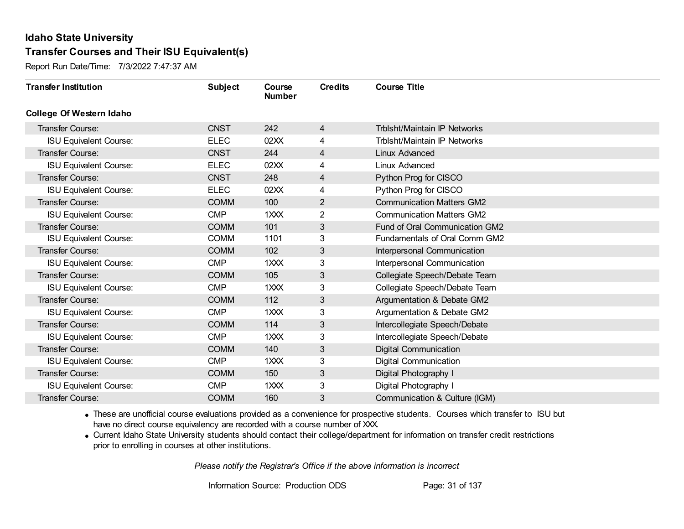Report Run Date/Time: 7/3/2022 7:47:37 AM

| <b>Transfer Institution</b>     | <b>Subject</b> | Course<br><b>Number</b> | <b>Credits</b> | <b>Course Title</b>                 |
|---------------------------------|----------------|-------------------------|----------------|-------------------------------------|
| <b>College Of Western Idaho</b> |                |                         |                |                                     |
| Transfer Course:                | <b>CNST</b>    | 242                     | 4              | <b>Trblsht/Maintain IP Networks</b> |
| <b>ISU Equivalent Course:</b>   | <b>ELEC</b>    | 02XX                    | 4              | Trblsht/Maintain IP Networks        |
| Transfer Course:                | <b>CNST</b>    | 244                     | 4              | Linux Advanced                      |
| <b>ISU Equivalent Course:</b>   | <b>ELEC</b>    | 02XX                    | 4              | Linux Advanced                      |
| <b>Transfer Course:</b>         | <b>CNST</b>    | 248                     | 4              | Python Prog for CISCO               |
| <b>ISU Equivalent Course:</b>   | <b>ELEC</b>    | 02XX                    | 4              | Python Prog for CISCO               |
| Transfer Course:                | <b>COMM</b>    | 100                     | $\overline{2}$ | <b>Communication Matters GM2</b>    |
| <b>ISU Equivalent Course:</b>   | <b>CMP</b>     | 1 <sup>2</sup>          | 2              | <b>Communication Matters GM2</b>    |
| Transfer Course:                | <b>COMM</b>    | 101                     | 3              | Fund of Oral Communication GM2      |
| <b>ISU Equivalent Course:</b>   | <b>COMM</b>    | 1101                    | 3              | Fundamentals of Oral Comm GM2       |
| Transfer Course:                | <b>COMM</b>    | 102                     | 3              | Interpersonal Communication         |
| <b>ISU Equivalent Course:</b>   | <b>CMP</b>     | 1XXX                    | 3              | Interpersonal Communication         |
| Transfer Course:                | <b>COMM</b>    | 105                     | 3              | Collegiate Speech/Debate Team       |
| <b>ISU Equivalent Course:</b>   | <b>CMP</b>     | 1XXX                    | 3              | Collegiate Speech/Debate Team       |
| Transfer Course:                | <b>COMM</b>    | 112                     | 3              | Argumentation & Debate GM2          |
| <b>ISU Equivalent Course:</b>   | <b>CMP</b>     | 1XXX                    | 3              | Argumentation & Debate GM2          |
| Transfer Course:                | <b>COMM</b>    | 114                     | $\mathfrak{S}$ | Intercollegiate Speech/Debate       |
| <b>ISU Equivalent Course:</b>   | <b>CMP</b>     | 1XXX                    | 3              | Intercollegiate Speech/Debate       |
| Transfer Course:                | <b>COMM</b>    | 140                     | 3              | <b>Digital Communication</b>        |
| <b>ISU Equivalent Course:</b>   | <b>CMP</b>     | 1XXX                    | 3              | <b>Digital Communication</b>        |
| Transfer Course:                | <b>COMM</b>    | 150                     | $\mathfrak{S}$ | Digital Photography I               |
| <b>ISU Equivalent Course:</b>   | <b>CMP</b>     | 1XXX                    | 3              | Digital Photography I               |
| Transfer Course:                | <b>COMM</b>    | 160                     | 3              | Communication & Culture (IGM)       |

· These are unofficial course evaluations provided as a convenience for prospective students. Courses which transfer to ISU but have no direct course equivalency are recorded with a course number of XXX.

· Current Idaho State University students should contact their college/department for information on transfer credit restrictions prior to enrolling in courses at other institutions.

*Please notify the Registrar's Office if the above information is incorrect*

Information Source: Production ODS Page: 31 of 137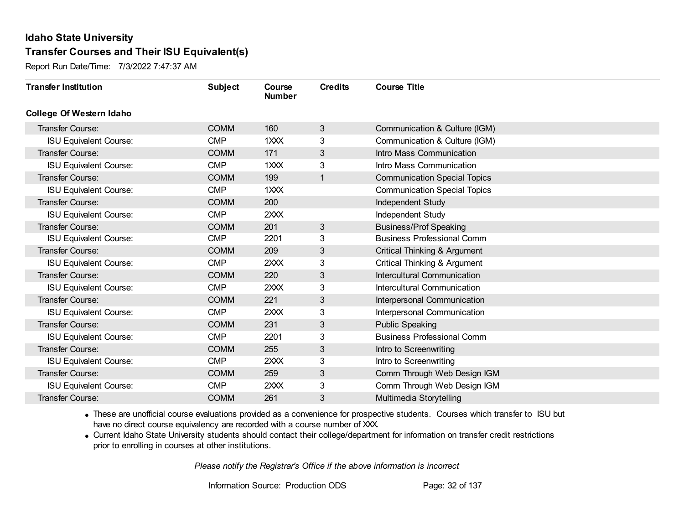Report Run Date/Time: 7/3/2022 7:47:37 AM

| <b>Transfer Institution</b>     | <b>Subject</b> | Course<br><b>Number</b> | <b>Credits</b> | <b>Course Title</b>                 |
|---------------------------------|----------------|-------------------------|----------------|-------------------------------------|
| <b>College Of Western Idaho</b> |                |                         |                |                                     |
| Transfer Course:                | <b>COMM</b>    | 160                     | 3              | Communication & Culture (IGM)       |
| <b>ISU Equivalent Course:</b>   | <b>CMP</b>     | 1XXX                    | 3              | Communication & Culture (IGM)       |
| Transfer Course:                | <b>COMM</b>    | 171                     | 3              | Intro Mass Communication            |
| <b>ISU Equivalent Course:</b>   | <b>CMP</b>     | 1XXX                    | 3              | Intro Mass Communication            |
| Transfer Course:                | <b>COMM</b>    | 199                     | 1              | <b>Communication Special Topics</b> |
| <b>ISU Equivalent Course:</b>   | <b>CMP</b>     | 1XXX                    |                | <b>Communication Special Topics</b> |
| Transfer Course:                | <b>COMM</b>    | 200                     |                | Independent Study                   |
| <b>ISU Equivalent Course:</b>   | <b>CMP</b>     | 2XXX                    |                | Independent Study                   |
| Transfer Course:                | <b>COMM</b>    | 201                     | 3              | <b>Business/Prof Speaking</b>       |
| <b>ISU Equivalent Course:</b>   | <b>CMP</b>     | 2201                    | 3              | <b>Business Professional Comm</b>   |
| Transfer Course:                | <b>COMM</b>    | 209                     | 3              | Critical Thinking & Argument        |
| <b>ISU Equivalent Course:</b>   | <b>CMP</b>     | 2XXX                    | 3              | Critical Thinking & Argument        |
| Transfer Course:                | <b>COMM</b>    | 220                     | 3              | Intercultural Communication         |
| <b>ISU Equivalent Course:</b>   | <b>CMP</b>     | 2XXX                    | 3              | Intercultural Communication         |
| Transfer Course:                | <b>COMM</b>    | 221                     | 3              | Interpersonal Communication         |
| <b>ISU Equivalent Course:</b>   | <b>CMP</b>     | 2XXX                    | 3              | Interpersonal Communication         |
| Transfer Course:                | <b>COMM</b>    | 231                     | 3              | <b>Public Speaking</b>              |
| <b>ISU Equivalent Course:</b>   | <b>CMP</b>     | 2201                    | 3              | <b>Business Professional Comm</b>   |
| Transfer Course:                | <b>COMM</b>    | 255                     | 3              | Intro to Screenwriting              |
| <b>ISU Equivalent Course:</b>   | <b>CMP</b>     | 2XXX                    | 3              | Intro to Screenwriting              |
| Transfer Course:                | <b>COMM</b>    | 259                     | 3              | Comm Through Web Design IGM         |
| <b>ISU Equivalent Course:</b>   | <b>CMP</b>     | 2XXX                    | 3              | Comm Through Web Design IGM         |
| <b>Transfer Course:</b>         | <b>COMM</b>    | 261                     | 3              | Multimedia Storytelling             |

· These are unofficial course evaluations provided as a convenience for prospective students. Courses which transfer to ISU but have no direct course equivalency are recorded with a course number of XXX.

· Current Idaho State University students should contact their college/department for information on transfer credit restrictions prior to enrolling in courses at other institutions.

*Please notify the Registrar's Office if the above information is incorrect*

Information Source: Production ODS Page: 32 of 137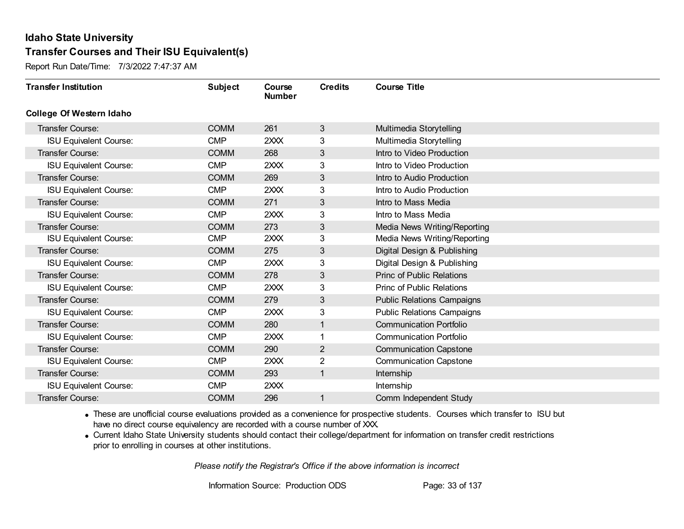Report Run Date/Time: 7/3/2022 7:47:37 AM

| <b>Transfer Institution</b>     | <b>Subject</b> | Course<br><b>Number</b> | <b>Credits</b> | <b>Course Title</b>               |
|---------------------------------|----------------|-------------------------|----------------|-----------------------------------|
| <b>College Of Western Idaho</b> |                |                         |                |                                   |
| <b>Transfer Course:</b>         | <b>COMM</b>    | 261                     | 3              | Multimedia Storytelling           |
| <b>ISU Equivalent Course:</b>   | <b>CMP</b>     | 2XXX                    | 3              | Multimedia Storytelling           |
| Transfer Course:                | <b>COMM</b>    | 268                     | 3              | Intro to Video Production         |
| <b>ISU Equivalent Course:</b>   | <b>CMP</b>     | 2XXX                    | 3              | Intro to Video Production         |
| <b>Transfer Course:</b>         | <b>COMM</b>    | 269                     | 3              | Intro to Audio Production         |
| <b>ISU Equivalent Course:</b>   | <b>CMP</b>     | 2XXX                    | 3              | Intro to Audio Production         |
| Transfer Course:                | <b>COMM</b>    | 271                     | 3              | Intro to Mass Media               |
| <b>ISU Equivalent Course:</b>   | <b>CMP</b>     | 2XXX                    | 3              | Intro to Mass Media               |
| Transfer Course:                | <b>COMM</b>    | 273                     | 3              | Media News Writing/Reporting      |
| <b>ISU Equivalent Course:</b>   | <b>CMP</b>     | 2XXX                    | 3              | Media News Writing/Reporting      |
| Transfer Course:                | <b>COMM</b>    | 275                     | 3              | Digital Design & Publishing       |
| <b>ISU Equivalent Course:</b>   | <b>CMP</b>     | 2XXX                    | 3              | Digital Design & Publishing       |
| Transfer Course:                | <b>COMM</b>    | 278                     | 3              | <b>Princ of Public Relations</b>  |
| <b>ISU Equivalent Course:</b>   | <b>CMP</b>     | 2XXX                    | 3              | <b>Princ of Public Relations</b>  |
| Transfer Course:                | <b>COMM</b>    | 279                     | 3              | <b>Public Relations Campaigns</b> |
| <b>ISU Equivalent Course:</b>   | <b>CMP</b>     | 2XXX                    | 3              | <b>Public Relations Campaigns</b> |
| Transfer Course:                | <b>COMM</b>    | 280                     | 1              | <b>Communication Portfolio</b>    |
| <b>ISU Equivalent Course:</b>   | <b>CMP</b>     | 2XXX                    |                | <b>Communication Portfolio</b>    |
| Transfer Course:                | <b>COMM</b>    | 290                     | $\overline{2}$ | <b>Communication Capstone</b>     |
| <b>ISU Equivalent Course:</b>   | <b>CMP</b>     | 2XXX                    | 2              | <b>Communication Capstone</b>     |
| Transfer Course:                | <b>COMM</b>    | 293                     | $\mathbf{1}$   | Internship                        |
| <b>ISU Equivalent Course:</b>   | <b>CMP</b>     | 2XXX                    |                | <b>Internship</b>                 |
| Transfer Course:                | <b>COMM</b>    | 296                     | 1              | Comm Independent Study            |

· These are unofficial course evaluations provided as a convenience for prospective students. Courses which transfer to ISU but have no direct course equivalency are recorded with a course number of XXX.

· Current Idaho State University students should contact their college/department for information on transfer credit restrictions prior to enrolling in courses at other institutions.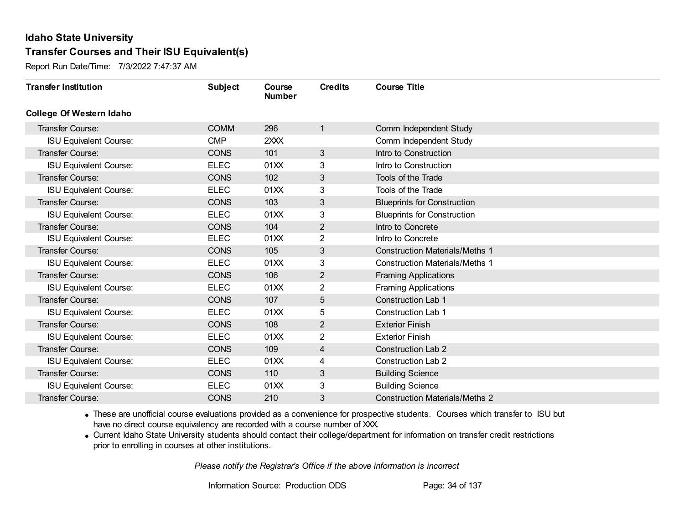Report Run Date/Time: 7/3/2022 7:47:37 AM

| <b>Transfer Institution</b>     | <b>Subject</b> | Course<br><b>Number</b> | <b>Credits</b> | <b>Course Title</b>                   |
|---------------------------------|----------------|-------------------------|----------------|---------------------------------------|
| <b>College Of Western Idaho</b> |                |                         |                |                                       |
| Transfer Course:                | <b>COMM</b>    | 296                     | $\mathbf{1}$   | Comm Independent Study                |
| <b>ISU Equivalent Course:</b>   | <b>CMP</b>     | 2XXX                    |                | Comm Independent Study                |
| Transfer Course:                | <b>CONS</b>    | 101                     | 3              | Intro to Construction                 |
| <b>ISU Equivalent Course:</b>   | <b>ELEC</b>    | 01XX                    | 3              | Intro to Construction                 |
| Transfer Course:                | <b>CONS</b>    | 102                     | 3              | Tools of the Trade                    |
| <b>ISU Equivalent Course:</b>   | <b>ELEC</b>    | 01XX                    | 3              | Tools of the Trade                    |
| Transfer Course:                | <b>CONS</b>    | 103                     | 3              | <b>Blueprints for Construction</b>    |
| <b>ISU Equivalent Course:</b>   | <b>ELEC</b>    | 01XX                    | 3              | <b>Blueprints for Construction</b>    |
| <b>Transfer Course:</b>         | <b>CONS</b>    | 104                     | $\overline{2}$ | Intro to Concrete                     |
| <b>ISU Equivalent Course:</b>   | <b>ELEC</b>    | 01XX                    | $\overline{2}$ | Intro to Concrete                     |
| <b>Transfer Course:</b>         | <b>CONS</b>    | 105                     | 3              | <b>Construction Materials/Meths 1</b> |
| <b>ISU Equivalent Course:</b>   | <b>ELEC</b>    | 01XX                    | 3              | <b>Construction Materials/Meths 1</b> |
| Transfer Course:                | <b>CONS</b>    | 106                     | $\overline{2}$ | <b>Framing Applications</b>           |
| <b>ISU Equivalent Course:</b>   | <b>ELEC</b>    | 01XX                    | $\overline{2}$ | <b>Framing Applications</b>           |
| Transfer Course:                | <b>CONS</b>    | 107                     | 5              | <b>Construction Lab 1</b>             |
| <b>ISU Equivalent Course:</b>   | <b>ELEC</b>    | 01XX                    | 5              | <b>Construction Lab 1</b>             |
| Transfer Course:                | <b>CONS</b>    | 108                     | $\overline{2}$ | <b>Exterior Finish</b>                |
| <b>ISU Equivalent Course:</b>   | <b>ELEC</b>    | 01XX                    | 2              | <b>Exterior Finish</b>                |
| Transfer Course:                | <b>CONS</b>    | 109                     | $\overline{4}$ | <b>Construction Lab 2</b>             |
| <b>ISU Equivalent Course:</b>   | <b>ELEC</b>    | 01XX                    | 4              | Construction Lab 2                    |
| <b>Transfer Course:</b>         | <b>CONS</b>    | 110                     | 3              | <b>Building Science</b>               |
| <b>ISU Equivalent Course:</b>   | <b>ELEC</b>    | 01XX                    | 3              | <b>Building Science</b>               |
| Transfer Course:                | <b>CONS</b>    | 210                     | 3              | <b>Construction Materials/Meths 2</b> |

· These are unofficial course evaluations provided as a convenience for prospective students. Courses which transfer to ISU but have no direct course equivalency are recorded with a course number of XXX.

· Current Idaho State University students should contact their college/department for information on transfer credit restrictions prior to enrolling in courses at other institutions.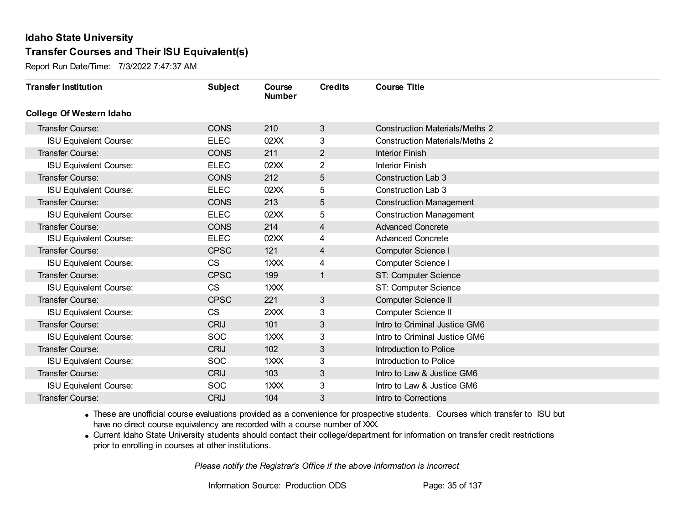Report Run Date/Time: 7/3/2022 7:47:37 AM

| <b>Transfer Institution</b>     | <b>Subject</b> | Course<br><b>Number</b> | <b>Credits</b> | <b>Course Title</b>                   |
|---------------------------------|----------------|-------------------------|----------------|---------------------------------------|
| <b>College Of Western Idaho</b> |                |                         |                |                                       |
| Transfer Course:                | <b>CONS</b>    | 210                     | 3              | <b>Construction Materials/Meths 2</b> |
| <b>ISU Equivalent Course:</b>   | <b>ELEC</b>    | 02XX                    | 3              | <b>Construction Materials/Meths 2</b> |
| Transfer Course:                | <b>CONS</b>    | 211                     | $\overline{2}$ | <b>Interior Finish</b>                |
| <b>ISU Equivalent Course:</b>   | <b>ELEC</b>    | 02XX                    | $\overline{2}$ | <b>Interior Finish</b>                |
| <b>Transfer Course:</b>         | <b>CONS</b>    | 212                     | 5              | <b>Construction Lab 3</b>             |
| <b>ISU Equivalent Course:</b>   | <b>ELEC</b>    | 02XX                    | 5              | <b>Construction Lab 3</b>             |
| <b>Transfer Course:</b>         | <b>CONS</b>    | 213                     | 5              | <b>Construction Management</b>        |
| <b>ISU Equivalent Course:</b>   | <b>ELEC</b>    | 02XX                    | 5              | <b>Construction Management</b>        |
| <b>Transfer Course:</b>         | <b>CONS</b>    | 214                     | $\overline{4}$ | <b>Advanced Concrete</b>              |
| <b>ISU Equivalent Course:</b>   | <b>ELEC</b>    | 02XX                    | 4              | <b>Advanced Concrete</b>              |
| Transfer Course:                | <b>CPSC</b>    | 121                     | 4              | Computer Science I                    |
| <b>ISU Equivalent Course:</b>   | <b>CS</b>      | 1XXX                    | 4              | <b>Computer Science I</b>             |
| Transfer Course:                | <b>CPSC</b>    | 199                     | 1              | ST: Computer Science                  |
| <b>ISU Equivalent Course:</b>   | <b>CS</b>      | $1$ $XX$                |                | ST: Computer Science                  |
| Transfer Course:                | <b>CPSC</b>    | 221                     | 3              | <b>Computer Science II</b>            |
| <b>ISU Equivalent Course:</b>   | <b>CS</b>      | 2XXX                    | 3              | <b>Computer Science II</b>            |
| <b>Transfer Course:</b>         | <b>CRIJ</b>    | 101                     | 3              | Intro to Criminal Justice GM6         |
| <b>ISU Equivalent Course:</b>   | <b>SOC</b>     | 1XXX                    | 3              | Intro to Criminal Justice GM6         |
| Transfer Course:                | <b>CRIJ</b>    | 102                     | 3              | Introduction to Police                |
| <b>ISU Equivalent Course:</b>   | <b>SOC</b>     | 1XXX                    | 3              | Introduction to Police                |
| <b>Transfer Course:</b>         | <b>CRIJ</b>    | 103                     | 3              | Intro to Law & Justice GM6            |
| <b>ISU Equivalent Course:</b>   | <b>SOC</b>     | 1XXX                    | 3              | Intro to Law & Justice GM6            |
| <b>Transfer Course:</b>         | <b>CRIJ</b>    | 104                     | 3              | Intro to Corrections                  |

· These are unofficial course evaluations provided as a convenience for prospective students. Courses which transfer to ISU but have no direct course equivalency are recorded with a course number of XXX.

· Current Idaho State University students should contact their college/department for information on transfer credit restrictions prior to enrolling in courses at other institutions.

*Please notify the Registrar's Office if the above information is incorrect*

Information Source: Production ODS Page: 35 of 137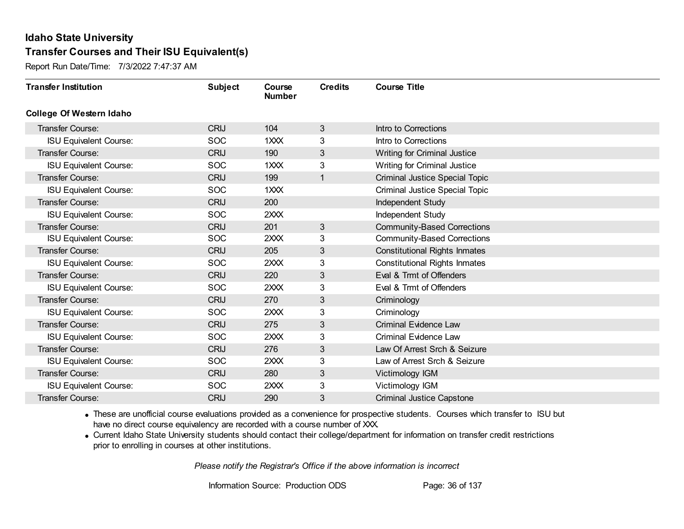Report Run Date/Time: 7/3/2022 7:47:37 AM

| <b>Transfer Institution</b>     | <b>Subject</b> | Course<br><b>Number</b> | <b>Credits</b> | <b>Course Title</b>                   |
|---------------------------------|----------------|-------------------------|----------------|---------------------------------------|
| <b>College Of Western Idaho</b> |                |                         |                |                                       |
| Transfer Course:                | <b>CRIJ</b>    | 104                     | $\mathbf{3}$   | Intro to Corrections                  |
| <b>ISU Equivalent Course:</b>   | <b>SOC</b>     | 1XXX                    | 3              | Intro to Corrections                  |
| Transfer Course:                | <b>CRIJ</b>    | 190                     | 3              | <b>Writing for Criminal Justice</b>   |
| <b>ISU Equivalent Course:</b>   | <b>SOC</b>     | 1XXX                    | 3              | <b>Writing for Criminal Justice</b>   |
| Transfer Course:                | <b>CRIJ</b>    | 199                     | 1              | <b>Criminal Justice Special Topic</b> |
| <b>ISU Equivalent Course:</b>   | <b>SOC</b>     | 1XXX                    |                | Criminal Justice Special Topic        |
| Transfer Course:                | <b>CRIJ</b>    | 200                     |                | Independent Study                     |
| <b>ISU Equivalent Course:</b>   | <b>SOC</b>     | 2XXX                    |                | Independent Study                     |
| <b>Transfer Course:</b>         | <b>CRIJ</b>    | 201                     | 3              | <b>Community-Based Corrections</b>    |
| <b>ISU Equivalent Course:</b>   | <b>SOC</b>     | 2XXX                    | 3              | <b>Community-Based Corrections</b>    |
| <b>Transfer Course:</b>         | <b>CRIJ</b>    | 205                     | 3              | <b>Constitutional Rights Inmates</b>  |
| <b>ISU Equivalent Course:</b>   | <b>SOC</b>     | 2XXX                    | 3              | <b>Constitutional Rights Inmates</b>  |
| Transfer Course:                | <b>CRIJ</b>    | 220                     | 3              | Eval & Trmt of Offenders              |
| <b>ISU Equivalent Course:</b>   | <b>SOC</b>     | 2XXX                    | 3              | Eval & Trmt of Offenders              |
| Transfer Course:                | <b>CRIJ</b>    | 270                     | 3              | Criminology                           |
| <b>ISU Equivalent Course:</b>   | <b>SOC</b>     | 2XXX                    | 3              | Criminology                           |
| Transfer Course:                | <b>CRIJ</b>    | 275                     | 3              | <b>Criminal Evidence Law</b>          |
| <b>ISU Equivalent Course:</b>   | <b>SOC</b>     | 2XXX                    | 3              | <b>Criminal Evidence Law</b>          |
| Transfer Course:                | <b>CRIJ</b>    | 276                     | 3              | Law Of Arrest Srch & Seizure          |
| <b>ISU Equivalent Course:</b>   | <b>SOC</b>     | 2XXX                    | 3              | Law of Arrest Srch & Seizure          |
| Transfer Course:                | <b>CRIJ</b>    | 280                     | 3              | Victimology IGM                       |
| <b>ISU Equivalent Course:</b>   | <b>SOC</b>     | 2XXX                    | 3              | Victimology IGM                       |
| <b>Transfer Course:</b>         | <b>CRIJ</b>    | 290                     | 3              | <b>Criminal Justice Capstone</b>      |

· These are unofficial course evaluations provided as a convenience for prospective students. Courses which transfer to ISU but have no direct course equivalency are recorded with a course number of XXX.

· Current Idaho State University students should contact their college/department for information on transfer credit restrictions prior to enrolling in courses at other institutions.

*Please notify the Registrar's Office if the above information is incorrect*

Information Source: Production ODS Page: 36 of 137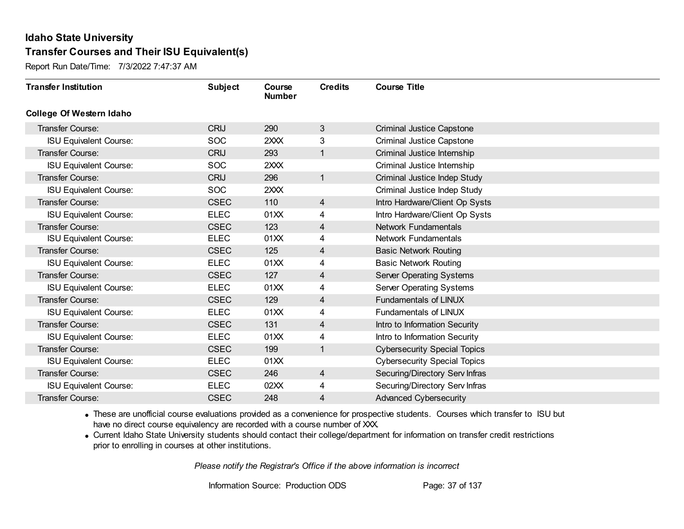Report Run Date/Time: 7/3/2022 7:47:37 AM

| <b>Transfer Institution</b>     | <b>Subject</b> | Course<br><b>Number</b> | <b>Credits</b> | <b>Course Title</b>                 |
|---------------------------------|----------------|-------------------------|----------------|-------------------------------------|
| <b>College Of Western Idaho</b> |                |                         |                |                                     |
| Transfer Course:                | <b>CRIJ</b>    | 290                     | 3 <sup>2</sup> | <b>Criminal Justice Capstone</b>    |
| <b>ISU Equivalent Course:</b>   | <b>SOC</b>     | 2XXX                    | 3              | <b>Criminal Justice Capstone</b>    |
| Transfer Course:                | <b>CRIJ</b>    | 293                     | 1              | Criminal Justice Internship         |
| <b>ISU Equivalent Course:</b>   | <b>SOC</b>     | 2XXX                    |                | Criminal Justice Internship         |
| Transfer Course:                | <b>CRIJ</b>    | 296                     | $\mathbf{1}$   | Criminal Justice Indep Study        |
| <b>ISU Equivalent Course:</b>   | <b>SOC</b>     | 2XXX                    |                | Criminal Justice Indep Study        |
| Transfer Course:                | <b>CSEC</b>    | 110                     | 4              | Intro Hardware/Client Op Systs      |
| <b>ISU Equivalent Course:</b>   | <b>ELEC</b>    | 01XX                    | 4              | Intro Hardware/Client Op Systs      |
| Transfer Course:                | <b>CSEC</b>    | 123                     | $\overline{4}$ | <b>Network Fundamentals</b>         |
| <b>ISU Equivalent Course:</b>   | <b>ELEC</b>    | 01XX                    | 4              | Network Fundamentals                |
| Transfer Course:                | <b>CSEC</b>    | 125                     | 4              | <b>Basic Network Routing</b>        |
| <b>ISU Equivalent Course:</b>   | <b>ELEC</b>    | 01XX                    | 4              | <b>Basic Network Routing</b>        |
| Transfer Course:                | <b>CSEC</b>    | 127                     | 4              | Server Operating Systems            |
| <b>ISU Equivalent Course:</b>   | <b>ELEC</b>    | 01XX                    | 4              | Server Operating Systems            |
| Transfer Course:                | <b>CSEC</b>    | 129                     | $\overline{4}$ | Fundamentals of LINUX               |
| <b>ISU Equivalent Course:</b>   | <b>ELEC</b>    | 01XX                    | 4              | <b>Fundamentals of LINUX</b>        |
| Transfer Course:                | <b>CSEC</b>    | 131                     | 4              | Intro to Information Security       |
| <b>ISU Equivalent Course:</b>   | <b>ELEC</b>    | 01XX                    | 4              | Intro to Information Security       |
| Transfer Course:                | <b>CSEC</b>    | 199                     | 1              | <b>Cybersecurity Special Topics</b> |
| <b>ISU Equivalent Course:</b>   | <b>ELEC</b>    | 01XX                    |                | <b>Cybersecurity Special Topics</b> |
| Transfer Course:                | <b>CSEC</b>    | 246                     | $\overline{4}$ | Securing/Directory Serv Infras      |
| <b>ISU Equivalent Course:</b>   | <b>ELEC</b>    | 02XX                    | 4              | Securing/Directory Serv Infras      |
| Transfer Course:                | <b>CSEC</b>    | 248                     | 4              | <b>Advanced Cybersecurity</b>       |

· These are unofficial course evaluations provided as a convenience for prospective students. Courses which transfer to ISU but have no direct course equivalency are recorded with a course number of XXX.

· Current Idaho State University students should contact their college/department for information on transfer credit restrictions prior to enrolling in courses at other institutions.

*Please notify the Registrar's Office if the above information is incorrect*

Information Source: Production ODS Page: 37 of 137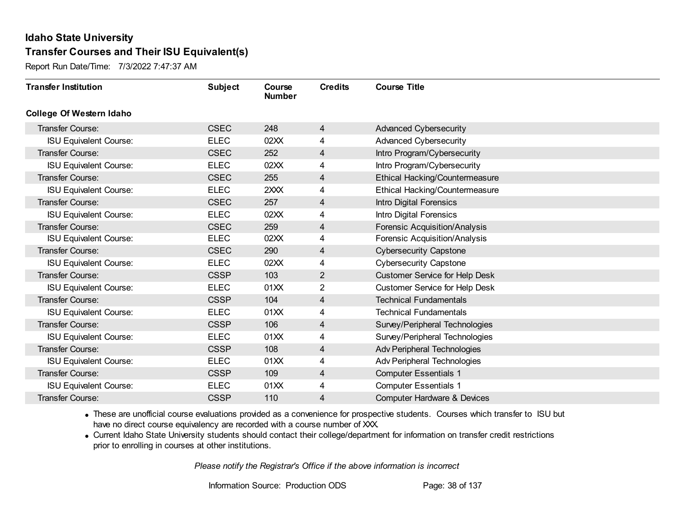Report Run Date/Time: 7/3/2022 7:47:37 AM

| <b>Transfer Institution</b>     | <b>Subject</b> | Course<br><b>Number</b> | <b>Credits</b> | <b>Course Title</b>                    |
|---------------------------------|----------------|-------------------------|----------------|----------------------------------------|
| <b>College Of Western Idaho</b> |                |                         |                |                                        |
| <b>Transfer Course:</b>         | <b>CSEC</b>    | 248                     | $\overline{4}$ | <b>Advanced Cybersecurity</b>          |
| <b>ISU Equivalent Course:</b>   | <b>ELEC</b>    | 02XX                    | 4              | <b>Advanced Cybersecurity</b>          |
| <b>Transfer Course:</b>         | <b>CSEC</b>    | 252                     | 4              | Intro Program/Cybersecurity            |
| <b>ISU Equivalent Course:</b>   | <b>ELEC</b>    | 02XX                    | 4              | Intro Program/Cybersecurity            |
| Transfer Course:                | <b>CSEC</b>    | 255                     | 4              | Ethical Hacking/Countermeasure         |
| <b>ISU Equivalent Course:</b>   | <b>ELEC</b>    | 2XXX                    | 4              | Ethical Hacking/Countermeasure         |
| <b>Transfer Course:</b>         | <b>CSEC</b>    | 257                     | 4              | Intro Digital Forensics                |
| <b>ISU Equivalent Course:</b>   | <b>ELEC</b>    | 02XX                    | 4              | Intro Digital Forensics                |
| Transfer Course:                | <b>CSEC</b>    | 259                     | $\overline{4}$ | Forensic Acquisition/Analysis          |
| <b>ISU Equivalent Course:</b>   | <b>ELEC</b>    | 02XX                    | 4              | Forensic Acquisition/Analysis          |
| Transfer Course:                | <b>CSEC</b>    | 290                     | $\overline{4}$ | <b>Cybersecurity Capstone</b>          |
| <b>ISU Equivalent Course:</b>   | <b>ELEC</b>    | 02XX                    | 4              | <b>Cybersecurity Capstone</b>          |
| Transfer Course:                | <b>CSSP</b>    | 103                     | 2              | <b>Customer Service for Help Desk</b>  |
| <b>ISU Equivalent Course:</b>   | <b>ELEC</b>    | 01XX                    | $\overline{2}$ | <b>Customer Service for Help Desk</b>  |
| Transfer Course:                | <b>CSSP</b>    | 104                     | 4              | <b>Technical Fundamentals</b>          |
| <b>ISU Equivalent Course:</b>   | <b>ELEC</b>    | 01XX                    | 4              | <b>Technical Fundamentals</b>          |
| Transfer Course:                | <b>CSSP</b>    | 106                     | 4              | Survey/Peripheral Technologies         |
| <b>ISU Equivalent Course:</b>   | <b>ELEC</b>    | 01XX                    | 4              | Survey/Peripheral Technologies         |
| <b>Transfer Course:</b>         | <b>CSSP</b>    | 108                     | 4              | Adv Peripheral Technologies            |
| <b>ISU Equivalent Course:</b>   | <b>ELEC</b>    | 01XX                    | 4              | Adv Peripheral Technologies            |
| Transfer Course:                | <b>CSSP</b>    | 109                     | $\overline{4}$ | <b>Computer Essentials 1</b>           |
| <b>ISU Equivalent Course:</b>   | <b>ELEC</b>    | 01XX                    | 4              | <b>Computer Essentials 1</b>           |
| Transfer Course:                | <b>CSSP</b>    | 110                     | 4              | <b>Computer Hardware &amp; Devices</b> |

· These are unofficial course evaluations provided as a convenience for prospective students. Courses which transfer to ISU but have no direct course equivalency are recorded with a course number of XXX.

· Current Idaho State University students should contact their college/department for information on transfer credit restrictions prior to enrolling in courses at other institutions.

*Please notify the Registrar's Office if the above information is incorrect*

Information Source: Production ODS Page: 38 of 137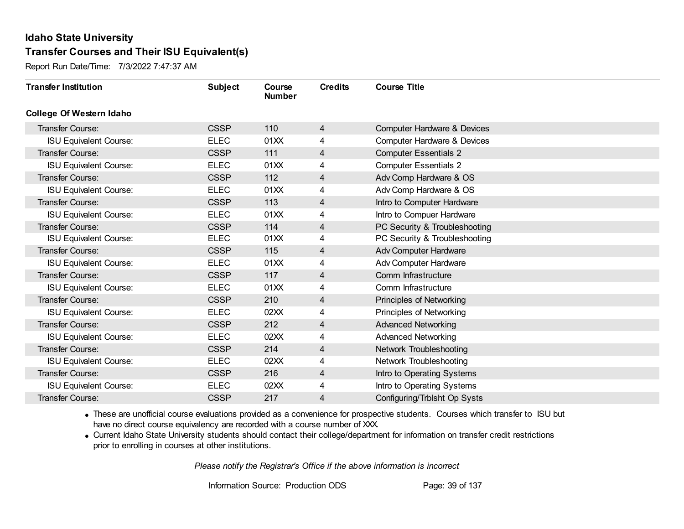Report Run Date/Time: 7/3/2022 7:47:37 AM

| <b>Transfer Institution</b>     | <b>Subject</b> | Course<br><b>Number</b> | <b>Credits</b> | <b>Course Title</b>                    |
|---------------------------------|----------------|-------------------------|----------------|----------------------------------------|
| <b>College Of Western Idaho</b> |                |                         |                |                                        |
| <b>Transfer Course:</b>         | <b>CSSP</b>    | 110                     | 4              | <b>Computer Hardware &amp; Devices</b> |
| <b>ISU Equivalent Course:</b>   | <b>ELEC</b>    | 01XX                    | 4              | <b>Computer Hardware &amp; Devices</b> |
| Transfer Course:                | <b>CSSP</b>    | 111                     | 4              | <b>Computer Essentials 2</b>           |
| <b>ISU Equivalent Course:</b>   | <b>ELEC</b>    | 01XX                    | 4              | <b>Computer Essentials 2</b>           |
| Transfer Course:                | <b>CSSP</b>    | 112                     | 4              | Adv Comp Hardware & OS                 |
| <b>ISU Equivalent Course:</b>   | <b>ELEC</b>    | 01XX                    | 4              | Adv Comp Hardware & OS                 |
| Transfer Course:                | <b>CSSP</b>    | 113                     | 4              | Intro to Computer Hardware             |
| <b>ISU Equivalent Course:</b>   | <b>ELEC</b>    | 01XX                    | 4              | Intro to Compuer Hardware              |
| Transfer Course:                | <b>CSSP</b>    | 114                     | 4              | PC Security & Troubleshooting          |
| <b>ISU Equivalent Course:</b>   | <b>ELEC</b>    | 01XX                    | 4              | PC Security & Troubleshooting          |
| Transfer Course:                | <b>CSSP</b>    | 115                     | 4              | Adv Computer Hardware                  |
| <b>ISU Equivalent Course:</b>   | <b>ELEC</b>    | 01XX                    | 4              | Adv Computer Hardware                  |
| Transfer Course:                | <b>CSSP</b>    | 117                     | 4              | Comm Infrastructure                    |
| <b>ISU Equivalent Course:</b>   | <b>ELEC</b>    | 01XX                    | 4              | Comm Infrastructure                    |
| Transfer Course:                | <b>CSSP</b>    | 210                     | 4              | Principles of Networking               |
| <b>ISU Equivalent Course:</b>   | <b>ELEC</b>    | 02XX                    | 4              | Principles of Networking               |
| Transfer Course:                | <b>CSSP</b>    | 212                     | $\overline{4}$ | <b>Advanced Networking</b>             |
| <b>ISU Equivalent Course:</b>   | <b>ELEC</b>    | 02XX                    | 4              | <b>Advanced Networking</b>             |
| <b>Transfer Course:</b>         | <b>CSSP</b>    | 214                     | 4              | Network Troubleshooting                |
| <b>ISU Equivalent Course:</b>   | <b>ELEC</b>    | 02XX                    | 4              | Network Troubleshooting                |
| Transfer Course:                | <b>CSSP</b>    | 216                     | 4              | Intro to Operating Systems             |
| <b>ISU Equivalent Course:</b>   | <b>ELEC</b>    | 02XX                    | 4              | Intro to Operating Systems             |
| <b>Transfer Course:</b>         | <b>CSSP</b>    | 217                     | 4              | Configuring/Trblsht Op Systs           |

· These are unofficial course evaluations provided as a convenience for prospective students. Courses which transfer to ISU but have no direct course equivalency are recorded with a course number of XXX.

· Current Idaho State University students should contact their college/department for information on transfer credit restrictions prior to enrolling in courses at other institutions.

*Please notify the Registrar's Office if the above information is incorrect*

Information Source: Production ODS Page: 39 of 137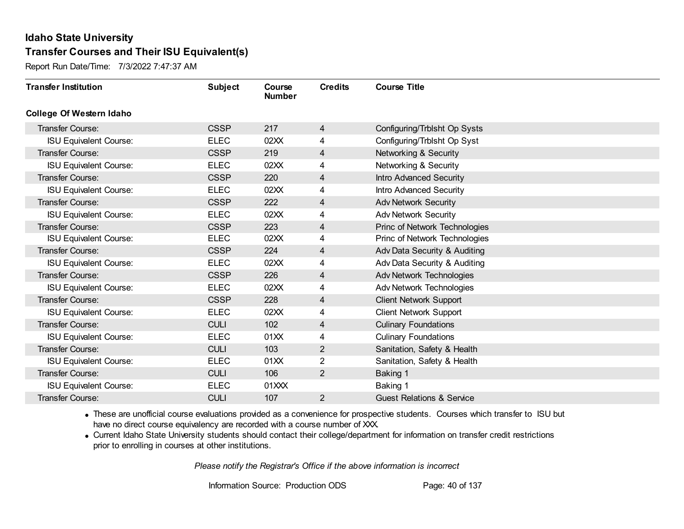Report Run Date/Time: 7/3/2022 7:47:37 AM

| <b>Transfer Institution</b>     | <b>Subject</b> | Course<br><b>Number</b> | <b>Credits</b>          | <b>Course Title</b>                  |
|---------------------------------|----------------|-------------------------|-------------------------|--------------------------------------|
| <b>College Of Western Idaho</b> |                |                         |                         |                                      |
| Transfer Course:                | <b>CSSP</b>    | 217                     | 4                       | Configuring/Trblsht Op Systs         |
| <b>ISU Equivalent Course:</b>   | <b>ELEC</b>    | 02XX                    | 4                       | Configuring/Trblsht Op Syst          |
| Transfer Course:                | <b>CSSP</b>    | 219                     | $\overline{\mathbf{4}}$ | Networking & Security                |
| <b>ISU Equivalent Course:</b>   | <b>ELEC</b>    | 02XX                    | 4                       | Networking & Security                |
| <b>Transfer Course:</b>         | <b>CSSP</b>    | 220                     | 4                       | Intro Advanced Security              |
| <b>ISU Equivalent Course:</b>   | <b>ELEC</b>    | 02XX                    | 4                       | <b>Intro Advanced Security</b>       |
| Transfer Course:                | <b>CSSP</b>    | 222                     | 4                       | <b>Adv Network Security</b>          |
| <b>ISU Equivalent Course:</b>   | <b>ELEC</b>    | 02XX                    | 4                       | <b>Adv Network Security</b>          |
| Transfer Course:                | <b>CSSP</b>    | 223                     | 4                       | Princ of Network Technologies        |
| <b>ISU Equivalent Course:</b>   | <b>ELEC</b>    | 02XX                    | 4                       | Princ of Network Technologies        |
| Transfer Course:                | <b>CSSP</b>    | 224                     | 4                       | Adv Data Security & Auditing         |
| <b>ISU Equivalent Course:</b>   | <b>ELEC</b>    | 02XX                    | 4                       | Adv Data Security & Auditing         |
| <b>Transfer Course:</b>         | <b>CSSP</b>    | 226                     | 4                       | <b>Adv Network Technologies</b>      |
| <b>ISU Equivalent Course:</b>   | <b>ELEC</b>    | 02XX                    | 4                       | Adv Network Technologies             |
| Transfer Course:                | <b>CSSP</b>    | 228                     | 4                       | <b>Client Network Support</b>        |
| <b>ISU Equivalent Course:</b>   | <b>ELEC</b>    | 02XX                    | 4                       | Client Network Support               |
| Transfer Course:                | <b>CULI</b>    | 102                     | 4                       | <b>Culinary Foundations</b>          |
| <b>ISU Equivalent Course:</b>   | <b>ELEC</b>    | 01XX                    | 4                       | <b>Culinary Foundations</b>          |
| Transfer Course:                | <b>CULI</b>    | 103                     | $\overline{2}$          | Sanitation, Safety & Health          |
| <b>ISU Equivalent Course:</b>   | <b>ELEC</b>    | 01XX                    | 2                       | Sanitation, Safety & Health          |
| Transfer Course:                | <b>CULI</b>    | 106                     | $\overline{2}$          | Baking 1                             |
| <b>ISU Equivalent Course:</b>   | <b>ELEC</b>    | 01XXX                   |                         | Baking 1                             |
| Transfer Course:                | <b>CULI</b>    | 107                     | $\overline{2}$          | <b>Guest Relations &amp; Service</b> |

· These are unofficial course evaluations provided as a convenience for prospective students. Courses which transfer to ISU but have no direct course equivalency are recorded with a course number of XXX.

· Current Idaho State University students should contact their college/department for information on transfer credit restrictions prior to enrolling in courses at other institutions.

*Please notify the Registrar's Office if the above information is incorrect*

Information Source: Production ODS Page: 40 of 137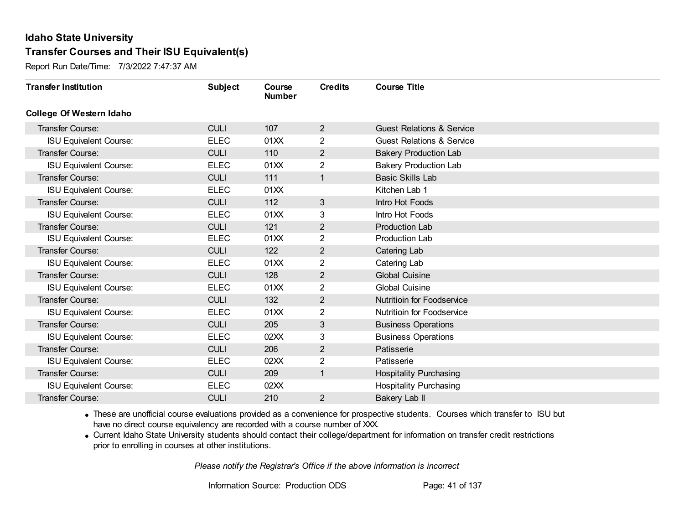Report Run Date/Time: 7/3/2022 7:47:37 AM

| <b>Transfer Institution</b>     | <b>Subject</b> | Course<br><b>Number</b> | <b>Credits</b> | <b>Course Title</b>                  |
|---------------------------------|----------------|-------------------------|----------------|--------------------------------------|
| <b>College Of Western Idaho</b> |                |                         |                |                                      |
| Transfer Course:                | <b>CULI</b>    | 107                     | $\overline{2}$ | <b>Guest Relations &amp; Service</b> |
| <b>ISU Equivalent Course:</b>   | <b>ELEC</b>    | 01XX                    | $\overline{2}$ | <b>Guest Relations &amp; Service</b> |
| Transfer Course:                | <b>CULI</b>    | 110                     | $\overline{2}$ | <b>Bakery Production Lab</b>         |
| <b>ISU Equivalent Course:</b>   | <b>ELEC</b>    | 01XX                    | $\overline{2}$ | <b>Bakery Production Lab</b>         |
| <b>Transfer Course:</b>         | <b>CULI</b>    | 111                     | 1              | <b>Basic Skills Lab</b>              |
| <b>ISU Equivalent Course:</b>   | <b>ELEC</b>    | 01XX                    |                | Kitchen Lab 1                        |
| Transfer Course:                | <b>CULI</b>    | 112                     | 3              | Intro Hot Foods                      |
| <b>ISU Equivalent Course:</b>   | <b>ELEC</b>    | 01XX                    | 3              | Intro Hot Foods                      |
| <b>Transfer Course:</b>         | <b>CULI</b>    | 121                     | $\overline{2}$ | <b>Production Lab</b>                |
| <b>ISU Equivalent Course:</b>   | <b>ELEC</b>    | 01XX                    | $\overline{2}$ | <b>Production Lab</b>                |
| Transfer Course:                | <b>CULI</b>    | 122                     | $\overline{2}$ | Catering Lab                         |
| <b>ISU Equivalent Course:</b>   | <b>ELEC</b>    | 01XX                    | 2              | Catering Lab                         |
| Transfer Course:                | <b>CULI</b>    | 128                     | $\overline{2}$ | <b>Global Cuisine</b>                |
| <b>ISU Equivalent Course:</b>   | <b>ELEC</b>    | 01XX                    | 2              | <b>Global Cuisine</b>                |
| Transfer Course:                | <b>CULI</b>    | 132                     | $\overline{2}$ | <b>Nutritioin for Foodservice</b>    |
| <b>ISU Equivalent Course:</b>   | <b>ELEC</b>    | 01XX                    | $\overline{2}$ | Nutritioin for Foodservice           |
| Transfer Course:                | <b>CULI</b>    | 205                     | 3              | <b>Business Operations</b>           |
| <b>ISU Equivalent Course:</b>   | <b>ELEC</b>    | 02XX                    | 3              | <b>Business Operations</b>           |
| Transfer Course:                | <b>CULI</b>    | 206                     | $\overline{2}$ | Patisserie                           |
| <b>ISU Equivalent Course:</b>   | <b>ELEC</b>    | 02XX                    | 2              | Patisserie                           |
| <b>Transfer Course:</b>         | <b>CULI</b>    | 209                     | $\mathbf 1$    | <b>Hospitality Purchasing</b>        |
| <b>ISU Equivalent Course:</b>   | <b>ELEC</b>    | 02XX                    |                | <b>Hospitality Purchasing</b>        |
| Transfer Course:                | <b>CULI</b>    | 210                     | $\overline{2}$ | Bakery Lab II                        |

· These are unofficial course evaluations provided as a convenience for prospective students. Courses which transfer to ISU but have no direct course equivalency are recorded with a course number of XXX.

· Current Idaho State University students should contact their college/department for information on transfer credit restrictions prior to enrolling in courses at other institutions.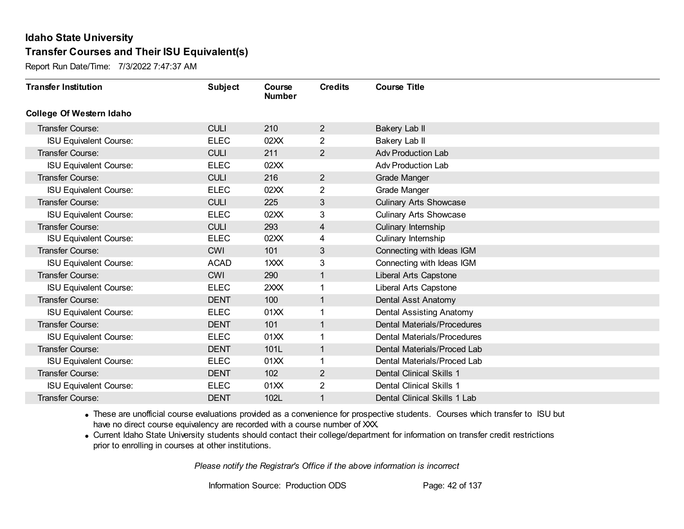Report Run Date/Time: 7/3/2022 7:47:37 AM

| <b>Transfer Institution</b>     | <b>Subject</b> | Course<br><b>Number</b> | <b>Credits</b> | <b>Course Title</b>             |
|---------------------------------|----------------|-------------------------|----------------|---------------------------------|
| <b>College Of Western Idaho</b> |                |                         |                |                                 |
| Transfer Course:                | <b>CULI</b>    | 210                     | $\overline{2}$ | Bakery Lab II                   |
| <b>ISU Equivalent Course:</b>   | <b>ELEC</b>    | 02XX                    | 2              | Bakery Lab II                   |
| Transfer Course:                | <b>CULI</b>    | 211                     | $\overline{2}$ | <b>Adv Production Lab</b>       |
| <b>ISU Equivalent Course:</b>   | <b>ELEC</b>    | 02XX                    |                | <b>Adv Production Lab</b>       |
| <b>Transfer Course:</b>         | <b>CULI</b>    | 216                     | $\overline{2}$ | <b>Grade Manger</b>             |
| <b>ISU Equivalent Course:</b>   | <b>ELEC</b>    | 02XX                    | 2              | Grade Manger                    |
| Transfer Course:                | <b>CULI</b>    | 225                     | 3              | <b>Culinary Arts Showcase</b>   |
| <b>ISU Equivalent Course:</b>   | <b>ELEC</b>    | 02XX                    | 3              | <b>Culinary Arts Showcase</b>   |
| <b>Transfer Course:</b>         | <b>CULI</b>    | 293                     | 4              | Culinary Internship             |
| <b>ISU Equivalent Course:</b>   | <b>ELEC</b>    | 02XX                    | 4              | Culinary Internship             |
| <b>Transfer Course:</b>         | <b>CWI</b>     | 101                     | 3              | Connecting with Ideas IGM       |
| <b>ISU Equivalent Course:</b>   | <b>ACAD</b>    | $1 \times X$            | 3              | Connecting with Ideas IGM       |
| Transfer Course:                | <b>CWI</b>     | 290                     | 1              | Liberal Arts Capstone           |
| <b>ISU Equivalent Course:</b>   | <b>ELEC</b>    | 2XXX                    | 1              | Liberal Arts Capstone           |
| Transfer Course:                | <b>DENT</b>    | 100                     | $\mathbf{1}$   | Dental Asst Anatomy             |
| <b>ISU Equivalent Course:</b>   | <b>ELEC</b>    | 01XX                    | 1              | Dental Assisting Anatomy        |
| Transfer Course:                | <b>DENT</b>    | 101                     | $\mathbf{1}$   | Dental Materials/Procedures     |
| <b>ISU Equivalent Course:</b>   | <b>ELEC</b>    | 01XX                    | 1              | Dental Materials/Procedures     |
| Transfer Course:                | <b>DENT</b>    | 101L                    | $\mathbf 1$    | Dental Materials/Proced Lab     |
| <b>ISU Equivalent Course:</b>   | <b>ELEC</b>    | 01XX                    | 1              | Dental Materials/Proced Lab     |
| Transfer Course:                | <b>DENT</b>    | 102                     | $\overline{2}$ | <b>Dental Clinical Skills 1</b> |
| <b>ISU Equivalent Course:</b>   | <b>ELEC</b>    | 01XX                    | 2              | <b>Dental Clinical Skills 1</b> |
| Transfer Course:                | <b>DENT</b>    | 102L                    | 1              | Dental Clinical Skills 1 Lab    |

· These are unofficial course evaluations provided as a convenience for prospective students. Courses which transfer to ISU but have no direct course equivalency are recorded with a course number of XXX.

· Current Idaho State University students should contact their college/department for information on transfer credit restrictions prior to enrolling in courses at other institutions.

*Please notify the Registrar's Office if the above information is incorrect*

Information Source: Production ODS Page: 42 of 137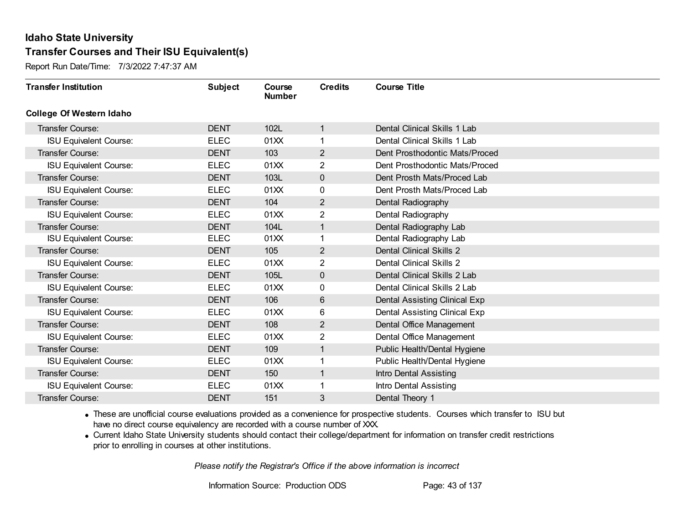Report Run Date/Time: 7/3/2022 7:47:37 AM

| <b>Transfer Institution</b>     | <b>Subject</b> | Course<br><b>Number</b> | <b>Credits</b> | <b>Course Title</b>             |
|---------------------------------|----------------|-------------------------|----------------|---------------------------------|
| <b>College Of Western Idaho</b> |                |                         |                |                                 |
| Transfer Course:                | <b>DENT</b>    | 102L                    | 1              | Dental Clinical Skills 1 Lab    |
| <b>ISU Equivalent Course:</b>   | <b>ELEC</b>    | 01XX                    |                | Dental Clinical Skills 1 Lab    |
| Transfer Course:                | <b>DENT</b>    | 103                     | $\overline{2}$ | Dent Prosthodontic Mats/Proced  |
| <b>ISU Equivalent Course:</b>   | <b>ELEC</b>    | 01XX                    | $\overline{2}$ | Dent Prosthodontic Mats/Proced  |
| <b>Transfer Course:</b>         | <b>DENT</b>    | 103L                    | $\mathbf 0$    | Dent Prosth Mats/Proced Lab     |
| <b>ISU Equivalent Course:</b>   | <b>ELEC</b>    | 01XX                    | 0              | Dent Prosth Mats/Proced Lab     |
| Transfer Course:                | <b>DENT</b>    | 104                     | $\overline{2}$ | Dental Radiography              |
| <b>ISU Equivalent Course:</b>   | <b>ELEC</b>    | 01XX                    | 2              | Dental Radiography              |
| <b>Transfer Course:</b>         | <b>DENT</b>    | 104L                    | 1              | Dental Radiography Lab          |
| <b>ISU Equivalent Course:</b>   | <b>ELEC</b>    | 01XX                    | 1              | Dental Radiography Lab          |
| <b>Transfer Course:</b>         | <b>DENT</b>    | 105                     | $\overline{2}$ | <b>Dental Clinical Skills 2</b> |
| <b>ISU Equivalent Course:</b>   | <b>ELEC</b>    | 01XX                    | 2              | <b>Dental Clinical Skills 2</b> |
| Transfer Course:                | <b>DENT</b>    | 105L                    | $\mathbf 0$    | Dental Clinical Skills 2 Lab    |
| <b>ISU Equivalent Course:</b>   | <b>ELEC</b>    | 01XX                    | 0              | Dental Clinical Skills 2 Lab    |
| Transfer Course:                | <b>DENT</b>    | 106                     | 6              | Dental Assisting Clinical Exp   |
| <b>ISU Equivalent Course:</b>   | <b>ELEC</b>    | 01XX                    | 6              | Dental Assisting Clinical Exp   |
| Transfer Course:                | <b>DENT</b>    | 108                     | $\overline{2}$ | Dental Office Management        |
| <b>ISU Equivalent Course:</b>   | <b>ELEC</b>    | 01XX                    | 2              | Dental Office Management        |
| Transfer Course:                | <b>DENT</b>    | 109                     | 1              | Public Health/Dental Hygiene    |
| <b>ISU Equivalent Course:</b>   | <b>ELEC</b>    | 01XX                    |                | Public Health/Dental Hygiene    |
| Transfer Course:                | <b>DENT</b>    | 150                     | 1              | Intro Dental Assisting          |
| <b>ISU Equivalent Course:</b>   | <b>ELEC</b>    | 01XX                    |                | Intro Dental Assisting          |
| <b>Transfer Course:</b>         | <b>DENT</b>    | 151                     | 3              | Dental Theory 1                 |

· These are unofficial course evaluations provided as a convenience for prospective students. Courses which transfer to ISU but have no direct course equivalency are recorded with a course number of XXX.

· Current Idaho State University students should contact their college/department for information on transfer credit restrictions prior to enrolling in courses at other institutions.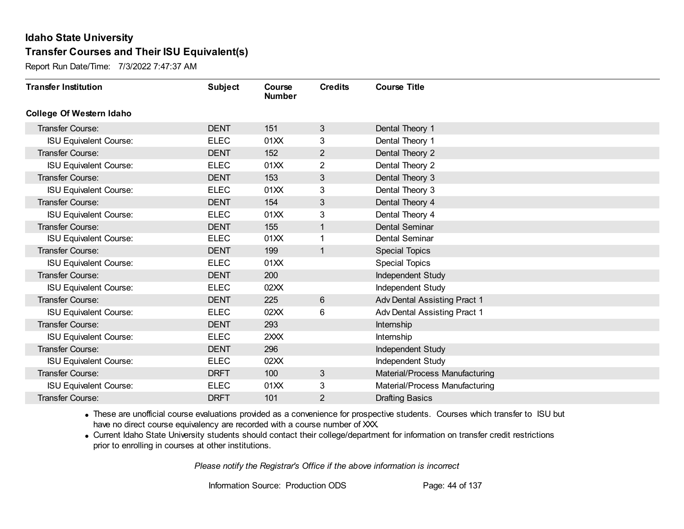Report Run Date/Time: 7/3/2022 7:47:37 AM

| <b>Transfer Institution</b>     | <b>Subject</b> | Course<br><b>Number</b> | <b>Credits</b> | <b>Course Title</b>            |
|---------------------------------|----------------|-------------------------|----------------|--------------------------------|
| <b>College Of Western Idaho</b> |                |                         |                |                                |
| Transfer Course:                | <b>DENT</b>    | 151                     | 3              | Dental Theory 1                |
| <b>ISU Equivalent Course:</b>   | <b>ELEC</b>    | 01XX                    | 3              | Dental Theory 1                |
| Transfer Course:                | <b>DENT</b>    | 152                     | $\overline{2}$ | Dental Theory 2                |
| <b>ISU Equivalent Course:</b>   | <b>ELEC</b>    | 01XX                    | 2              | Dental Theory 2                |
| Transfer Course:                | <b>DENT</b>    | 153                     | 3 <sup>1</sup> | Dental Theory 3                |
| <b>ISU Equivalent Course:</b>   | <b>ELEC</b>    | 01XX                    | 3              | Dental Theory 3                |
| Transfer Course:                | <b>DENT</b>    | 154                     | 3              | Dental Theory 4                |
| <b>ISU Equivalent Course:</b>   | <b>ELEC</b>    | 01XX                    | 3              | Dental Theory 4                |
| <b>Transfer Course:</b>         | <b>DENT</b>    | 155                     | $\mathbf{1}$   | <b>Dental Seminar</b>          |
| <b>ISU Equivalent Course:</b>   | <b>ELEC</b>    | 01XX                    | 1              | <b>Dental Seminar</b>          |
| <b>Transfer Course:</b>         | <b>DENT</b>    | 199                     | $\mathbf{1}$   | <b>Special Topics</b>          |
| <b>ISU Equivalent Course:</b>   | <b>ELEC</b>    | 01XX                    |                | <b>Special Topics</b>          |
| Transfer Course:                | <b>DENT</b>    | 200                     |                | Independent Study              |
| <b>ISU Equivalent Course:</b>   | <b>ELEC</b>    | 02XX                    |                | Independent Study              |
| Transfer Course:                | <b>DENT</b>    | 225                     | 6              | Adv Dental Assisting Pract 1   |
| <b>ISU Equivalent Course:</b>   | <b>ELEC</b>    | 02XX                    | 6              | Adv Dental Assisting Pract 1   |
| Transfer Course:                | <b>DENT</b>    | 293                     |                | Internship                     |
| <b>ISU Equivalent Course:</b>   | <b>ELEC</b>    | 2XXX                    |                | Internship                     |
| Transfer Course:                | <b>DENT</b>    | 296                     |                | Independent Study              |
| <b>ISU Equivalent Course:</b>   | <b>ELEC</b>    | 02XX                    |                | Independent Study              |
| <b>Transfer Course:</b>         | <b>DRFT</b>    | 100                     | 3              | Material/Process Manufacturing |
| <b>ISU Equivalent Course:</b>   | <b>ELEC</b>    | 01XX                    | 3              | Material/Process Manufacturing |
| <b>Transfer Course:</b>         | <b>DRFT</b>    | 101                     | 2              | <b>Drafting Basics</b>         |

· These are unofficial course evaluations provided as a convenience for prospective students. Courses which transfer to ISU but have no direct course equivalency are recorded with a course number of XXX.

· Current Idaho State University students should contact their college/department for information on transfer credit restrictions prior to enrolling in courses at other institutions.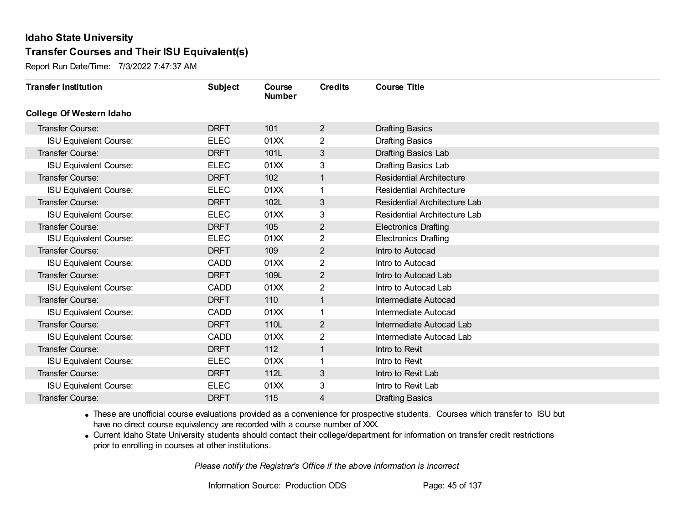Report Run Date/Time: 7/3/2022 7:47:37 AM

| <b>Transfer Institution</b>     | <b>Subject</b> | Course<br><b>Number</b> | <b>Credits</b> | <b>Course Title</b>             |
|---------------------------------|----------------|-------------------------|----------------|---------------------------------|
| <b>College Of Western Idaho</b> |                |                         |                |                                 |
| Transfer Course:                | <b>DRFT</b>    | 101                     | $\overline{2}$ | <b>Drafting Basics</b>          |
| <b>ISU Equivalent Course:</b>   | <b>ELEC</b>    | 01XX                    | 2              | <b>Drafting Basics</b>          |
| Transfer Course:                | <b>DRFT</b>    | 101L                    | 3              | Drafting Basics Lab             |
| <b>ISU Equivalent Course:</b>   | <b>ELEC</b>    | 01XX                    | 3              | Drafting Basics Lab             |
| <b>Transfer Course:</b>         | <b>DRFT</b>    | 102                     | $\mathbf{1}$   | <b>Residential Architecture</b> |
| <b>ISU Equivalent Course:</b>   | <b>ELEC</b>    | 01XX                    | 1              | <b>Residential Architecture</b> |
| <b>Transfer Course:</b>         | <b>DRFT</b>    | 102L                    | 3              | Residential Architecture Lab    |
| <b>ISU Equivalent Course:</b>   | <b>ELEC</b>    | 01XX                    | 3              | Residential Architecture Lab    |
| <b>Transfer Course:</b>         | <b>DRFT</b>    | 105                     | $\overline{2}$ | <b>Electronics Drafting</b>     |
| <b>ISU Equivalent Course:</b>   | <b>ELEC</b>    | 01XX                    | $\overline{2}$ | <b>Electronics Drafting</b>     |
| <b>Transfer Course:</b>         | <b>DRFT</b>    | 109                     | $\overline{2}$ | Intro to Autocad                |
| <b>ISU Equivalent Course:</b>   | <b>CADD</b>    | 01XX                    | 2              | Intro to Autocad                |
| Transfer Course:                | <b>DRFT</b>    | 109L                    | $\overline{2}$ | Intro to Autocad Lab            |
| <b>ISU Equivalent Course:</b>   | <b>CADD</b>    | 01XX                    | $\overline{2}$ | Intro to Autocad Lab            |
| Transfer Course:                | <b>DRFT</b>    | 110                     | 1              | Intermediate Autocad            |
| <b>ISU Equivalent Course:</b>   | <b>CADD</b>    | 01XX                    | 1              | Intermediate Autocad            |
| Transfer Course:                | <b>DRFT</b>    | 110L                    | 2              | Intermediate Autocad Lab        |
| <b>ISU Equivalent Course:</b>   | <b>CADD</b>    | 01XX                    | 2              | Intermediate Autocad Lab        |
| Transfer Course:                | <b>DRFT</b>    | 112                     | $\mathbf{1}$   | Intro to Revit                  |
| <b>ISU Equivalent Course:</b>   | <b>ELEC</b>    | 01XX                    |                | Intro to Revit                  |
| <b>Transfer Course:</b>         | <b>DRFT</b>    | 112L                    | 3              | Intro to Revit Lab              |
| <b>ISU Equivalent Course:</b>   | <b>ELEC</b>    | 01XX                    | 3              | Intro to Revit Lab              |
| Transfer Course:                | <b>DRFT</b>    | 115                     | 4              | <b>Drafting Basics</b>          |

· These are unofficial course evaluations provided as a convenience for prospective students. Courses which transfer to ISU but have no direct course equivalency are recorded with a course number of XXX.

· Current Idaho State University students should contact their college/department for information on transfer credit restrictions prior to enrolling in courses at other institutions.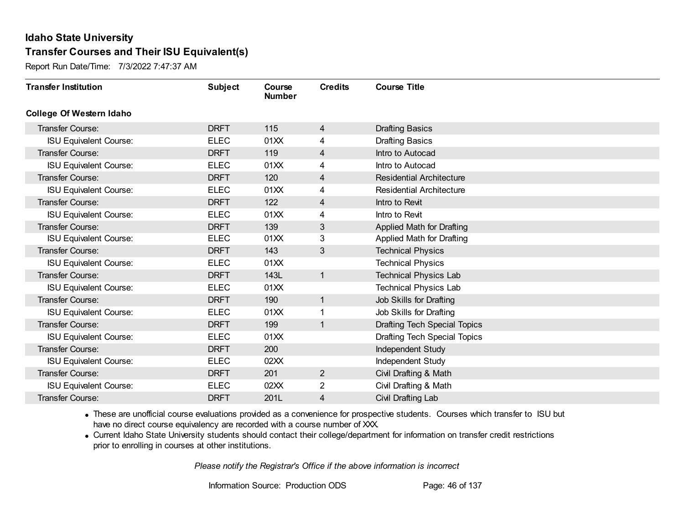Report Run Date/Time: 7/3/2022 7:47:37 AM

| <b>Transfer Institution</b>     | <b>Subject</b> | Course<br><b>Number</b> | <b>Credits</b> | <b>Course Title</b>                 |
|---------------------------------|----------------|-------------------------|----------------|-------------------------------------|
| <b>College Of Western Idaho</b> |                |                         |                |                                     |
| Transfer Course:                | <b>DRFT</b>    | 115                     | $\overline{4}$ | <b>Drafting Basics</b>              |
| <b>ISU Equivalent Course:</b>   | <b>ELEC</b>    | 01XX                    | 4              | <b>Drafting Basics</b>              |
| Transfer Course:                | <b>DRFT</b>    | 119                     | 4              | Intro to Autocad                    |
| <b>ISU Equivalent Course:</b>   | <b>ELEC</b>    | 01XX                    | 4              | Intro to Autocad                    |
| <b>Transfer Course:</b>         | <b>DRFT</b>    | 120                     | 4              | <b>Residential Architecture</b>     |
| <b>ISU Equivalent Course:</b>   | <b>ELEC</b>    | 01XX                    | 4              | <b>Residential Architecture</b>     |
| Transfer Course:                | <b>DRFT</b>    | 122                     | 4              | Intro to Revit                      |
| <b>ISU Equivalent Course:</b>   | <b>ELEC</b>    | 01XX                    | 4              | Intro to Revit                      |
| <b>Transfer Course:</b>         | <b>DRFT</b>    | 139                     | $\mathbf{3}$   | Applied Math for Drafting           |
| <b>ISU Equivalent Course:</b>   | <b>ELEC</b>    | 01XX                    | 3              | Applied Math for Drafting           |
| <b>Transfer Course:</b>         | <b>DRFT</b>    | 143                     | 3              | <b>Technical Physics</b>            |
| <b>ISU Equivalent Course:</b>   | <b>ELEC</b>    | 01XX                    |                | <b>Technical Physics</b>            |
| Transfer Course:                | <b>DRFT</b>    | 143L                    | $\mathbf{1}$   | <b>Technical Physics Lab</b>        |
| <b>ISU Equivalent Course:</b>   | <b>ELEC</b>    | 01XX                    |                | <b>Technical Physics Lab</b>        |
| Transfer Course:                | <b>DRFT</b>    | 190                     | $\mathbf{1}$   | Job Skills for Drafting             |
| <b>ISU Equivalent Course:</b>   | <b>ELEC</b>    | 01XX                    | 1              | Job Skills for Drafting             |
| Transfer Course:                | <b>DRFT</b>    | 199                     | 1              | <b>Drafting Tech Special Topics</b> |
| <b>ISU Equivalent Course:</b>   | <b>ELEC</b>    | 01XX                    |                | <b>Drafting Tech Special Topics</b> |
| Transfer Course:                | <b>DRFT</b>    | 200                     |                | Independent Study                   |
| <b>ISU Equivalent Course:</b>   | <b>ELEC</b>    | 02XX                    |                | Independent Study                   |
| Transfer Course:                | <b>DRFT</b>    | 201                     | $\overline{2}$ | Civil Drafting & Math               |
| <b>ISU Equivalent Course:</b>   | <b>ELEC</b>    | 02XX                    | $\overline{2}$ | Civil Drafting & Math               |
| Transfer Course:                | <b>DRFT</b>    | 201L                    | 4              | Civil Drafting Lab                  |

· These are unofficial course evaluations provided as a convenience for prospective students. Courses which transfer to ISU but have no direct course equivalency are recorded with a course number of XXX.

· Current Idaho State University students should contact their college/department for information on transfer credit restrictions prior to enrolling in courses at other institutions.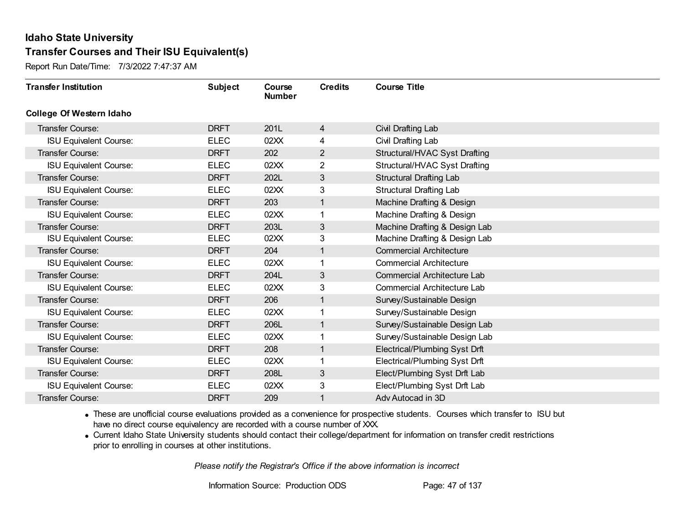Report Run Date/Time: 7/3/2022 7:47:37 AM

| <b>Transfer Institution</b>     | <b>Subject</b> | Course<br><b>Number</b> | <b>Credits</b> | <b>Course Title</b>                |
|---------------------------------|----------------|-------------------------|----------------|------------------------------------|
| <b>College Of Western Idaho</b> |                |                         |                |                                    |
| Transfer Course:                | <b>DRFT</b>    | 201L                    | 4              | Civil Drafting Lab                 |
| <b>ISU Equivalent Course:</b>   | <b>ELEC</b>    | 02XX                    | 4              | Civil Drafting Lab                 |
| Transfer Course:                | <b>DRFT</b>    | 202                     | $\overline{2}$ | Structural/HVAC Syst Drafting      |
| <b>ISU Equivalent Course:</b>   | <b>ELEC</b>    | 02XX                    | $\overline{2}$ | Structural/HVAC Syst Drafting      |
| Transfer Course:                | <b>DRFT</b>    | 202L                    | 3              | <b>Structural Drafting Lab</b>     |
| <b>ISU Equivalent Course:</b>   | <b>ELEC</b>    | 02XX                    | 3              | <b>Structural Drafting Lab</b>     |
| Transfer Course:                | <b>DRFT</b>    | 203                     | 1              | Machine Drafting & Design          |
| <b>ISU Equivalent Course:</b>   | <b>ELEC</b>    | 02XX                    | 1              | Machine Drafting & Design          |
| Transfer Course:                | <b>DRFT</b>    | 203L                    | 3              | Machine Drafting & Design Lab      |
| <b>ISU Equivalent Course:</b>   | <b>ELEC</b>    | 02XX                    | 3              | Machine Drafting & Design Lab      |
| Transfer Course:                | <b>DRFT</b>    | 204                     | 1              | <b>Commercial Architecture</b>     |
| <b>ISU Equivalent Course:</b>   | <b>ELEC</b>    | 02XX                    | 1              | <b>Commercial Architecture</b>     |
| Transfer Course:                | <b>DRFT</b>    | 204L                    | 3              | <b>Commercial Architecture Lab</b> |
| <b>ISU Equivalent Course:</b>   | <b>ELEC</b>    | 02XX                    | 3              | Commercial Architecture Lab        |
| Transfer Course:                | <b>DRFT</b>    | 206                     | 1              | Survey/Sustainable Design          |
| <b>ISU Equivalent Course:</b>   | <b>ELEC</b>    | 02XX                    | 1              | Survey/Sustainable Design          |
| Transfer Course:                | <b>DRFT</b>    | 206L                    | $\mathbf{1}$   | Survey/Sustainable Design Lab      |
| <b>ISU Equivalent Course:</b>   | <b>ELEC</b>    | 02XX                    | 1              | Survey/Sustainable Design Lab      |
| Transfer Course:                | <b>DRFT</b>    | 208                     | 1              | Electrical/Plumbing Syst Drft      |
| <b>ISU Equivalent Course:</b>   | <b>ELEC</b>    | 02XX                    | 1              | Electrical/Plumbing Syst Drft      |
| Transfer Course:                | <b>DRFT</b>    | 208L                    | 3              | Elect/Plumbing Syst Drft Lab       |
| <b>ISU Equivalent Course:</b>   | <b>ELEC</b>    | 02XX                    | 3              | Elect/Plumbing Syst Drft Lab       |
| <b>Transfer Course:</b>         | <b>DRFT</b>    | 209                     | 1              | Adv Autocad in 3D                  |

· These are unofficial course evaluations provided as a convenience for prospective students. Courses which transfer to ISU but have no direct course equivalency are recorded with a course number of XXX.

· Current Idaho State University students should contact their college/department for information on transfer credit restrictions prior to enrolling in courses at other institutions.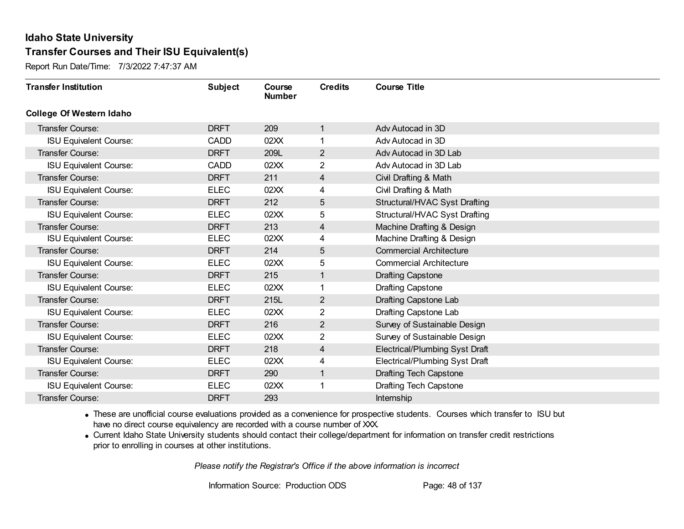Report Run Date/Time: 7/3/2022 7:47:37 AM

| <b>Transfer Institution</b>     | <b>Subject</b> | Course<br><b>Number</b> | <b>Credits</b> | <b>Course Title</b>                   |
|---------------------------------|----------------|-------------------------|----------------|---------------------------------------|
| <b>College Of Western Idaho</b> |                |                         |                |                                       |
| Transfer Course:                | <b>DRFT</b>    | 209                     | 1              | Adv Autocad in 3D                     |
| <b>ISU Equivalent Course:</b>   | <b>CADD</b>    | 02XX                    | 1              | Adv Autocad in 3D                     |
| Transfer Course:                | <b>DRFT</b>    | 209L                    | $\overline{2}$ | Adv Autocad in 3D Lab                 |
| <b>ISU Equivalent Course:</b>   | <b>CADD</b>    | 02XX                    | $\overline{2}$ | Adv Autocad in 3D Lab                 |
| Transfer Course:                | <b>DRFT</b>    | 211                     | 4              | Civil Drafting & Math                 |
| <b>ISU Equivalent Course:</b>   | <b>ELEC</b>    | 02XX                    | 4              | Civil Drafting & Math                 |
| Transfer Course:                | <b>DRFT</b>    | 212                     | 5              | Structural/HVAC Syst Drafting         |
| <b>ISU Equivalent Course:</b>   | <b>ELEC</b>    | 02XX                    | 5              | Structural/HVAC Syst Drafting         |
| Transfer Course:                | <b>DRFT</b>    | 213                     | 4              | Machine Drafting & Design             |
| <b>ISU Equivalent Course:</b>   | <b>ELEC</b>    | 02XX                    | 4              | Machine Drafting & Design             |
| Transfer Course:                | <b>DRFT</b>    | 214                     | 5              | <b>Commercial Architecture</b>        |
| <b>ISU Equivalent Course:</b>   | <b>ELEC</b>    | 02XX                    | 5              | <b>Commercial Architecture</b>        |
| Transfer Course:                | <b>DRFT</b>    | 215                     | 1              | <b>Drafting Capstone</b>              |
| <b>ISU Equivalent Course:</b>   | <b>ELEC</b>    | 02XX                    | 1              | Drafting Capstone                     |
| Transfer Course:                | <b>DRFT</b>    | 215L                    | 2              | Drafting Capstone Lab                 |
| <b>ISU Equivalent Course:</b>   | <b>ELEC</b>    | 02XX                    | $\overline{2}$ | Drafting Capstone Lab                 |
| Transfer Course:                | <b>DRFT</b>    | 216                     | $\overline{2}$ | Survey of Sustainable Design          |
| <b>ISU Equivalent Course:</b>   | <b>ELEC</b>    | 02XX                    | 2              | Survey of Sustainable Design          |
| Transfer Course:                | <b>DRFT</b>    | 218                     | 4              | <b>Electrical/Plumbing Syst Draft</b> |
| <b>ISU Equivalent Course:</b>   | <b>ELEC</b>    | 02XX                    | 4              | Electrical/Plumbing Syst Draft        |
| Transfer Course:                | <b>DRFT</b>    | 290                     | 1              | <b>Drafting Tech Capstone</b>         |
| <b>ISU Equivalent Course:</b>   | <b>ELEC</b>    | 02XX                    | 1              | Drafting Tech Capstone                |
| <b>Transfer Course:</b>         | <b>DRFT</b>    | 293                     |                | Internship                            |

· These are unofficial course evaluations provided as a convenience for prospective students. Courses which transfer to ISU but have no direct course equivalency are recorded with a course number of XXX.

· Current Idaho State University students should contact their college/department for information on transfer credit restrictions prior to enrolling in courses at other institutions.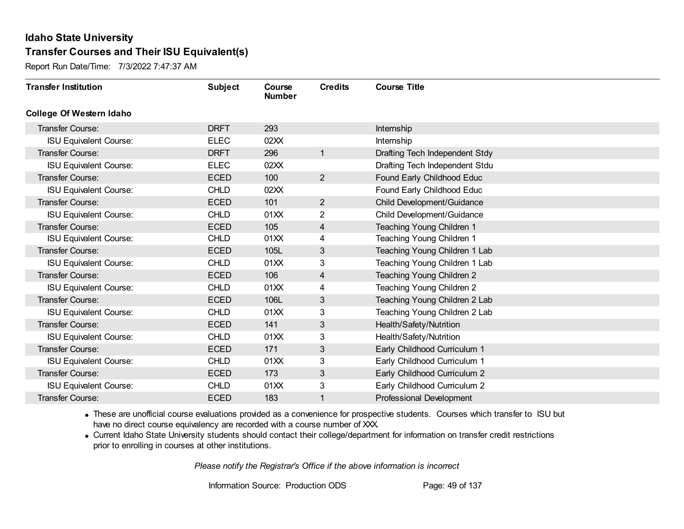Report Run Date/Time: 7/3/2022 7:47:37 AM

| <b>Transfer Institution</b>     | <b>Subject</b> | Course<br><b>Number</b> | <b>Credits</b> | <b>Course Title</b>            |
|---------------------------------|----------------|-------------------------|----------------|--------------------------------|
| <b>College Of Western Idaho</b> |                |                         |                |                                |
| Transfer Course:                | <b>DRFT</b>    | 293                     |                | Internship                     |
| <b>ISU Equivalent Course:</b>   | <b>ELEC</b>    | 02XX                    |                | Internship                     |
| Transfer Course:                | <b>DRFT</b>    | 296                     | 1              | Drafting Tech Independent Stdy |
| <b>ISU Equivalent Course:</b>   | <b>ELEC</b>    | 02XX                    |                | Drafting Tech Independent Stdu |
| <b>Transfer Course:</b>         | <b>ECED</b>    | 100                     | $\overline{2}$ | Found Early Childhood Educ     |
| <b>ISU Equivalent Course:</b>   | <b>CHLD</b>    | 02XX                    |                | Found Early Childhood Educ     |
| Transfer Course:                | <b>ECED</b>    | 101                     | $\overline{2}$ | Child Development/Guidance     |
| <b>ISU Equivalent Course:</b>   | <b>CHLD</b>    | 01XX                    | $\overline{2}$ | Child Development/Guidance     |
| Transfer Course:                | <b>ECED</b>    | 105                     | 4              | Teaching Young Children 1      |
| <b>ISU Equivalent Course:</b>   | <b>CHLD</b>    | 01XX                    | 4              | Teaching Young Children 1      |
| Transfer Course:                | <b>ECED</b>    | 105L                    | 3              | Teaching Young Children 1 Lab  |
| <b>ISU Equivalent Course:</b>   | <b>CHLD</b>    | 01XX                    | 3              | Teaching Young Children 1 Lab  |
| Transfer Course:                | <b>ECED</b>    | 106                     | 4              | Teaching Young Children 2      |
| <b>ISU Equivalent Course:</b>   | <b>CHLD</b>    | 01XX                    | 4              | Teaching Young Children 2      |
| Transfer Course:                | <b>ECED</b>    | 106L                    | 3              | Teaching Young Children 2 Lab  |
| <b>ISU Equivalent Course:</b>   | <b>CHLD</b>    | 01XX                    | 3              | Teaching Young Children 2 Lab  |
| Transfer Course:                | <b>ECED</b>    | 141                     | 3              | Health/Safety/Nutrition        |
| <b>ISU Equivalent Course:</b>   | <b>CHLD</b>    | 01XX                    | 3              | Health/Safety/Nutrition        |
| Transfer Course:                | <b>ECED</b>    | 171                     | 3              | Early Childhood Curriculum 1   |
| <b>ISU Equivalent Course:</b>   | <b>CHLD</b>    | 01XX                    | 3              | Early Childhood Curriculum 1   |
| Transfer Course:                | <b>ECED</b>    | 173                     | 3              | Early Childhood Curriculum 2   |
| <b>ISU Equivalent Course:</b>   | <b>CHLD</b>    | 01XX                    | 3              | Early Childhood Curriculum 2   |
| <b>Transfer Course:</b>         | <b>ECED</b>    | 183                     | 1              | Professional Development       |

· These are unofficial course evaluations provided as a convenience for prospective students. Courses which transfer to ISU but have no direct course equivalency are recorded with a course number of XXX.

· Current Idaho State University students should contact their college/department for information on transfer credit restrictions prior to enrolling in courses at other institutions.

*Please notify the Registrar's Office if the above information is incorrect*

Information Source: Production ODS Page: 49 of 137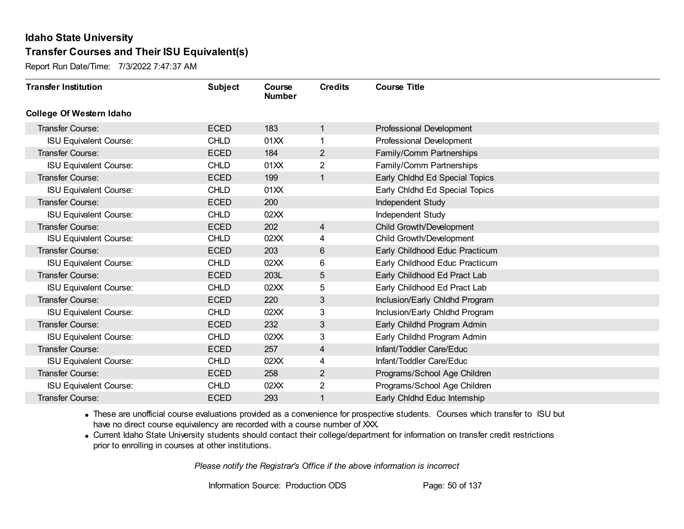Report Run Date/Time: 7/3/2022 7:47:37 AM

| <b>Transfer Institution</b>     | <b>Subject</b> | Course<br><b>Number</b> | <b>Credits</b> | <b>Course Title</b>            |
|---------------------------------|----------------|-------------------------|----------------|--------------------------------|
| <b>College Of Western Idaho</b> |                |                         |                |                                |
| Transfer Course:                | <b>ECED</b>    | 183                     | 1              | Professional Development       |
| <b>ISU Equivalent Course:</b>   | <b>CHLD</b>    | 01XX                    |                | Professional Development       |
| Transfer Course:                | <b>ECED</b>    | 184                     | $\overline{2}$ | Family/Comm Partnerships       |
| <b>ISU Equivalent Course:</b>   | <b>CHLD</b>    | 01XX                    | $\overline{2}$ | Family/Comm Partnerships       |
| Transfer Course:                | <b>ECED</b>    | 199                     | $\mathbf{1}$   | Early Chidhd Ed Special Topics |
| <b>ISU Equivalent Course:</b>   | <b>CHLD</b>    | 01XX                    |                | Early Chidhd Ed Special Topics |
| Transfer Course:                | <b>ECED</b>    | 200                     |                | Independent Study              |
| <b>ISU Equivalent Course:</b>   | <b>CHLD</b>    | 02XX                    |                | Independent Study              |
| Transfer Course:                | <b>ECED</b>    | 202                     | $\overline{4}$ | Child Growth/Development       |
| <b>ISU Equivalent Course:</b>   | <b>CHLD</b>    | 02XX                    | 4              | Child Growth/Development       |
| Transfer Course:                | <b>ECED</b>    | 203                     | 6              | Early Childhood Educ Practicum |
| <b>ISU Equivalent Course:</b>   | <b>CHLD</b>    | 02XX                    | 6              | Early Childhood Educ Practicum |
| Transfer Course:                | <b>ECED</b>    | 203L                    | 5              | Early Childhood Ed Pract Lab   |
| <b>ISU Equivalent Course:</b>   | <b>CHLD</b>    | 02XX                    | 5              | Early Childhood Ed Pract Lab   |
| Transfer Course:                | <b>ECED</b>    | 220                     | 3              | Inclusion/Early Chidhd Program |
| <b>ISU Equivalent Course:</b>   | <b>CHLD</b>    | 02XX                    | 3              | Inclusion/Early Chldhd Program |
| Transfer Course:                | <b>ECED</b>    | 232                     | $\mathfrak{S}$ | Early Childhd Program Admin    |
| <b>ISU Equivalent Course:</b>   | <b>CHLD</b>    | 02XX                    | 3              | Early Childhd Program Admin    |
| Transfer Course:                | <b>ECED</b>    | 257                     | 4              | Infant/Toddler Care/Educ       |
| <b>ISU Equivalent Course:</b>   | <b>CHLD</b>    | 02XX                    | 4              | Infant/Toddler Care/Educ       |
| Transfer Course:                | <b>ECED</b>    | 258                     | $\overline{2}$ | Programs/School Age Children   |
| <b>ISU Equivalent Course:</b>   | <b>CHLD</b>    | 02XX                    | $\overline{2}$ | Programs/School Age Children   |
| Transfer Course:                | <b>ECED</b>    | 293                     | 1              | Early Chidhd Educ Internship   |

· These are unofficial course evaluations provided as a convenience for prospective students. Courses which transfer to ISU but have no direct course equivalency are recorded with a course number of XXX.

· Current Idaho State University students should contact their college/department for information on transfer credit restrictions prior to enrolling in courses at other institutions.

*Please notify the Registrar's Office if the above information is incorrect*

Information Source: Production ODS Page: 50 of 137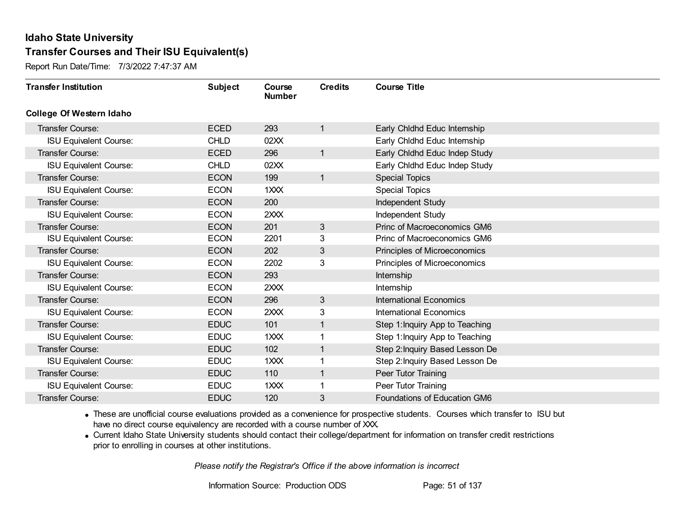Report Run Date/Time: 7/3/2022 7:47:37 AM

| <b>Transfer Institution</b>     | <b>Subject</b> | Course<br><b>Number</b> | <b>Credits</b> | <b>Course Title</b>                 |
|---------------------------------|----------------|-------------------------|----------------|-------------------------------------|
| <b>College Of Western Idaho</b> |                |                         |                |                                     |
| Transfer Course:                | <b>ECED</b>    | 293                     | 1              | Early Chidhd Educ Internship        |
| <b>ISU Equivalent Course:</b>   | <b>CHLD</b>    | 02XX                    |                | Early Chidhd Educ Internship        |
| Transfer Course:                | <b>ECED</b>    | 296                     | $\mathbf{1}$   | Early Chidhd Educ Indep Study       |
| <b>ISU Equivalent Course:</b>   | <b>CHLD</b>    | 02XX                    |                | Early Chidhd Educ Indep Study       |
| <b>Transfer Course:</b>         | <b>ECON</b>    | 199                     | $\mathbf{1}$   | <b>Special Topics</b>               |
| <b>ISU Equivalent Course:</b>   | <b>ECON</b>    | 1XXX                    |                | <b>Special Topics</b>               |
| <b>Transfer Course:</b>         | <b>ECON</b>    | 200                     |                | Independent Study                   |
| <b>ISU Equivalent Course:</b>   | <b>ECON</b>    | 2XXX                    |                | Independent Study                   |
| <b>Transfer Course:</b>         | <b>ECON</b>    | 201                     | 3              | Princ of Macroeconomics GM6         |
| <b>ISU Equivalent Course:</b>   | <b>ECON</b>    | 2201                    | 3              | Princ of Macroeconomics GM6         |
| <b>Transfer Course:</b>         | <b>ECON</b>    | 202                     | 3              | Principles of Microeconomics        |
| <b>ISU Equivalent Course:</b>   | <b>ECON</b>    | 2202                    | 3              | Principles of Microeconomics        |
| Transfer Course:                | <b>ECON</b>    | 293                     |                | Internship                          |
| <b>ISU Equivalent Course:</b>   | <b>ECON</b>    | 2XXX                    |                | Internship                          |
| Transfer Course:                | <b>ECON</b>    | 296                     | 3              | <b>International Economics</b>      |
| <b>ISU Equivalent Course:</b>   | <b>ECON</b>    | 2XXX                    | 3              | <b>International Economics</b>      |
| Transfer Course:                | <b>EDUC</b>    | 101                     | $\mathbf{1}$   | Step 1: Inquiry App to Teaching     |
| <b>ISU Equivalent Course:</b>   | <b>EDUC</b>    | 1XXX                    | 1              | Step 1: Inquiry App to Teaching     |
| <b>Transfer Course:</b>         | <b>EDUC</b>    | 102                     | $\mathbf{1}$   | Step 2: Inquiry Based Lesson De     |
| <b>ISU Equivalent Course:</b>   | <b>EDUC</b>    | 1XXX                    |                | Step 2: Inquiry Based Lesson De     |
| <b>Transfer Course:</b>         | <b>EDUC</b>    | 110                     | $\mathbf{1}$   | Peer Tutor Training                 |
| <b>ISU Equivalent Course:</b>   | <b>EDUC</b>    | 1 <sub>XX</sub>         | 1              | Peer Tutor Training                 |
| Transfer Course:                | <b>EDUC</b>    | 120                     | 3              | <b>Foundations of Education GM6</b> |

· These are unofficial course evaluations provided as a convenience for prospective students. Courses which transfer to ISU but have no direct course equivalency are recorded with a course number of XXX.

· Current Idaho State University students should contact their college/department for information on transfer credit restrictions prior to enrolling in courses at other institutions.

*Please notify the Registrar's Office if the above information is incorrect*

Information Source: Production ODS Page: 51 of 137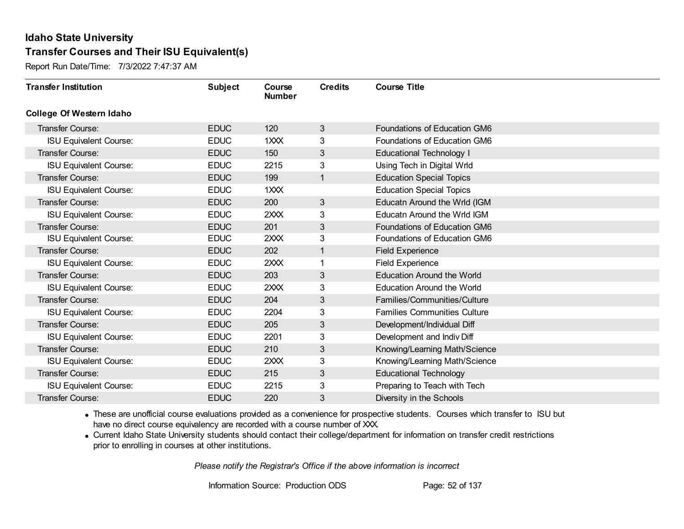Report Run Date/Time: 7/3/2022 7:47:37 AM

| <b>Transfer Institution</b>     | <b>Subject</b> | Course<br><b>Number</b> | <b>Credits</b> | <b>Course Title</b>                 |
|---------------------------------|----------------|-------------------------|----------------|-------------------------------------|
| <b>College Of Western Idaho</b> |                |                         |                |                                     |
| Transfer Course:                | <b>EDUC</b>    | 120                     | 3              | <b>Foundations of Education GM6</b> |
| <b>ISU Equivalent Course:</b>   | <b>EDUC</b>    | 1XXX                    | 3              | Foundations of Education GM6        |
| Transfer Course:                | <b>EDUC</b>    | 150                     | $\mathfrak{S}$ | <b>Educational Technology I</b>     |
| <b>ISU Equivalent Course:</b>   | <b>EDUC</b>    | 2215                    | 3              | Using Tech in Digital Wrld          |
| <b>Transfer Course:</b>         | <b>EDUC</b>    | 199                     | $\mathbf{1}$   | <b>Education Special Topics</b>     |
| <b>ISU Equivalent Course:</b>   | <b>EDUC</b>    | 1XXX                    |                | <b>Education Special Topics</b>     |
| <b>Transfer Course:</b>         | <b>EDUC</b>    | 200                     | 3              | Educatn Around the Wrld (IGM        |
| <b>ISU Equivalent Course:</b>   | <b>EDUC</b>    | 2XXX                    | 3              | Educatn Around the Wrld IGM         |
| Transfer Course:                | <b>EDUC</b>    | 201                     | $\mathfrak{B}$ | <b>Foundations of Education GM6</b> |
| <b>ISU Equivalent Course:</b>   | <b>EDUC</b>    | 2XXX                    | 3              | Foundations of Education GM6        |
| Transfer Course:                | <b>EDUC</b>    | 202                     | 1              | <b>Field Experience</b>             |
| <b>ISU Equivalent Course:</b>   | <b>EDUC</b>    | 2XXX                    |                | <b>Field Experience</b>             |
| <b>Transfer Course:</b>         | <b>EDUC</b>    | 203                     | 3              | <b>Education Around the World</b>   |
| <b>ISU Equivalent Course:</b>   | <b>EDUC</b>    | 2XXX                    | 3              | Education Around the World          |
| Transfer Course:                | <b>EDUC</b>    | 204                     | $\mathfrak{B}$ | Families/Communities/Culture        |
| <b>ISU Equivalent Course:</b>   | <b>EDUC</b>    | 2204                    | 3              | <b>Families Communities Culture</b> |
| Transfer Course:                | <b>EDUC</b>    | 205                     | $\mathfrak{S}$ | Development/Individual Diff         |
| <b>ISU Equivalent Course:</b>   | <b>EDUC</b>    | 2201                    | 3              | Development and Indiv Diff          |
| Transfer Course:                | <b>EDUC</b>    | 210                     | 3              | Knowing/Learning Math/Science       |
| <b>ISU Equivalent Course:</b>   | <b>EDUC</b>    | 2XXX                    | 3              | Knowing/Learning Math/Science       |
| Transfer Course:                | <b>EDUC</b>    | 215                     | $\mathfrak{B}$ | <b>Educational Technology</b>       |
| <b>ISU Equivalent Course:</b>   | <b>EDUC</b>    | 2215                    | 3              | Preparing to Teach with Tech        |
| Transfer Course:                | <b>EDUC</b>    | 220                     | 3              | Diversity in the Schools            |

· These are unofficial course evaluations provided as a convenience for prospective students. Courses which transfer to ISU but have no direct course equivalency are recorded with a course number of XXX.

· Current Idaho State University students should contact their college/department for information on transfer credit restrictions prior to enrolling in courses at other institutions.

*Please notify the Registrar's Office if the above information is incorrect*

Information Source: Production ODS Page: 52 of 137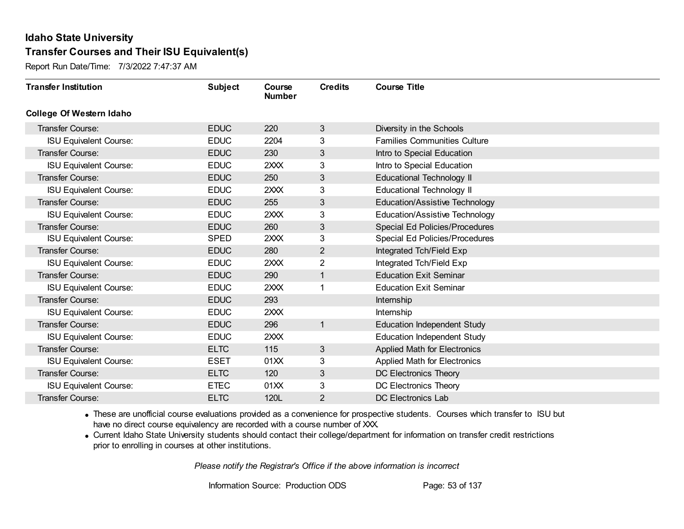Report Run Date/Time: 7/3/2022 7:47:37 AM

| <b>Transfer Institution</b>     | <b>Subject</b> | Course<br><b>Number</b> | <b>Credits</b> | <b>Course Title</b>                   |
|---------------------------------|----------------|-------------------------|----------------|---------------------------------------|
| <b>College Of Western Idaho</b> |                |                         |                |                                       |
| Transfer Course:                | <b>EDUC</b>    | 220                     | $\mathfrak{S}$ | Diversity in the Schools              |
| <b>ISU Equivalent Course:</b>   | <b>EDUC</b>    | 2204                    | 3              | <b>Families Communities Culture</b>   |
| Transfer Course:                | <b>EDUC</b>    | 230                     | $\mathfrak{B}$ | Intro to Special Education            |
| <b>ISU Equivalent Course:</b>   | <b>EDUC</b>    | 2XXX                    | 3              | Intro to Special Education            |
| <b>Transfer Course:</b>         | <b>EDUC</b>    | 250                     | 3              | <b>Educational Technology II</b>      |
| <b>ISU Equivalent Course:</b>   | <b>EDUC</b>    | 2XXX                    | 3              | <b>Educational Technology II</b>      |
| <b>Transfer Course:</b>         | <b>EDUC</b>    | 255                     | $\mathfrak{B}$ | <b>Education/Assistive Technology</b> |
| <b>ISU Equivalent Course:</b>   | <b>EDUC</b>    | 2XXX                    | 3              | <b>Education/Assistive Technology</b> |
| Transfer Course:                | <b>EDUC</b>    | 260                     | $\sqrt{3}$     | Special Ed Policies/Procedures        |
| <b>ISU Equivalent Course:</b>   | <b>SPED</b>    | 2XXX                    | 3              | <b>Special Ed Policies/Procedures</b> |
| <b>Transfer Course:</b>         | <b>EDUC</b>    | 280                     | $\overline{2}$ | Integrated Tch/Field Exp              |
| <b>ISU Equivalent Course:</b>   | <b>EDUC</b>    | 2XXX                    | 2              | Integrated Tch/Field Exp              |
| Transfer Course:                | <b>EDUC</b>    | 290                     | 1              | <b>Education Exit Seminar</b>         |
| <b>ISU Equivalent Course:</b>   | <b>EDUC</b>    | 2XXX                    |                | <b>Education Exit Seminar</b>         |
| Transfer Course:                | <b>EDUC</b>    | 293                     |                | Internship                            |
| <b>ISU Equivalent Course:</b>   | <b>EDUC</b>    | 2XXX                    |                | Internship                            |
| Transfer Course:                | <b>EDUC</b>    | 296                     | $\mathbf{1}$   | <b>Education Independent Study</b>    |
| <b>ISU Equivalent Course:</b>   | <b>EDUC</b>    | 2XXX                    |                | <b>Education Independent Study</b>    |
| Transfer Course:                | <b>ELTC</b>    | 115                     | $\mathfrak{S}$ | Applied Math for Electronics          |
| <b>ISU Equivalent Course:</b>   | <b>ESET</b>    | 01XX                    | 3              | <b>Applied Math for Electronics</b>   |
| Transfer Course:                | <b>ELTC</b>    | 120                     | $\mathfrak{B}$ | DC Electronics Theory                 |
| <b>ISU Equivalent Course:</b>   | <b>ETEC</b>    | 01XX                    | 3              | DC Electronics Theory                 |
| Transfer Course:                | <b>ELTC</b>    | 120L                    | 2              | <b>DC Electronics Lab</b>             |

· These are unofficial course evaluations provided as a convenience for prospective students. Courses which transfer to ISU but have no direct course equivalency are recorded with a course number of XXX.

· Current Idaho State University students should contact their college/department for information on transfer credit restrictions prior to enrolling in courses at other institutions.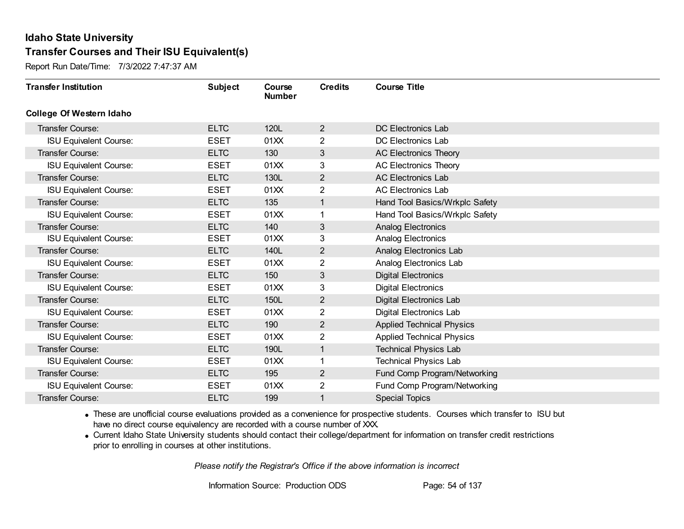Report Run Date/Time: 7/3/2022 7:47:37 AM

| <b>Transfer Institution</b>     | <b>Subject</b> | Course<br><b>Number</b> | <b>Credits</b> | <b>Course Title</b>              |
|---------------------------------|----------------|-------------------------|----------------|----------------------------------|
| <b>College Of Western Idaho</b> |                |                         |                |                                  |
| Transfer Course:                | <b>ELTC</b>    | 120L                    | $\overline{2}$ | DC Electronics Lab               |
| <b>ISU Equivalent Course:</b>   | <b>ESET</b>    | 01XX                    | $\overline{2}$ | DC Electronics Lab               |
| Transfer Course:                | <b>ELTC</b>    | 130                     | 3              | <b>AC Electronics Theory</b>     |
| <b>ISU Equivalent Course:</b>   | <b>ESET</b>    | 01XX                    | 3              | <b>AC Electronics Theory</b>     |
| <b>Transfer Course:</b>         | <b>ELTC</b>    | 130L                    | $\overline{2}$ | <b>AC Electronics Lab</b>        |
| <b>ISU Equivalent Course:</b>   | <b>ESET</b>    | 01XX                    | 2              | <b>AC Electronics Lab</b>        |
| Transfer Course:                | <b>ELTC</b>    | 135                     | 1              | Hand Tool Basics/Wrkplc Safety   |
| <b>ISU Equivalent Course:</b>   | <b>ESET</b>    | 01XX                    |                | Hand Tool Basics/Wrkplc Safety   |
| <b>Transfer Course:</b>         | <b>ELTC</b>    | 140                     | 3              | <b>Analog Electronics</b>        |
| <b>ISU Equivalent Course:</b>   | <b>ESET</b>    | 01XX                    | 3              | <b>Analog Electronics</b>        |
| Transfer Course:                | <b>ELTC</b>    | 140L                    | $\overline{2}$ | Analog Electronics Lab           |
| <b>ISU Equivalent Course:</b>   | <b>ESET</b>    | 01XX                    | 2              | Analog Electronics Lab           |
| Transfer Course:                | <b>ELTC</b>    | 150                     | 3              | <b>Digital Electronics</b>       |
| <b>ISU Equivalent Course:</b>   | <b>ESET</b>    | 01XX                    | 3              | <b>Digital Electronics</b>       |
| Transfer Course:                | <b>ELTC</b>    | 150L                    | $\overline{2}$ | Digital Electronics Lab          |
| <b>ISU Equivalent Course:</b>   | <b>ESET</b>    | 01XX                    | $\overline{2}$ | Digital Electronics Lab          |
| Transfer Course:                | <b>ELTC</b>    | 190                     | $\overline{2}$ | <b>Applied Technical Physics</b> |
| <b>ISU Equivalent Course:</b>   | <b>ESET</b>    | 01XX                    | 2              | <b>Applied Technical Physics</b> |
| Transfer Course:                | <b>ELTC</b>    | 190L                    | $\mathbf{1}$   | <b>Technical Physics Lab</b>     |
| <b>ISU Equivalent Course:</b>   | <b>ESET</b>    | 01XX                    | 1              | <b>Technical Physics Lab</b>     |
| Transfer Course:                | <b>ELTC</b>    | 195                     | $\overline{2}$ | Fund Comp Program/Networking     |
| <b>ISU Equivalent Course:</b>   | <b>ESET</b>    | 01XX                    | 2              | Fund Comp Program/Networking     |
| <b>Transfer Course:</b>         | <b>ELTC</b>    | 199                     | 1              | <b>Special Topics</b>            |

· These are unofficial course evaluations provided as a convenience for prospective students. Courses which transfer to ISU but have no direct course equivalency are recorded with a course number of XXX.

· Current Idaho State University students should contact their college/department for information on transfer credit restrictions prior to enrolling in courses at other institutions.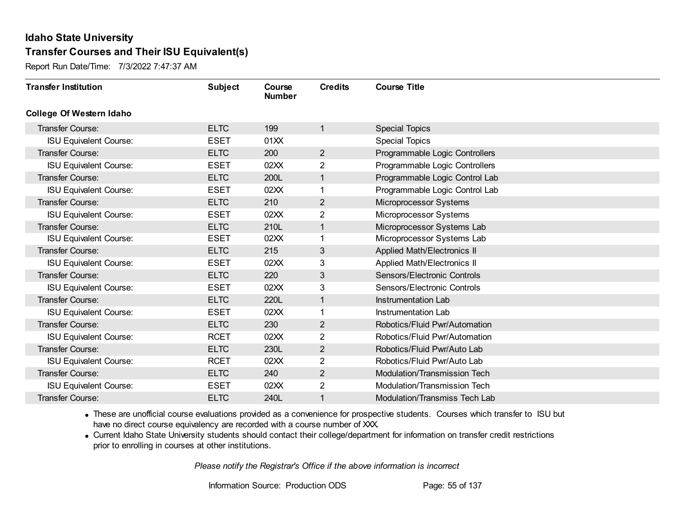Report Run Date/Time: 7/3/2022 7:47:37 AM

| <b>Transfer Institution</b>     | <b>Subject</b> | Course<br><b>Number</b> | <b>Credits</b> | <b>Course Title</b>            |
|---------------------------------|----------------|-------------------------|----------------|--------------------------------|
| <b>College Of Western Idaho</b> |                |                         |                |                                |
| Transfer Course:                | <b>ELTC</b>    | 199                     | 1              | <b>Special Topics</b>          |
| <b>ISU Equivalent Course:</b>   | <b>ESET</b>    | 01XX                    |                | <b>Special Topics</b>          |
| Transfer Course:                | <b>ELTC</b>    | 200                     | $\overline{2}$ | Programmable Logic Controllers |
| <b>ISU Equivalent Course:</b>   | <b>ESET</b>    | 02XX                    | 2              | Programmable Logic Controllers |
| <b>Transfer Course:</b>         | <b>ELTC</b>    | 200L                    | 1              | Programmable Logic Control Lab |
| <b>ISU Equivalent Course:</b>   | <b>ESET</b>    | 02XX                    |                | Programmable Logic Control Lab |
| Transfer Course:                | <b>ELTC</b>    | 210                     | $\overline{2}$ | Microprocessor Systems         |
| <b>ISU Equivalent Course:</b>   | <b>ESET</b>    | 02XX                    | $\overline{2}$ | Microprocessor Systems         |
| <b>Transfer Course:</b>         | <b>ELTC</b>    | 210L                    | 1              | Microprocessor Systems Lab     |
| <b>ISU Equivalent Course:</b>   | <b>ESET</b>    | 02XX                    |                | Microprocessor Systems Lab     |
| <b>Transfer Course:</b>         | <b>ELTC</b>    | 215                     | 3              | Applied Math/Electronics II    |
| <b>ISU Equivalent Course:</b>   | <b>ESET</b>    | 02XX                    | 3              | Applied Math/Electronics II    |
| Transfer Course:                | <b>ELTC</b>    | 220                     | 3              | Sensors/Electronic Controls    |
| <b>ISU Equivalent Course:</b>   | <b>ESET</b>    | 02XX                    | 3              | Sensors/Electronic Controls    |
| Transfer Course:                | <b>ELTC</b>    | 220L                    |                | Instrumentation Lab            |
| <b>ISU Equivalent Course:</b>   | <b>ESET</b>    | 02XX                    |                | Instrumentation Lab            |
| <b>Transfer Course:</b>         | <b>ELTC</b>    | 230                     | $\overline{2}$ | Robotics/Fluid Pwr/Automation  |
| <b>ISU Equivalent Course:</b>   | <b>RCET</b>    | 02XX                    | 2              | Robotics/Fluid Pwr/Automation  |
| Transfer Course:                | <b>ELTC</b>    | 230L                    | $\overline{2}$ | Robotics/Fluid Pwr/Auto Lab    |
| <b>ISU Equivalent Course:</b>   | <b>RCET</b>    | 02XX                    | 2              | Robotics/Fluid Pwr/Auto Lab    |
| Transfer Course:                | <b>ELTC</b>    | 240                     | $\overline{2}$ | Modulation/Transmission Tech   |
| <b>ISU Equivalent Course:</b>   | <b>ESET</b>    | 02XX                    | 2              | Modulation/Transmission Tech   |
| <b>Transfer Course:</b>         | <b>ELTC</b>    | 240L                    |                | Modulation/Transmiss Tech Lab  |

· These are unofficial course evaluations provided as a convenience for prospective students. Courses which transfer to ISU but have no direct course equivalency are recorded with a course number of XXX.

· Current Idaho State University students should contact their college/department for information on transfer credit restrictions prior to enrolling in courses at other institutions.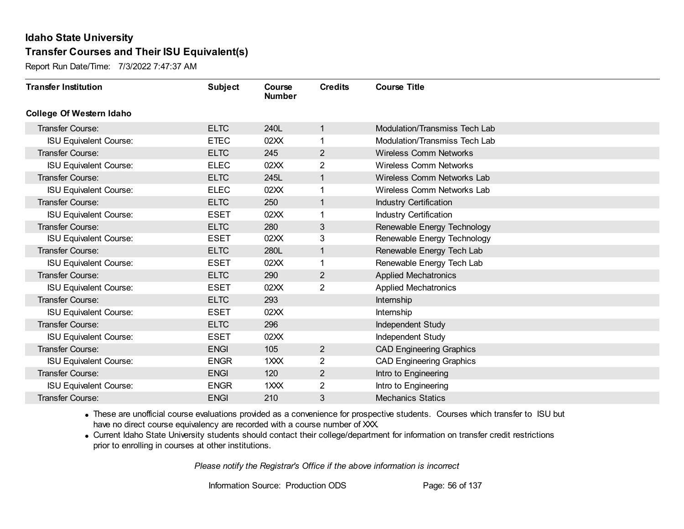Report Run Date/Time: 7/3/2022 7:47:37 AM

| <b>Transfer Institution</b>     | <b>Subject</b> | Course<br><b>Number</b> | <b>Credits</b> | <b>Course Title</b>             |
|---------------------------------|----------------|-------------------------|----------------|---------------------------------|
| <b>College Of Western Idaho</b> |                |                         |                |                                 |
| Transfer Course:                | <b>ELTC</b>    | 240L                    | 1              | Modulation/Transmiss Tech Lab   |
| <b>ISU Equivalent Course:</b>   | <b>ETEC</b>    | 02XX                    | 1              | Modulation/Transmiss Tech Lab   |
| Transfer Course:                | <b>ELTC</b>    | 245                     | 2              | <b>Wireless Comm Networks</b>   |
| <b>ISU Equivalent Course:</b>   | <b>ELEC</b>    | 02XX                    | $\overline{2}$ | <b>Wireless Comm Networks</b>   |
| Transfer Course:                | <b>ELTC</b>    | 245L                    | 1              | Wireless Comm Networks Lab      |
| <b>ISU Equivalent Course:</b>   | <b>ELEC</b>    | 02XX                    | 1              | Wireless Comm Networks Lab      |
| Transfer Course:                | <b>ELTC</b>    | 250                     | 1              | Industry Certification          |
| <b>ISU Equivalent Course:</b>   | <b>ESET</b>    | 02XX                    |                | Industry Certification          |
| Transfer Course:                | <b>ELTC</b>    | 280                     | 3              | Renewable Energy Technology     |
| <b>ISU Equivalent Course:</b>   | <b>ESET</b>    | 02XX                    | 3              | Renewable Energy Technology     |
| Transfer Course:                | <b>ELTC</b>    | 280L                    | 1              | Renewable Energy Tech Lab       |
| <b>ISU Equivalent Course:</b>   | <b>ESET</b>    | 02XX                    | 1              | Renewable Energy Tech Lab       |
| Transfer Course:                | <b>ELTC</b>    | 290                     | $\mathbf{2}$   | <b>Applied Mechatronics</b>     |
| <b>ISU Equivalent Course:</b>   | <b>ESET</b>    | 02XX                    | $\overline{2}$ | <b>Applied Mechatronics</b>     |
| Transfer Course:                | <b>ELTC</b>    | 293                     |                | Internship                      |
| <b>ISU Equivalent Course:</b>   | <b>ESET</b>    | 02XX                    |                | Internship                      |
| Transfer Course:                | <b>ELTC</b>    | 296                     |                | Independent Study               |
| <b>ISU Equivalent Course:</b>   | <b>ESET</b>    | 02XX                    |                | Independent Study               |
| Transfer Course:                | <b>ENGI</b>    | 105                     | $\overline{2}$ | <b>CAD Engineering Graphics</b> |
| <b>ISU Equivalent Course:</b>   | <b>ENGR</b>    | 1XXX                    | 2              | <b>CAD Engineering Graphics</b> |
| Transfer Course:                | <b>ENGI</b>    | 120                     | $\overline{2}$ | Intro to Engineering            |
| <b>ISU Equivalent Course:</b>   | <b>ENGR</b>    | 1XXX                    | $\overline{2}$ | Intro to Engineering            |
| <b>Transfer Course:</b>         | <b>ENGI</b>    | 210                     | 3              | <b>Mechanics Statics</b>        |

· These are unofficial course evaluations provided as a convenience for prospective students. Courses which transfer to ISU but have no direct course equivalency are recorded with a course number of XXX.

· Current Idaho State University students should contact their college/department for information on transfer credit restrictions prior to enrolling in courses at other institutions.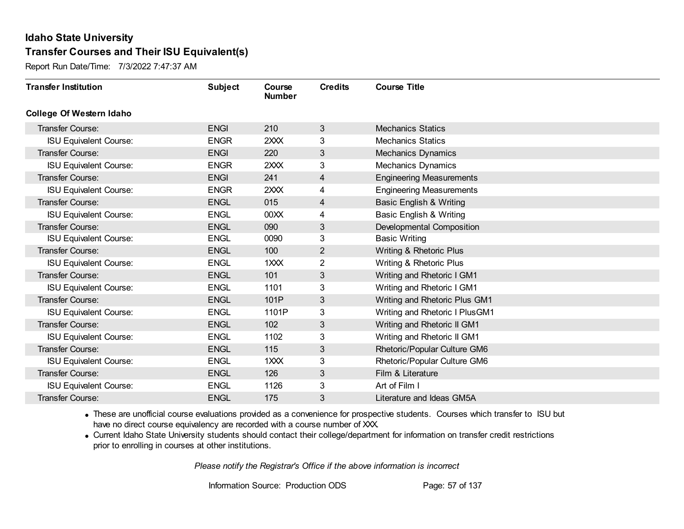Report Run Date/Time: 7/3/2022 7:47:37 AM

| <b>Transfer Institution</b>     | <b>Subject</b> | Course<br><b>Number</b> | <b>Credits</b> | <b>Course Title</b>                |
|---------------------------------|----------------|-------------------------|----------------|------------------------------------|
| <b>College Of Western Idaho</b> |                |                         |                |                                    |
| <b>Transfer Course:</b>         | <b>ENGI</b>    | 210                     | 3              | <b>Mechanics Statics</b>           |
| <b>ISU Equivalent Course:</b>   | <b>ENGR</b>    | 2XXX                    | 3              | <b>Mechanics Statics</b>           |
| Transfer Course:                | <b>ENGI</b>    | 220                     | 3              | <b>Mechanics Dynamics</b>          |
| <b>ISU Equivalent Course:</b>   | <b>ENGR</b>    | 2XXX                    | 3              | <b>Mechanics Dynamics</b>          |
| <b>Transfer Course:</b>         | <b>ENGI</b>    | 241                     | 4              | <b>Engineering Measurements</b>    |
| <b>ISU Equivalent Course:</b>   | <b>ENGR</b>    | 2XXX                    | 4              | <b>Engineering Measurements</b>    |
| <b>Transfer Course:</b>         | <b>ENGL</b>    | 015                     | 4              | <b>Basic English &amp; Writing</b> |
| <b>ISU Equivalent Course:</b>   | <b>ENGL</b>    | 00 <sub>XX</sub>        | 4              | Basic English & Writing            |
| Transfer Course:                | <b>ENGL</b>    | 090                     | 3              | Developmental Composition          |
| <b>ISU Equivalent Course:</b>   | <b>ENGL</b>    | 0090                    | 3              | <b>Basic Writing</b>               |
| Transfer Course:                | <b>ENGL</b>    | 100                     | $\overline{2}$ | Writing & Rhetoric Plus            |
| <b>ISU Equivalent Course:</b>   | <b>ENGL</b>    | 1XXX                    | 2              | Writing & Rhetoric Plus            |
| Transfer Course:                | <b>ENGL</b>    | 101                     | 3              | Writing and Rhetoric I GM1         |
| <b>ISU Equivalent Course:</b>   | <b>ENGL</b>    | 1101                    | 3              | Writing and Rhetoric I GM1         |
| Transfer Course:                | <b>ENGL</b>    | 101P                    | 3              | Writing and Rhetoric Plus GM1      |
| <b>ISU Equivalent Course:</b>   | <b>ENGL</b>    | 1101P                   | 3              | Writing and Rhetoric I PlusGM1     |
| <b>Transfer Course:</b>         | <b>ENGL</b>    | 102                     | 3              | Writing and Rhetoric II GM1        |
| <b>ISU Equivalent Course:</b>   | <b>ENGL</b>    | 1102                    | 3              | Writing and Rhetoric II GM1        |
| <b>Transfer Course:</b>         | <b>ENGL</b>    | 115                     | 3              | Rhetoric/Popular Culture GM6       |
| <b>ISU Equivalent Course:</b>   | <b>ENGL</b>    | 1XXX                    | 3              | Rhetoric/Popular Culture GM6       |
| Transfer Course:                | <b>ENGL</b>    | 126                     | 3              | Film & Literature                  |
| <b>ISU Equivalent Course:</b>   | <b>ENGL</b>    | 1126                    | 3              | Art of Film I                      |
| <b>Transfer Course:</b>         | <b>ENGL</b>    | 175                     | 3              | Literature and Ideas GM5A          |

· These are unofficial course evaluations provided as a convenience for prospective students. Courses which transfer to ISU but have no direct course equivalency are recorded with a course number of XXX.

· Current Idaho State University students should contact their college/department for information on transfer credit restrictions prior to enrolling in courses at other institutions.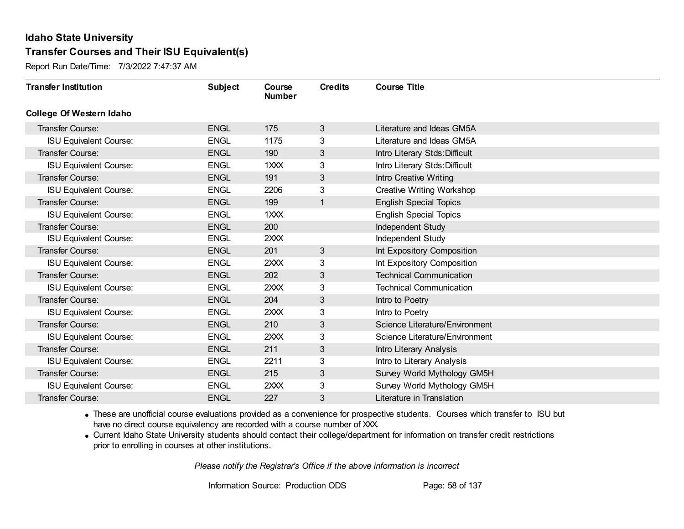Report Run Date/Time: 7/3/2022 7:47:37 AM

| <b>Transfer Institution</b>     | <b>Subject</b> | Course<br><b>Number</b> | <b>Credits</b> | <b>Course Title</b>                   |
|---------------------------------|----------------|-------------------------|----------------|---------------------------------------|
| <b>College Of Western Idaho</b> |                |                         |                |                                       |
| Transfer Course:                | <b>ENGL</b>    | 175                     | 3              | Literature and Ideas GM5A             |
| <b>ISU Equivalent Course:</b>   | <b>ENGL</b>    | 1175                    | 3              | Literature and Ideas GM5A             |
| Transfer Course:                | <b>ENGL</b>    | 190                     | 3              | Intro Literary Stds: Difficult        |
| <b>ISU Equivalent Course:</b>   | <b>ENGL</b>    | 1XXX                    | 3              | Intro Literary Stds: Difficult        |
| <b>Transfer Course:</b>         | <b>ENGL</b>    | 191                     | 3              | Intro Creative Writing                |
| <b>ISU Equivalent Course:</b>   | <b>ENGL</b>    | 2206                    | 3              | Creative Writing Workshop             |
| Transfer Course:                | <b>ENGL</b>    | 199                     | $\mathbf{1}$   | <b>English Special Topics</b>         |
| <b>ISU Equivalent Course:</b>   | <b>ENGL</b>    | 1XXX                    |                | <b>English Special Topics</b>         |
| <b>Transfer Course:</b>         | <b>ENGL</b>    | 200                     |                | Independent Study                     |
| <b>ISU Equivalent Course:</b>   | <b>ENGL</b>    | 2XXX                    |                | Independent Study                     |
| <b>Transfer Course:</b>         | <b>ENGL</b>    | 201                     | $\mathbf{3}$   | Int Expository Composition            |
| <b>ISU Equivalent Course:</b>   | <b>ENGL</b>    | 2XXX                    | 3              | Int Expository Composition            |
| Transfer Course:                | <b>ENGL</b>    | 202                     | 3              | <b>Technical Communication</b>        |
| <b>ISU Equivalent Course:</b>   | <b>ENGL</b>    | 2XXX                    | 3              | <b>Technical Communication</b>        |
| Transfer Course:                | <b>ENGL</b>    | 204                     | 3              | Intro to Poetry                       |
| <b>ISU Equivalent Course:</b>   | <b>ENGL</b>    | 2XXX                    | 3              | Intro to Poetry                       |
| Transfer Course:                | <b>ENGL</b>    | 210                     | 3              | Science Literature/Environment        |
| <b>ISU Equivalent Course:</b>   | <b>ENGL</b>    | 2XXX                    | 3              | <b>Science Literature/Environment</b> |
| Transfer Course:                | <b>ENGL</b>    | 211                     | 3              | Intro Literary Analysis               |
| <b>ISU Equivalent Course:</b>   | <b>ENGL</b>    | 2211                    | 3              | Intro to Literary Analysis            |
| Transfer Course:                | <b>ENGL</b>    | 215                     | 3              | Survey World Mythology GM5H           |
| <b>ISU Equivalent Course:</b>   | <b>ENGL</b>    | 2XXX                    | 3              | Survey World Mythology GM5H           |
| Transfer Course:                | <b>ENGL</b>    | 227                     | 3              | Literature in Translation             |

· These are unofficial course evaluations provided as a convenience for prospective students. Courses which transfer to ISU but have no direct course equivalency are recorded with a course number of XXX.

· Current Idaho State University students should contact their college/department for information on transfer credit restrictions prior to enrolling in courses at other institutions.

*Please notify the Registrar's Office if the above information is incorrect*

Information Source: Production ODS Page: 58 of 137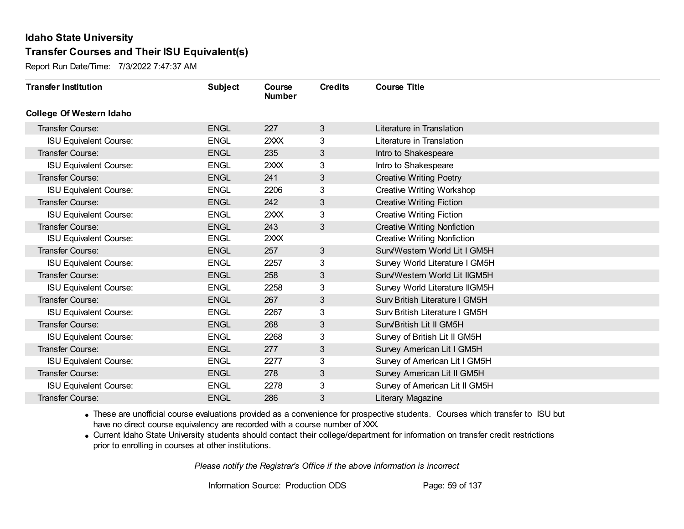Report Run Date/Time: 7/3/2022 7:47:37 AM

| <b>Transfer Institution</b>     | <b>Subject</b> | Course<br><b>Number</b> | <b>Credits</b> | <b>Course Title</b>                |
|---------------------------------|----------------|-------------------------|----------------|------------------------------------|
| <b>College Of Western Idaho</b> |                |                         |                |                                    |
| Transfer Course:                | <b>ENGL</b>    | 227                     | $\mathbf{3}$   | Literature in Translation          |
| <b>ISU Equivalent Course:</b>   | <b>ENGL</b>    | 2XXX                    | 3              | Literature in Translation          |
| Transfer Course:                | <b>ENGL</b>    | 235                     | 3              | Intro to Shakespeare               |
| <b>ISU Equivalent Course:</b>   | <b>ENGL</b>    | 2XXX                    | 3              | Intro to Shakespeare               |
| Transfer Course:                | <b>ENGL</b>    | 241                     | 3              | <b>Creative Writing Poetry</b>     |
| <b>ISU Equivalent Course:</b>   | <b>ENGL</b>    | 2206                    | 3              | <b>Creative Writing Workshop</b>   |
| Transfer Course:                | <b>ENGL</b>    | 242                     | 3              | <b>Creative Writing Fiction</b>    |
| <b>ISU Equivalent Course:</b>   | <b>ENGL</b>    | 2XXX                    | 3              | <b>Creative Writing Fiction</b>    |
| <b>Transfer Course:</b>         | <b>ENGL</b>    | 243                     | 3              | <b>Creative Writing Nonfiction</b> |
| <b>ISU Equivalent Course:</b>   | <b>ENGL</b>    | 2XXX                    |                | <b>Creative Writing Nonfiction</b> |
| <b>Transfer Course:</b>         | <b>ENGL</b>    | 257                     | $\mathbf{3}$   | Surv/Western World Lit I GM5H      |
| <b>ISU Equivalent Course:</b>   | <b>ENGL</b>    | 2257                    | 3              | Survey World Literature I GM5H     |
| Transfer Course:                | <b>ENGL</b>    | 258                     | 3              | Surv/Western World Lit IIGM5H      |
| <b>ISU Equivalent Course:</b>   | <b>ENGL</b>    | 2258                    | 3              | Survey World Literature IIGM5H     |
| Transfer Course:                | <b>ENGL</b>    | 267                     | 3              | Surv British Literature I GM5H     |
| <b>ISU Equivalent Course:</b>   | <b>ENGL</b>    | 2267                    | 3              | Surv British Literature I GM5H     |
| Transfer Course:                | <b>ENGL</b>    | 268                     | 3              | Surv/British Lit II GM5H           |
| <b>ISU Equivalent Course:</b>   | <b>ENGL</b>    | 2268                    | 3              | Survey of British Lit II GM5H      |
| Transfer Course:                | <b>ENGL</b>    | 277                     | 3              | Survey American Lit I GM5H         |
| <b>ISU Equivalent Course:</b>   | <b>ENGL</b>    | 2277                    | 3              | Survey of American Lit I GM5H      |
| Transfer Course:                | <b>ENGL</b>    | 278                     | 3              | Survey American Lit II GM5H        |
| <b>ISU Equivalent Course:</b>   | <b>ENGL</b>    | 2278                    | 3              | Survey of American Lit II GM5H     |
| <b>Transfer Course:</b>         | <b>ENGL</b>    | 286                     | 3              | Literary Magazine                  |

· These are unofficial course evaluations provided as a convenience for prospective students. Courses which transfer to ISU but have no direct course equivalency are recorded with a course number of XXX.

· Current Idaho State University students should contact their college/department for information on transfer credit restrictions prior to enrolling in courses at other institutions.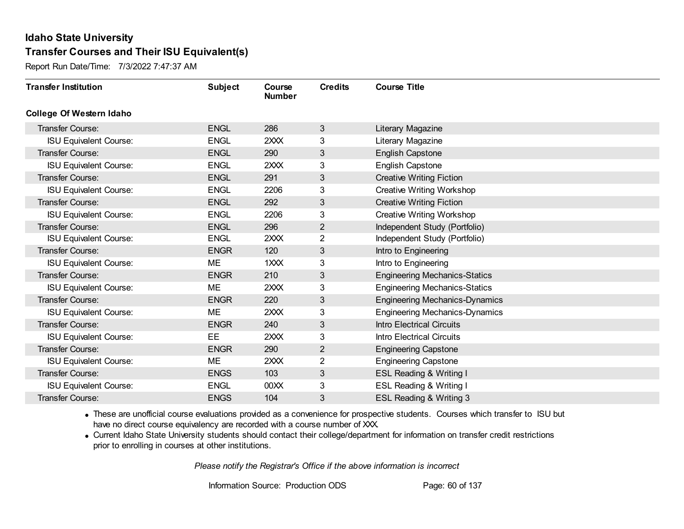Report Run Date/Time: 7/3/2022 7:47:37 AM

| <b>Transfer Institution</b>     | <b>Subject</b> | Course<br><b>Number</b> | <b>Credits</b> | <b>Course Title</b>                   |
|---------------------------------|----------------|-------------------------|----------------|---------------------------------------|
| <b>College Of Western Idaho</b> |                |                         |                |                                       |
| Transfer Course:                | <b>ENGL</b>    | 286                     | 3              | Literary Magazine                     |
| <b>ISU Equivalent Course:</b>   | <b>ENGL</b>    | 2XXX                    | 3              | Literary Magazine                     |
| Transfer Course:                | <b>ENGL</b>    | 290                     | 3              | <b>English Capstone</b>               |
| <b>ISU Equivalent Course:</b>   | <b>ENGL</b>    | 2XXX                    | 3              | English Capstone                      |
| <b>Transfer Course:</b>         | <b>ENGL</b>    | 291                     | 3              | <b>Creative Writing Fiction</b>       |
| <b>ISU Equivalent Course:</b>   | <b>ENGL</b>    | 2206                    | 3              | Creative Writing Workshop             |
| Transfer Course:                | <b>ENGL</b>    | 292                     | 3              | <b>Creative Writing Fiction</b>       |
| <b>ISU Equivalent Course:</b>   | <b>ENGL</b>    | 2206                    | 3              | Creative Writing Workshop             |
| Transfer Course:                | <b>ENGL</b>    | 296                     | $\overline{2}$ | Independent Study (Portfolio)         |
| <b>ISU Equivalent Course:</b>   | <b>ENGL</b>    | 2XXX                    | $\overline{2}$ | Independent Study (Portfolio)         |
| <b>Transfer Course:</b>         | <b>ENGR</b>    | 120                     | 3              | Intro to Engineering                  |
| <b>ISU Equivalent Course:</b>   | ME             | 1XXX                    | 3              | Intro to Engineering                  |
| Transfer Course:                | <b>ENGR</b>    | 210                     | 3              | <b>Engineering Mechanics-Statics</b>  |
| <b>ISU Equivalent Course:</b>   | <b>ME</b>      | 2XXX                    | 3              | <b>Engineering Mechanics-Statics</b>  |
| Transfer Course:                | <b>ENGR</b>    | 220                     | 3              | <b>Engineering Mechanics-Dynamics</b> |
| <b>ISU Equivalent Course:</b>   | <b>ME</b>      | 2XXX                    | 3              | <b>Engineering Mechanics-Dynamics</b> |
| Transfer Course:                | <b>ENGR</b>    | 240                     | 3              | <b>Intro Electrical Circuits</b>      |
| <b>ISU Equivalent Course:</b>   | EE             | 2XXX                    | 3              | <b>Intro Electrical Circuits</b>      |
| Transfer Course:                | <b>ENGR</b>    | 290                     | $\overline{c}$ | <b>Engineering Capstone</b>           |
| <b>ISU Equivalent Course:</b>   | ME             | 2XXX                    | 2              | <b>Engineering Capstone</b>           |
| Transfer Course:                | <b>ENGS</b>    | 103                     | 3              | ESL Reading & Writing I               |
| <b>ISU Equivalent Course:</b>   | <b>ENGL</b>    | 00 <sub>XX</sub>        | 3              | ESL Reading & Writing I               |
| Transfer Course:                | <b>ENGS</b>    | 104                     | 3              | ESL Reading & Writing 3               |

· These are unofficial course evaluations provided as a convenience for prospective students. Courses which transfer to ISU but have no direct course equivalency are recorded with a course number of XXX.

· Current Idaho State University students should contact their college/department for information on transfer credit restrictions prior to enrolling in courses at other institutions.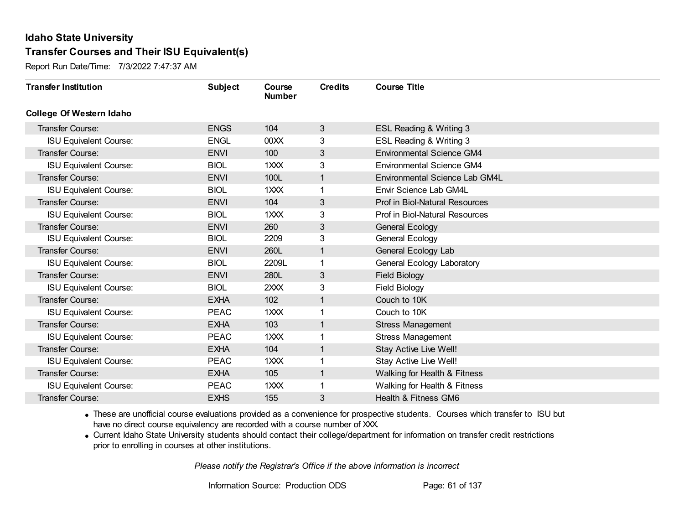Report Run Date/Time: 7/3/2022 7:47:37 AM

| <b>Transfer Institution</b>     | <b>Subject</b> | Course<br><b>Number</b> | <b>Credits</b> | <b>Course Title</b>              |
|---------------------------------|----------------|-------------------------|----------------|----------------------------------|
| <b>College Of Western Idaho</b> |                |                         |                |                                  |
| Transfer Course:                | <b>ENGS</b>    | 104                     | 3              | ESL Reading & Writing 3          |
| <b>ISU Equivalent Course:</b>   | <b>ENGL</b>    | 00 <sub>XX</sub>        | 3              | ESL Reading & Writing 3          |
| Transfer Course:                | <b>ENVI</b>    | 100                     | 3              | <b>Environmental Science GM4</b> |
| <b>ISU Equivalent Course:</b>   | <b>BIOL</b>    | 1XXX                    | 3              | <b>Environmental Science GM4</b> |
| <b>Transfer Course:</b>         | <b>ENVI</b>    | 100L                    | $\mathbf{1}$   | Environmental Science Lab GM4L   |
| <b>ISU Equivalent Course:</b>   | <b>BIOL</b>    | 1XXX                    | 1              | Envir Science Lab GM4L           |
| Transfer Course:                | <b>ENVI</b>    | 104                     | 3              | Prof in Biol-Natural Resources   |
| <b>ISU Equivalent Course:</b>   | <b>BIOL</b>    | 1XXX                    | 3              | Prof in Biol-Natural Resources   |
| <b>Transfer Course:</b>         | <b>ENVI</b>    | 260                     | $\mathbf{3}$   | <b>General Ecology</b>           |
| <b>ISU Equivalent Course:</b>   | <b>BIOL</b>    | 2209                    | 3              | General Ecology                  |
| <b>Transfer Course:</b>         | <b>ENVI</b>    | 260L                    | $\mathbf{1}$   | General Ecology Lab              |
| <b>ISU Equivalent Course:</b>   | <b>BIOL</b>    | 2209L                   | 1              | General Ecology Laboratory       |
| Transfer Course:                | <b>ENVI</b>    | 280L                    | 3              | <b>Field Biology</b>             |
| <b>ISU Equivalent Course:</b>   | <b>BIOL</b>    | 2XXX                    | 3              | <b>Field Biology</b>             |
| Transfer Course:                | <b>EXHA</b>    | 102                     | 1              | Couch to 10K                     |
| <b>ISU Equivalent Course:</b>   | <b>PEAC</b>    | 1XXX                    | 1              | Couch to 10K                     |
| Transfer Course:                | <b>EXHA</b>    | 103                     | $\mathbf{1}$   | <b>Stress Management</b>         |
| <b>ISU Equivalent Course:</b>   | <b>PEAC</b>    | 1XXX                    | 1              | <b>Stress Management</b>         |
| Transfer Course:                | <b>EXHA</b>    | 104                     | $\mathbf 1$    | Stay Active Live Well!           |
| <b>ISU Equivalent Course:</b>   | <b>PEAC</b>    | 1XXX                    | 1              | Stay Active Live Well!           |
| Transfer Course:                | <b>EXHA</b>    | 105                     | $\mathbf{1}$   | Walking for Health & Fitness     |
| <b>ISU Equivalent Course:</b>   | <b>PEAC</b>    | 1XXX                    | 1              | Walking for Health & Fitness     |
| Transfer Course:                | <b>EXHS</b>    | 155                     | 3              | Health & Fitness GM6             |

· These are unofficial course evaluations provided as a convenience for prospective students. Courses which transfer to ISU but have no direct course equivalency are recorded with a course number of XXX.

· Current Idaho State University students should contact their college/department for information on transfer credit restrictions prior to enrolling in courses at other institutions.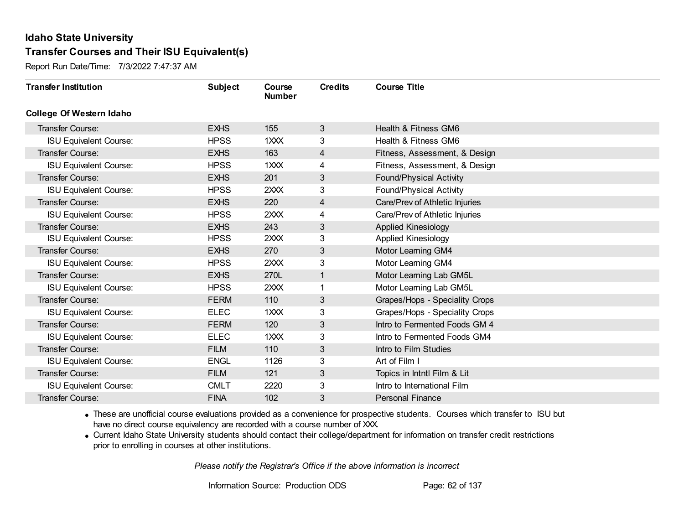Report Run Date/Time: 7/3/2022 7:47:37 AM

| <b>Transfer Institution</b>     | <b>Subject</b> | Course<br><b>Number</b> | <b>Credits</b> | <b>Course Title</b>            |
|---------------------------------|----------------|-------------------------|----------------|--------------------------------|
| <b>College Of Western Idaho</b> |                |                         |                |                                |
| Transfer Course:                | <b>EXHS</b>    | 155                     | 3              | Health & Fitness GM6           |
| <b>ISU Equivalent Course:</b>   | <b>HPSS</b>    | 1XXX                    | 3              | Health & Fitness GM6           |
| Transfer Course:                | <b>EXHS</b>    | 163                     | $\overline{4}$ | Fitness, Assessment, & Design  |
| <b>ISU Equivalent Course:</b>   | <b>HPSS</b>    | 1XXX                    | 4              | Fitness, Assessment, & Design  |
| <b>Transfer Course:</b>         | <b>EXHS</b>    | 201                     | 3              | <b>Found/Physical Activity</b> |
| <b>ISU Equivalent Course:</b>   | <b>HPSS</b>    | 2XXX                    | 3              | <b>Found/Physical Activity</b> |
| Transfer Course:                | <b>EXHS</b>    | 220                     | 4              | Care/Prev of Athletic Injuries |
| <b>ISU Equivalent Course:</b>   | <b>HPSS</b>    | 2XXX                    | 4              | Care/Prev of Athletic Injuries |
| <b>Transfer Course:</b>         | <b>EXHS</b>    | 243                     | 3              | <b>Applied Kinesiology</b>     |
| <b>ISU Equivalent Course:</b>   | <b>HPSS</b>    | 2XXX                    | 3              | <b>Applied Kinesiology</b>     |
| <b>Transfer Course:</b>         | <b>EXHS</b>    | 270                     | 3              | Motor Learning GM4             |
| <b>ISU Equivalent Course:</b>   | <b>HPSS</b>    | 2XXX                    | 3              | Motor Learning GM4             |
| Transfer Course:                | <b>EXHS</b>    | 270L                    | 1              | Motor Learning Lab GM5L        |
| <b>ISU Equivalent Course:</b>   | <b>HPSS</b>    | 2XXX                    | 1              | Motor Learning Lab GM5L        |
| Transfer Course:                | <b>FERM</b>    | 110                     | 3              | Grapes/Hops - Speciality Crops |
| <b>ISU Equivalent Course:</b>   | <b>ELEC</b>    | 1XXX                    | 3              | Grapes/Hops - Speciality Crops |
| Transfer Course:                | <b>FERM</b>    | 120                     | 3              | Intro to Fermented Foods GM 4  |
| <b>ISU Equivalent Course:</b>   | <b>ELEC</b>    | 1XXX                    | 3              | Intro to Fermented Foods GM4   |
| Transfer Course:                | <b>FILM</b>    | 110                     | 3              | Intro to Film Studies          |
| <b>ISU Equivalent Course:</b>   | <b>ENGL</b>    | 1126                    | 3              | Art of Film I                  |
| Transfer Course:                | <b>FILM</b>    | 121                     | 3              | Topics in Intntl Film & Lit    |
| <b>ISU Equivalent Course:</b>   | <b>CMLT</b>    | 2220                    | 3              | Intro to International Film    |
| <b>Transfer Course:</b>         | <b>FINA</b>    | 102                     | 3              | <b>Personal Finance</b>        |

· These are unofficial course evaluations provided as a convenience for prospective students. Courses which transfer to ISU but have no direct course equivalency are recorded with a course number of XXX.

· Current Idaho State University students should contact their college/department for information on transfer credit restrictions prior to enrolling in courses at other institutions.

*Please notify the Registrar's Office if the above information is incorrect*

Information Source: Production ODS Page: 62 of 137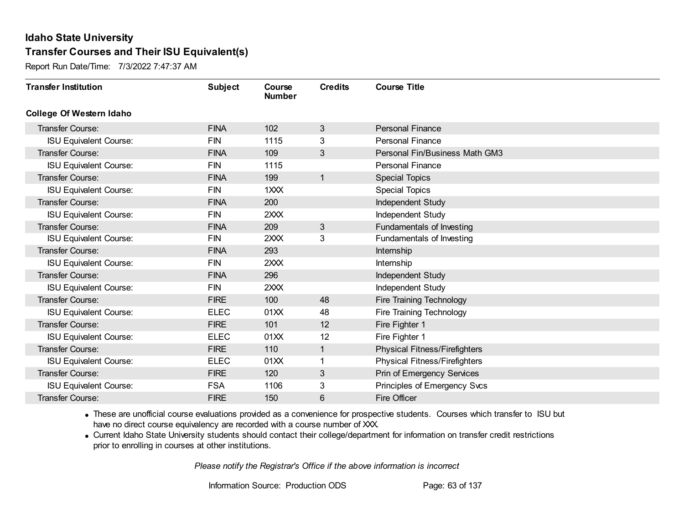Report Run Date/Time: 7/3/2022 7:47:37 AM

| <b>Transfer Institution</b>     | <b>Subject</b> | Course<br><b>Number</b> | <b>Credits</b> | <b>Course Title</b>                  |
|---------------------------------|----------------|-------------------------|----------------|--------------------------------------|
| <b>College Of Western Idaho</b> |                |                         |                |                                      |
| Transfer Course:                | <b>FINA</b>    | 102                     | 3              | <b>Personal Finance</b>              |
| <b>ISU Equivalent Course:</b>   | <b>FIN</b>     | 1115                    | 3              | <b>Personal Finance</b>              |
| Transfer Course:                | <b>FINA</b>    | 109                     | 3              | Personal Fin/Business Math GM3       |
| <b>ISU Equivalent Course:</b>   | <b>FIN</b>     | 1115                    |                | <b>Personal Finance</b>              |
| <b>Transfer Course:</b>         | <b>FINA</b>    | 199                     | 1              | <b>Special Topics</b>                |
| <b>ISU Equivalent Course:</b>   | <b>FIN</b>     | 1XXX                    |                | <b>Special Topics</b>                |
| <b>Transfer Course:</b>         | <b>FINA</b>    | 200                     |                | Independent Study                    |
| <b>ISU Equivalent Course:</b>   | <b>FIN</b>     | 2XXX                    |                | Independent Study                    |
| <b>Transfer Course:</b>         | <b>FINA</b>    | 209                     | 3              | Fundamentals of Investing            |
| <b>ISU Equivalent Course:</b>   | <b>FIN</b>     | 2XXX                    | 3              | Fundamentals of Investing            |
| <b>Transfer Course:</b>         | <b>FINA</b>    | 293                     |                | Internship                           |
| <b>ISU Equivalent Course:</b>   | <b>FIN</b>     | 2XXX                    |                | Internship                           |
| <b>Transfer Course:</b>         | <b>FINA</b>    | 296                     |                | Independent Study                    |
| <b>ISU Equivalent Course:</b>   | <b>FIN</b>     | 2XXX                    |                | Independent Study                    |
| Transfer Course:                | <b>FIRE</b>    | 100                     | 48             | Fire Training Technology             |
| <b>ISU Equivalent Course:</b>   | <b>ELEC</b>    | 01XX                    | 48             | Fire Training Technology             |
| <b>Transfer Course:</b>         | <b>FIRE</b>    | 101                     | 12             | Fire Fighter 1                       |
| <b>ISU Equivalent Course:</b>   | <b>ELEC</b>    | 01XX                    | 12             | Fire Fighter 1                       |
| <b>Transfer Course:</b>         | <b>FIRE</b>    | 110                     | $\mathbf{1}$   | <b>Physical Fitness/Firefighters</b> |
| <b>ISU Equivalent Course:</b>   | <b>ELEC</b>    | 01XX                    |                | <b>Physical Fitness/Firefighters</b> |
| <b>Transfer Course:</b>         | <b>FIRE</b>    | 120                     | 3              | Prin of Emergency Services           |
| <b>ISU Equivalent Course:</b>   | <b>FSA</b>     | 1106                    | 3              | Principles of Emergency Svcs         |
| <b>Transfer Course:</b>         | <b>FIRE</b>    | 150                     | 6              | <b>Fire Officer</b>                  |

· These are unofficial course evaluations provided as a convenience for prospective students. Courses which transfer to ISU but have no direct course equivalency are recorded with a course number of XXX.

· Current Idaho State University students should contact their college/department for information on transfer credit restrictions prior to enrolling in courses at other institutions.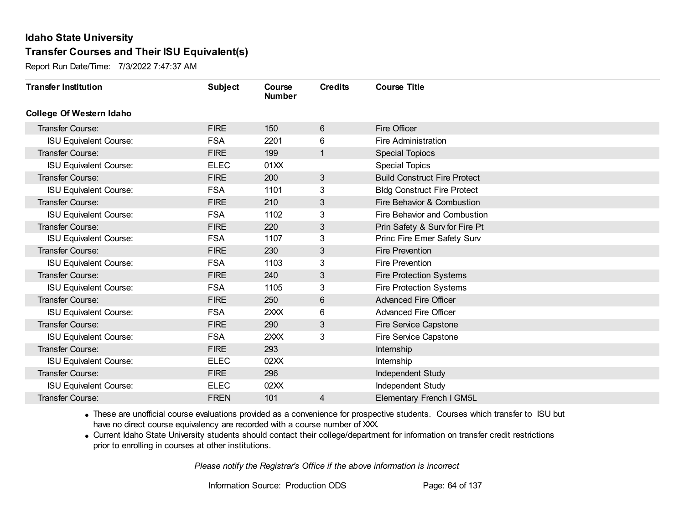Report Run Date/Time: 7/3/2022 7:47:37 AM

| <b>Transfer Institution</b>     | <b>Subject</b> | Course<br><b>Number</b> | <b>Credits</b> | <b>Course Title</b>                 |
|---------------------------------|----------------|-------------------------|----------------|-------------------------------------|
| <b>College Of Western Idaho</b> |                |                         |                |                                     |
| Transfer Course:                | <b>FIRE</b>    | 150                     | 6              | <b>Fire Officer</b>                 |
| <b>ISU Equivalent Course:</b>   | <b>FSA</b>     | 2201                    | 6              | Fire Administration                 |
| Transfer Course:                | <b>FIRE</b>    | 199                     | $\overline{1}$ | <b>Special Topiocs</b>              |
| <b>ISU Equivalent Course:</b>   | <b>ELEC</b>    | 01XX                    |                | <b>Special Topics</b>               |
| <b>Transfer Course:</b>         | <b>FIRE</b>    | 200                     | $\mathfrak{S}$ | <b>Build Construct Fire Protect</b> |
| <b>ISU Equivalent Course:</b>   | <b>FSA</b>     | 1101                    | 3              | <b>Bldg Construct Fire Protect</b>  |
| Transfer Course:                | <b>FIRE</b>    | 210                     | 3              | Fire Behavior & Combustion          |
| <b>ISU Equivalent Course:</b>   | <b>FSA</b>     | 1102                    | 3              | Fire Behavior and Combustion        |
| <b>Transfer Course:</b>         | <b>FIRE</b>    | 220                     | 3              | Prin Safety & Surv for Fire Pt      |
| <b>ISU Equivalent Course:</b>   | <b>FSA</b>     | 1107                    | 3              | Princ Fire Emer Safety Surv         |
| <b>Transfer Course:</b>         | <b>FIRE</b>    | 230                     | 3              | <b>Fire Prevention</b>              |
| <b>ISU Equivalent Course:</b>   | <b>FSA</b>     | 1103                    | 3              | Fire Prevention                     |
| Transfer Course:                | <b>FIRE</b>    | 240                     | 3              | <b>Fire Protection Systems</b>      |
| <b>ISU Equivalent Course:</b>   | <b>FSA</b>     | 1105                    | 3              | <b>Fire Protection Systems</b>      |
| Transfer Course:                | <b>FIRE</b>    | 250                     | 6              | <b>Advanced Fire Officer</b>        |
| <b>ISU Equivalent Course:</b>   | <b>FSA</b>     | 2XXX                    | 6              | <b>Advanced Fire Officer</b>        |
| Transfer Course:                | <b>FIRE</b>    | 290                     | 3              | Fire Service Capstone               |
| <b>ISU Equivalent Course:</b>   | <b>FSA</b>     | 2XXX                    | 3              | Fire Service Capstone               |
| Transfer Course:                | <b>FIRE</b>    | 293                     |                | Internship                          |
| <b>ISU Equivalent Course:</b>   | <b>ELEC</b>    | 02XX                    |                | Internship                          |
| <b>Transfer Course:</b>         | <b>FIRE</b>    | 296                     |                | Independent Study                   |
| <b>ISU Equivalent Course:</b>   | <b>ELEC</b>    | 02XX                    |                | Independent Study                   |
| Transfer Course:                | <b>FREN</b>    | 101                     | 4              | <b>Elementary French I GM5L</b>     |

· These are unofficial course evaluations provided as a convenience for prospective students. Courses which transfer to ISU but have no direct course equivalency are recorded with a course number of XXX.

· Current Idaho State University students should contact their college/department for information on transfer credit restrictions prior to enrolling in courses at other institutions.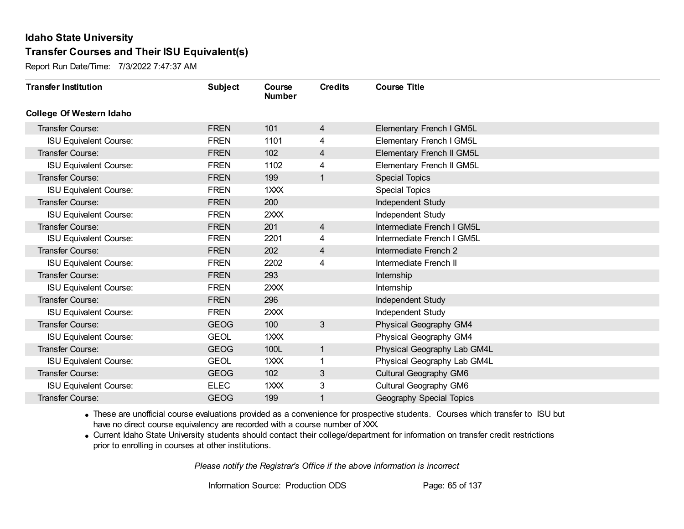Report Run Date/Time: 7/3/2022 7:47:37 AM

| <b>Transfer Institution</b>     | <b>Subject</b> | Course<br><b>Number</b> | <b>Credits</b> | <b>Course Title</b>         |
|---------------------------------|----------------|-------------------------|----------------|-----------------------------|
| <b>College Of Western Idaho</b> |                |                         |                |                             |
| Transfer Course:                | <b>FREN</b>    | 101                     | $\overline{4}$ | Elementary French I GM5L    |
| <b>ISU Equivalent Course:</b>   | <b>FREN</b>    | 1101                    | 4              | Elementary French I GM5L    |
| Transfer Course:                | <b>FREN</b>    | 102                     | 4              | Elementary French II GM5L   |
| <b>ISU Equivalent Course:</b>   | <b>FREN</b>    | 1102                    | 4              | Elementary French II GM5L   |
| <b>Transfer Course:</b>         | <b>FREN</b>    | 199                     | $\mathbf{1}$   | <b>Special Topics</b>       |
| <b>ISU Equivalent Course:</b>   | <b>FREN</b>    | 1XXX                    |                | <b>Special Topics</b>       |
| Transfer Course:                | <b>FREN</b>    | 200                     |                | Independent Study           |
| <b>ISU Equivalent Course:</b>   | <b>FREN</b>    | 2XXX                    |                | Independent Study           |
| Transfer Course:                | <b>FREN</b>    | 201                     | $\overline{4}$ | Intermediate French I GM5L  |
| <b>ISU Equivalent Course:</b>   | <b>FREN</b>    | 2201                    | 4              | Intermediate French I GM5L  |
| <b>Transfer Course:</b>         | <b>FREN</b>    | 202                     | 4              | Intermediate French 2       |
| <b>ISU Equivalent Course:</b>   | <b>FREN</b>    | 2202                    | 4              | Intermediate French II      |
| Transfer Course:                | <b>FREN</b>    | 293                     |                | Internship                  |
| <b>ISU Equivalent Course:</b>   | <b>FREN</b>    | 2XXX                    |                | Internship                  |
| Transfer Course:                | <b>FREN</b>    | 296                     |                | Independent Study           |
| <b>ISU Equivalent Course:</b>   | <b>FREN</b>    | 2XXX                    |                | Independent Study           |
| Transfer Course:                | <b>GEOG</b>    | 100                     | 3              | Physical Geography GM4      |
| <b>ISU Equivalent Course:</b>   | <b>GEOL</b>    | 1XXX                    |                | Physical Geography GM4      |
| <b>Transfer Course:</b>         | <b>GEOG</b>    | 100L                    | $\mathbf{1}$   | Physical Geography Lab GM4L |
| <b>ISU Equivalent Course:</b>   | <b>GEOL</b>    | 1XXX                    |                | Physical Geography Lab GM4L |
| Transfer Course:                | <b>GEOG</b>    | 102                     | 3              | Cultural Geography GM6      |
| <b>ISU Equivalent Course:</b>   | <b>ELEC</b>    | 1XXX                    | 3              | Cultural Geography GM6      |
| <b>Transfer Course:</b>         | <b>GEOG</b>    | 199                     | 1              | Geography Special Topics    |

· These are unofficial course evaluations provided as a convenience for prospective students. Courses which transfer to ISU but have no direct course equivalency are recorded with a course number of XXX.

· Current Idaho State University students should contact their college/department for information on transfer credit restrictions prior to enrolling in courses at other institutions.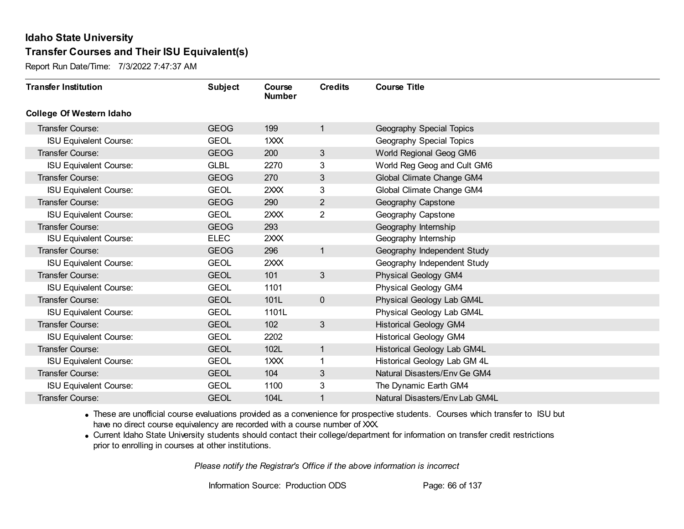Report Run Date/Time: 7/3/2022 7:47:37 AM

| <b>Transfer Institution</b>     | <b>Subject</b> | Course<br><b>Number</b> | <b>Credits</b> | <b>Course Title</b>            |
|---------------------------------|----------------|-------------------------|----------------|--------------------------------|
| <b>College Of Western Idaho</b> |                |                         |                |                                |
| Transfer Course:                | <b>GEOG</b>    | 199                     | $\mathbf{1}$   | Geography Special Topics       |
| <b>ISU Equivalent Course:</b>   | <b>GEOL</b>    | 1XXX                    |                | Geography Special Topics       |
| Transfer Course:                | <b>GEOG</b>    | 200                     | 3              | World Regional Geog GM6        |
| <b>ISU Equivalent Course:</b>   | <b>GLBL</b>    | 2270                    | 3              | World Reg Geog and Cult GM6    |
| <b>Transfer Course:</b>         | <b>GEOG</b>    | 270                     | 3              | Global Climate Change GM4      |
| <b>ISU Equivalent Course:</b>   | <b>GEOL</b>    | 2XXX                    | 3              | Global Climate Change GM4      |
| Transfer Course:                | <b>GEOG</b>    | 290                     | $\overline{2}$ | Geography Capstone             |
| <b>ISU Equivalent Course:</b>   | <b>GEOL</b>    | 2XXX                    | 2              | Geography Capstone             |
| Transfer Course:                | <b>GEOG</b>    | 293                     |                | Geography Internship           |
| <b>ISU Equivalent Course:</b>   | <b>ELEC</b>    | 2XXX                    |                | Geography Internship           |
| <b>Transfer Course:</b>         | <b>GEOG</b>    | 296                     | $\mathbf{1}$   | Geography Independent Study    |
| <b>ISU Equivalent Course:</b>   | <b>GEOL</b>    | 2XXX                    |                | Geography Independent Study    |
| Transfer Course:                | <b>GEOL</b>    | 101                     | 3              | <b>Physical Geology GM4</b>    |
| <b>ISU Equivalent Course:</b>   | <b>GEOL</b>    | 1101                    |                | <b>Physical Geology GM4</b>    |
| Transfer Course:                | <b>GEOL</b>    | 101L                    | 0              | Physical Geology Lab GM4L      |
| <b>ISU Equivalent Course:</b>   | <b>GEOL</b>    | 1101L                   |                | Physical Geology Lab GM4L      |
| Transfer Course:                | <b>GEOL</b>    | 102                     | $\mathbf{3}$   | <b>Historical Geology GM4</b>  |
| <b>ISU Equivalent Course:</b>   | <b>GEOL</b>    | 2202                    |                | <b>Historical Geology GM4</b>  |
| Transfer Course:                | <b>GEOL</b>    | 102L                    | $\mathbf{1}$   | Historical Geology Lab GM4L    |
| <b>ISU Equivalent Course:</b>   | <b>GEOL</b>    | $1 \times X$            | 1              | Historical Geology Lab GM 4L   |
| Transfer Course:                | <b>GEOL</b>    | 104                     | 3              | Natural Disasters/Env Ge GM4   |
| <b>ISU Equivalent Course:</b>   | <b>GEOL</b>    | 1100                    | 3              | The Dynamic Earth GM4          |
| Transfer Course:                | <b>GEOL</b>    | 104L                    | 1              | Natural Disasters/Env Lab GM4L |

· These are unofficial course evaluations provided as a convenience for prospective students. Courses which transfer to ISU but have no direct course equivalency are recorded with a course number of XXX.

· Current Idaho State University students should contact their college/department for information on transfer credit restrictions prior to enrolling in courses at other institutions.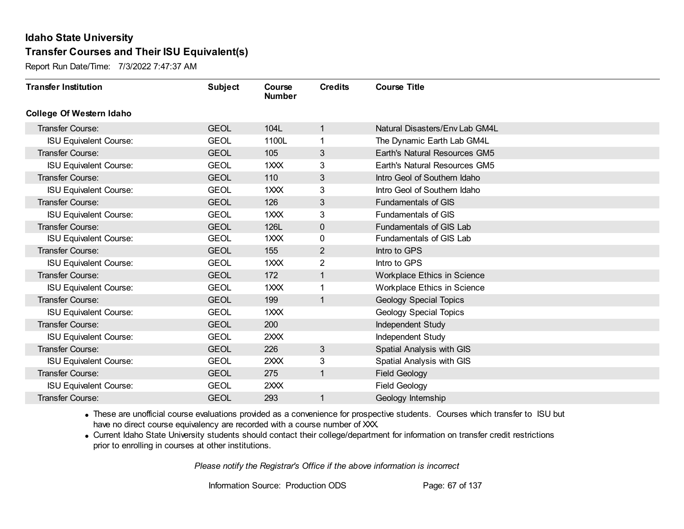Report Run Date/Time: 7/3/2022 7:47:37 AM

| <b>Transfer Institution</b>     | <b>Subject</b> | Course<br><b>Number</b> | <b>Credits</b> | <b>Course Title</b>            |
|---------------------------------|----------------|-------------------------|----------------|--------------------------------|
| <b>College Of Western Idaho</b> |                |                         |                |                                |
| <b>Transfer Course:</b>         | <b>GEOL</b>    | 104L                    | 1              | Natural Disasters/Env Lab GM4L |
| <b>ISU Equivalent Course:</b>   | <b>GEOL</b>    | 1100L                   |                | The Dynamic Earth Lab GM4L     |
| Transfer Course:                | <b>GEOL</b>    | 105                     | 3              | Earth's Natural Resources GM5  |
| <b>ISU Equivalent Course:</b>   | <b>GEOL</b>    | 1XXX                    | 3              | Earth's Natural Resources GM5  |
| <b>Transfer Course:</b>         | <b>GEOL</b>    | 110                     | 3              | Intro Geol of Southern Idaho   |
| <b>ISU Equivalent Course:</b>   | <b>GEOL</b>    | 1XXX                    | 3              | Intro Geol of Southern Idaho   |
| <b>Transfer Course:</b>         | <b>GEOL</b>    | 126                     | 3              | <b>Fundamentals of GIS</b>     |
| <b>ISU Equivalent Course:</b>   | <b>GEOL</b>    | 1XXX                    | 3              | <b>Fundamentals of GIS</b>     |
| Transfer Course:                | <b>GEOL</b>    | 126L                    | $\mathbf 0$    | Fundamentals of GIS Lab        |
| <b>ISU Equivalent Course:</b>   | <b>GEOL</b>    | 1XXX                    | 0              | Fundamentals of GIS Lab        |
| Transfer Course:                | <b>GEOL</b>    | 155                     | $\overline{2}$ | Intro to GPS                   |
| <b>ISU Equivalent Course:</b>   | <b>GEOL</b>    | 1XXX                    | 2              | Intro to GPS                   |
| Transfer Course:                | <b>GEOL</b>    | 172                     |                | Workplace Ethics in Science    |
| <b>ISU Equivalent Course:</b>   | <b>GEOL</b>    | 1XXX                    |                | Workplace Ethics in Science    |
| Transfer Course:                | <b>GEOL</b>    | 199                     | 1              | <b>Geology Special Topics</b>  |
| <b>ISU Equivalent Course:</b>   | <b>GEOL</b>    | 1XXX                    |                | <b>Geology Special Topics</b>  |
| Transfer Course:                | <b>GEOL</b>    | 200                     |                | Independent Study              |
| <b>ISU Equivalent Course:</b>   | <b>GEOL</b>    | 2XXX                    |                | Independent Study              |
| <b>Transfer Course:</b>         | <b>GEOL</b>    | 226                     | 3              | Spatial Analysis with GIS      |
| <b>ISU Equivalent Course:</b>   | <b>GEOL</b>    | 2XXX                    | 3              | Spatial Analysis with GIS      |
| <b>Transfer Course:</b>         | <b>GEOL</b>    | 275                     | $\mathbf{1}$   | <b>Field Geology</b>           |
| <b>ISU Equivalent Course:</b>   | <b>GEOL</b>    | 2XXX                    |                | <b>Field Geology</b>           |
| Transfer Course:                | <b>GEOL</b>    | 293                     |                | Geology Internship             |

· These are unofficial course evaluations provided as a convenience for prospective students. Courses which transfer to ISU but have no direct course equivalency are recorded with a course number of XXX.

· Current Idaho State University students should contact their college/department for information on transfer credit restrictions prior to enrolling in courses at other institutions.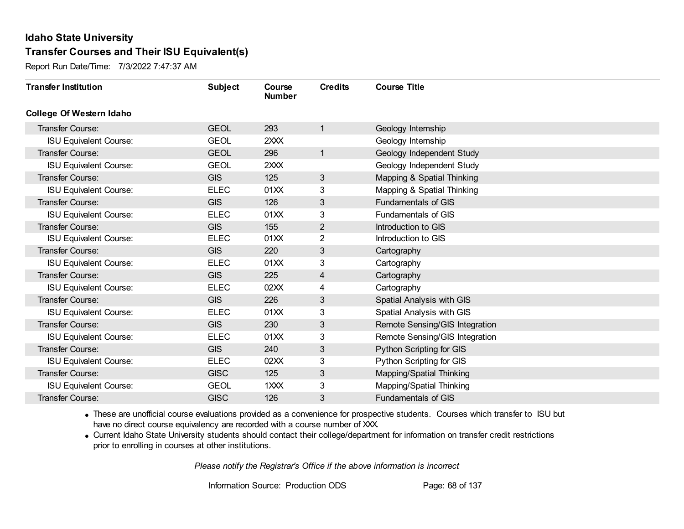Report Run Date/Time: 7/3/2022 7:47:37 AM

| <b>Transfer Institution</b>     | <b>Subject</b> | Course<br><b>Number</b> | <b>Credits</b> | <b>Course Title</b>            |
|---------------------------------|----------------|-------------------------|----------------|--------------------------------|
| <b>College Of Western Idaho</b> |                |                         |                |                                |
| Transfer Course:                | <b>GEOL</b>    | 293                     | 1              | Geology Internship             |
| <b>ISU Equivalent Course:</b>   | <b>GEOL</b>    | 2XXX                    |                | Geology Internship             |
| Transfer Course:                | <b>GEOL</b>    | 296                     | 1              | Geology Independent Study      |
| <b>ISU Equivalent Course:</b>   | <b>GEOL</b>    | 2XXX                    |                | Geology Independent Study      |
| <b>Transfer Course:</b>         | <b>GIS</b>     | 125                     | 3              | Mapping & Spatial Thinking     |
| <b>ISU Equivalent Course:</b>   | <b>ELEC</b>    | 01XX                    | 3              | Mapping & Spatial Thinking     |
| Transfer Course:                | <b>GIS</b>     | 126                     | 3              | <b>Fundamentals of GIS</b>     |
| <b>ISU Equivalent Course:</b>   | <b>ELEC</b>    | 01XX                    | 3              | <b>Fundamentals of GIS</b>     |
| <b>Transfer Course:</b>         | <b>GIS</b>     | 155                     | $\overline{2}$ | Introduction to GIS            |
| <b>ISU Equivalent Course:</b>   | <b>ELEC</b>    | 01XX                    | 2              | Introduction to GIS            |
| <b>Transfer Course:</b>         | <b>GIS</b>     | 220                     | 3              | Cartography                    |
| <b>ISU Equivalent Course:</b>   | <b>ELEC</b>    | 01XX                    | 3              | Cartography                    |
| <b>Transfer Course:</b>         | <b>GIS</b>     | 225                     | 4              | Cartography                    |
| <b>ISU Equivalent Course:</b>   | <b>ELEC</b>    | 02XX                    | 4              | Cartography                    |
| <b>Transfer Course:</b>         | <b>GIS</b>     | 226                     | 3              | Spatial Analysis with GIS      |
| <b>ISU Equivalent Course:</b>   | <b>ELEC</b>    | 01XX                    | 3              | Spatial Analysis with GIS      |
| <b>Transfer Course:</b>         | <b>GIS</b>     | 230                     | 3              | Remote Sensing/GIS Integration |
| <b>ISU Equivalent Course:</b>   | <b>ELEC</b>    | 01XX                    | 3              | Remote Sensing/GIS Integration |
| <b>Transfer Course:</b>         | <b>GIS</b>     | 240                     | 3              | Python Scripting for GIS       |
| <b>ISU Equivalent Course:</b>   | <b>ELEC</b>    | 02XX                    | 3              | Python Scripting for GIS       |
| <b>Transfer Course:</b>         | <b>GISC</b>    | 125                     | 3              | Mapping/Spatial Thinking       |
| <b>ISU Equivalent Course:</b>   | <b>GEOL</b>    | 1XXX                    | 3              | Mapping/Spatial Thinking       |
| <b>Transfer Course:</b>         | <b>GISC</b>    | 126                     | 3              | <b>Fundamentals of GIS</b>     |

· These are unofficial course evaluations provided as a convenience for prospective students. Courses which transfer to ISU but have no direct course equivalency are recorded with a course number of XXX.

· Current Idaho State University students should contact their college/department for information on transfer credit restrictions prior to enrolling in courses at other institutions.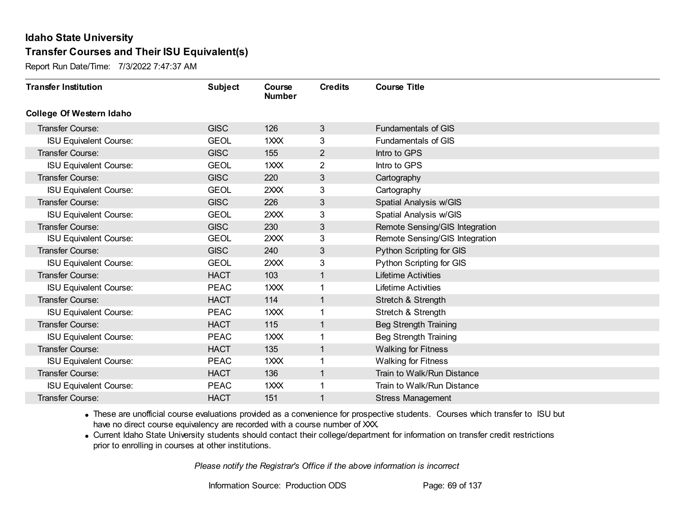Report Run Date/Time: 7/3/2022 7:47:37 AM

| <b>Transfer Institution</b>     | <b>Subject</b> | Course<br><b>Number</b> | <b>Credits</b> | <b>Course Title</b>             |
|---------------------------------|----------------|-------------------------|----------------|---------------------------------|
| <b>College Of Western Idaho</b> |                |                         |                |                                 |
| Transfer Course:                | <b>GISC</b>    | 126                     | $\mathbf{3}$   | <b>Fundamentals of GIS</b>      |
| <b>ISU Equivalent Course:</b>   | <b>GEOL</b>    | 1XXX                    | 3              | <b>Fundamentals of GIS</b>      |
| Transfer Course:                | <b>GISC</b>    | 155                     | $\overline{2}$ | Intro to GPS                    |
| <b>ISU Equivalent Course:</b>   | <b>GEOL</b>    | 1XXX                    | $\overline{2}$ | Intro to GPS                    |
| <b>Transfer Course:</b>         | <b>GISC</b>    | 220                     | 3              | Cartography                     |
| <b>ISU Equivalent Course:</b>   | <b>GEOL</b>    | 2XXX                    | 3              | Cartography                     |
| Transfer Course:                | <b>GISC</b>    | 226                     | 3              | Spatial Analysis w/GIS          |
| <b>ISU Equivalent Course:</b>   | <b>GEOL</b>    | 2XXX                    | 3              | Spatial Analysis w/GIS          |
| Transfer Course:                | <b>GISC</b>    | 230                     | 3              | Remote Sensing/GIS Integration  |
| <b>ISU Equivalent Course:</b>   | <b>GEOL</b>    | 2XXX                    | 3              | Remote Sensing/GIS Integration  |
| <b>Transfer Course:</b>         | <b>GISC</b>    | 240                     | 3              | Python Scripting for GIS        |
| <b>ISU Equivalent Course:</b>   | <b>GEOL</b>    | 2XXX                    | 3              | <b>Python Scripting for GIS</b> |
| Transfer Course:                | <b>HACT</b>    | 103                     | 1              | <b>Lifetime Activities</b>      |
| <b>ISU Equivalent Course:</b>   | <b>PEAC</b>    | 1XXX                    | 1              | Lifetime Activities             |
| Transfer Course:                | <b>HACT</b>    | 114                     | 1              | Stretch & Strength              |
| <b>ISU Equivalent Course:</b>   | <b>PEAC</b>    | 1XXX                    | 1              | Stretch & Strength              |
| Transfer Course:                | <b>HACT</b>    | 115                     | $\mathbf{1}$   | <b>Beg Strength Training</b>    |
| <b>ISU Equivalent Course:</b>   | <b>PEAC</b>    | 1XXX                    | 1              | <b>Beg Strength Training</b>    |
| Transfer Course:                | <b>HACT</b>    | 135                     | $\mathbf{1}$   | <b>Walking for Fitness</b>      |
| <b>ISU Equivalent Course:</b>   | <b>PEAC</b>    | $1 \times X$            |                | <b>Walking for Fitness</b>      |
| Transfer Course:                | <b>HACT</b>    | 136                     | $\mathbf{1}$   | Train to Walk/Run Distance      |
| <b>ISU Equivalent Course:</b>   | <b>PEAC</b>    | 1XXX                    | 1              | Train to Walk/Run Distance      |
| Transfer Course:                | <b>HACT</b>    | 151                     | 1              | <b>Stress Management</b>        |

· These are unofficial course evaluations provided as a convenience for prospective students. Courses which transfer to ISU but have no direct course equivalency are recorded with a course number of XXX.

· Current Idaho State University students should contact their college/department for information on transfer credit restrictions prior to enrolling in courses at other institutions.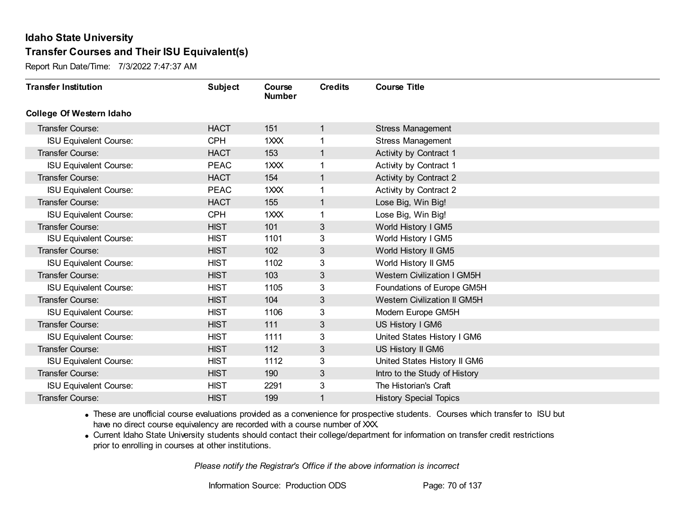Report Run Date/Time: 7/3/2022 7:47:37 AM

| <b>Transfer Institution</b>     | <b>Subject</b> | Course<br><b>Number</b> | <b>Credits</b> | <b>Course Title</b>                 |
|---------------------------------|----------------|-------------------------|----------------|-------------------------------------|
| <b>College Of Western Idaho</b> |                |                         |                |                                     |
| Transfer Course:                | <b>HACT</b>    | 151                     | 1              | <b>Stress Management</b>            |
| <b>ISU Equivalent Course:</b>   | <b>CPH</b>     | 1XXX                    | 1              | <b>Stress Management</b>            |
| Transfer Course:                | <b>HACT</b>    | 153                     | 1              | <b>Activity by Contract 1</b>       |
| <b>ISU Equivalent Course:</b>   | <b>PEAC</b>    | 1XXX                    | 1              | Activity by Contract 1              |
| Transfer Course:                | <b>HACT</b>    | 154                     | 1              | <b>Activity by Contract 2</b>       |
| <b>ISU Equivalent Course:</b>   | <b>PEAC</b>    | 1XXX                    | 1              | Activity by Contract 2              |
| Transfer Course:                | <b>HACT</b>    | 155                     | 1              | Lose Big, Win Big!                  |
| <b>ISU Equivalent Course:</b>   | <b>CPH</b>     | 1XXX                    |                | Lose Big, Win Big!                  |
| Transfer Course:                | <b>HIST</b>    | 101                     | 3              | World History I GM5                 |
| <b>ISU Equivalent Course:</b>   | <b>HIST</b>    | 1101                    | 3              | World History I GM5                 |
| Transfer Course:                | <b>HIST</b>    | 102                     | 3              | World History II GM5                |
| <b>ISU Equivalent Course:</b>   | <b>HIST</b>    | 1102                    | 3              | World History II GM5                |
| Transfer Course:                | <b>HIST</b>    | 103                     | 3              | <b>Western Civilization I GM5H</b>  |
| <b>ISU Equivalent Course:</b>   | <b>HIST</b>    | 1105                    | 3              | Foundations of Europe GM5H          |
| Transfer Course:                | <b>HIST</b>    | 104                     | 3              | <b>Western Civilization II GM5H</b> |
| <b>ISU Equivalent Course:</b>   | <b>HIST</b>    | 1106                    | 3              | Modern Europe GM5H                  |
| Transfer Course:                | <b>HIST</b>    | 111                     | 3              | US History I GM6                    |
| <b>ISU Equivalent Course:</b>   | <b>HIST</b>    | 1111                    | 3              | United States History I GM6         |
| Transfer Course:                | <b>HIST</b>    | 112                     | 3              | US History II GM6                   |
| <b>ISU Equivalent Course:</b>   | <b>HIST</b>    | 1112                    | 3              | United States History II GM6        |
| Transfer Course:                | <b>HIST</b>    | 190                     | 3              | Intro to the Study of History       |
| <b>ISU Equivalent Course:</b>   | <b>HIST</b>    | 2291                    | 3              | The Historian's Craft               |
| <b>Transfer Course:</b>         | <b>HIST</b>    | 199                     | 1              | <b>History Special Topics</b>       |

· These are unofficial course evaluations provided as a convenience for prospective students. Courses which transfer to ISU but have no direct course equivalency are recorded with a course number of XXX.

· Current Idaho State University students should contact their college/department for information on transfer credit restrictions prior to enrolling in courses at other institutions.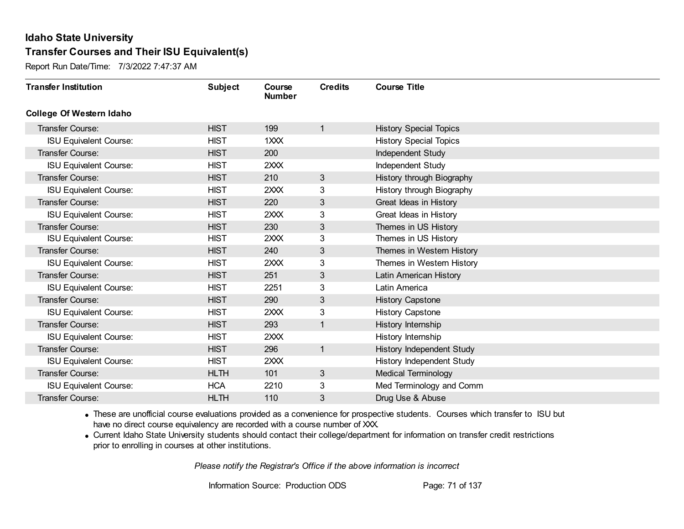Report Run Date/Time: 7/3/2022 7:47:37 AM

| <b>Transfer Institution</b>     | <b>Subject</b> | Course<br><b>Number</b> | <b>Credits</b> | <b>Course Title</b>              |
|---------------------------------|----------------|-------------------------|----------------|----------------------------------|
| <b>College Of Western Idaho</b> |                |                         |                |                                  |
| Transfer Course:                | <b>HIST</b>    | 199                     | 1              | <b>History Special Topics</b>    |
| <b>ISU Equivalent Course:</b>   | <b>HIST</b>    | 1XXX                    |                | <b>History Special Topics</b>    |
| Transfer Course:                | <b>HIST</b>    | 200                     |                | Independent Study                |
| <b>ISU Equivalent Course:</b>   | <b>HIST</b>    | 2XXX                    |                | Independent Study                |
| <b>Transfer Course:</b>         | <b>HIST</b>    | 210                     | 3              | History through Biography        |
| <b>ISU Equivalent Course:</b>   | <b>HIST</b>    | 2XXX                    | 3              | History through Biography        |
| <b>Transfer Course:</b>         | <b>HIST</b>    | 220                     | 3              | Great Ideas in History           |
| <b>ISU Equivalent Course:</b>   | <b>HIST</b>    | 2XXX                    | 3              | Great Ideas in History           |
| <b>Transfer Course:</b>         | <b>HIST</b>    | 230                     | 3              | Themes in US History             |
| <b>ISU Equivalent Course:</b>   | <b>HIST</b>    | 2XXX                    | 3              | Themes in US History             |
| Transfer Course:                | <b>HIST</b>    | 240                     | 3              | Themes in Western History        |
| <b>ISU Equivalent Course:</b>   | <b>HIST</b>    | 2XXX                    | 3              | Themes in Western History        |
| Transfer Course:                | <b>HIST</b>    | 251                     | 3              | Latin American History           |
| <b>ISU Equivalent Course:</b>   | <b>HIST</b>    | 2251                    | 3              | Latin America                    |
| Transfer Course:                | <b>HIST</b>    | 290                     | 3              | <b>History Capstone</b>          |
| <b>ISU Equivalent Course:</b>   | <b>HIST</b>    | 2XXX                    | 3              | <b>History Capstone</b>          |
| <b>Transfer Course:</b>         | <b>HIST</b>    | 293                     | $\mathbf{1}$   | History Internship               |
| <b>ISU Equivalent Course:</b>   | <b>HIST</b>    | 2XXX                    |                | History Internship               |
| Transfer Course:                | <b>HIST</b>    | 296                     | $\mathbf{1}$   | <b>History Independent Study</b> |
| <b>ISU Equivalent Course:</b>   | <b>HIST</b>    | 2XXX                    |                | History Independent Study        |
| <b>Transfer Course:</b>         | <b>HLTH</b>    | 101                     | 3              | <b>Medical Terminology</b>       |
| <b>ISU Equivalent Course:</b>   | <b>HCA</b>     | 2210                    | 3              | Med Terminology and Comm         |
| Transfer Course:                | <b>HLTH</b>    | 110                     | 3              | Drug Use & Abuse                 |

· These are unofficial course evaluations provided as a convenience for prospective students. Courses which transfer to ISU but have no direct course equivalency are recorded with a course number of XXX.

· Current Idaho State University students should contact their college/department for information on transfer credit restrictions prior to enrolling in courses at other institutions.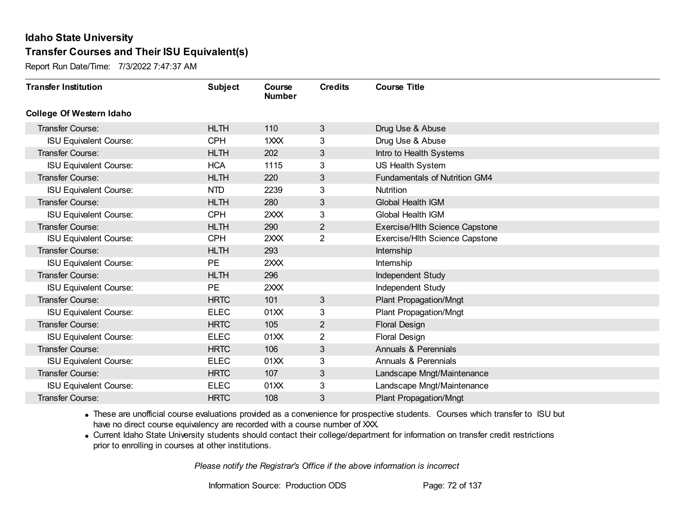Report Run Date/Time: 7/3/2022 7:47:37 AM

| <b>Transfer Institution</b>     | <b>Subject</b> | Course<br><b>Number</b> | <b>Credits</b> | <b>Course Title</b>                  |
|---------------------------------|----------------|-------------------------|----------------|--------------------------------------|
| <b>College Of Western Idaho</b> |                |                         |                |                                      |
| Transfer Course:                | <b>HLTH</b>    | 110                     | $\mathbf{3}$   | Drug Use & Abuse                     |
| <b>ISU Equivalent Course:</b>   | <b>CPH</b>     | $12 2 1 2$              | 3              | Drug Use & Abuse                     |
| Transfer Course:                | <b>HLTH</b>    | 202                     | 3              | Intro to Health Systems              |
| <b>ISU Equivalent Course:</b>   | <b>HCA</b>     | 1115                    | 3              | US Health System                     |
| <b>Transfer Course:</b>         | <b>HLTH</b>    | 220                     | 3              | <b>Fundamentals of Nutrition GM4</b> |
| <b>ISU Equivalent Course:</b>   | <b>NTD</b>     | 2239                    | 3              | Nutrition                            |
| Transfer Course:                | <b>HLTH</b>    | 280                     | 3              | Global Health IGM                    |
| <b>ISU Equivalent Course:</b>   | <b>CPH</b>     | 2XXX                    | 3              | Global Health IGM                    |
| Transfer Course:                | <b>HLTH</b>    | 290                     | $\overline{2}$ | Exercise/Hlth Science Capstone       |
| <b>ISU Equivalent Course:</b>   | <b>CPH</b>     | 2XXX                    | 2              | Exercise/Hlth Science Capstone       |
| Transfer Course:                | <b>HLTH</b>    | 293                     |                | Internship                           |
| <b>ISU Equivalent Course:</b>   | <b>PE</b>      | 2XXX                    |                | Internship                           |
| <b>Transfer Course:</b>         | <b>HLTH</b>    | 296                     |                | Independent Study                    |
| <b>ISU Equivalent Course:</b>   | <b>PE</b>      | 2XXX                    |                | Independent Study                    |
| Transfer Course:                | <b>HRTC</b>    | 101                     | 3              | <b>Plant Propagation/Mngt</b>        |
| <b>ISU Equivalent Course:</b>   | <b>ELEC</b>    | 01XX                    | 3              | <b>Plant Propagation/Mngt</b>        |
| Transfer Course:                | <b>HRTC</b>    | 105                     | $\overline{2}$ | <b>Floral Design</b>                 |
| <b>ISU Equivalent Course:</b>   | <b>ELEC</b>    | 01XX                    | 2              | <b>Floral Design</b>                 |
| <b>Transfer Course:</b>         | <b>HRTC</b>    | 106                     | 3              | Annuals & Perennials                 |
| <b>ISU Equivalent Course:</b>   | <b>ELEC</b>    | 01XX                    | 3              | Annuals & Perennials                 |
| Transfer Course:                | <b>HRTC</b>    | 107                     | 3              | Landscape Mngt/Maintenance           |
| <b>ISU Equivalent Course:</b>   | <b>ELEC</b>    | 01XX                    | 3              | Landscape Mngt/Maintenance           |
| <b>Transfer Course:</b>         | <b>HRTC</b>    | 108                     | 3              | <b>Plant Propagation/Mngt</b>        |

· These are unofficial course evaluations provided as a convenience for prospective students. Courses which transfer to ISU but have no direct course equivalency are recorded with a course number of XXX.

· Current Idaho State University students should contact their college/department for information on transfer credit restrictions prior to enrolling in courses at other institutions.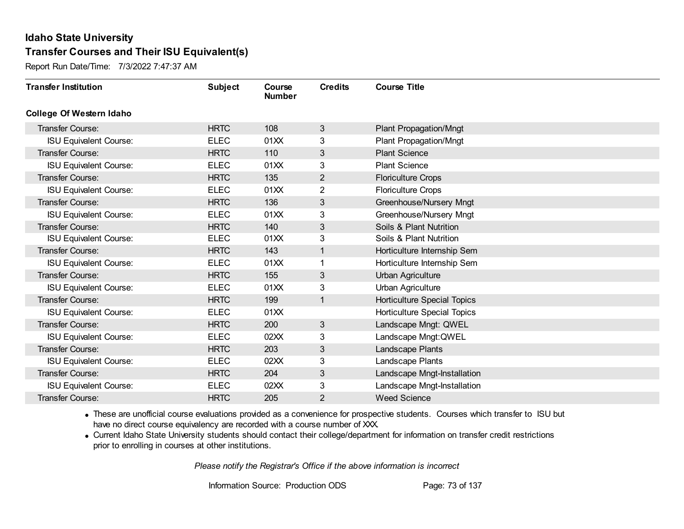Report Run Date/Time: 7/3/2022 7:47:37 AM

| <b>Transfer Institution</b>     | <b>Subject</b> | Course<br><b>Number</b> | <b>Credits</b> | <b>Course Title</b>                |
|---------------------------------|----------------|-------------------------|----------------|------------------------------------|
| <b>College Of Western Idaho</b> |                |                         |                |                                    |
| Transfer Course:                | <b>HRTC</b>    | 108                     | 3              | <b>Plant Propagation/Mngt</b>      |
| <b>ISU Equivalent Course:</b>   | <b>ELEC</b>    | 01XX                    | 3              | <b>Plant Propagation/Mngt</b>      |
| Transfer Course:                | <b>HRTC</b>    | 110                     | 3              | <b>Plant Science</b>               |
| <b>ISU Equivalent Course:</b>   | <b>ELEC</b>    | 01XX                    | 3              | <b>Plant Science</b>               |
| <b>Transfer Course:</b>         | <b>HRTC</b>    | 135                     | $\overline{2}$ | <b>Floriculture Crops</b>          |
| <b>ISU Equivalent Course:</b>   | <b>ELEC</b>    | 01XX                    | 2              | <b>Floriculture Crops</b>          |
| Transfer Course:                | <b>HRTC</b>    | 136                     | 3              | Greenhouse/Nursery Mngt            |
| <b>ISU Equivalent Course:</b>   | <b>ELEC</b>    | 01XX                    | 3              | Greenhouse/Nursery Mngt            |
| <b>Transfer Course:</b>         | <b>HRTC</b>    | 140                     | 3              | Soils & Plant Nutrition            |
| <b>ISU Equivalent Course:</b>   | <b>ELEC</b>    | 01XX                    | 3              | Soils & Plant Nutrition            |
| Transfer Course:                | <b>HRTC</b>    | 143                     | $\mathbf{1}$   | Horticulture Internship Sem        |
| <b>ISU Equivalent Course:</b>   | <b>ELEC</b>    | 01XX                    | 1              | Horticulture Internship Sem        |
| Transfer Course:                | <b>HRTC</b>    | 155                     | 3              | Urban Agriculture                  |
| <b>ISU Equivalent Course:</b>   | <b>ELEC</b>    | 01XX                    | 3              | <b>Urban Agriculture</b>           |
| <b>Transfer Course:</b>         | <b>HRTC</b>    | 199                     | 1              | <b>Horticulture Special Topics</b> |
| <b>ISU Equivalent Course:</b>   | <b>ELEC</b>    | 01XX                    |                | Horticulture Special Topics        |
| Transfer Course:                | <b>HRTC</b>    | 200                     | 3              | Landscape Mngt: QWEL               |
| <b>ISU Equivalent Course:</b>   | <b>ELEC</b>    | 02XX                    | 3              | Landscape Mngt: QWEL               |
| Transfer Course:                | <b>HRTC</b>    | 203                     | 3              | Landscape Plants                   |
| <b>ISU Equivalent Course:</b>   | <b>ELEC</b>    | 02XX                    | 3              | Landscape Plants                   |
| <b>Transfer Course:</b>         | <b>HRTC</b>    | 204                     | 3              | Landscape Mngt-Installation        |
| <b>ISU Equivalent Course:</b>   | <b>ELEC</b>    | 02XX                    | 3              | Landscape Mngt-Installation        |
| Transfer Course:                | <b>HRTC</b>    | 205                     | 2              | <b>Weed Science</b>                |

· These are unofficial course evaluations provided as a convenience for prospective students. Courses which transfer to ISU but have no direct course equivalency are recorded with a course number of XXX.

· Current Idaho State University students should contact their college/department for information on transfer credit restrictions prior to enrolling in courses at other institutions.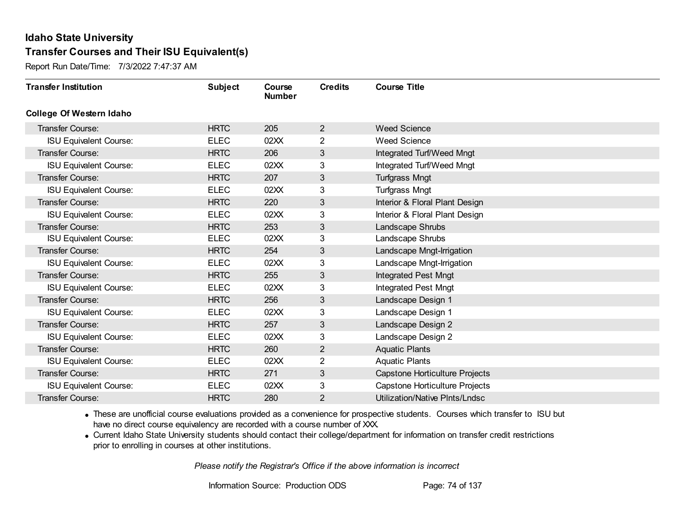Report Run Date/Time: 7/3/2022 7:47:37 AM

| <b>Transfer Institution</b>     | <b>Subject</b> | Course<br><b>Number</b> | <b>Credits</b> | <b>Course Title</b>                   |
|---------------------------------|----------------|-------------------------|----------------|---------------------------------------|
| <b>College Of Western Idaho</b> |                |                         |                |                                       |
| Transfer Course:                | <b>HRTC</b>    | 205                     | $\overline{2}$ | <b>Weed Science</b>                   |
| <b>ISU Equivalent Course:</b>   | <b>ELEC</b>    | 02XX                    | 2              | <b>Weed Science</b>                   |
| Transfer Course:                | <b>HRTC</b>    | 206                     | 3              | Integrated Turf/Weed Mngt             |
| <b>ISU Equivalent Course:</b>   | <b>ELEC</b>    | 02XX                    | 3              | Integrated Turf/Weed Mngt             |
| <b>Transfer Course:</b>         | <b>HRTC</b>    | 207                     | 3              | <b>Turfgrass Mngt</b>                 |
| <b>ISU Equivalent Course:</b>   | <b>ELEC</b>    | 02XX                    | 3              | <b>Turfgrass Mngt</b>                 |
| Transfer Course:                | <b>HRTC</b>    | 220                     | 3              | Interior & Floral Plant Design        |
| <b>ISU Equivalent Course:</b>   | <b>ELEC</b>    | 02XX                    | 3              | Interior & Floral Plant Design        |
| <b>Transfer Course:</b>         | <b>HRTC</b>    | 253                     | 3              | Landscape Shrubs                      |
| <b>ISU Equivalent Course:</b>   | <b>ELEC</b>    | 02XX                    | 3              | Landscape Shrubs                      |
| Transfer Course:                | <b>HRTC</b>    | 254                     | 3              | Landscape Mngt-Irrigation             |
| <b>ISU Equivalent Course:</b>   | <b>ELEC</b>    | 02XX                    | 3              | Landscape Mngt-Irrigation             |
| Transfer Course:                | <b>HRTC</b>    | 255                     | 3              | <b>Integrated Pest Mngt</b>           |
| <b>ISU Equivalent Course:</b>   | <b>ELEC</b>    | 02XX                    | 3              | Integrated Pest Mngt                  |
| <b>Transfer Course:</b>         | <b>HRTC</b>    | 256                     | 3              | Landscape Design 1                    |
| <b>ISU Equivalent Course:</b>   | <b>ELEC</b>    | 02XX                    | 3              | Landscape Design 1                    |
| Transfer Course:                | <b>HRTC</b>    | 257                     | 3              | Landscape Design 2                    |
| <b>ISU Equivalent Course:</b>   | <b>ELEC</b>    | 02XX                    | 3              | Landscape Design 2                    |
| Transfer Course:                | <b>HRTC</b>    | 260                     | $\overline{2}$ | <b>Aquatic Plants</b>                 |
| <b>ISU Equivalent Course:</b>   | <b>ELEC</b>    | 02XX                    | 2              | <b>Aquatic Plants</b>                 |
| <b>Transfer Course:</b>         | <b>HRTC</b>    | 271                     | 3              | Capstone Horticulture Projects        |
| <b>ISU Equivalent Course:</b>   | <b>ELEC</b>    | 02XX                    | 3              | <b>Capstone Horticulture Projects</b> |
| Transfer Course:                | <b>HRTC</b>    | 280                     | 2              | Utilization/Native PInts/Lndsc        |

· These are unofficial course evaluations provided as a convenience for prospective students. Courses which transfer to ISU but have no direct course equivalency are recorded with a course number of XXX.

· Current Idaho State University students should contact their college/department for information on transfer credit restrictions prior to enrolling in courses at other institutions.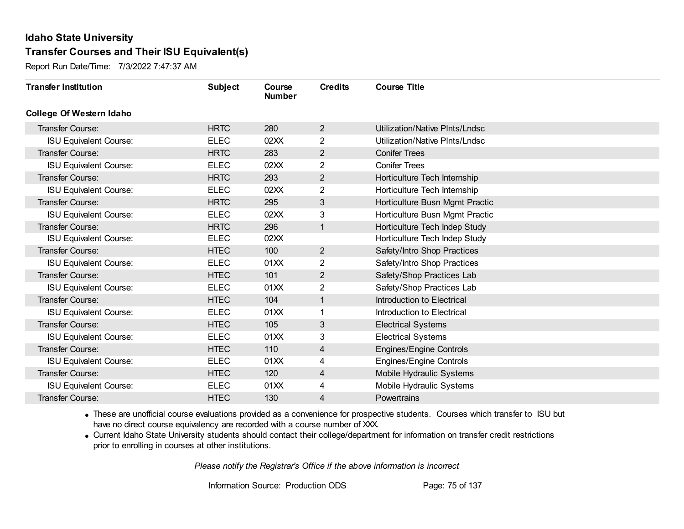Report Run Date/Time: 7/3/2022 7:47:37 AM

| <b>Transfer Institution</b>     | <b>Subject</b> | Course<br><b>Number</b> | <b>Credits</b> | <b>Course Title</b>            |
|---------------------------------|----------------|-------------------------|----------------|--------------------------------|
| <b>College Of Western Idaho</b> |                |                         |                |                                |
| Transfer Course:                | <b>HRTC</b>    | 280                     | $\overline{2}$ | Utilization/Native PInts/Lndsc |
| <b>ISU Equivalent Course:</b>   | <b>ELEC</b>    | 02XX                    | 2              | Utilization/Native PInts/Lndsc |
| Transfer Course:                | <b>HRTC</b>    | 283                     | $\overline{2}$ | <b>Conifer Trees</b>           |
| <b>ISU Equivalent Course:</b>   | <b>ELEC</b>    | 02XX                    | $\overline{2}$ | <b>Conifer Trees</b>           |
| <b>Transfer Course:</b>         | <b>HRTC</b>    | 293                     | $\overline{2}$ | Horticulture Tech Internship   |
| <b>ISU Equivalent Course:</b>   | <b>ELEC</b>    | 02XX                    | 2              | Horticulture Tech Internship   |
| <b>Transfer Course:</b>         | <b>HRTC</b>    | 295                     | 3              | Horticulture Busn Mgmt Practic |
| <b>ISU Equivalent Course:</b>   | <b>ELEC</b>    | 02XX                    | 3              | Horticulture Busn Mgmt Practic |
| <b>Transfer Course:</b>         | <b>HRTC</b>    | 296                     | $\mathbf{1}$   | Horticulture Tech Indep Study  |
| <b>ISU Equivalent Course:</b>   | <b>ELEC</b>    | 02XX                    |                | Horticulture Tech Indep Study  |
| <b>Transfer Course:</b>         | <b>HTEC</b>    | 100                     | $\overline{2}$ | Safety/Intro Shop Practices    |
| <b>ISU Equivalent Course:</b>   | <b>ELEC</b>    | 01XX                    | 2              | Safety/Intro Shop Practices    |
| Transfer Course:                | <b>HTEC</b>    | 101                     | $\overline{2}$ | Safety/Shop Practices Lab      |
| <b>ISU Equivalent Course:</b>   | <b>ELEC</b>    | 01XX                    | $\overline{2}$ | Safety/Shop Practices Lab      |
| Transfer Course:                | <b>HTEC</b>    | 104                     | 1              | Introduction to Electrical     |
| <b>ISU Equivalent Course:</b>   | <b>ELEC</b>    | 01XX                    | 1              | Introduction to Electrical     |
| Transfer Course:                | <b>HTEC</b>    | 105                     | 3              | <b>Electrical Systems</b>      |
| <b>ISU Equivalent Course:</b>   | <b>ELEC</b>    | 01XX                    | 3              | <b>Electrical Systems</b>      |
| Transfer Course:                | <b>HTEC</b>    | 110                     | $\overline{4}$ | Engines/Engine Controls        |
| <b>ISU Equivalent Course:</b>   | <b>ELEC</b>    | 01XX                    | 4              | Engines/Engine Controls        |
| Transfer Course:                | <b>HTEC</b>    | 120                     | 4              | Mobile Hydraulic Systems       |
| <b>ISU Equivalent Course:</b>   | <b>ELEC</b>    | 01XX                    | 4              | Mobile Hydraulic Systems       |
| <b>Transfer Course:</b>         | <b>HTEC</b>    | 130                     | 4              | Powertrains                    |

· These are unofficial course evaluations provided as a convenience for prospective students. Courses which transfer to ISU but have no direct course equivalency are recorded with a course number of XXX.

· Current Idaho State University students should contact their college/department for information on transfer credit restrictions prior to enrolling in courses at other institutions.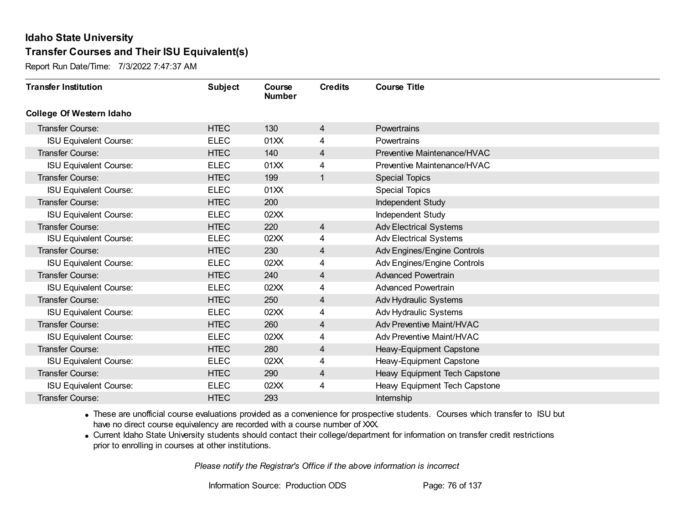Report Run Date/Time: 7/3/2022 7:47:37 AM

| <b>Transfer Institution</b>     | <b>Subject</b> | Course<br><b>Number</b> | <b>Credits</b> | <b>Course Title</b>              |
|---------------------------------|----------------|-------------------------|----------------|----------------------------------|
| <b>College Of Western Idaho</b> |                |                         |                |                                  |
| Transfer Course:                | <b>HTEC</b>    | 130                     | $\overline{4}$ | Powertrains                      |
| <b>ISU Equivalent Course:</b>   | <b>ELEC</b>    | 01XX                    | 4              | <b>Powertrains</b>               |
| Transfer Course:                | <b>HTEC</b>    | 140                     | 4              | Preventive Maintenance/HVAC      |
| <b>ISU Equivalent Course:</b>   | <b>ELEC</b>    | 01XX                    | 4              | Preventive Maintenance/HVAC      |
| <b>Transfer Course:</b>         | <b>HTEC</b>    | 199                     | 1              | <b>Special Topics</b>            |
| <b>ISU Equivalent Course:</b>   | <b>ELEC</b>    | 01XX                    |                | <b>Special Topics</b>            |
| Transfer Course:                | <b>HTEC</b>    | 200                     |                | Independent Study                |
| <b>ISU Equivalent Course:</b>   | <b>ELEC</b>    | 02XX                    |                | Independent Study                |
| Transfer Course:                | <b>HTEC</b>    | 220                     | $\overline{4}$ | <b>Adv Electrical Systems</b>    |
| <b>ISU Equivalent Course:</b>   | <b>ELEC</b>    | 02XX                    | 4              | <b>Adv Electrical Systems</b>    |
| Transfer Course:                | <b>HTEC</b>    | 230                     | 4              | Adv Engines/Engine Controls      |
| <b>ISU Equivalent Course:</b>   | <b>ELEC</b>    | 02XX                    | 4              | Adv Engines/Engine Controls      |
| Transfer Course:                | <b>HTEC</b>    | 240                     | 4              | <b>Advanced Powertrain</b>       |
| <b>ISU Equivalent Course:</b>   | <b>ELEC</b>    | 02XX                    | 4              | <b>Advanced Powertrain</b>       |
| Transfer Course:                | <b>HTEC</b>    | 250                     | 4              | Adv Hydraulic Systems            |
| <b>ISU Equivalent Course:</b>   | <b>ELEC</b>    | 02XX                    | 4              | Adv Hydraulic Systems            |
| Transfer Course:                | <b>HTEC</b>    | 260                     | 4              | <b>Adv Preventive Maint/HVAC</b> |
| <b>ISU Equivalent Course:</b>   | <b>ELEC</b>    | 02XX                    | 4              | Adv Preventive Maint/HVAC        |
| Transfer Course:                | <b>HTEC</b>    | 280                     | 4              | Heavy-Equipment Capstone         |
| <b>ISU Equivalent Course:</b>   | <b>ELEC</b>    | 02XX                    | 4              | Heavy-Equipment Capstone         |
| Transfer Course:                | <b>HTEC</b>    | 290                     | 4              | Heavy Equipment Tech Capstone    |
| <b>ISU Equivalent Course:</b>   | <b>ELEC</b>    | 02XX                    | 4              | Heavy Equipment Tech Capstone    |
| <b>Transfer Course:</b>         | <b>HTEC</b>    | 293                     |                | Internship                       |

· These are unofficial course evaluations provided as a convenience for prospective students. Courses which transfer to ISU but have no direct course equivalency are recorded with a course number of XXX.

· Current Idaho State University students should contact their college/department for information on transfer credit restrictions prior to enrolling in courses at other institutions.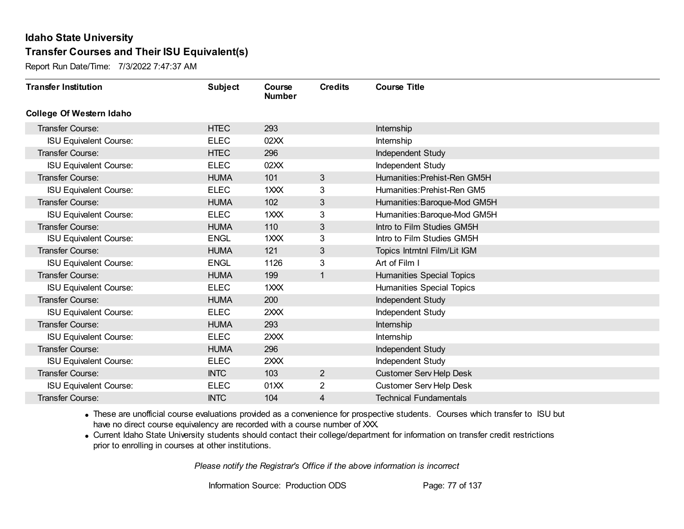Report Run Date/Time: 7/3/2022 7:47:37 AM

| <b>Transfer Institution</b>     | <b>Subject</b> | Course<br><b>Number</b> | <b>Credits</b> | <b>Course Title</b>              |
|---------------------------------|----------------|-------------------------|----------------|----------------------------------|
| <b>College Of Western Idaho</b> |                |                         |                |                                  |
| Transfer Course:                | <b>HTEC</b>    | 293                     |                | Internship                       |
| <b>ISU Equivalent Course:</b>   | <b>ELEC</b>    | 02XX                    |                | Internship                       |
| Transfer Course:                | <b>HTEC</b>    | 296                     |                | Independent Study                |
| <b>ISU Equivalent Course:</b>   | <b>ELEC</b>    | 02XX                    |                | Independent Study                |
| <b>Transfer Course:</b>         | <b>HUMA</b>    | 101                     | 3              | Humanities: Prehist-Ren GM5H     |
| <b>ISU Equivalent Course:</b>   | <b>ELEC</b>    | 1XXX                    | 3              | Humanities: Prehist-Ren GM5      |
| Transfer Course:                | <b>HUMA</b>    | 102                     | 3              | Humanities: Baroque-Mod GM5H     |
| <b>ISU Equivalent Course:</b>   | <b>ELEC</b>    | 1XXX                    | 3              | Humanities: Baroque-Mod GM5H     |
| <b>Transfer Course:</b>         | <b>HUMA</b>    | 110                     | 3              | Intro to Film Studies GM5H       |
| <b>ISU Equivalent Course:</b>   | <b>ENGL</b>    | 1XXX                    | 3              | Intro to Film Studies GM5H       |
| <b>Transfer Course:</b>         | <b>HUMA</b>    | 121                     | 3              | Topics Intrntnl Film/Lit IGM     |
| <b>ISU Equivalent Course:</b>   | <b>ENGL</b>    | 1126                    | 3              | Art of Film I                    |
| Transfer Course:                | <b>HUMA</b>    | 199                     | 1              | Humanities Special Topics        |
| <b>ISU Equivalent Course:</b>   | <b>ELEC</b>    | 1XXX                    |                | <b>Humanities Special Topics</b> |
| Transfer Course:                | <b>HUMA</b>    | 200                     |                | Independent Study                |
| <b>ISU Equivalent Course:</b>   | <b>ELEC</b>    | 2XXX                    |                | Independent Study                |
| Transfer Course:                | <b>HUMA</b>    | 293                     |                | Internship                       |
| <b>ISU Equivalent Course:</b>   | <b>ELEC</b>    | 2XXX                    |                | Internship                       |
| Transfer Course:                | <b>HUMA</b>    | 296                     |                | Independent Study                |
| <b>ISU Equivalent Course:</b>   | <b>ELEC</b>    | 2XXX                    |                | Independent Study                |
| Transfer Course:                | <b>INTC</b>    | 103                     | $\overline{2}$ | Customer Serv Help Desk          |
| <b>ISU Equivalent Course:</b>   | <b>ELEC</b>    | 01XX                    | 2              | Customer Serv Help Desk          |
| <b>Transfer Course:</b>         | <b>INTC</b>    | 104                     | 4              | <b>Technical Fundamentals</b>    |

· These are unofficial course evaluations provided as a convenience for prospective students. Courses which transfer to ISU but have no direct course equivalency are recorded with a course number of XXX.

· Current Idaho State University students should contact their college/department for information on transfer credit restrictions prior to enrolling in courses at other institutions.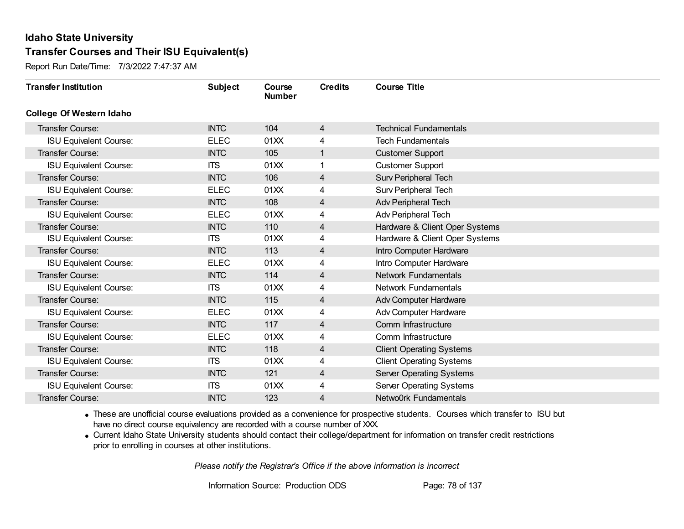Report Run Date/Time: 7/3/2022 7:47:37 AM

| <b>Transfer Institution</b>     | <b>Subject</b> | Course<br><b>Number</b> | <b>Credits</b> | <b>Course Title</b>             |
|---------------------------------|----------------|-------------------------|----------------|---------------------------------|
| <b>College Of Western Idaho</b> |                |                         |                |                                 |
| Transfer Course:                | <b>INTC</b>    | 104                     | 4              | <b>Technical Fundamentals</b>   |
| <b>ISU Equivalent Course:</b>   | <b>ELEC</b>    | 01XX                    | 4              | <b>Tech Fundamentals</b>        |
| Transfer Course:                | <b>INTC</b>    | 105                     | 1              | <b>Customer Support</b>         |
| <b>ISU Equivalent Course:</b>   | <b>ITS</b>     | 01XX                    | 1              | <b>Customer Support</b>         |
| Transfer Course:                | <b>INTC</b>    | 106                     | 4              | Surv Peripheral Tech            |
| <b>ISU Equivalent Course:</b>   | <b>ELEC</b>    | 01XX                    | 4              | Surv Peripheral Tech            |
| <b>Transfer Course:</b>         | <b>INTC</b>    | 108                     | 4              | Adv Peripheral Tech             |
| <b>ISU Equivalent Course:</b>   | <b>ELEC</b>    | 01XX                    | 4              | <b>Adv Peripheral Tech</b>      |
| Transfer Course:                | <b>INTC</b>    | 110                     | 4              | Hardware & Client Oper Systems  |
| <b>ISU Equivalent Course:</b>   | <b>ITS</b>     | 01XX                    | 4              | Hardware & Client Oper Systems  |
| Transfer Course:                | <b>INTC</b>    | 113                     | 4              | Intro Computer Hardware         |
| <b>ISU Equivalent Course:</b>   | <b>ELEC</b>    | 01XX                    | 4              | Intro Computer Hardware         |
| Transfer Course:                | <b>INTC</b>    | 114                     | 4              | <b>Network Fundamentals</b>     |
| <b>ISU Equivalent Course:</b>   | <b>ITS</b>     | 01XX                    | 4              | Network Fundamentals            |
| Transfer Course:                | <b>INTC</b>    | 115                     | 4              | Adv Computer Hardware           |
| <b>ISU Equivalent Course:</b>   | <b>ELEC</b>    | 01XX                    | 4              | Adv Computer Hardware           |
| Transfer Course:                | <b>INTC</b>    | 117                     | 4              | Comm Infrastructure             |
| <b>ISU Equivalent Course:</b>   | <b>ELEC</b>    | 01XX                    | 4              | Comm Infrastructure             |
| Transfer Course:                | <b>INTC</b>    | 118                     | 4              | <b>Client Operating Systems</b> |
| <b>ISU Equivalent Course:</b>   | <b>ITS</b>     | 01XX                    | 4              | <b>Client Operating Systems</b> |
| Transfer Course:                | <b>INTC</b>    | 121                     | 4              | Server Operating Systems        |
| <b>ISU Equivalent Course:</b>   | <b>ITS</b>     | 01XX                    | 4              | Server Operating Systems        |
| <b>Transfer Course:</b>         | <b>INTC</b>    | 123                     | 4              | Netwo0rk Fundamentals           |

· These are unofficial course evaluations provided as a convenience for prospective students. Courses which transfer to ISU but have no direct course equivalency are recorded with a course number of XXX.

· Current Idaho State University students should contact their college/department for information on transfer credit restrictions prior to enrolling in courses at other institutions.

*Please notify the Registrar's Office if the above information is incorrect*

Information Source: Production ODS Page: 78 of 137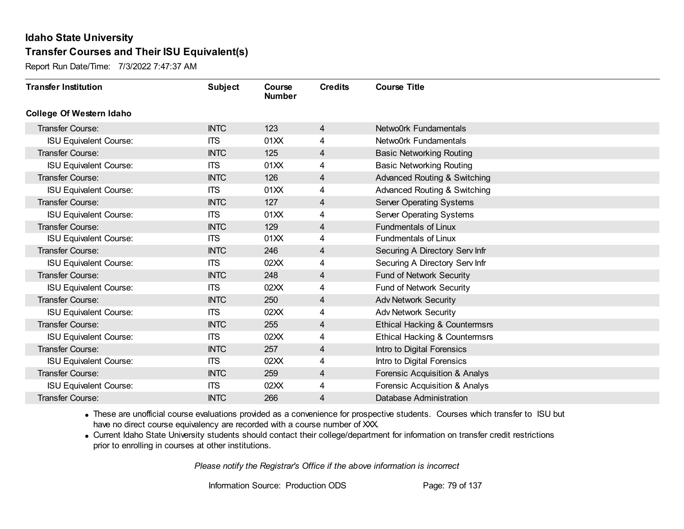Report Run Date/Time: 7/3/2022 7:47:37 AM

| <b>Transfer Institution</b>     | <b>Subject</b> | Course<br><b>Number</b> | <b>Credits</b> | <b>Course Title</b>                      |
|---------------------------------|----------------|-------------------------|----------------|------------------------------------------|
| <b>College Of Western Idaho</b> |                |                         |                |                                          |
| Transfer Course:                | <b>INTC</b>    | 123                     | 4              | Netwo0rk Fundamentals                    |
| <b>ISU Equivalent Course:</b>   | <b>ITS</b>     | 01XX                    | 4              | Netwo0rk Fundamentals                    |
| Transfer Course:                | <b>INTC</b>    | 125                     | 4              | <b>Basic Networking Routing</b>          |
| <b>ISU Equivalent Course:</b>   | <b>ITS</b>     | 01XX                    | 4              | <b>Basic Networking Routing</b>          |
| Transfer Course:                | <b>INTC</b>    | 126                     | 4              | <b>Advanced Routing &amp; Switching</b>  |
| <b>ISU Equivalent Course:</b>   | <b>ITS</b>     | 01XX                    | 4              | <b>Advanced Routing &amp; Switching</b>  |
| Transfer Course:                | <b>INTC</b>    | 127                     | 4              | Server Operating Systems                 |
| <b>ISU Equivalent Course:</b>   | <b>ITS</b>     | 01XX                    | 4              | Server Operating Systems                 |
| Transfer Course:                | <b>INTC</b>    | 129                     | 4              | <b>Fundmentals of Linux</b>              |
| <b>ISU Equivalent Course:</b>   | <b>ITS</b>     | 01XX                    | 4              | <b>Fundmentals of Linux</b>              |
| Transfer Course:                | <b>INTC</b>    | 246                     | 4              | Securing A Directory Serv Infr           |
| <b>ISU Equivalent Course:</b>   | <b>ITS</b>     | 02XX                    | 4              | Securing A Directory Serv Infr           |
| Transfer Course:                | <b>INTC</b>    | 248                     | 4              | <b>Fund of Network Security</b>          |
| <b>ISU Equivalent Course:</b>   | <b>ITS</b>     | 02XX                    | 4              | <b>Fund of Network Security</b>          |
| Transfer Course:                | <b>INTC</b>    | 250                     | 4              | <b>Adv Network Security</b>              |
| <b>ISU Equivalent Course:</b>   | <b>ITS</b>     | 02XX                    | 4              | <b>Adv Network Security</b>              |
| Transfer Course:                | <b>INTC</b>    | 255                     | 4              | <b>Ethical Hacking &amp; Countermsrs</b> |
| <b>ISU Equivalent Course:</b>   | <b>ITS</b>     | 02XX                    | 4              | Ethical Hacking & Countermsrs            |
| Transfer Course:                | <b>INTC</b>    | 257                     | 4              | Intro to Digital Forensics               |
| <b>ISU Equivalent Course:</b>   | <b>ITS</b>     | 02XX                    | 4              | Intro to Digital Forensics               |
| Transfer Course:                | <b>INTC</b>    | 259                     | 4              | Forensic Acquisition & Analys            |
| <b>ISU Equivalent Course:</b>   | <b>ITS</b>     | 02XX                    | 4              | Forensic Acquisition & Analys            |
| <b>Transfer Course:</b>         | <b>INTC</b>    | 266                     | 4              | Database Administration                  |

· These are unofficial course evaluations provided as a convenience for prospective students. Courses which transfer to ISU but have no direct course equivalency are recorded with a course number of XXX.

· Current Idaho State University students should contact their college/department for information on transfer credit restrictions prior to enrolling in courses at other institutions.

*Please notify the Registrar's Office if the above information is incorrect*

Information Source: Production ODS Page: 79 of 137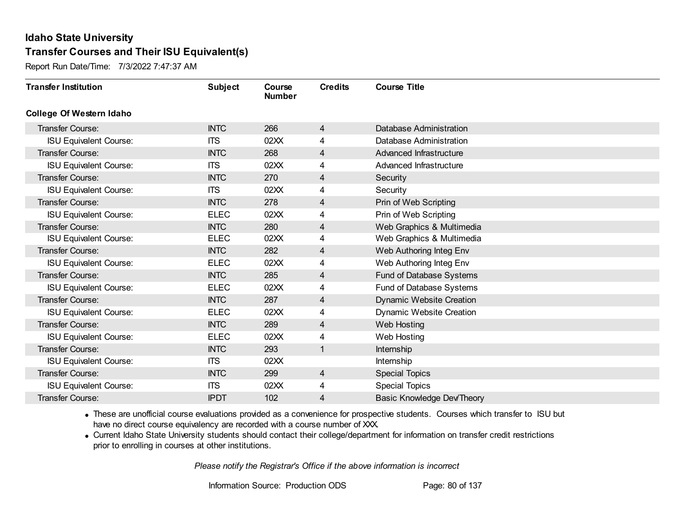Report Run Date/Time: 7/3/2022 7:47:37 AM

| <b>Transfer Institution</b>     | <b>Subject</b> | Course<br><b>Number</b> | <b>Credits</b> | <b>Course Title</b>        |
|---------------------------------|----------------|-------------------------|----------------|----------------------------|
| <b>College Of Western Idaho</b> |                |                         |                |                            |
| Transfer Course:                | <b>INTC</b>    | 266                     | 4              | Database Administration    |
| <b>ISU Equivalent Course:</b>   | <b>ITS</b>     | 02XX                    | 4              | Database Administration    |
| Transfer Course:                | <b>INTC</b>    | 268                     | 4              | Advanced Infrastructure    |
| <b>ISU Equivalent Course:</b>   | <b>ITS</b>     | 02XX                    | 4              | Advanced Infrastructure    |
| <b>Transfer Course:</b>         | <b>INTC</b>    | 270                     | 4              | Security                   |
| <b>ISU Equivalent Course:</b>   | <b>ITS</b>     | 02XX                    | 4              | Security                   |
| Transfer Course:                | <b>INTC</b>    | 278                     | 4              | Prin of Web Scripting      |
| <b>ISU Equivalent Course:</b>   | <b>ELEC</b>    | 02XX                    | 4              | Prin of Web Scripting      |
| <b>Transfer Course:</b>         | <b>INTC</b>    | 280                     | 4              | Web Graphics & Multimedia  |
| <b>ISU Equivalent Course:</b>   | <b>ELEC</b>    | 02XX                    | 4              | Web Graphics & Multimedia  |
| Transfer Course:                | <b>INTC</b>    | 282                     | 4              | Web Authoring Integ Env    |
| <b>ISU Equivalent Course:</b>   | <b>ELEC</b>    | 02XX                    | 4              | Web Authoring Integ Env    |
| Transfer Course:                | <b>INTC</b>    | 285                     | 4              | Fund of Database Systems   |
| <b>ISU Equivalent Course:</b>   | <b>ELEC</b>    | 02XX                    | 4              | Fund of Database Systems   |
| Transfer Course:                | <b>INTC</b>    | 287                     | 4              | Dynamic Website Creation   |
| <b>ISU Equivalent Course:</b>   | <b>ELEC</b>    | 02XX                    | 4              | Dynamic Website Creation   |
| Transfer Course:                | <b>INTC</b>    | 289                     | 4              | Web Hosting                |
| <b>ISU Equivalent Course:</b>   | <b>ELEC</b>    | 02XX                    | 4              | Web Hosting                |
| Transfer Course:                | <b>INTC</b>    | 293                     | 1              | Internship                 |
| <b>ISU Equivalent Course:</b>   | <b>ITS</b>     | 02XX                    |                | Internship                 |
| Transfer Course:                | <b>INTC</b>    | 299                     | 4              | <b>Special Topics</b>      |
| <b>ISU Equivalent Course:</b>   | <b>ITS</b>     | 02XX                    | 4              | Special Topics             |
| Transfer Course:                | <b>IPDT</b>    | 102                     | 4              | Basic Knowledge Dev/Theory |

· These are unofficial course evaluations provided as a convenience for prospective students. Courses which transfer to ISU but have no direct course equivalency are recorded with a course number of XXX.

· Current Idaho State University students should contact their college/department for information on transfer credit restrictions prior to enrolling in courses at other institutions.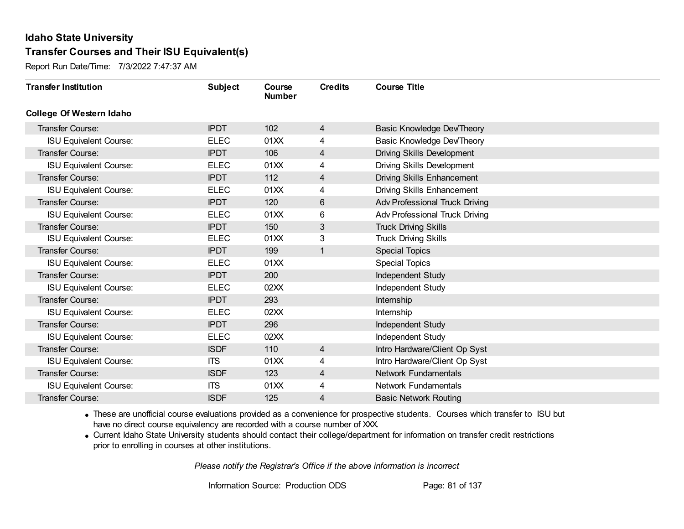Report Run Date/Time: 7/3/2022 7:47:37 AM

| <b>Transfer Institution</b>     | <b>Subject</b> | Course<br><b>Number</b> | <b>Credits</b> | <b>Course Title</b>                   |
|---------------------------------|----------------|-------------------------|----------------|---------------------------------------|
| <b>College Of Western Idaho</b> |                |                         |                |                                       |
| Transfer Course:                | <b>IPDT</b>    | 102                     | 4              | Basic Knowledge Dev/Theory            |
| <b>ISU Equivalent Course:</b>   | <b>ELEC</b>    | 01XX                    | 4              | Basic Knowledge Dev/Theory            |
| Transfer Course:                | <b>IPDT</b>    | 106                     | $\overline{4}$ | Driving Skills Development            |
| <b>ISU Equivalent Course:</b>   | <b>ELEC</b>    | 01XX                    | 4              | Driving Skills Development            |
| <b>Transfer Course:</b>         | <b>IPDT</b>    | 112                     | 4              | Driving Skills Enhancement            |
| <b>ISU Equivalent Course:</b>   | <b>ELEC</b>    | 01XX                    | 4              | <b>Driving Skills Enhancement</b>     |
| <b>Transfer Course:</b>         | <b>IPDT</b>    | 120                     | $\,6\,$        | <b>Adv Professional Truck Driving</b> |
| <b>ISU Equivalent Course:</b>   | <b>ELEC</b>    | 01XX                    | 6              | <b>Adv Professional Truck Driving</b> |
| <b>Transfer Course:</b>         | <b>IPDT</b>    | 150                     | 3              | <b>Truck Driving Skills</b>           |
| <b>ISU Equivalent Course:</b>   | <b>ELEC</b>    | 01XX                    | 3              | <b>Truck Driving Skills</b>           |
| <b>Transfer Course:</b>         | <b>IPDT</b>    | 199                     | 1              | <b>Special Topics</b>                 |
| <b>ISU Equivalent Course:</b>   | <b>ELEC</b>    | 01XX                    |                | <b>Special Topics</b>                 |
| Transfer Course:                | <b>IPDT</b>    | 200                     |                | Independent Study                     |
| <b>ISU Equivalent Course:</b>   | <b>ELEC</b>    | 02XX                    |                | Independent Study                     |
| Transfer Course:                | <b>IPDT</b>    | 293                     |                | Internship                            |
| <b>ISU Equivalent Course:</b>   | <b>ELEC</b>    | 02XX                    |                | Internship                            |
| <b>Transfer Course:</b>         | <b>IPDT</b>    | 296                     |                | Independent Study                     |
| <b>ISU Equivalent Course:</b>   | <b>ELEC</b>    | 02XX                    |                | Independent Study                     |
| Transfer Course:                | <b>ISDF</b>    | 110                     | 4              | Intro Hardware/Client Op Syst         |
| <b>ISU Equivalent Course:</b>   | <b>ITS</b>     | 01XX                    | 4              | Intro Hardware/Client Op Syst         |
| Transfer Course:                | <b>ISDF</b>    | 123                     | 4              | <b>Network Fundamentals</b>           |
| <b>ISU Equivalent Course:</b>   | <b>ITS</b>     | 01XX                    | 4              | Network Fundamentals                  |
| <b>Transfer Course:</b>         | <b>ISDF</b>    | 125                     | 4              | <b>Basic Network Routing</b>          |

· These are unofficial course evaluations provided as a convenience for prospective students. Courses which transfer to ISU but have no direct course equivalency are recorded with a course number of XXX.

· Current Idaho State University students should contact their college/department for information on transfer credit restrictions prior to enrolling in courses at other institutions.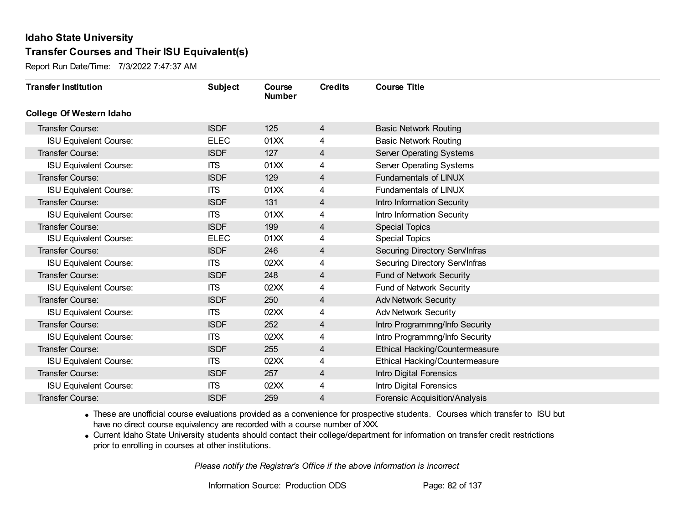Report Run Date/Time: 7/3/2022 7:47:37 AM

| <b>Transfer Institution</b>     | <b>Subject</b> | Course<br><b>Number</b> | <b>Credits</b> | <b>Course Title</b>                   |
|---------------------------------|----------------|-------------------------|----------------|---------------------------------------|
| <b>College Of Western Idaho</b> |                |                         |                |                                       |
| Transfer Course:                | <b>ISDF</b>    | 125                     | 4              | <b>Basic Network Routing</b>          |
| <b>ISU Equivalent Course:</b>   | <b>ELEC</b>    | 01XX                    | 4              | <b>Basic Network Routing</b>          |
| Transfer Course:                | <b>ISDF</b>    | 127                     | 4              | Server Operating Systems              |
| <b>ISU Equivalent Course:</b>   | <b>ITS</b>     | 01XX                    | 4              | Server Operating Systems              |
| Transfer Course:                | <b>ISDF</b>    | 129                     | 4              | <b>Fundamentals of LINUX</b>          |
| <b>ISU Equivalent Course:</b>   | <b>ITS</b>     | 01XX                    | 4              | Fundamentals of LINUX                 |
| <b>Transfer Course:</b>         | <b>ISDF</b>    | 131                     | 4              | Intro Information Security            |
| <b>ISU Equivalent Course:</b>   | <b>ITS</b>     | 01XX                    | 4              | Intro Information Security            |
| <b>Transfer Course:</b>         | <b>ISDF</b>    | 199                     | 4              | <b>Special Topics</b>                 |
| <b>ISU Equivalent Course:</b>   | <b>ELEC</b>    | 01XX                    | 4              | Special Topics                        |
| <b>Transfer Course:</b>         | <b>ISDF</b>    | 246                     | 4              | Securing Directory Serv/Infras        |
| <b>ISU Equivalent Course:</b>   | <b>ITS</b>     | 02XX                    | 4              | Securing Directory Serv/Infras        |
| Transfer Course:                | <b>ISDF</b>    | 248                     | 4              | Fund of Network Security              |
| <b>ISU Equivalent Course:</b>   | <b>ITS</b>     | 02XX                    | 4              | Fund of Network Security              |
| Transfer Course:                | <b>ISDF</b>    | 250                     | 4              | <b>Adv Network Security</b>           |
| <b>ISU Equivalent Course:</b>   | <b>ITS</b>     | 02XX                    | 4              | <b>Adv Network Security</b>           |
| Transfer Course:                | <b>ISDF</b>    | 252                     | 4              | Intro Programmng/Info Security        |
| <b>ISU Equivalent Course:</b>   | <b>ITS</b>     | 02XX                    | 4              | Intro Programmng/Info Security        |
| Transfer Course:                | <b>ISDF</b>    | 255                     | $\overline{4}$ | Ethical Hacking/Countermeasure        |
| <b>ISU Equivalent Course:</b>   | <b>ITS</b>     | 02XX                    | 4              | <b>Ethical Hacking/Countermeasure</b> |
| Transfer Course:                | <b>ISDF</b>    | 257                     | 4              | Intro Digital Forensics               |
| <b>ISU Equivalent Course:</b>   | <b>ITS</b>     | 02XX                    | 4              | Intro Digital Forensics               |
| <b>Transfer Course:</b>         | <b>ISDF</b>    | 259                     | 4              | Forensic Acquisition/Analysis         |

· These are unofficial course evaluations provided as a convenience for prospective students. Courses which transfer to ISU but have no direct course equivalency are recorded with a course number of XXX.

· Current Idaho State University students should contact their college/department for information on transfer credit restrictions prior to enrolling in courses at other institutions.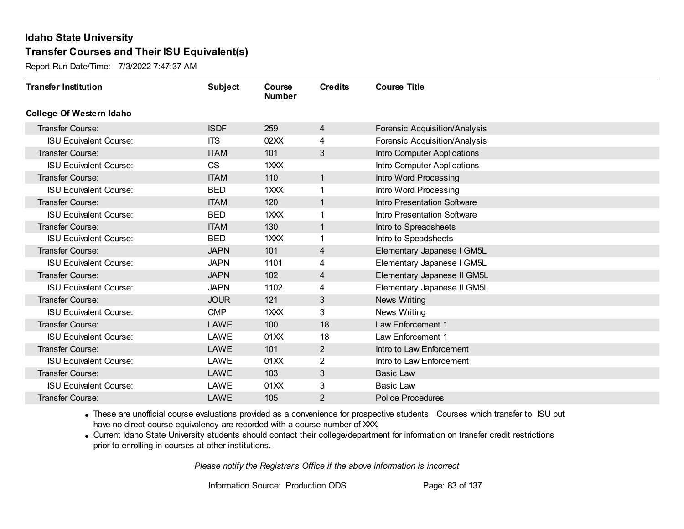Report Run Date/Time: 7/3/2022 7:47:37 AM

| <b>Transfer Institution</b>     | <b>Subject</b> | Course<br><b>Number</b> | <b>Credits</b> | <b>Course Title</b>           |
|---------------------------------|----------------|-------------------------|----------------|-------------------------------|
| <b>College Of Western Idaho</b> |                |                         |                |                               |
| Transfer Course:                | <b>ISDF</b>    | 259                     | 4              | Forensic Acquisition/Analysis |
| <b>ISU Equivalent Course:</b>   | <b>ITS</b>     | 02XX                    | 4              | Forensic Acquisition/Analysis |
| Transfer Course:                | <b>ITAM</b>    | 101                     | 3              | Intro Computer Applications   |
| <b>ISU Equivalent Course:</b>   | <b>CS</b>      | 1XXX                    |                | Intro Computer Applications   |
| <b>Transfer Course:</b>         | <b>ITAM</b>    | 110                     | $\mathbf{1}$   | Intro Word Processing         |
| <b>ISU Equivalent Course:</b>   | <b>BED</b>     | 1XXX                    | 1              | Intro Word Processing         |
| <b>Transfer Course:</b>         | <b>ITAM</b>    | 120                     | $\mathbf{1}$   | Intro Presentation Software   |
| <b>ISU Equivalent Course:</b>   | <b>BED</b>     | 1XXX                    |                | Intro Presentation Software   |
| <b>Transfer Course:</b>         | <b>ITAM</b>    | 130                     | $\mathbf{1}$   | Intro to Spreadsheets         |
| <b>ISU Equivalent Course:</b>   | <b>BED</b>     | 1XXX                    | 1              | Intro to Speadsheets          |
| <b>Transfer Course:</b>         | <b>JAPN</b>    | 101                     | 4              | Elementary Japanese I GM5L    |
| <b>ISU Equivalent Course:</b>   | <b>JAPN</b>    | 1101                    | 4              | Elementary Japanese I GM5L    |
| Transfer Course:                | <b>JAPN</b>    | 102                     | 4              | Elementary Japanese II GM5L   |
| <b>ISU Equivalent Course:</b>   | <b>JAPN</b>    | 1102                    | 4              | Elementary Japanese II GM5L   |
| Transfer Course:                | <b>JOUR</b>    | 121                     | 3              | <b>News Writing</b>           |
| <b>ISU Equivalent Course:</b>   | <b>CMP</b>     | 1XXX                    | 3              | News Writing                  |
| Transfer Course:                | <b>LAWE</b>    | 100                     | 18             | Law Enforcement 1             |
| <b>ISU Equivalent Course:</b>   | LAWE           | 01XX                    | 18             | Law Enforcement 1             |
| Transfer Course:                | LAWE           | 101                     | $\overline{2}$ | Intro to Law Enforcement      |
| <b>ISU Equivalent Course:</b>   | LAWE           | 01XX                    | 2              | Intro to Law Enforcement      |
| Transfer Course:                | LAWE           | 103                     | 3              | <b>Basic Law</b>              |
| <b>ISU Equivalent Course:</b>   | LAWE           | 01XX                    | 3              | <b>Basic Law</b>              |
| <b>Transfer Course:</b>         | LAWE           | 105                     | 2              | <b>Police Procedures</b>      |

· These are unofficial course evaluations provided as a convenience for prospective students. Courses which transfer to ISU but have no direct course equivalency are recorded with a course number of XXX.

· Current Idaho State University students should contact their college/department for information on transfer credit restrictions prior to enrolling in courses at other institutions.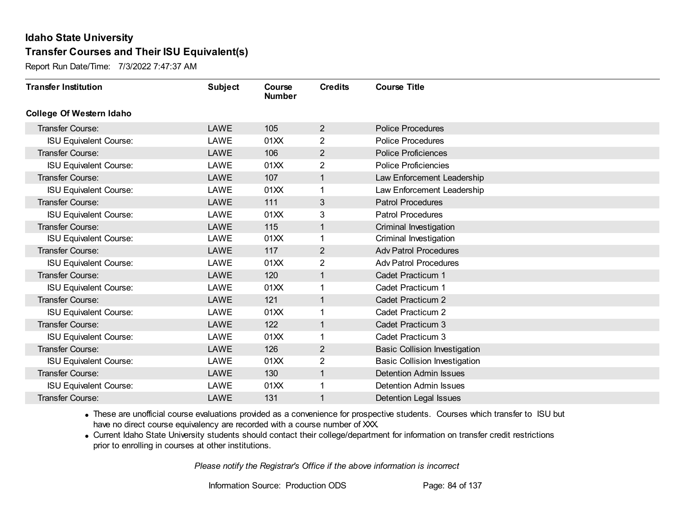Report Run Date/Time: 7/3/2022 7:47:37 AM

| <b>Transfer Institution</b>     | <b>Subject</b> | Course<br><b>Number</b> | <b>Credits</b> | <b>Course Title</b>                  |
|---------------------------------|----------------|-------------------------|----------------|--------------------------------------|
| <b>College Of Western Idaho</b> |                |                         |                |                                      |
| Transfer Course:                | LAWE           | 105                     | $\overline{2}$ | <b>Police Procedures</b>             |
| <b>ISU Equivalent Course:</b>   | LAWE           | 01XX                    | 2              | <b>Police Procedures</b>             |
| Transfer Course:                | LAWE           | 106                     | $\overline{2}$ | <b>Police Proficiences</b>           |
| <b>ISU Equivalent Course:</b>   | LAWE           | 01XX                    | $\overline{2}$ | <b>Police Proficiencies</b>          |
| <b>Transfer Course:</b>         | LAWE           | 107                     | $\mathbf{1}$   | Law Enforcement Leadership           |
| <b>ISU Equivalent Course:</b>   | LAWE           | 01XX                    | 1              | Law Enforcement Leadership           |
| Transfer Course:                | <b>LAWE</b>    | 111                     | 3              | <b>Patrol Procedures</b>             |
| <b>ISU Equivalent Course:</b>   | LAWE           | 01XX                    | 3              | <b>Patrol Procedures</b>             |
| <b>Transfer Course:</b>         | <b>LAWE</b>    | 115                     | $\mathbf{1}$   | Criminal Investigation               |
| <b>ISU Equivalent Course:</b>   | LAWE           | 01XX                    | 1              | Criminal Investigation               |
| <b>Transfer Course:</b>         | <b>LAWE</b>    | 117                     | $\overline{2}$ | <b>Adv Patrol Procedures</b>         |
| <b>ISU Equivalent Course:</b>   | LAWE           | 01XX                    | 2              | <b>Adv Patrol Procedures</b>         |
| Transfer Course:                | LAWE           | 120                     | 1              | Cadet Practicum 1                    |
| <b>ISU Equivalent Course:</b>   | LAWE           | 01XX                    | 1              | Cadet Practicum 1                    |
| Transfer Course:                | <b>LAWE</b>    | 121                     | 1              | Cadet Practicum 2                    |
| <b>ISU Equivalent Course:</b>   | LAWE           | 01XX                    | 1              | Cadet Practicum 2                    |
| Transfer Course:                | LAWE           | 122                     | $\mathbf{1}$   | Cadet Practicum 3                    |
| <b>ISU Equivalent Course:</b>   | LAWE           | 01XX                    | 1              | Cadet Practicum 3                    |
| Transfer Course:                | LAWE           | 126                     | $\overline{2}$ | <b>Basic Collision Investigation</b> |
| <b>ISU Equivalent Course:</b>   | LAWE           | 01XX                    | 2              | <b>Basic Collision Investigation</b> |
| Transfer Course:                | <b>LAWE</b>    | 130                     | $\mathbf{1}$   | <b>Detention Admin Issues</b>        |
| <b>ISU Equivalent Course:</b>   | LAWE           | 01XX                    | 1              | Detention Admin Issues               |
| Transfer Course:                | LAWE           | 131                     | 1              | <b>Detention Legal Issues</b>        |

· These are unofficial course evaluations provided as a convenience for prospective students. Courses which transfer to ISU but have no direct course equivalency are recorded with a course number of XXX.

· Current Idaho State University students should contact their college/department for information on transfer credit restrictions prior to enrolling in courses at other institutions.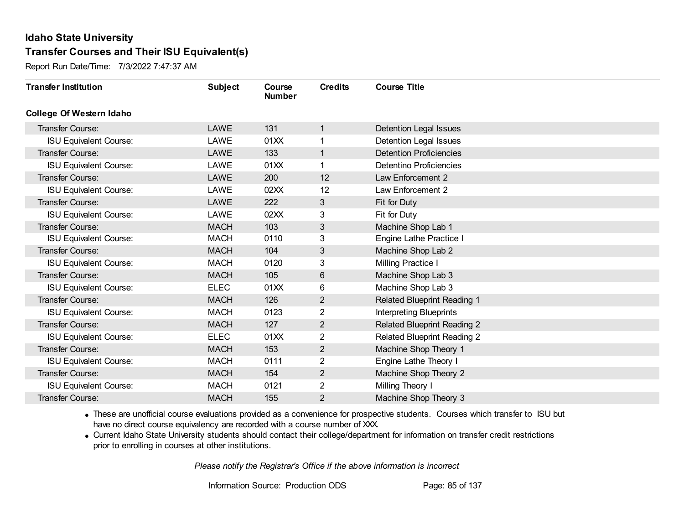Report Run Date/Time: 7/3/2022 7:47:37 AM

| <b>Transfer Institution</b>     | <b>Subject</b> | Course<br><b>Number</b> | <b>Credits</b> | <b>Course Title</b>                |
|---------------------------------|----------------|-------------------------|----------------|------------------------------------|
| <b>College Of Western Idaho</b> |                |                         |                |                                    |
| <b>Transfer Course:</b>         | LAWE           | 131                     | $\mathbf{1}$   | Detention Legal Issues             |
| <b>ISU Equivalent Course:</b>   | LAWE           | 01XX                    | 1.             | Detention Legal Issues             |
| Transfer Course:                | <b>LAWE</b>    | 133                     | $\mathbf{1}$   | <b>Detention Proficiencies</b>     |
| <b>ISU Equivalent Course:</b>   | LAWE           | 01XX                    | 1              | <b>Detentino Proficiencies</b>     |
| <b>Transfer Course:</b>         | <b>LAWE</b>    | 200                     | 12             | Law Enforcement 2                  |
| <b>ISU Equivalent Course:</b>   | LAWE           | 02XX                    | 12             | Law Enforcement 2                  |
| Transfer Course:                | <b>LAWE</b>    | 222                     | 3              | Fit for Duty                       |
| <b>ISU Equivalent Course:</b>   | LAWE           | 02XX                    | 3              | Fit for Duty                       |
| Transfer Course:                | <b>MACH</b>    | 103                     | 3              | Machine Shop Lab 1                 |
| <b>ISU Equivalent Course:</b>   | <b>MACH</b>    | 0110                    | 3              | <b>Engine Lathe Practice I</b>     |
| Transfer Course:                | <b>MACH</b>    | 104                     | 3              | Machine Shop Lab 2                 |
| <b>ISU Equivalent Course:</b>   | <b>MACH</b>    | 0120                    | 3              | Milling Practice I                 |
| Transfer Course:                | <b>MACH</b>    | 105                     | 6              | Machine Shop Lab 3                 |
| <b>ISU Equivalent Course:</b>   | <b>ELEC</b>    | 01XX                    | 6              | Machine Shop Lab 3                 |
| Transfer Course:                | <b>MACH</b>    | 126                     | $\overline{2}$ | <b>Related Blueprint Reading 1</b> |
| <b>ISU Equivalent Course:</b>   | <b>MACH</b>    | 0123                    | $\overline{2}$ | <b>Interpreting Blueprints</b>     |
| Transfer Course:                | <b>MACH</b>    | 127                     | $\overline{2}$ | <b>Related Blueprint Reading 2</b> |
| <b>ISU Equivalent Course:</b>   | <b>ELEC</b>    | 01XX                    | 2              | Related Blueprint Reading 2        |
| Transfer Course:                | <b>MACH</b>    | 153                     | $\overline{c}$ | Machine Shop Theory 1              |
| <b>ISU Equivalent Course:</b>   | <b>MACH</b>    | 0111                    | $\overline{2}$ | Engine Lathe Theory I              |
| Transfer Course:                | <b>MACH</b>    | 154                     | $\overline{2}$ | Machine Shop Theory 2              |
| <b>ISU Equivalent Course:</b>   | <b>MACH</b>    | 0121                    | $\overline{2}$ | Milling Theory I                   |
| Transfer Course:                | <b>MACH</b>    | 155                     | $\overline{2}$ | Machine Shop Theory 3              |

· These are unofficial course evaluations provided as a convenience for prospective students. Courses which transfer to ISU but have no direct course equivalency are recorded with a course number of XXX.

· Current Idaho State University students should contact their college/department for information on transfer credit restrictions prior to enrolling in courses at other institutions.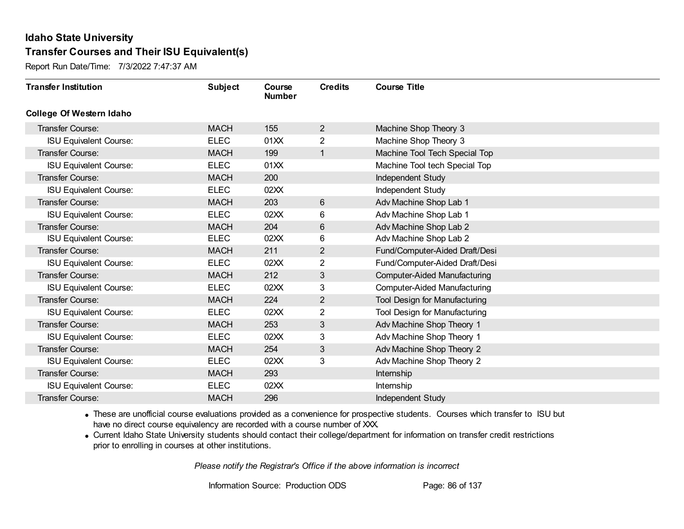Report Run Date/Time: 7/3/2022 7:47:37 AM

| <b>Transfer Institution</b>     | <b>Subject</b> | Course<br><b>Number</b> | <b>Credits</b> | <b>Course Title</b>                 |
|---------------------------------|----------------|-------------------------|----------------|-------------------------------------|
| <b>College Of Western Idaho</b> |                |                         |                |                                     |
| Transfer Course:                | <b>MACH</b>    | 155                     | $\overline{2}$ | Machine Shop Theory 3               |
| <b>ISU Equivalent Course:</b>   | <b>ELEC</b>    | 01XX                    | $\overline{2}$ | Machine Shop Theory 3               |
| Transfer Course:                | <b>MACH</b>    | 199                     | $\mathbf{1}$   | Machine Tool Tech Special Top       |
| <b>ISU Equivalent Course:</b>   | <b>ELEC</b>    | 01XX                    |                | Machine Tool tech Special Top       |
| Transfer Course:                | <b>MACH</b>    | 200                     |                | Independent Study                   |
| <b>ISU Equivalent Course:</b>   | <b>ELEC</b>    | 02XX                    |                | <b>Independent Study</b>            |
| Transfer Course:                | <b>MACH</b>    | 203                     | 6              | Adv Machine Shop Lab 1              |
| <b>ISU Equivalent Course:</b>   | <b>ELEC</b>    | 02XX                    | 6              | Adv Machine Shop Lab 1              |
| Transfer Course:                | <b>MACH</b>    | 204                     | $6\,$          | Adv Machine Shop Lab 2              |
| <b>ISU Equivalent Course:</b>   | <b>ELEC</b>    | 02XX                    | 6              | Adv Machine Shop Lab 2              |
| Transfer Course:                | <b>MACH</b>    | 211                     | 2              | Fund/Computer-Aided Draft/Desi      |
| <b>ISU Equivalent Course:</b>   | <b>ELEC</b>    | 02XX                    | 2              | Fund/Computer-Aided Draft/Desi      |
| Transfer Course:                | <b>MACH</b>    | 212                     | 3              | <b>Computer-Aided Manufacturing</b> |
| <b>ISU Equivalent Course:</b>   | <b>ELEC</b>    | 02XX                    | 3              | <b>Computer-Aided Manufacturing</b> |
| Transfer Course:                | <b>MACH</b>    | 224                     | $\overline{2}$ | Tool Design for Manufacturing       |
| <b>ISU Equivalent Course:</b>   | <b>ELEC</b>    | 02XX                    | $\overline{2}$ | Tool Design for Manufacturing       |
| Transfer Course:                | <b>MACH</b>    | 253                     | 3              | Adv Machine Shop Theory 1           |
| <b>ISU Equivalent Course:</b>   | <b>ELEC</b>    | 02XX                    | 3              | Adv Machine Shop Theory 1           |
| Transfer Course:                | <b>MACH</b>    | 254                     | 3              | Adv Machine Shop Theory 2           |
| <b>ISU Equivalent Course:</b>   | <b>ELEC</b>    | 02XX                    | 3              | Adv Machine Shop Theory 2           |
| Transfer Course:                | <b>MACH</b>    | 293                     |                | Internship                          |
| <b>ISU Equivalent Course:</b>   | <b>ELEC</b>    | 02XX                    |                | Internship                          |
| <b>Transfer Course:</b>         | <b>MACH</b>    | 296                     |                | Independent Study                   |

· These are unofficial course evaluations provided as a convenience for prospective students. Courses which transfer to ISU but have no direct course equivalency are recorded with a course number of XXX.

· Current Idaho State University students should contact their college/department for information on transfer credit restrictions prior to enrolling in courses at other institutions.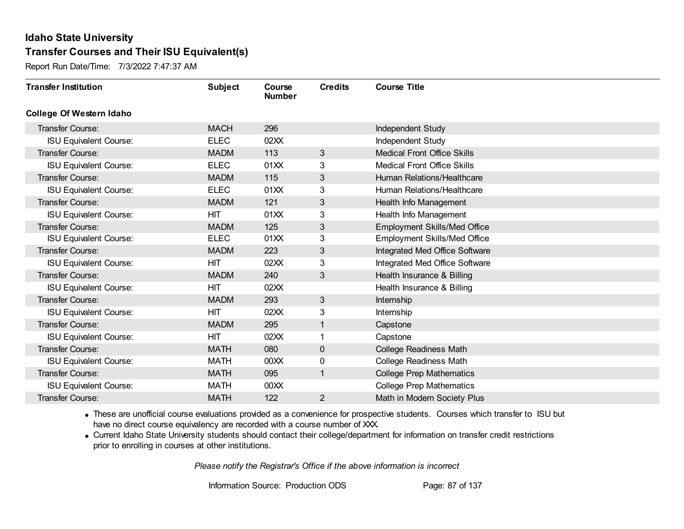Report Run Date/Time: 7/3/2022 7:47:37 AM

| <b>Transfer Institution</b>     | <b>Subject</b> | Course<br><b>Number</b> | <b>Credits</b> | <b>Course Title</b>                 |
|---------------------------------|----------------|-------------------------|----------------|-------------------------------------|
| <b>College Of Western Idaho</b> |                |                         |                |                                     |
| <b>Transfer Course:</b>         | <b>MACH</b>    | 296                     |                | Independent Study                   |
| <b>ISU Equivalent Course:</b>   | <b>ELEC</b>    | 02XX                    |                | Independent Study                   |
| <b>Transfer Course:</b>         | <b>MADM</b>    | 113                     | 3              | <b>Medical Front Office Skills</b>  |
| <b>ISU Equivalent Course:</b>   | <b>ELEC</b>    | 01XX                    | 3              | <b>Medical Front Office Skills</b>  |
| Transfer Course:                | <b>MADM</b>    | 115                     | 3              | Human Relations/Healthcare          |
| <b>ISU Equivalent Course:</b>   | <b>ELEC</b>    | 01XX                    | 3              | Human Relations/Healthcare          |
| <b>Transfer Course:</b>         | <b>MADM</b>    | 121                     | 3              | Health Info Management              |
| <b>ISU Equivalent Course:</b>   | HIT            | 01XX                    | 3              | Health Info Management              |
| Transfer Course:                | <b>MADM</b>    | 125                     | 3              | Employment Skills/Med Office        |
| <b>ISU Equivalent Course:</b>   | <b>ELEC</b>    | 01XX                    | 3              | <b>Employment Skills/Med Office</b> |
| <b>Transfer Course:</b>         | <b>MADM</b>    | 223                     | 3              | Integrated Med Office Software      |
| <b>ISU Equivalent Course:</b>   | <b>HIT</b>     | 02XX                    | 3              | Integrated Med Office Software      |
| Transfer Course:                | <b>MADM</b>    | 240                     | 3              | Health Insurance & Billing          |
| <b>ISU Equivalent Course:</b>   | HIT            | 02XX                    |                | Health Insurance & Billing          |
| Transfer Course:                | <b>MADM</b>    | 293                     | 3              | <b>Internship</b>                   |
| <b>ISU Equivalent Course:</b>   | <b>HIT</b>     | 02XX                    | 3              | Internship                          |
| Transfer Course:                | <b>MADM</b>    | 295                     | $\mathbf{1}$   | Capstone                            |
| <b>ISU Equivalent Course:</b>   | <b>HIT</b>     | 02XX                    | 1              | Capstone                            |
| <b>Transfer Course:</b>         | <b>MATH</b>    | 080                     | 0              | <b>College Readiness Math</b>       |
| <b>ISU Equivalent Course:</b>   | <b>MATH</b>    | 00 <sub>XX</sub>        | 0              | <b>College Readiness Math</b>       |
| Transfer Course:                | <b>MATH</b>    | 095                     | $\mathbf{1}$   | <b>College Prep Mathematics</b>     |
| <b>ISU Equivalent Course:</b>   | <b>MATH</b>    | 00 <sub>XX</sub>        |                | <b>College Prep Mathematics</b>     |
| Transfer Course:                | <b>MATH</b>    | 122                     | $\overline{2}$ | Math in Modern Society Plus         |

· These are unofficial course evaluations provided as a convenience for prospective students. Courses which transfer to ISU but have no direct course equivalency are recorded with a course number of XXX.

· Current Idaho State University students should contact their college/department for information on transfer credit restrictions prior to enrolling in courses at other institutions.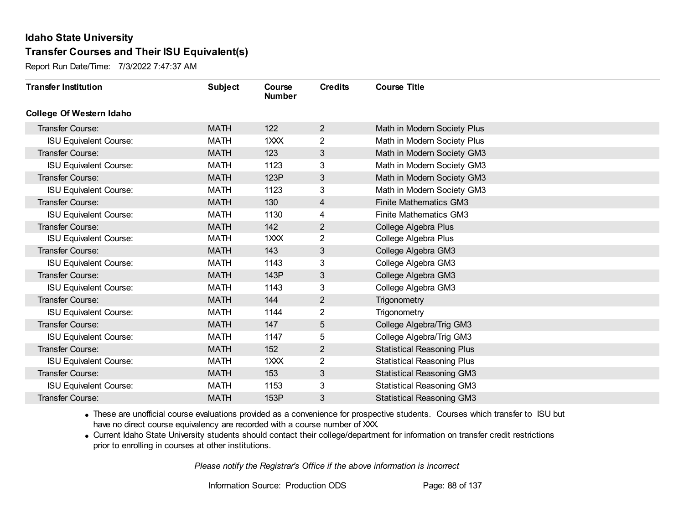Report Run Date/Time: 7/3/2022 7:47:37 AM

| <b>Transfer Institution</b>     | <b>Subject</b> | Course<br><b>Number</b> | <b>Credits</b> | <b>Course Title</b>               |
|---------------------------------|----------------|-------------------------|----------------|-----------------------------------|
| <b>College Of Western Idaho</b> |                |                         |                |                                   |
| Transfer Course:                | <b>MATH</b>    | 122                     | $\overline{2}$ | Math in Modern Society Plus       |
| <b>ISU Equivalent Course:</b>   | <b>MATH</b>    | 1XXX                    | 2              | Math in Modern Society Plus       |
| Transfer Course:                | <b>MATH</b>    | 123                     | 3              | Math in Modern Society GM3        |
| <b>ISU Equivalent Course:</b>   | <b>MATH</b>    | 1123                    | 3              | Math in Modern Society GM3        |
| <b>Transfer Course:</b>         | <b>MATH</b>    | 123P                    | 3              | Math in Modern Society GM3        |
| <b>ISU Equivalent Course:</b>   | <b>MATH</b>    | 1123                    | 3              | Math in Modern Society GM3        |
| Transfer Course:                | <b>MATH</b>    | 130                     | 4              | <b>Finite Mathematics GM3</b>     |
| <b>ISU Equivalent Course:</b>   | <b>MATH</b>    | 1130                    | 4              | <b>Finite Mathematics GM3</b>     |
| <b>Transfer Course:</b>         | <b>MATH</b>    | 142                     | $\overline{2}$ | College Algebra Plus              |
| <b>ISU Equivalent Course:</b>   | <b>MATH</b>    | 1XXX                    | $\overline{2}$ | College Algebra Plus              |
| <b>Transfer Course:</b>         | <b>MATH</b>    | 143                     | 3              | College Algebra GM3               |
| <b>ISU Equivalent Course:</b>   | <b>MATH</b>    | 1143                    | 3              | College Algebra GM3               |
| Transfer Course:                | <b>MATH</b>    | 143P                    | 3              | College Algebra GM3               |
| <b>ISU Equivalent Course:</b>   | <b>MATH</b>    | 1143                    | 3              | College Algebra GM3               |
| Transfer Course:                | <b>MATH</b>    | 144                     | $\overline{2}$ | Trigonometry                      |
| <b>ISU Equivalent Course:</b>   | <b>MATH</b>    | 1144                    | $\overline{2}$ | Trigonometry                      |
| Transfer Course:                | <b>MATH</b>    | 147                     | 5              | College Algebra/Trig GM3          |
| <b>ISU Equivalent Course:</b>   | <b>MATH</b>    | 1147                    | 5              | College Algebra/Trig GM3          |
| Transfer Course:                | <b>MATH</b>    | 152                     | $\overline{2}$ | <b>Statistical Reasoning Plus</b> |
| <b>ISU Equivalent Course:</b>   | <b>MATH</b>    | 1XXX                    | 2              | <b>Statistical Reasoning Plus</b> |
| Transfer Course:                | <b>MATH</b>    | 153                     | 3              | <b>Statistical Reasoning GM3</b>  |
| <b>ISU Equivalent Course:</b>   | <b>MATH</b>    | 1153                    | 3              | <b>Statistical Reasoning GM3</b>  |
| Transfer Course:                | <b>MATH</b>    | 153P                    | 3              | <b>Statistical Reasoning GM3</b>  |

· These are unofficial course evaluations provided as a convenience for prospective students. Courses which transfer to ISU but have no direct course equivalency are recorded with a course number of XXX.

· Current Idaho State University students should contact their college/department for information on transfer credit restrictions prior to enrolling in courses at other institutions.

*Please notify the Registrar's Office if the above information is incorrect*

Information Source: Production ODS Page: 88 of 137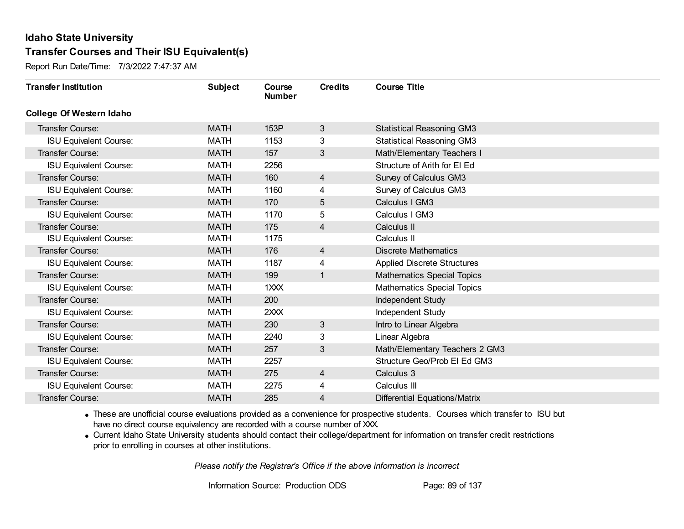Report Run Date/Time: 7/3/2022 7:47:37 AM

| <b>Transfer Institution</b>     | <b>Subject</b> | Course<br><b>Number</b> | <b>Credits</b> | <b>Course Title</b>                |
|---------------------------------|----------------|-------------------------|----------------|------------------------------------|
| <b>College Of Western Idaho</b> |                |                         |                |                                    |
| Transfer Course:                | <b>MATH</b>    | 153P                    | 3              | <b>Statistical Reasoning GM3</b>   |
| <b>ISU Equivalent Course:</b>   | <b>MATH</b>    | 1153                    | 3              | <b>Statistical Reasoning GM3</b>   |
| Transfer Course:                | <b>MATH</b>    | 157                     | 3              | Math/Elementary Teachers I         |
| <b>ISU Equivalent Course:</b>   | <b>MATH</b>    | 2256                    |                | Structure of Arith for EI Ed       |
| <b>Transfer Course:</b>         | <b>MATH</b>    | 160                     | 4              | Survey of Calculus GM3             |
| <b>ISU Equivalent Course:</b>   | <b>MATH</b>    | 1160                    | 4              | Survey of Calculus GM3             |
| <b>Transfer Course:</b>         | <b>MATH</b>    | 170                     | 5              | Calculus I GM3                     |
| <b>ISU Equivalent Course:</b>   | <b>MATH</b>    | 1170                    | 5              | Calculus I GM3                     |
| Transfer Course:                | <b>MATH</b>    | 175                     | 4              | Calculus II                        |
| <b>ISU Equivalent Course:</b>   | <b>MATH</b>    | 1175                    |                | Calculus II                        |
| <b>Transfer Course:</b>         | <b>MATH</b>    | 176                     | $\overline{4}$ | <b>Discrete Mathematics</b>        |
| <b>ISU Equivalent Course:</b>   | <b>MATH</b>    | 1187                    | 4              | <b>Applied Discrete Structures</b> |
| Transfer Course:                | <b>MATH</b>    | 199                     | $\mathbf 1$    | <b>Mathematics Special Topics</b>  |
| <b>ISU Equivalent Course:</b>   | <b>MATH</b>    | 1XXX                    |                | <b>Mathematics Special Topics</b>  |
| Transfer Course:                | <b>MATH</b>    | 200                     |                | Independent Study                  |
| <b>ISU Equivalent Course:</b>   | <b>MATH</b>    | 2XXX                    |                | Independent Study                  |
| Transfer Course:                | <b>MATH</b>    | 230                     | $\mathbf{3}$   | Intro to Linear Algebra            |
| <b>ISU Equivalent Course:</b>   | <b>MATH</b>    | 2240                    | 3              | Linear Algebra                     |
| <b>Transfer Course:</b>         | <b>MATH</b>    | 257                     | 3              | Math/Elementary Teachers 2 GM3     |
| <b>ISU Equivalent Course:</b>   | MATH           | 2257                    |                | Structure Geo/Prob El Ed GM3       |
| Transfer Course:                | <b>MATH</b>    | 275                     | $\overline{4}$ | Calculus 3                         |
| <b>ISU Equivalent Course:</b>   | <b>MATH</b>    | 2275                    | 4              | Calculus III                       |
| Transfer Course:                | <b>MATH</b>    | 285                     | 4              | Differential Equations/Matrix      |

· These are unofficial course evaluations provided as a convenience for prospective students. Courses which transfer to ISU but have no direct course equivalency are recorded with a course number of XXX.

· Current Idaho State University students should contact their college/department for information on transfer credit restrictions prior to enrolling in courses at other institutions.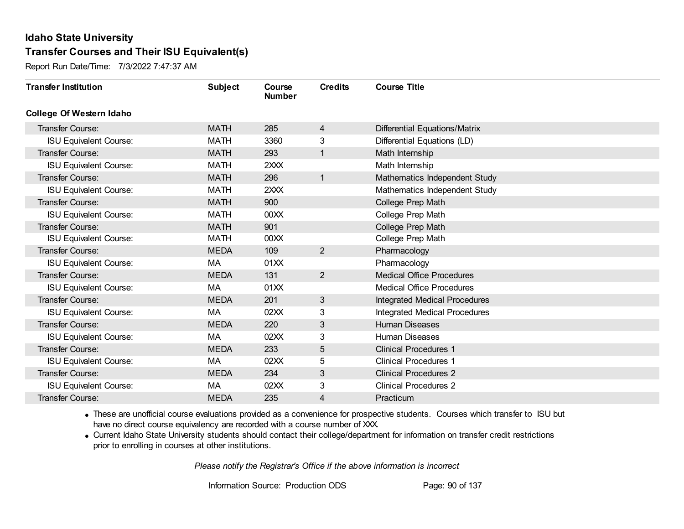Report Run Date/Time: 7/3/2022 7:47:37 AM

| <b>Transfer Institution</b>     | <b>Subject</b> | Course<br><b>Number</b> | <b>Credits</b> | <b>Course Title</b>                  |
|---------------------------------|----------------|-------------------------|----------------|--------------------------------------|
| <b>College Of Western Idaho</b> |                |                         |                |                                      |
| Transfer Course:                | <b>MATH</b>    | 285                     | 4              | Differential Equations/Matrix        |
| <b>ISU Equivalent Course:</b>   | <b>MATH</b>    | 3360                    | 3              | Differential Equations (LD)          |
| Transfer Course:                | <b>MATH</b>    | 293                     | $\mathbf{1}$   | Math Internship                      |
| <b>ISU Equivalent Course:</b>   | <b>MATH</b>    | 2XXX                    |                | Math Internship                      |
| <b>Transfer Course:</b>         | <b>MATH</b>    | 296                     | $\mathbf{1}$   | Mathematics Independent Study        |
| <b>ISU Equivalent Course:</b>   | <b>MATH</b>    | 2XXX                    |                | Mathematics Independent Study        |
| Transfer Course:                | <b>MATH</b>    | 900                     |                | College Prep Math                    |
| <b>ISU Equivalent Course:</b>   | <b>MATH</b>    | 00 <sub>XX</sub>        |                | College Prep Math                    |
| <b>Transfer Course:</b>         | <b>MATH</b>    | 901                     |                | College Prep Math                    |
| <b>ISU Equivalent Course:</b>   | <b>MATH</b>    | 00XX                    |                | College Prep Math                    |
| Transfer Course:                | <b>MEDA</b>    | 109                     | $\overline{2}$ | Pharmacology                         |
| <b>ISU Equivalent Course:</b>   | <b>MA</b>      | 01XX                    |                | Pharmacology                         |
| Transfer Course:                | <b>MEDA</b>    | 131                     | $\overline{2}$ | <b>Medical Office Procedures</b>     |
| <b>ISU Equivalent Course:</b>   | МA             | 01XX                    |                | <b>Medical Office Procedures</b>     |
| Transfer Course:                | <b>MEDA</b>    | 201                     | 3              | <b>Integrated Medical Procedures</b> |
| <b>ISU Equivalent Course:</b>   | <b>MA</b>      | 02XX                    | 3              | <b>Integrated Medical Procedures</b> |
| Transfer Course:                | <b>MEDA</b>    | 220                     | 3              | <b>Human Diseases</b>                |
| <b>ISU Equivalent Course:</b>   | МA             | 02XX                    | 3              | Human Diseases                       |
| Transfer Course:                | <b>MEDA</b>    | 233                     | 5              | <b>Clinical Procedures 1</b>         |
| <b>ISU Equivalent Course:</b>   | МA             | 02XX                    | 5              | <b>Clinical Procedures 1</b>         |
| <b>Transfer Course:</b>         | <b>MEDA</b>    | 234                     | 3              | <b>Clinical Procedures 2</b>         |
| <b>ISU Equivalent Course:</b>   | <b>MA</b>      | 02XX                    | 3              | <b>Clinical Procedures 2</b>         |
| <b>Transfer Course:</b>         | <b>MEDA</b>    | 235                     | 4              | Practicum                            |

· These are unofficial course evaluations provided as a convenience for prospective students. Courses which transfer to ISU but have no direct course equivalency are recorded with a course number of XXX.

· Current Idaho State University students should contact their college/department for information on transfer credit restrictions prior to enrolling in courses at other institutions.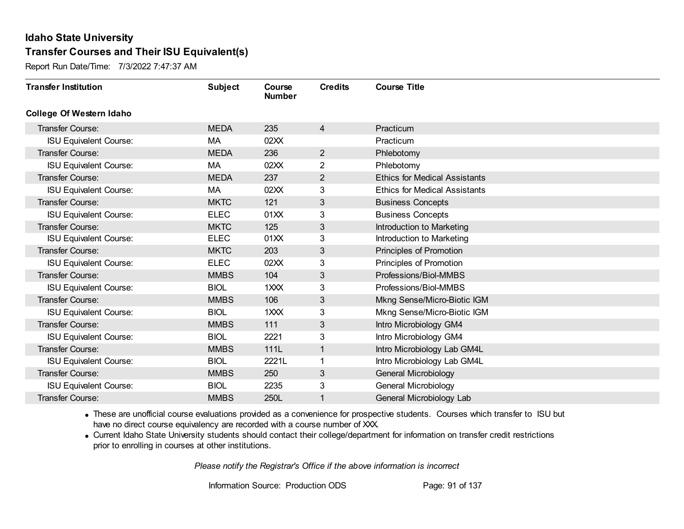Report Run Date/Time: 7/3/2022 7:47:37 AM

| <b>Transfer Institution</b>     | <b>Subject</b> | Course<br><b>Number</b> | <b>Credits</b> | <b>Course Title</b>                  |
|---------------------------------|----------------|-------------------------|----------------|--------------------------------------|
| <b>College Of Western Idaho</b> |                |                         |                |                                      |
| Transfer Course:                | <b>MEDA</b>    | 235                     | $\overline{4}$ | Practicum                            |
| <b>ISU Equivalent Course:</b>   | МA             | 02XX                    |                | Practicum                            |
| Transfer Course:                | <b>MEDA</b>    | 236                     | $\overline{2}$ | Phlebotomy                           |
| <b>ISU Equivalent Course:</b>   | МA             | 02XX                    | $\overline{2}$ | Phlebotomy                           |
| <b>Transfer Course:</b>         | <b>MEDA</b>    | 237                     | $\overline{2}$ | <b>Ethics for Medical Assistants</b> |
| <b>ISU Equivalent Course:</b>   | MA             | 02XX                    | 3              | <b>Ethics for Medical Assistants</b> |
| <b>Transfer Course:</b>         | <b>MKTC</b>    | 121                     | 3              | <b>Business Concepts</b>             |
| <b>ISU Equivalent Course:</b>   | <b>ELEC</b>    | 01XX                    | 3              | <b>Business Concepts</b>             |
| <b>Transfer Course:</b>         | <b>MKTC</b>    | 125                     | 3              | Introduction to Marketing            |
| <b>ISU Equivalent Course:</b>   | <b>ELEC</b>    | 01XX                    | 3              | Introduction to Marketing            |
| <b>Transfer Course:</b>         | <b>MKTC</b>    | 203                     | 3              | Principles of Promotion              |
| <b>ISU Equivalent Course:</b>   | <b>ELEC</b>    | 02XX                    | 3              | Principles of Promotion              |
| Transfer Course:                | <b>MMBS</b>    | 104                     | 3              | Professions/Biol-MMBS                |
| <b>ISU Equivalent Course:</b>   | <b>BIOL</b>    | 1XXX                    | 3              | Professions/Biol-MMBS                |
| Transfer Course:                | <b>MMBS</b>    | 106                     | 3              | Mkng Sense/Micro-Biotic IGM          |
| <b>ISU Equivalent Course:</b>   | <b>BIOL</b>    | 1XXX                    | 3              | Mkng Sense/Micro-Biotic IGM          |
| Transfer Course:                | <b>MMBS</b>    | 111                     | 3              | Intro Microbiology GM4               |
| <b>ISU Equivalent Course:</b>   | <b>BIOL</b>    | 2221                    | 3              | Intro Microbiology GM4               |
| Transfer Course:                | <b>MMBS</b>    | 111L                    | $\mathbf{1}$   | Intro Microbiology Lab GM4L          |
| <b>ISU Equivalent Course:</b>   | <b>BIOL</b>    | 2221L                   |                | Intro Microbiology Lab GM4L          |
| Transfer Course:                | <b>MMBS</b>    | 250                     | 3              | General Microbiology                 |
| <b>ISU Equivalent Course:</b>   | <b>BIOL</b>    | 2235                    | 3              | General Microbiology                 |
| Transfer Course:                | <b>MMBS</b>    | 250L                    | 1              | General Microbiology Lab             |

· These are unofficial course evaluations provided as a convenience for prospective students. Courses which transfer to ISU but have no direct course equivalency are recorded with a course number of XXX.

· Current Idaho State University students should contact their college/department for information on transfer credit restrictions prior to enrolling in courses at other institutions.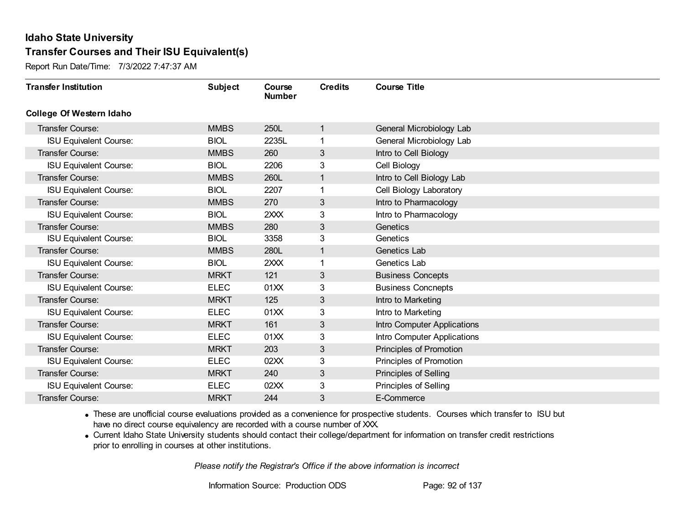Report Run Date/Time: 7/3/2022 7:47:37 AM

| <b>Transfer Institution</b>     | <b>Subject</b> | Course<br><b>Number</b> | <b>Credits</b> | <b>Course Title</b>         |
|---------------------------------|----------------|-------------------------|----------------|-----------------------------|
| <b>College Of Western Idaho</b> |                |                         |                |                             |
| Transfer Course:                | <b>MMBS</b>    | 250L                    | $\mathbf{1}$   | General Microbiology Lab    |
| <b>ISU Equivalent Course:</b>   | <b>BIOL</b>    | 2235L                   | 1              | General Microbiology Lab    |
| Transfer Course:                | <b>MMBS</b>    | 260                     | 3              | Intro to Cell Biology       |
| <b>ISU Equivalent Course:</b>   | <b>BIOL</b>    | 2206                    | 3              | Cell Biology                |
| <b>Transfer Course:</b>         | <b>MMBS</b>    | 260L                    | $\mathbf{1}$   | Intro to Cell Biology Lab   |
| <b>ISU Equivalent Course:</b>   | <b>BIOL</b>    | 2207                    | 1              | Cell Biology Laboratory     |
| Transfer Course:                | <b>MMBS</b>    | 270                     | 3              | Intro to Pharmacology       |
| <b>ISU Equivalent Course:</b>   | <b>BIOL</b>    | 2XXX                    | 3              | Intro to Pharmacology       |
| <b>Transfer Course:</b>         | <b>MMBS</b>    | 280                     | 3              | Genetics                    |
| <b>ISU Equivalent Course:</b>   | <b>BIOL</b>    | 3358                    | 3              | Genetics                    |
| Transfer Course:                | <b>MMBS</b>    | 280L                    | $\mathbf{1}$   | Genetics Lab                |
| <b>ISU Equivalent Course:</b>   | <b>BIOL</b>    | 2XXX                    | 1              | Genetics Lab                |
| Transfer Course:                | <b>MRKT</b>    | 121                     | 3              | <b>Business Concepts</b>    |
| <b>ISU Equivalent Course:</b>   | <b>ELEC</b>    | 01XX                    | 3              | <b>Business Concnepts</b>   |
| Transfer Course:                | <b>MRKT</b>    | 125                     | 3              | Intro to Marketing          |
| <b>ISU Equivalent Course:</b>   | <b>ELEC</b>    | 01XX                    | 3              | Intro to Marketing          |
| Transfer Course:                | <b>MRKT</b>    | 161                     | 3              | Intro Computer Applications |
| <b>ISU Equivalent Course:</b>   | <b>ELEC</b>    | 01XX                    | 3              | Intro Computer Applications |
| Transfer Course:                | <b>MRKT</b>    | 203                     | 3              | Principles of Promotion     |
| <b>ISU Equivalent Course:</b>   | <b>ELEC</b>    | 02XX                    | 3              | Principles of Promotion     |
| <b>Transfer Course:</b>         | <b>MRKT</b>    | 240                     | 3              | Principles of Selling       |
| <b>ISU Equivalent Course:</b>   | <b>ELEC</b>    | 02XX                    | 3              | Principles of Selling       |
| Transfer Course:                | <b>MRKT</b>    | 244                     | 3              | E-Commerce                  |

· These are unofficial course evaluations provided as a convenience for prospective students. Courses which transfer to ISU but have no direct course equivalency are recorded with a course number of XXX.

· Current Idaho State University students should contact their college/department for information on transfer credit restrictions prior to enrolling in courses at other institutions.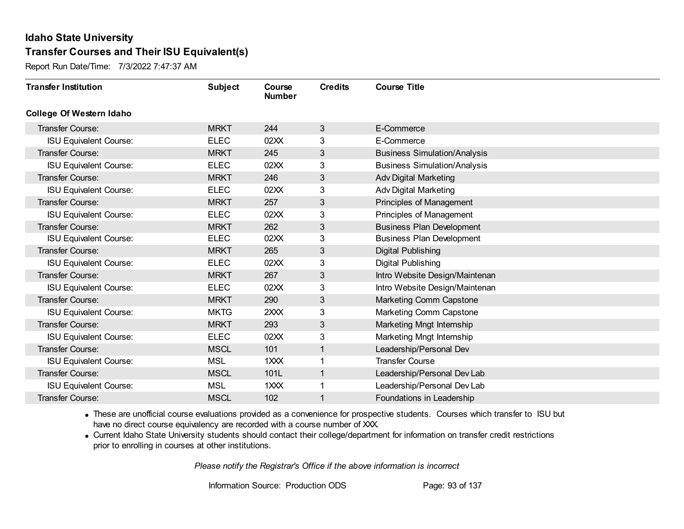Report Run Date/Time: 7/3/2022 7:47:37 AM

| <b>Transfer Institution</b>     | <b>Subject</b> | Course<br><b>Number</b> | <b>Credits</b> | <b>Course Title</b>                 |
|---------------------------------|----------------|-------------------------|----------------|-------------------------------------|
| <b>College Of Western Idaho</b> |                |                         |                |                                     |
| Transfer Course:                | <b>MRKT</b>    | 244                     | $\mathbf{3}$   | E-Commerce                          |
| <b>ISU Equivalent Course:</b>   | <b>ELEC</b>    | 02XX                    | 3              | E-Commerce                          |
| Transfer Course:                | <b>MRKT</b>    | 245                     | 3              | <b>Business Simulation/Analysis</b> |
| <b>ISU Equivalent Course:</b>   | <b>ELEC</b>    | 02XX                    | 3              | <b>Business Simulation/Analysis</b> |
| <b>Transfer Course:</b>         | <b>MRKT</b>    | 246                     | 3              | <b>Adv Digital Marketing</b>        |
| <b>ISU Equivalent Course:</b>   | <b>ELEC</b>    | 02XX                    | 3              | <b>Adv Digital Marketing</b>        |
| Transfer Course:                | <b>MRKT</b>    | 257                     | 3              | Principles of Management            |
| <b>ISU Equivalent Course:</b>   | <b>ELEC</b>    | 02XX                    | 3              | Principles of Management            |
| Transfer Course:                | <b>MRKT</b>    | 262                     | 3              | <b>Business Plan Development</b>    |
| <b>ISU Equivalent Course:</b>   | <b>ELEC</b>    | 02XX                    | 3              | <b>Business Plan Development</b>    |
| <b>Transfer Course:</b>         | <b>MRKT</b>    | 265                     | 3              | Digital Publishing                  |
| <b>ISU Equivalent Course:</b>   | <b>ELEC</b>    | 02XX                    | 3              | Digital Publishing                  |
| Transfer Course:                | <b>MRKT</b>    | 267                     | 3              | Intro Website Design/Maintenan      |
| <b>ISU Equivalent Course:</b>   | <b>ELEC</b>    | 02XX                    | 3              | Intro Website Design/Maintenan      |
| Transfer Course:                | <b>MRKT</b>    | 290                     | 3              | Marketing Comm Capstone             |
| <b>ISU Equivalent Course:</b>   | <b>MKTG</b>    | 2XXX                    | 3              | Marketing Comm Capstone             |
| Transfer Course:                | <b>MRKT</b>    | 293                     | 3              | Marketing Mngt Internship           |
| <b>ISU Equivalent Course:</b>   | <b>ELEC</b>    | 02XX                    | 3              | Marketing Mngt Internship           |
| Transfer Course:                | <b>MSCL</b>    | 101                     | $\mathbf{1}$   | Leadership/Personal Dev             |
| <b>ISU Equivalent Course:</b>   | <b>MSL</b>     | 1XXX                    |                | <b>Transfer Course</b>              |
| Transfer Course:                | <b>MSCL</b>    | 101L                    | $\mathbf{1}$   | Leadership/Personal Dev Lab         |
| <b>ISU Equivalent Course:</b>   | <b>MSL</b>     | 1XXX                    | 1              | Leadership/Personal Dev Lab         |
| Transfer Course:                | <b>MSCL</b>    | 102                     | 1              | Foundations in Leadership           |

· These are unofficial course evaluations provided as a convenience for prospective students. Courses which transfer to ISU but have no direct course equivalency are recorded with a course number of XXX.

· Current Idaho State University students should contact their college/department for information on transfer credit restrictions prior to enrolling in courses at other institutions.

*Please notify the Registrar's Office if the above information is incorrect*

Information Source: Production ODS Page: 93 of 137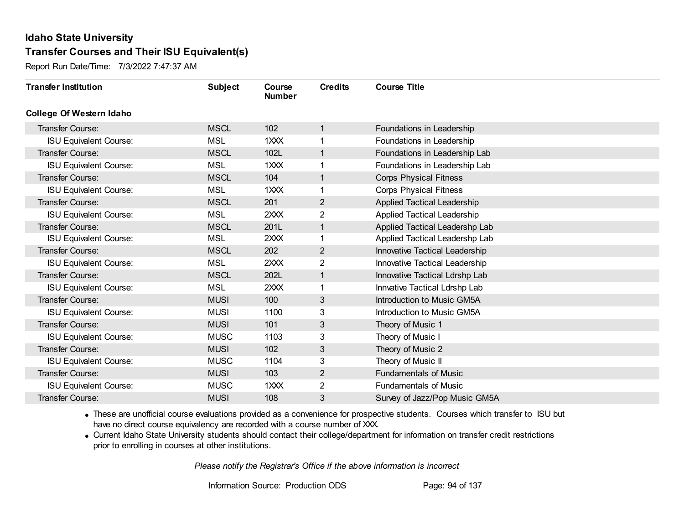Report Run Date/Time: 7/3/2022 7:47:37 AM

| <b>Transfer Institution</b>     | <b>Subject</b> | Course<br><b>Number</b>     | <b>Credits</b> | <b>Course Title</b>            |
|---------------------------------|----------------|-----------------------------|----------------|--------------------------------|
| <b>College Of Western Idaho</b> |                |                             |                |                                |
| Transfer Course:                | <b>MSCL</b>    | 102                         | 1              | Foundations in Leadership      |
| <b>ISU Equivalent Course:</b>   | <b>MSL</b>     | 1XXX                        |                | Foundations in Leadership      |
| Transfer Course:                | <b>MSCL</b>    | 102L                        | $\mathbf 1$    | Foundations in Leadership Lab  |
| <b>ISU Equivalent Course:</b>   | <b>MSL</b>     | 1XXX                        | 1              | Foundations in Leadership Lab  |
| Transfer Course:                | <b>MSCL</b>    | 104                         | 1              | <b>Corps Physical Fitness</b>  |
| <b>ISU Equivalent Course:</b>   | <b>MSL</b>     | 1XXX                        |                | <b>Corps Physical Fitness</b>  |
| Transfer Course:                | <b>MSCL</b>    | 201                         | $\overline{2}$ | Applied Tactical Leadership    |
| <b>ISU Equivalent Course:</b>   | <b>MSL</b>     | 2XXX                        | 2              | Applied Tactical Leadership    |
| Transfer Course:                | <b>MSCL</b>    | 201L                        | 1              | Applied Tactical Leadershp Lab |
| <b>ISU Equivalent Course:</b>   | <b>MSL</b>     | 2XXX                        |                | Applied Tactical Leadershp Lab |
| Transfer Course:                | <b>MSCL</b>    | 202                         | $\overline{2}$ | Innovative Tactical Leadership |
| <b>ISU Equivalent Course:</b>   | <b>MSL</b>     | 2XXX                        | 2              | Innovative Tactical Leadership |
| Transfer Course:                | <b>MSCL</b>    | 202L                        | 1              | Innovative Tactical Ldrshp Lab |
| <b>ISU Equivalent Course:</b>   | MSL            | 2XXX                        | 1              | Innvative Tactical Ldrshp Lab  |
| Transfer Course:                | <b>MUSI</b>    | 100                         | 3              | Introduction to Music GM5A     |
| <b>ISU Equivalent Course:</b>   | <b>MUSI</b>    | 1100                        | 3              | Introduction to Music GM5A     |
| Transfer Course:                | <b>MUSI</b>    | 101                         | 3              | Theory of Music 1              |
| <b>ISU Equivalent Course:</b>   | <b>MUSC</b>    | 1103                        | 3              | Theory of Music I              |
| Transfer Course:                | <b>MUSI</b>    | 102                         | 3              | Theory of Music 2              |
| <b>ISU Equivalent Course:</b>   | <b>MUSC</b>    | 1104                        | 3              | Theory of Music II             |
| <b>Transfer Course:</b>         | <b>MUSI</b>    | 103                         | $\overline{2}$ | <b>Fundamentals of Music</b>   |
| <b>ISU Equivalent Course:</b>   | <b>MUSC</b>    | 1 <sup>2</sup> <sup>2</sup> | 2              | <b>Fundamentals of Music</b>   |
| <b>Transfer Course:</b>         | <b>MUSI</b>    | 108                         | 3              | Survey of Jazz/Pop Music GM5A  |

· These are unofficial course evaluations provided as a convenience for prospective students. Courses which transfer to ISU but have no direct course equivalency are recorded with a course number of XXX.

· Current Idaho State University students should contact their college/department for information on transfer credit restrictions prior to enrolling in courses at other institutions.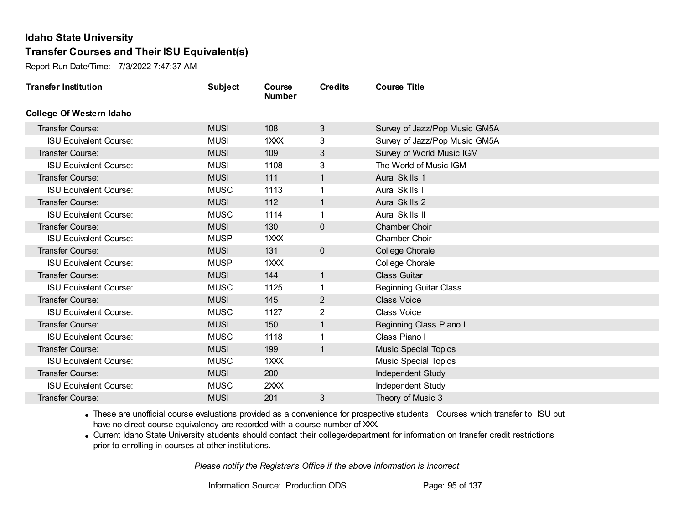Report Run Date/Time: 7/3/2022 7:47:37 AM

| <b>Transfer Institution</b>     | <b>Subject</b> | Course<br><b>Number</b> | <b>Credits</b> | <b>Course Title</b>           |
|---------------------------------|----------------|-------------------------|----------------|-------------------------------|
| <b>College Of Western Idaho</b> |                |                         |                |                               |
| Transfer Course:                | <b>MUSI</b>    | 108                     | 3              | Survey of Jazz/Pop Music GM5A |
| <b>ISU Equivalent Course:</b>   | <b>MUSI</b>    | 1XXX                    | 3              | Survey of Jazz/Pop Music GM5A |
| Transfer Course:                | <b>MUSI</b>    | 109                     | 3              | Survey of World Music IGM     |
| <b>ISU Equivalent Course:</b>   | <b>MUSI</b>    | 1108                    | 3              | The World of Music IGM        |
| Transfer Course:                | <b>MUSI</b>    | 111                     | 1              | <b>Aural Skills 1</b>         |
| <b>ISU Equivalent Course:</b>   | <b>MUSC</b>    | 1113                    | 1              | <b>Aural Skills I</b>         |
| Transfer Course:                | <b>MUSI</b>    | 112                     | 1              | <b>Aural Skills 2</b>         |
| <b>ISU Equivalent Course:</b>   | <b>MUSC</b>    | 1114                    |                | <b>Aural Skills II</b>        |
| <b>Transfer Course:</b>         | <b>MUSI</b>    | 130                     | $\mathbf 0$    | <b>Chamber Choir</b>          |
| <b>ISU Equivalent Course:</b>   | <b>MUSP</b>    | 1XXX                    |                | <b>Chamber Choir</b>          |
| Transfer Course:                | <b>MUSI</b>    | 131                     | $\overline{0}$ | College Chorale               |
| <b>ISU Equivalent Course:</b>   | <b>MUSP</b>    | 1XXX                    |                | College Chorale               |
| Transfer Course:                | <b>MUSI</b>    | 144                     | 1              | <b>Class Guitar</b>           |
| <b>ISU Equivalent Course:</b>   | <b>MUSC</b>    | 1125                    |                | <b>Beginning Guitar Class</b> |
| Transfer Course:                | <b>MUSI</b>    | 145                     | $\overline{2}$ | <b>Class Voice</b>            |
| <b>ISU Equivalent Course:</b>   | <b>MUSC</b>    | 1127                    | 2              | Class Voice                   |
| Transfer Course:                | <b>MUSI</b>    | 150                     | 1              | Beginning Class Piano I       |
| <b>ISU Equivalent Course:</b>   | <b>MUSC</b>    | 1118                    | 1              | Class Piano I                 |
| Transfer Course:                | <b>MUSI</b>    | 199                     | 1              | <b>Music Special Topics</b>   |
| <b>ISU Equivalent Course:</b>   | <b>MUSC</b>    | $1$ $XX$                |                | <b>Music Special Topics</b>   |
| Transfer Course:                | <b>MUSI</b>    | 200                     |                | Independent Study             |
| <b>ISU Equivalent Course:</b>   | <b>MUSC</b>    | 2XXX                    |                | Independent Study             |
| Transfer Course:                | <b>MUSI</b>    | 201                     | 3              | Theory of Music 3             |

· These are unofficial course evaluations provided as a convenience for prospective students. Courses which transfer to ISU but have no direct course equivalency are recorded with a course number of XXX.

· Current Idaho State University students should contact their college/department for information on transfer credit restrictions prior to enrolling in courses at other institutions.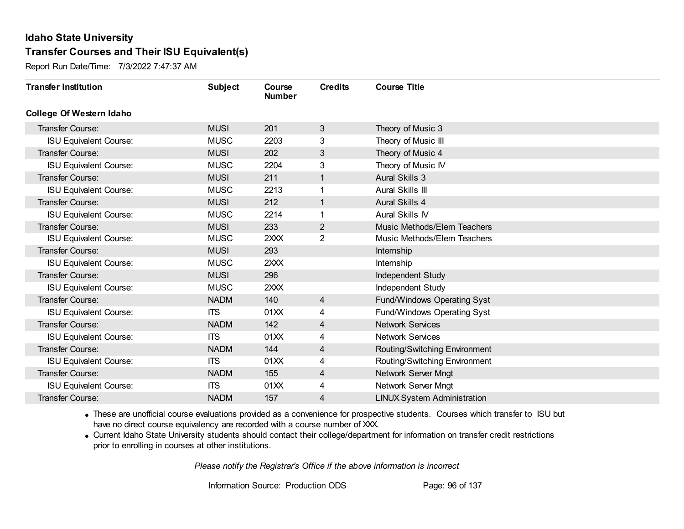Report Run Date/Time: 7/3/2022 7:47:37 AM

| <b>Transfer Institution</b>     | <b>Subject</b> | Course<br><b>Number</b> | <b>Credits</b> | <b>Course Title</b>                |
|---------------------------------|----------------|-------------------------|----------------|------------------------------------|
| <b>College Of Western Idaho</b> |                |                         |                |                                    |
| Transfer Course:                | <b>MUSI</b>    | 201                     | 3              | Theory of Music 3                  |
| <b>ISU Equivalent Course:</b>   | <b>MUSC</b>    | 2203                    | 3              | Theory of Music III                |
| Transfer Course:                | <b>MUSI</b>    | 202                     | 3              | Theory of Music 4                  |
| <b>ISU Equivalent Course:</b>   | <b>MUSC</b>    | 2204                    | 3              | Theory of Music IV                 |
| <b>Transfer Course:</b>         | <b>MUSI</b>    | 211                     | $\mathbf{1}$   | <b>Aural Skills 3</b>              |
| <b>ISU Equivalent Course:</b>   | <b>MUSC</b>    | 2213                    | 1              | <b>Aural Skills III</b>            |
| Transfer Course:                | <b>MUSI</b>    | 212                     | $\mathbf{1}$   | Aural Skills 4                     |
| <b>ISU Equivalent Course:</b>   | <b>MUSC</b>    | 2214                    |                | <b>Aural Skills IV</b>             |
| <b>Transfer Course:</b>         | <b>MUSI</b>    | 233                     | $\overline{2}$ | Music Methods/Elem Teachers        |
| <b>ISU Equivalent Course:</b>   | <b>MUSC</b>    | 2XXX                    | $\overline{2}$ | Music Methods/Elem Teachers        |
| <b>Transfer Course:</b>         | <b>MUSI</b>    | 293                     |                | Internship                         |
| <b>ISU Equivalent Course:</b>   | <b>MUSC</b>    | 2XXX                    |                | Internship                         |
| Transfer Course:                | <b>MUSI</b>    | 296                     |                | Independent Study                  |
| <b>ISU Equivalent Course:</b>   | <b>MUSC</b>    | 2XXX                    |                | Independent Study                  |
| Transfer Course:                | <b>NADM</b>    | 140                     | $\overline{4}$ | Fund/Windows Operating Syst        |
| <b>ISU Equivalent Course:</b>   | <b>ITS</b>     | 01XX                    | 4              | Fund/Windows Operating Syst        |
| Transfer Course:                | <b>NADM</b>    | 142                     | 4              | <b>Network Services</b>            |
| <b>ISU Equivalent Course:</b>   | <b>ITS</b>     | 01XX                    | 4              | <b>Network Services</b>            |
| Transfer Course:                | <b>NADM</b>    | 144                     | 4              | Routing/Switching Environment      |
| <b>ISU Equivalent Course:</b>   | <b>ITS</b>     | 01XX                    | 4              | Routing/Switching Environment      |
| Transfer Course:                | <b>NADM</b>    | 155                     | 4              | Network Server Mngt                |
| <b>ISU Equivalent Course:</b>   | <b>ITS</b>     | 01XX                    | 4              | Network Server Mngt                |
| Transfer Course:                | <b>NADM</b>    | 157                     | 4              | <b>LINUX System Administration</b> |

· These are unofficial course evaluations provided as a convenience for prospective students. Courses which transfer to ISU but have no direct course equivalency are recorded with a course number of XXX.

· Current Idaho State University students should contact their college/department for information on transfer credit restrictions prior to enrolling in courses at other institutions.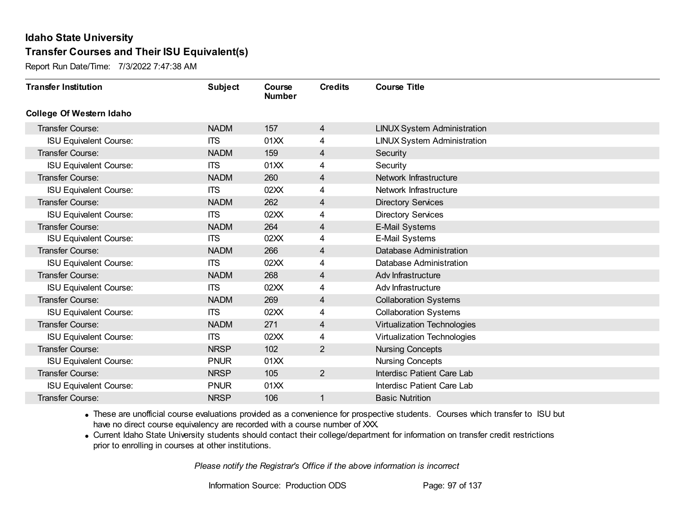Report Run Date/Time: 7/3/2022 7:47:38 AM

| <b>Transfer Institution</b>     | <b>Subject</b> | Course<br><b>Number</b> | <b>Credits</b> | <b>Course Title</b>                |
|---------------------------------|----------------|-------------------------|----------------|------------------------------------|
| <b>College Of Western Idaho</b> |                |                         |                |                                    |
| Transfer Course:                | <b>NADM</b>    | 157                     | 4              | <b>LINUX System Administration</b> |
| <b>ISU Equivalent Course:</b>   | <b>ITS</b>     | 01XX                    | 4              | <b>LINUX System Administration</b> |
| Transfer Course:                | <b>NADM</b>    | 159                     | $\overline{4}$ | Security                           |
| <b>ISU Equivalent Course:</b>   | <b>ITS</b>     | 01XX                    | 4              | Security                           |
| <b>Transfer Course:</b>         | <b>NADM</b>    | 260                     | 4              | Network Infrastructure             |
| <b>ISU Equivalent Course:</b>   | <b>ITS</b>     | 02XX                    | 4              | Network Infrastructure             |
| Transfer Course:                | <b>NADM</b>    | 262                     | 4              | <b>Directory Services</b>          |
| <b>ISU Equivalent Course:</b>   | <b>ITS</b>     | 02XX                    | 4              | <b>Directory Services</b>          |
| Transfer Course:                | <b>NADM</b>    | 264                     | 4              | E-Mail Systems                     |
| <b>ISU Equivalent Course:</b>   | <b>ITS</b>     | 02XX                    | 4              | E-Mail Systems                     |
| <b>Transfer Course:</b>         | <b>NADM</b>    | 266                     | 4              | Database Administration            |
| <b>ISU Equivalent Course:</b>   | <b>ITS</b>     | 02XX                    | 4              | Database Administration            |
| <b>Transfer Course:</b>         | <b>NADM</b>    | 268                     | 4              | Adv Infrastructure                 |
| <b>ISU Equivalent Course:</b>   | <b>ITS</b>     | 02XX                    | 4              | Adv Infrastructure                 |
| Transfer Course:                | <b>NADM</b>    | 269                     | 4              | <b>Collaboration Systems</b>       |
| <b>ISU Equivalent Course:</b>   | <b>ITS</b>     | 02XX                    | 4              | <b>Collaboration Systems</b>       |
| Transfer Course:                | <b>NADM</b>    | 271                     | 4              | Virtualization Technologies        |
| <b>ISU Equivalent Course:</b>   | <b>ITS</b>     | 02XX                    | 4              | Virtualization Technologies        |
| Transfer Course:                | <b>NRSP</b>    | 102                     | $\overline{c}$ | <b>Nursing Concepts</b>            |
| <b>ISU Equivalent Course:</b>   | <b>PNUR</b>    | 01XX                    |                | <b>Nursing Concepts</b>            |
| <b>Transfer Course:</b>         | <b>NRSP</b>    | 105                     | $\overline{2}$ | Interdisc Patient Care Lab         |
| <b>ISU Equivalent Course:</b>   | <b>PNUR</b>    | 01XX                    |                | Interdisc Patient Care Lab         |
| Transfer Course:                | <b>NRSP</b>    | 106                     | 1              | <b>Basic Nutrition</b>             |

· These are unofficial course evaluations provided as a convenience for prospective students. Courses which transfer to ISU but have no direct course equivalency are recorded with a course number of XXX.

· Current Idaho State University students should contact their college/department for information on transfer credit restrictions prior to enrolling in courses at other institutions.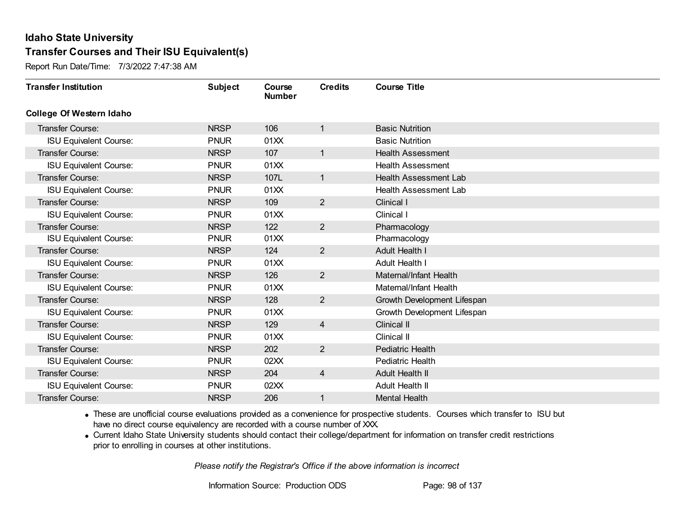Report Run Date/Time: 7/3/2022 7:47:38 AM

| <b>Transfer Institution</b>     | <b>Subject</b> | Course<br><b>Number</b> | <b>Credits</b> | <b>Course Title</b>         |
|---------------------------------|----------------|-------------------------|----------------|-----------------------------|
| <b>College Of Western Idaho</b> |                |                         |                |                             |
| Transfer Course:                | <b>NRSP</b>    | 106                     | 1              | <b>Basic Nutrition</b>      |
| <b>ISU Equivalent Course:</b>   | <b>PNUR</b>    | 01XX                    |                | <b>Basic Nutrition</b>      |
| Transfer Course:                | <b>NRSP</b>    | 107                     | $\mathbf{1}$   | <b>Health Assessment</b>    |
| <b>ISU Equivalent Course:</b>   | <b>PNUR</b>    | 01XX                    |                | <b>Health Assessment</b>    |
| Transfer Course:                | <b>NRSP</b>    | 107L                    | $\mathbf{1}$   | Health Assessment Lab       |
| <b>ISU Equivalent Course:</b>   | <b>PNUR</b>    | 01XX                    |                | Health Assessment Lab       |
| Transfer Course:                | <b>NRSP</b>    | 109                     | $\overline{2}$ | Clinical I                  |
| <b>ISU Equivalent Course:</b>   | <b>PNUR</b>    | 01XX                    |                | Clinical I                  |
| <b>Transfer Course:</b>         | <b>NRSP</b>    | 122                     | $\overline{2}$ | Pharmacology                |
| <b>ISU Equivalent Course:</b>   | <b>PNUR</b>    | 01XX                    |                | Pharmacology                |
| <b>Transfer Course:</b>         | <b>NRSP</b>    | 124                     | $\overline{2}$ | Adult Health I              |
| <b>ISU Equivalent Course:</b>   | <b>PNUR</b>    | 01XX                    |                | Adult Health I              |
| Transfer Course:                | <b>NRSP</b>    | 126                     | $\overline{2}$ | Maternal/Infant Health      |
| <b>ISU Equivalent Course:</b>   | <b>PNUR</b>    | 01XX                    |                | Maternal/Infant Health      |
| Transfer Course:                | <b>NRSP</b>    | 128                     | $\overline{2}$ | Growth Development Lifespan |
| <b>ISU Equivalent Course:</b>   | <b>PNUR</b>    | 01XX                    |                | Growth Development Lifespan |
| Transfer Course:                | <b>NRSP</b>    | 129                     | $\overline{4}$ | <b>Clinical II</b>          |
| <b>ISU Equivalent Course:</b>   | <b>PNUR</b>    | 01XX                    |                | Clinical II                 |
| Transfer Course:                | <b>NRSP</b>    | 202                     | $\overline{2}$ | <b>Pediatric Health</b>     |
| <b>ISU Equivalent Course:</b>   | <b>PNUR</b>    | 02XX                    |                | Pediatric Health            |
| Transfer Course:                | <b>NRSP</b>    | 204                     | $\overline{4}$ | Adult Health II             |
| <b>ISU Equivalent Course:</b>   | <b>PNUR</b>    | 02XX                    |                | Adult Health II             |
| Transfer Course:                | <b>NRSP</b>    | 206                     | 1              | <b>Mental Health</b>        |

· These are unofficial course evaluations provided as a convenience for prospective students. Courses which transfer to ISU but have no direct course equivalency are recorded with a course number of XXX.

· Current Idaho State University students should contact their college/department for information on transfer credit restrictions prior to enrolling in courses at other institutions.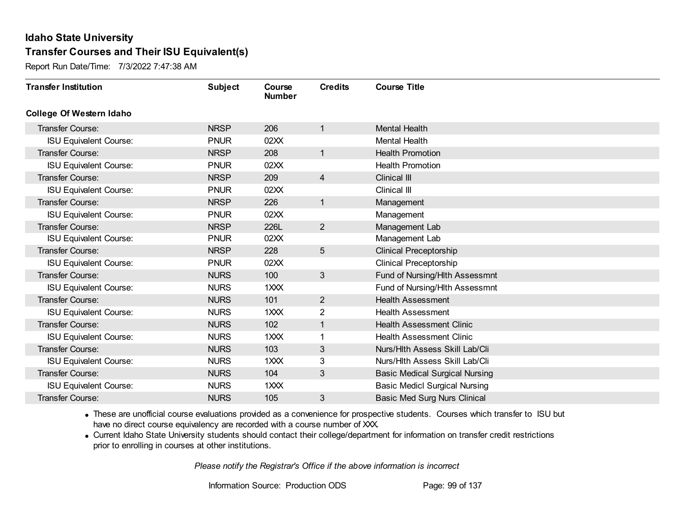Report Run Date/Time: 7/3/2022 7:47:38 AM

| <b>Transfer Institution</b>     | <b>Subject</b> | Course<br><b>Number</b> | <b>Credits</b> | <b>Course Title</b>                   |
|---------------------------------|----------------|-------------------------|----------------|---------------------------------------|
| <b>College Of Western Idaho</b> |                |                         |                |                                       |
| Transfer Course:                | <b>NRSP</b>    | 206                     | $\mathbf{1}$   | <b>Mental Health</b>                  |
| <b>ISU Equivalent Course:</b>   | <b>PNUR</b>    | 02XX                    |                | Mental Health                         |
| Transfer Course:                | <b>NRSP</b>    | 208                     | $\mathbf{1}$   | <b>Health Promotion</b>               |
| <b>ISU Equivalent Course:</b>   | <b>PNUR</b>    | 02XX                    |                | <b>Health Promotion</b>               |
| Transfer Course:                | <b>NRSP</b>    | 209                     | $\overline{4}$ | Clinical III                          |
| <b>ISU Equivalent Course:</b>   | <b>PNUR</b>    | 02XX                    |                | Clinical III                          |
| Transfer Course:                | <b>NRSP</b>    | 226                     | $\mathbf{1}$   | Management                            |
| <b>ISU Equivalent Course:</b>   | <b>PNUR</b>    | 02XX                    |                | Management                            |
| <b>Transfer Course:</b>         | <b>NRSP</b>    | 226L                    | $2^{\circ}$    | Management Lab                        |
| <b>ISU Equivalent Course:</b>   | <b>PNUR</b>    | 02XX                    |                | Management Lab                        |
| Transfer Course:                | <b>NRSP</b>    | 228                     | 5              | Clinical Preceptorship                |
| <b>ISU Equivalent Course:</b>   | <b>PNUR</b>    | 02XX                    |                | Clinical Preceptorship                |
| Transfer Course:                | <b>NURS</b>    | 100                     | 3              | Fund of Nursing/Hlth Assessmnt        |
| <b>ISU Equivalent Course:</b>   | <b>NURS</b>    | 1XXX                    |                | Fund of Nursing/Hlth Assessmnt        |
| Transfer Course:                | <b>NURS</b>    | 101                     | $\overline{2}$ | <b>Health Assessment</b>              |
| <b>ISU Equivalent Course:</b>   | <b>NURS</b>    | 1XXX                    | 2              | <b>Health Assessment</b>              |
| Transfer Course:                | <b>NURS</b>    | 102                     | 1              | <b>Health Assessment Clinic</b>       |
| <b>ISU Equivalent Course:</b>   | <b>NURS</b>    | 1XXX                    | 1              | <b>Health Assessment Clinic</b>       |
| Transfer Course:                | <b>NURS</b>    | 103                     | 3              | Nurs/Hlth Assess Skill Lab/Cli        |
| <b>ISU Equivalent Course:</b>   | <b>NURS</b>    | 1XXX                    | 3              | Nurs/Hlth Assess Skill Lab/Cli        |
| Transfer Course:                | <b>NURS</b>    | 104                     | 3              | <b>Basic Medical Surgical Nursing</b> |
| <b>ISU Equivalent Course:</b>   | <b>NURS</b>    | 1XXX                    |                | <b>Basic Medicl Surgical Nursing</b>  |
| Transfer Course:                | <b>NURS</b>    | 105                     | 3              | <b>Basic Med Surg Nurs Clinical</b>   |

· These are unofficial course evaluations provided as a convenience for prospective students. Courses which transfer to ISU but have no direct course equivalency are recorded with a course number of XXX.

· Current Idaho State University students should contact their college/department for information on transfer credit restrictions prior to enrolling in courses at other institutions.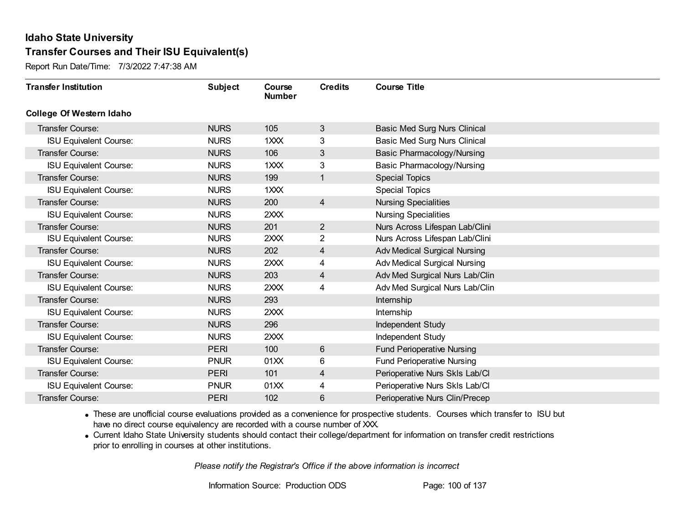Report Run Date/Time: 7/3/2022 7:47:38 AM

| <b>Transfer Institution</b>     | <b>Subject</b> | Course<br><b>Number</b> | <b>Credits</b> | <b>Course Title</b>                 |
|---------------------------------|----------------|-------------------------|----------------|-------------------------------------|
| <b>College Of Western Idaho</b> |                |                         |                |                                     |
| Transfer Course:                | <b>NURS</b>    | 105                     | 3              | <b>Basic Med Surg Nurs Clinical</b> |
| <b>ISU Equivalent Course:</b>   | <b>NURS</b>    | $1 \times X$            | 3              | <b>Basic Med Surg Nurs Clinical</b> |
| Transfer Course:                | <b>NURS</b>    | 106                     | 3              | <b>Basic Pharmacology/Nursing</b>   |
| <b>ISU Equivalent Course:</b>   | <b>NURS</b>    | 1XXX                    | 3              | Basic Pharmacology/Nursing          |
| <b>Transfer Course:</b>         | <b>NURS</b>    | 199                     | $\mathbf{1}$   | <b>Special Topics</b>               |
| <b>ISU Equivalent Course:</b>   | <b>NURS</b>    | 1XXX                    |                | <b>Special Topics</b>               |
| Transfer Course:                | <b>NURS</b>    | 200                     | $\overline{4}$ | <b>Nursing Specialities</b>         |
| <b>ISU Equivalent Course:</b>   | <b>NURS</b>    | 2XXX                    |                | <b>Nursing Specialities</b>         |
| <b>Transfer Course:</b>         | <b>NURS</b>    | 201                     | $\overline{2}$ | Nurs Across Lifespan Lab/Clini      |
| <b>ISU Equivalent Course:</b>   | <b>NURS</b>    | 2XXX                    | $\overline{2}$ | Nurs Across Lifespan Lab/Clini      |
| <b>Transfer Course:</b>         | <b>NURS</b>    | 202                     | 4              | <b>Adv Medical Surgical Nursing</b> |
| <b>ISU Equivalent Course:</b>   | <b>NURS</b>    | 2XXX                    | 4              | <b>Adv Medical Surgical Nursing</b> |
| Transfer Course:                | <b>NURS</b>    | 203                     | $\overline{4}$ | Adv Med Surgical Nurs Lab/Clin      |
| <b>ISU Equivalent Course:</b>   | <b>NURS</b>    | 2XXX                    | 4              | Adv Med Surgical Nurs Lab/Clin      |
| Transfer Course:                | <b>NURS</b>    | 293                     |                | Internship                          |
| <b>ISU Equivalent Course:</b>   | <b>NURS</b>    | 2XXX                    |                | Internship                          |
| Transfer Course:                | <b>NURS</b>    | 296                     |                | Independent Study                   |
| <b>ISU Equivalent Course:</b>   | <b>NURS</b>    | 2XXX                    |                | Independent Study                   |
| Transfer Course:                | <b>PERI</b>    | 100                     | $6\phantom{1}$ | <b>Fund Perioperative Nursing</b>   |
| <b>ISU Equivalent Course:</b>   | <b>PNUR</b>    | 01XX                    | 6              | <b>Fund Perioperative Nursing</b>   |
| Transfer Course:                | <b>PERI</b>    | 101                     | 4              | Perioperative Nurs Skls Lab/Cl      |
| <b>ISU Equivalent Course:</b>   | <b>PNUR</b>    | 01XX                    | 4              | Perioperative Nurs Skls Lab/Cl      |
| Transfer Course:                | <b>PERI</b>    | 102                     | 6              | Perioperative Nurs Clin/Precep      |

· These are unofficial course evaluations provided as a convenience for prospective students. Courses which transfer to ISU but have no direct course equivalency are recorded with a course number of XXX.

· Current Idaho State University students should contact their college/department for information on transfer credit restrictions prior to enrolling in courses at other institutions.

*Please notify the Registrar's Office if the above information is incorrect*

Information Source: Production ODS Page: 100 of 137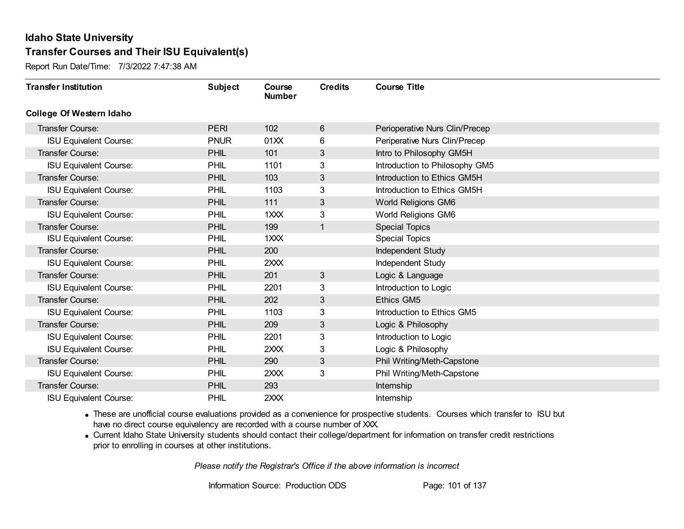Report Run Date/Time: 7/3/2022 7:47:38 AM

| <b>Transfer Institution</b>     | <b>Subject</b> | Course<br><b>Number</b> | <b>Credits</b> | <b>Course Title</b>            |
|---------------------------------|----------------|-------------------------|----------------|--------------------------------|
| <b>College Of Western Idaho</b> |                |                         |                |                                |
| Transfer Course:                | <b>PERI</b>    | 102                     | 6              | Perioperative Nurs Clin/Precep |
| <b>ISU Equivalent Course:</b>   | <b>PNUR</b>    | 01XX                    | 6              | Periperative Nurs Clin/Precep  |
| Transfer Course:                | <b>PHIL</b>    | 101                     | 3              | Intro to Philosophy GM5H       |
| <b>ISU Equivalent Course:</b>   | PHIL           | 1101                    | 3              | Introduction to Philosophy GM5 |
| <b>Transfer Course:</b>         | <b>PHIL</b>    | 103                     | 3              | Introduction to Ethics GM5H    |
| <b>ISU Equivalent Course:</b>   | <b>PHIL</b>    | 1103                    | 3              | Introduction to Ethics GM5H    |
| Transfer Course:                | PHIL           | 111                     | 3              | World Religions GM6            |
| <b>ISU Equivalent Course:</b>   | PHIL           | 1XXX                    | 3              | World Religions GM6            |
| <b>Transfer Course:</b>         | <b>PHIL</b>    | 199                     | 1              | <b>Special Topics</b>          |
| <b>ISU Equivalent Course:</b>   | PHIL           | 1XXX                    |                | <b>Special Topics</b>          |
| <b>Transfer Course:</b>         | <b>PHIL</b>    | 200                     |                | Independent Study              |
| <b>ISU Equivalent Course:</b>   | PHIL           | 2XXX                    |                | Independent Study              |
| Transfer Course:                | PHIL           | 201                     | 3              | Logic & Language               |
| <b>ISU Equivalent Course:</b>   | PHIL           | 2201                    | 3              | Introduction to Logic          |
| Transfer Course:                | <b>PHIL</b>    | 202                     | 3              | <b>Ethics GM5</b>              |
| <b>ISU Equivalent Course:</b>   | PHIL           | 1103                    | 3              | Introduction to Ethics GM5     |
| Transfer Course:                | <b>PHIL</b>    | 209                     | 3              | Logic & Philosophy             |
| <b>ISU Equivalent Course:</b>   | PHIL           | 2201                    | 3              | Introduction to Logic          |
| <b>ISU Equivalent Course:</b>   | PHIL           | 2XXX                    | 3              | Logic & Philosophy             |
| Transfer Course:                | <b>PHIL</b>    | 290                     | 3              | Phil Writing/Meth-Capstone     |
| <b>ISU Equivalent Course:</b>   | PHIL           | 2XXX                    | 3              | Phil Writing/Meth-Capstone     |
| Transfer Course:                | <b>PHIL</b>    | 293                     |                | Internship                     |
| <b>ISU Equivalent Course:</b>   | PHIL           | 2XXX                    |                | Internship                     |

· These are unofficial course evaluations provided as a convenience for prospective students. Courses which transfer to ISU but have no direct course equivalency are recorded with a course number of XXX.

· Current Idaho State University students should contact their college/department for information on transfer credit restrictions prior to enrolling in courses at other institutions.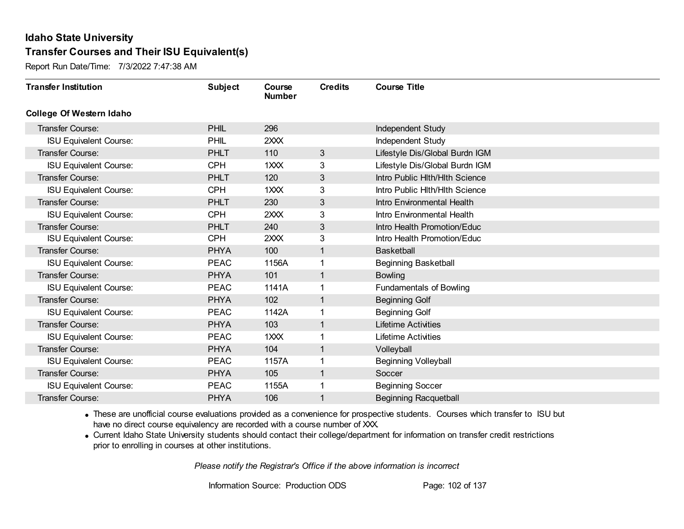Report Run Date/Time: 7/3/2022 7:47:38 AM

| <b>Transfer Institution</b>     | <b>Subject</b> | Course<br><b>Number</b> | <b>Credits</b> | <b>Course Title</b>            |
|---------------------------------|----------------|-------------------------|----------------|--------------------------------|
| <b>College Of Western Idaho</b> |                |                         |                |                                |
| <b>Transfer Course:</b>         | <b>PHIL</b>    | 296                     |                | Independent Study              |
| <b>ISU Equivalent Course:</b>   | PHIL           | 2XXX                    |                | Independent Study              |
| <b>Transfer Course:</b>         | <b>PHLT</b>    | 110                     | 3              | Lifestyle Dis/Global Burdn IGM |
| <b>ISU Equivalent Course:</b>   | <b>CPH</b>     | 1XXX                    | 3              | Lifestyle Dis/Global Burdn IGM |
| Transfer Course:                | <b>PHLT</b>    | 120                     | 3              | Intro Public Hith/Hith Science |
| <b>ISU Equivalent Course:</b>   | <b>CPH</b>     | 1XXX                    | 3              | Intro Public Hith/Hith Science |
| <b>Transfer Course:</b>         | PHLT           | 230                     | 3              | Intro Environmental Health     |
| <b>ISU Equivalent Course:</b>   | <b>CPH</b>     | 2XXX                    | 3              | Intro Environmental Health     |
| <b>Transfer Course:</b>         | <b>PHLT</b>    | 240                     | 3              | Intro Health Promotion/Educ    |
| <b>ISU Equivalent Course:</b>   | <b>CPH</b>     | 2XXX                    | 3              | Intro Health Promotion/Educ    |
| <b>Transfer Course:</b>         | <b>PHYA</b>    | 100                     | $\mathbf{1}$   | <b>Basketball</b>              |
| <b>ISU Equivalent Course:</b>   | <b>PEAC</b>    | 1156A                   | 1              | <b>Beginning Basketball</b>    |
| Transfer Course:                | <b>PHYA</b>    | 101                     | 1              | <b>Bowling</b>                 |
| <b>ISU Equivalent Course:</b>   | <b>PEAC</b>    | 1141A                   | 1              | <b>Fundamentals of Bowling</b> |
| Transfer Course:                | <b>PHYA</b>    | 102                     | $\mathbf{1}$   | <b>Beginning Golf</b>          |
| <b>ISU Equivalent Course:</b>   | <b>PEAC</b>    | 1142A                   | 1              | <b>Beginning Golf</b>          |
| Transfer Course:                | <b>PHYA</b>    | 103                     | $\mathbf{1}$   | Lifetime Activities            |
| <b>ISU Equivalent Course:</b>   | <b>PEAC</b>    | 1XXX                    | 1              | Lifetime Activities            |
| <b>Transfer Course:</b>         | <b>PHYA</b>    | 104                     | $\mathbf{1}$   | Volleyball                     |
| <b>ISU Equivalent Course:</b>   | <b>PEAC</b>    | 1157A                   |                | <b>Beginning Volleyball</b>    |
| <b>Transfer Course:</b>         | <b>PHYA</b>    | 105                     | $\mathbf{1}$   | Soccer                         |
| <b>ISU Equivalent Course:</b>   | <b>PEAC</b>    | 1155A                   | 1              | <b>Beginning Soccer</b>        |
| Transfer Course:                | <b>PHYA</b>    | 106                     | 1              | <b>Beginning Racquetball</b>   |

· These are unofficial course evaluations provided as a convenience for prospective students. Courses which transfer to ISU but have no direct course equivalency are recorded with a course number of XXX.

· Current Idaho State University students should contact their college/department for information on transfer credit restrictions prior to enrolling in courses at other institutions.

*Please notify the Registrar's Office if the above information is incorrect*

Information Source: Production ODS Page: 102 of 137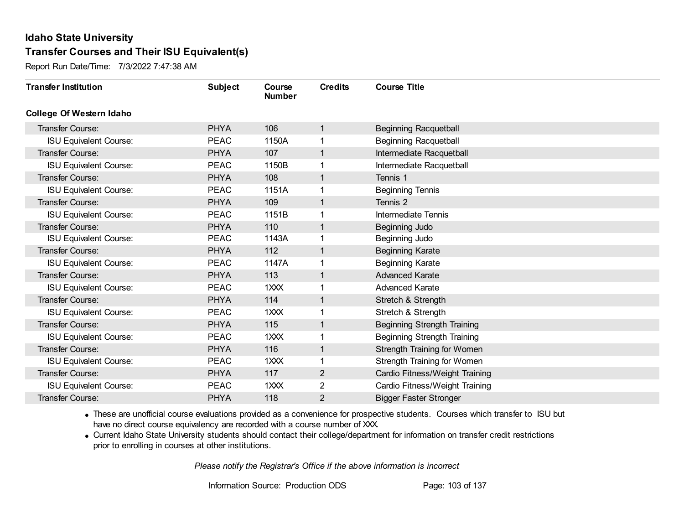Report Run Date/Time: 7/3/2022 7:47:38 AM

| <b>Transfer Institution</b>     | <b>Subject</b> | Course<br><b>Number</b> | <b>Credits</b> | <b>Course Title</b>                |
|---------------------------------|----------------|-------------------------|----------------|------------------------------------|
| <b>College Of Western Idaho</b> |                |                         |                |                                    |
| Transfer Course:                | <b>PHYA</b>    | 106                     | 1              | <b>Beginning Racquetball</b>       |
| <b>ISU Equivalent Course:</b>   | <b>PEAC</b>    | 1150A                   | 1              | <b>Beginning Racquetball</b>       |
| Transfer Course:                | <b>PHYA</b>    | 107                     | $\mathbf{1}$   | Intermediate Racquetball           |
| <b>ISU Equivalent Course:</b>   | <b>PEAC</b>    | 1150B                   | 1              | Intermediate Racquetball           |
| <b>Transfer Course:</b>         | <b>PHYA</b>    | 108                     | $\mathbf{1}$   | Tennis 1                           |
| <b>ISU Equivalent Course:</b>   | <b>PEAC</b>    | 1151A                   | 1              | <b>Beginning Tennis</b>            |
| Transfer Course:                | <b>PHYA</b>    | 109                     | $\mathbf{1}$   | Tennis 2                           |
| <b>ISU Equivalent Course:</b>   | <b>PEAC</b>    | 1151B                   |                | Intermediate Tennis                |
| <b>Transfer Course:</b>         | <b>PHYA</b>    | 110                     | 1              | Beginning Judo                     |
| <b>ISU Equivalent Course:</b>   | <b>PEAC</b>    | 1143A                   | 1              | Beginning Judo                     |
| <b>Transfer Course:</b>         | <b>PHYA</b>    | 112                     | $\mathbf{1}$   | <b>Beginning Karate</b>            |
| <b>ISU Equivalent Course:</b>   | <b>PEAC</b>    | 1147A                   | 1              | <b>Beginning Karate</b>            |
| Transfer Course:                | <b>PHYA</b>    | 113                     | 1              | <b>Advanced Karate</b>             |
| <b>ISU Equivalent Course:</b>   | <b>PEAC</b>    | 1XXX                    | 1              | <b>Advanced Karate</b>             |
| Transfer Course:                | <b>PHYA</b>    | 114                     | 1              | Stretch & Strength                 |
| <b>ISU Equivalent Course:</b>   | <b>PEAC</b>    | 1XXX                    | 1              | Stretch & Strength                 |
| Transfer Course:                | <b>PHYA</b>    | 115                     | $\mathbf{1}$   | <b>Beginning Strength Training</b> |
| <b>ISU Equivalent Course:</b>   | <b>PEAC</b>    | 1XXX                    | 1              | <b>Beginning Strength Training</b> |
| Transfer Course:                | <b>PHYA</b>    | 116                     | $\mathbf{1}$   | Strength Training for Women        |
| <b>ISU Equivalent Course:</b>   | <b>PEAC</b>    | 1XXX                    |                | Strength Training for Women        |
| Transfer Course:                | <b>PHYA</b>    | 117                     | $\overline{2}$ | Cardio Fitness/Weight Training     |
| <b>ISU Equivalent Course:</b>   | <b>PEAC</b>    | 1 <sub>XX</sub>         | $\overline{2}$ | Cardio Fitness/Weight Training     |
| Transfer Course:                | <b>PHYA</b>    | 118                     | 2              | <b>Bigger Faster Stronger</b>      |

· These are unofficial course evaluations provided as a convenience for prospective students. Courses which transfer to ISU but have no direct course equivalency are recorded with a course number of XXX.

· Current Idaho State University students should contact their college/department for information on transfer credit restrictions prior to enrolling in courses at other institutions.

*Please notify the Registrar's Office if the above information is incorrect*

Information Source: Production ODS Page: 103 of 137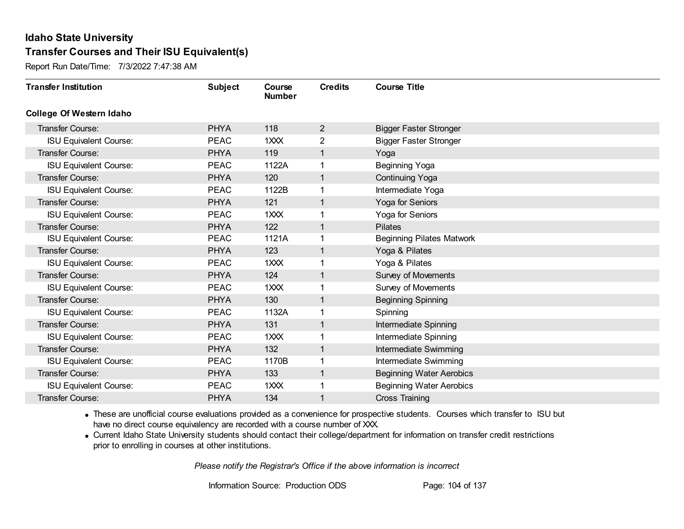Report Run Date/Time: 7/3/2022 7:47:38 AM

| <b>Transfer Institution</b>     | <b>Subject</b> | Course<br><b>Number</b>     | <b>Credits</b> | <b>Course Title</b>              |
|---------------------------------|----------------|-----------------------------|----------------|----------------------------------|
| <b>College Of Western Idaho</b> |                |                             |                |                                  |
| Transfer Course:                | <b>PHYA</b>    | 118                         | $\overline{2}$ | <b>Bigger Faster Stronger</b>    |
| <b>ISU Equivalent Course:</b>   | <b>PEAC</b>    | 1XXX                        | $\overline{2}$ | <b>Bigger Faster Stronger</b>    |
| Transfer Course:                | <b>PHYA</b>    | 119                         | 1              | Yoga                             |
| <b>ISU Equivalent Course:</b>   | <b>PEAC</b>    | 1122A                       |                | <b>Beginning Yoga</b>            |
| Transfer Course:                | <b>PHYA</b>    | 120                         | 1              | <b>Continuing Yoga</b>           |
| <b>ISU Equivalent Course:</b>   | <b>PEAC</b>    | 1122B                       |                | Intermediate Yoga                |
| Transfer Course:                | <b>PHYA</b>    | 121                         | $\mathbf{1}$   | Yoga for Seniors                 |
| <b>ISU Equivalent Course:</b>   | <b>PEAC</b>    | 1XXX                        |                | Yoga for Seniors                 |
| <b>Transfer Course:</b>         | <b>PHYA</b>    | 122                         | 1              | <b>Pilates</b>                   |
| <b>ISU Equivalent Course:</b>   | <b>PEAC</b>    | 1121A                       |                | <b>Beginning Pilates Matwork</b> |
| <b>Transfer Course:</b>         | <b>PHYA</b>    | 123                         | 1              | Yoga & Pilates                   |
| <b>ISU Equivalent Course:</b>   | <b>PEAC</b>    | 1XXX                        |                | Yoga & Pilates                   |
| Transfer Course:                | <b>PHYA</b>    | 124                         | 1              | Survey of Movements              |
| <b>ISU Equivalent Course:</b>   | <b>PEAC</b>    | 1 <sup>2</sup> <sup>2</sup> |                | Survey of Movements              |
| Transfer Course:                | <b>PHYA</b>    | 130                         | 1              | <b>Beginning Spinning</b>        |
| <b>ISU Equivalent Course:</b>   | <b>PEAC</b>    | 1132A                       |                | Spinning                         |
| Transfer Course:                | <b>PHYA</b>    | 131                         | 1              | Intermediate Spinning            |
| <b>ISU Equivalent Course:</b>   | <b>PEAC</b>    | 1 <sup>2</sup> <sup>2</sup> | 1              | Intermediate Spinning            |
| Transfer Course:                | <b>PHYA</b>    | 132                         | 1              | Intermediate Swimming            |
| <b>ISU Equivalent Course:</b>   | <b>PEAC</b>    | 1170B                       |                | Intermediate Swimming            |
| Transfer Course:                | <b>PHYA</b>    | 133                         | 1              | <b>Beginning Water Aerobics</b>  |
| <b>ISU Equivalent Course:</b>   | <b>PEAC</b>    | 1 <sub>XX</sub>             |                | <b>Beginning Water Aerobics</b>  |
| <b>Transfer Course:</b>         | <b>PHYA</b>    | 134                         | 1              | <b>Cross Training</b>            |

· These are unofficial course evaluations provided as a convenience for prospective students. Courses which transfer to ISU but have no direct course equivalency are recorded with a course number of XXX.

· Current Idaho State University students should contact their college/department for information on transfer credit restrictions prior to enrolling in courses at other institutions.

*Please notify the Registrar's Office if the above information is incorrect*

Information Source: Production ODS Page: 104 of 137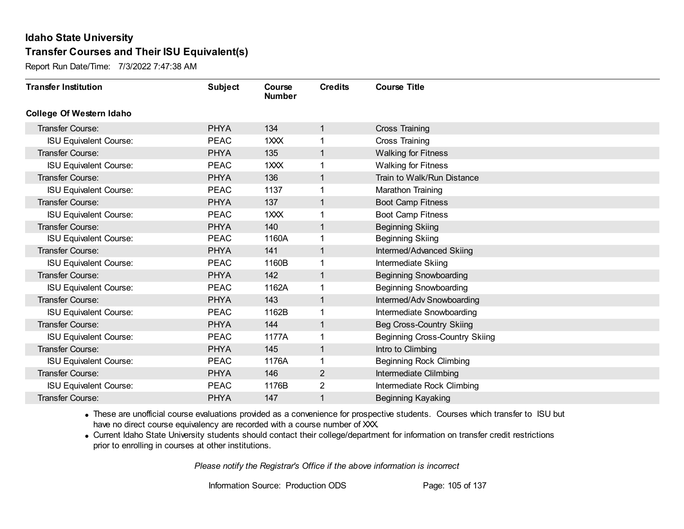Report Run Date/Time: 7/3/2022 7:47:38 AM

| <b>Transfer Institution</b>     | <b>Subject</b> | Course<br><b>Number</b> | <b>Credits</b> | <b>Course Title</b>                   |
|---------------------------------|----------------|-------------------------|----------------|---------------------------------------|
| <b>College Of Western Idaho</b> |                |                         |                |                                       |
| <b>Transfer Course:</b>         | <b>PHYA</b>    | 134                     | 1              | <b>Cross Training</b>                 |
| <b>ISU Equivalent Course:</b>   | <b>PEAC</b>    | $1$ $XX$                |                | Cross Training                        |
| Transfer Course:                | <b>PHYA</b>    | 135                     | 1              | <b>Walking for Fitness</b>            |
| <b>ISU Equivalent Course:</b>   | <b>PEAC</b>    | $1$ $XX$                |                | <b>Walking for Fitness</b>            |
| <b>Transfer Course:</b>         | <b>PHYA</b>    | 136                     | 1              | Train to Walk/Run Distance            |
| <b>ISU Equivalent Course:</b>   | <b>PEAC</b>    | 1137                    |                | Marathon Training                     |
| <b>Transfer Course:</b>         | <b>PHYA</b>    | 137                     | 1              | Boot Camp Fitness                     |
| <b>ISU Equivalent Course:</b>   | <b>PEAC</b>    | 1XXX                    |                | <b>Boot Camp Fitness</b>              |
| Transfer Course:                | <b>PHYA</b>    | 140                     |                | <b>Beginning Skiing</b>               |
| <b>ISU Equivalent Course:</b>   | <b>PEAC</b>    | 1160A                   |                | <b>Beginning Skiing</b>               |
| Transfer Course:                | <b>PHYA</b>    | 141                     | 1              | Intermed/Advanced Skiing              |
| <b>ISU Equivalent Course:</b>   | <b>PEAC</b>    | 1160B                   |                | Intermediate Skiing                   |
| Transfer Course:                | <b>PHYA</b>    | 142                     |                | <b>Beginning Snowboarding</b>         |
| <b>ISU Equivalent Course:</b>   | <b>PEAC</b>    | 1162A                   |                | <b>Beginning Snowboarding</b>         |
| Transfer Course:                | <b>PHYA</b>    | 143                     |                | Intermed/Adv Snowboarding             |
| <b>ISU Equivalent Course:</b>   | <b>PEAC</b>    | 1162B                   |                | Intermediate Snowboarding             |
| Transfer Course:                | <b>PHYA</b>    | 144                     | 1              | <b>Beg Cross-Country Skiing</b>       |
| <b>ISU Equivalent Course:</b>   | <b>PEAC</b>    | 1177A                   |                | <b>Beginning Cross-Country Skiing</b> |
| <b>Transfer Course:</b>         | <b>PHYA</b>    | 145                     | 1              | Intro to Climbing                     |
| <b>ISU Equivalent Course:</b>   | <b>PEAC</b>    | 1176A                   |                | <b>Beginning Rock Climbing</b>        |
| Transfer Course:                | <b>PHYA</b>    | 146                     | $\overline{2}$ | Intermediate Clilmbing                |
| <b>ISU Equivalent Course:</b>   | <b>PEAC</b>    | 1176B                   | 2              | Intermediate Rock Climbing            |
| <b>Transfer Course:</b>         | <b>PHYA</b>    | 147                     |                | <b>Beginning Kayaking</b>             |

· These are unofficial course evaluations provided as a convenience for prospective students. Courses which transfer to ISU but have no direct course equivalency are recorded with a course number of XXX.

· Current Idaho State University students should contact their college/department for information on transfer credit restrictions prior to enrolling in courses at other institutions.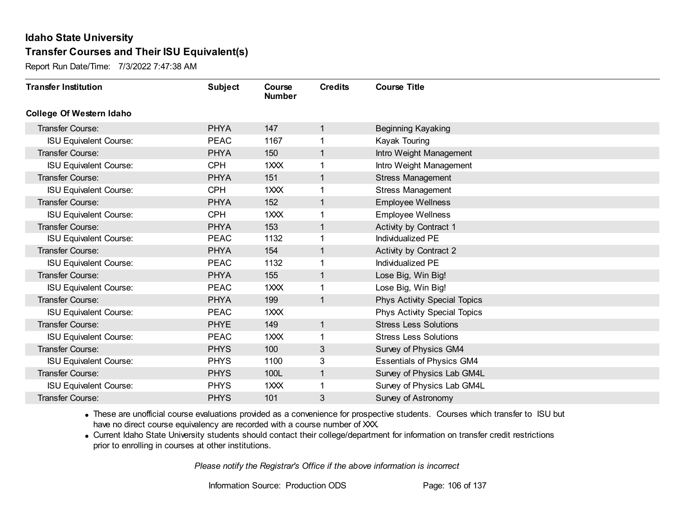Report Run Date/Time: 7/3/2022 7:47:38 AM

| <b>Transfer Institution</b>     | <b>Subject</b> | Course<br><b>Number</b> | <b>Credits</b> | <b>Course Title</b>                 |
|---------------------------------|----------------|-------------------------|----------------|-------------------------------------|
| <b>College Of Western Idaho</b> |                |                         |                |                                     |
| Transfer Course:                | <b>PHYA</b>    | 147                     | $\mathbf{1}$   | <b>Beginning Kayaking</b>           |
| <b>ISU Equivalent Course:</b>   | <b>PEAC</b>    | 1167                    | 1              | Kayak Touring                       |
| Transfer Course:                | <b>PHYA</b>    | 150                     | $\mathbf{1}$   | Intro Weight Management             |
| <b>ISU Equivalent Course:</b>   | <b>CPH</b>     | 1XXX                    | 1              | Intro Weight Management             |
| <b>Transfer Course:</b>         | <b>PHYA</b>    | 151                     | $\mathbf{1}$   | <b>Stress Management</b>            |
| <b>ISU Equivalent Course:</b>   | <b>CPH</b>     | $1 \times X$            | 1              | <b>Stress Management</b>            |
| Transfer Course:                | <b>PHYA</b>    | 152                     | $\mathbf{1}$   | <b>Employee Wellness</b>            |
| <b>ISU Equivalent Course:</b>   | <b>CPH</b>     | 1XXX                    | 1              | <b>Employee Wellness</b>            |
| Transfer Course:                | <b>PHYA</b>    | 153                     | $\mathbf{1}$   | <b>Activity by Contract 1</b>       |
| <b>ISU Equivalent Course:</b>   | <b>PEAC</b>    | 1132                    | 1              | Individualized PE                   |
| <b>Transfer Course:</b>         | <b>PHYA</b>    | 154                     | $\mathbf{1}$   | Activity by Contract 2              |
| <b>ISU Equivalent Course:</b>   | <b>PEAC</b>    | 1132                    | 1              | Individualized PE                   |
| Transfer Course:                | <b>PHYA</b>    | 155                     | 1              | Lose Big, Win Big!                  |
| <b>ISU Equivalent Course:</b>   | <b>PEAC</b>    | 1XXX                    | 1              | Lose Big, Win Big!                  |
| Transfer Course:                | <b>PHYA</b>    | 199                     | $\mathbf{1}$   | <b>Phys Activity Special Topics</b> |
| <b>ISU Equivalent Course:</b>   | <b>PEAC</b>    | 1XXX                    |                | <b>Phys Activity Special Topics</b> |
| Transfer Course:                | <b>PHYE</b>    | 149                     | $\mathbf{1}$   | <b>Stress Less Solutions</b>        |
| <b>ISU Equivalent Course:</b>   | <b>PEAC</b>    | 1XXX                    | 1              | <b>Stress Less Solutions</b>        |
| Transfer Course:                | <b>PHYS</b>    | 100                     | 3              | Survey of Physics GM4               |
| <b>ISU Equivalent Course:</b>   | <b>PHYS</b>    | 1100                    | 3              | <b>Essentials of Physics GM4</b>    |
| Transfer Course:                | <b>PHYS</b>    | 100L                    | $\mathbf{1}$   | Survey of Physics Lab GM4L          |
| <b>ISU Equivalent Course:</b>   | <b>PHYS</b>    | 1 <sub>XX</sub>         | 1              | Survey of Physics Lab GM4L          |
| Transfer Course:                | <b>PHYS</b>    | 101                     | 3              | Survey of Astronomy                 |

· These are unofficial course evaluations provided as a convenience for prospective students. Courses which transfer to ISU but have no direct course equivalency are recorded with a course number of XXX.

· Current Idaho State University students should contact their college/department for information on transfer credit restrictions prior to enrolling in courses at other institutions.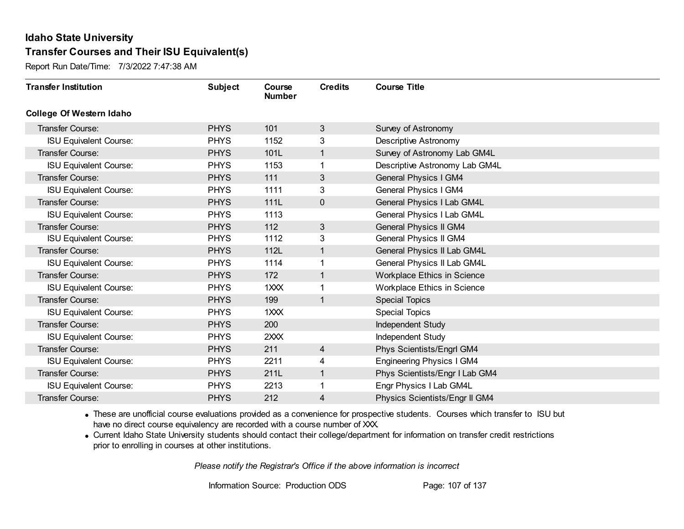Report Run Date/Time: 7/3/2022 7:47:38 AM

| <b>Transfer Institution</b>     | <b>Subject</b> | Course<br><b>Number</b> | <b>Credits</b> | <b>Course Title</b>              |
|---------------------------------|----------------|-------------------------|----------------|----------------------------------|
| <b>College Of Western Idaho</b> |                |                         |                |                                  |
| Transfer Course:                | <b>PHYS</b>    | 101                     | 3              | Survey of Astronomy              |
| <b>ISU Equivalent Course:</b>   | <b>PHYS</b>    | 1152                    | 3              | <b>Descriptive Astronomy</b>     |
| Transfer Course:                | <b>PHYS</b>    | 101L                    | $\mathbf{1}$   | Survey of Astronomy Lab GM4L     |
| <b>ISU Equivalent Course:</b>   | <b>PHYS</b>    | 1153                    | 1              | Descriptive Astronomy Lab GM4L   |
| Transfer Course:                | <b>PHYS</b>    | 111                     | 3              | <b>General Physics I GM4</b>     |
| <b>ISU Equivalent Course:</b>   | <b>PHYS</b>    | 1111                    | 3              | <b>General Physics I GM4</b>     |
| Transfer Course:                | <b>PHYS</b>    | 111L                    | 0              | General Physics I Lab GM4L       |
| <b>ISU Equivalent Course:</b>   | <b>PHYS</b>    | 1113                    |                | General Physics I Lab GM4L       |
| Transfer Course:                | <b>PHYS</b>    | 112                     | 3              | <b>General Physics II GM4</b>    |
| <b>ISU Equivalent Course:</b>   | <b>PHYS</b>    | 1112                    | 3              | General Physics II GM4           |
| Transfer Course:                | <b>PHYS</b>    | 112L                    | $\mathbf{1}$   | General Physics II Lab GM4L      |
| <b>ISU Equivalent Course:</b>   | <b>PHYS</b>    | 1114                    | 1              | General Physics II Lab GM4L      |
| Transfer Course:                | <b>PHYS</b>    | 172                     | $\mathbf{1}$   | Workplace Ethics in Science      |
| <b>ISU Equivalent Course:</b>   | <b>PHYS</b>    | 1XXX                    | 1              | Workplace Ethics in Science      |
| Transfer Course:                | <b>PHYS</b>    | 199                     | 1              | <b>Special Topics</b>            |
| <b>ISU Equivalent Course:</b>   | <b>PHYS</b>    | 1XXX                    |                | <b>Special Topics</b>            |
| Transfer Course:                | <b>PHYS</b>    | 200                     |                | Independent Study                |
| <b>ISU Equivalent Course:</b>   | <b>PHYS</b>    | 2XXX                    |                | Independent Study                |
| Transfer Course:                | <b>PHYS</b>    | 211                     | $\overline{4}$ | Phys Scientists/Engrl GM4        |
| <b>ISU Equivalent Course:</b>   | <b>PHYS</b>    | 2211                    | 4              | <b>Engineering Physics I GM4</b> |
| Transfer Course:                | <b>PHYS</b>    | 211L                    | $\mathbf{1}$   | Phys Scientists/Engr I Lab GM4   |
| <b>ISU Equivalent Course:</b>   | <b>PHYS</b>    | 2213                    | 1              | Engr Physics I Lab GM4L          |
| Transfer Course:                | <b>PHYS</b>    | 212                     | 4              | Physics Scientists/Engr II GM4   |

· These are unofficial course evaluations provided as a convenience for prospective students. Courses which transfer to ISU but have no direct course equivalency are recorded with a course number of XXX.

· Current Idaho State University students should contact their college/department for information on transfer credit restrictions prior to enrolling in courses at other institutions.

*Please notify the Registrar's Office if the above information is incorrect*

Information Source: Production ODS Page: 107 of 137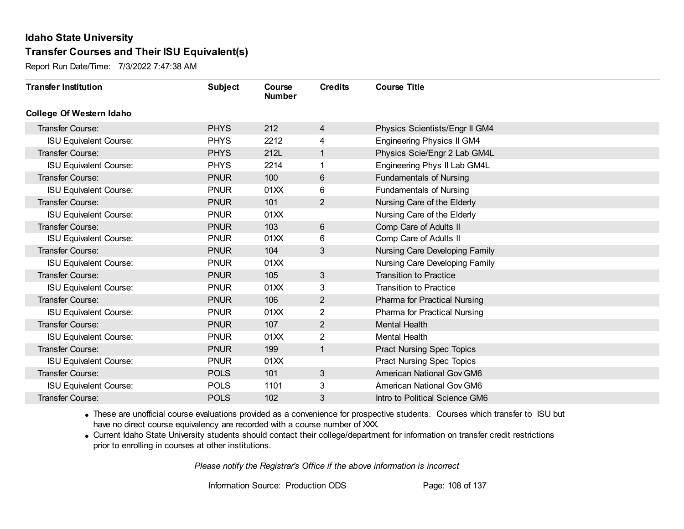Report Run Date/Time: 7/3/2022 7:47:38 AM

| <b>Transfer Institution</b>     | <b>Subject</b> | Course<br><b>Number</b> | <b>Credits</b> | <b>Course Title</b>                 |
|---------------------------------|----------------|-------------------------|----------------|-------------------------------------|
| <b>College Of Western Idaho</b> |                |                         |                |                                     |
| Transfer Course:                | <b>PHYS</b>    | 212                     | $\overline{4}$ | Physics Scientists/Engr II GM4      |
| <b>ISU Equivalent Course:</b>   | <b>PHYS</b>    | 2212                    | 4              | <b>Engineering Physics II GM4</b>   |
| Transfer Course:                | <b>PHYS</b>    | 212L                    | 1              | Physics Scie/Engr 2 Lab GM4L        |
| <b>ISU Equivalent Course:</b>   | <b>PHYS</b>    | 2214                    |                | Engineering Phys II Lab GM4L        |
| <b>Transfer Course:</b>         | <b>PNUR</b>    | 100                     | 6              | <b>Fundamentals of Nursing</b>      |
| <b>ISU Equivalent Course:</b>   | <b>PNUR</b>    | 01XX                    | 6              | <b>Fundamentals of Nursing</b>      |
| Transfer Course:                | <b>PNUR</b>    | 101                     | $\overline{2}$ | Nursing Care of the Elderly         |
| <b>ISU Equivalent Course:</b>   | <b>PNUR</b>    | 01XX                    |                | Nursing Care of the Elderly         |
| Transfer Course:                | <b>PNUR</b>    | 103                     | 6              | Comp Care of Adults II              |
| <b>ISU Equivalent Course:</b>   | <b>PNUR</b>    | 01XX                    | 6              | Comp Care of Adults II              |
| Transfer Course:                | <b>PNUR</b>    | 104                     | 3              | Nursing Care Developing Family      |
| <b>ISU Equivalent Course:</b>   | <b>PNUR</b>    | 01XX                    |                | Nursing Care Developing Family      |
| Transfer Course:                | <b>PNUR</b>    | 105                     | 3              | <b>Transition to Practice</b>       |
| <b>ISU Equivalent Course:</b>   | <b>PNUR</b>    | 01XX                    | 3              | <b>Transition to Practice</b>       |
| Transfer Course:                | <b>PNUR</b>    | 106                     | $\overline{2}$ | <b>Pharma for Practical Nursing</b> |
| <b>ISU Equivalent Course:</b>   | <b>PNUR</b>    | 01XX                    | $\overline{2}$ | <b>Pharma for Practical Nursing</b> |
| Transfer Course:                | <b>PNUR</b>    | 107                     | $\overline{2}$ | <b>Mental Health</b>                |
| <b>ISU Equivalent Course:</b>   | <b>PNUR</b>    | 01XX                    | 2              | <b>Mental Health</b>                |
| Transfer Course:                | <b>PNUR</b>    | 199                     | 1              | <b>Pract Nursing Spec Topics</b>    |
| <b>ISU Equivalent Course:</b>   | <b>PNUR</b>    | 01XX                    |                | <b>Pract Nursing Spec Topics</b>    |
| Transfer Course:                | <b>POLS</b>    | 101                     | $\mathfrak{S}$ | American National Gov GM6           |
| <b>ISU Equivalent Course:</b>   | <b>POLS</b>    | 1101                    | 3              | American National Gov GM6           |
| Transfer Course:                | <b>POLS</b>    | 102                     | 3              | Intro to Political Science GM6      |

· These are unofficial course evaluations provided as a convenience for prospective students. Courses which transfer to ISU but have no direct course equivalency are recorded with a course number of XXX.

· Current Idaho State University students should contact their college/department for information on transfer credit restrictions prior to enrolling in courses at other institutions.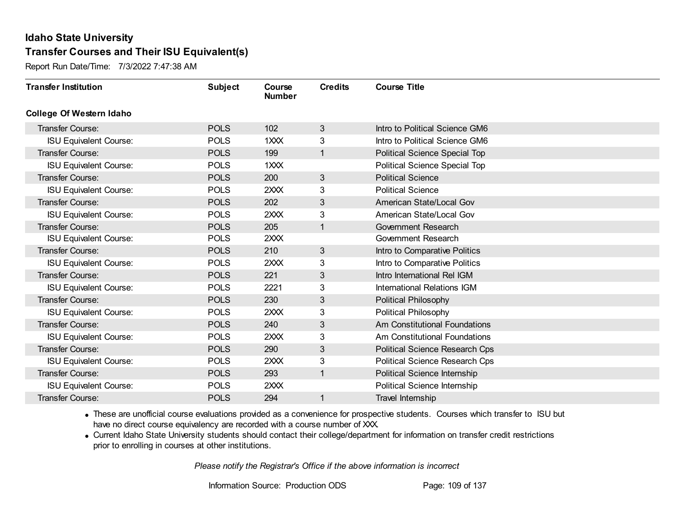Report Run Date/Time: 7/3/2022 7:47:38 AM

| <b>Transfer Institution</b>     | <b>Subject</b> | Course<br><b>Number</b> | <b>Credits</b> | <b>Course Title</b>                   |
|---------------------------------|----------------|-------------------------|----------------|---------------------------------------|
| <b>College Of Western Idaho</b> |                |                         |                |                                       |
| Transfer Course:                | <b>POLS</b>    | 102                     | $\mathbf{3}$   | Intro to Political Science GM6        |
| <b>ISU Equivalent Course:</b>   | <b>POLS</b>    | 1XXX                    | 3              | Intro to Political Science GM6        |
| Transfer Course:                | <b>POLS</b>    | 199                     | $\mathbf{1}$   | <b>Political Science Special Top</b>  |
| <b>ISU Equivalent Course:</b>   | <b>POLS</b>    | 1XXX                    |                | <b>Political Science Special Top</b>  |
| <b>Transfer Course:</b>         | <b>POLS</b>    | 200                     | $\mathbf{3}$   | <b>Political Science</b>              |
| <b>ISU Equivalent Course:</b>   | <b>POLS</b>    | 2XXX                    | 3              | <b>Political Science</b>              |
| <b>Transfer Course:</b>         | <b>POLS</b>    | 202                     | 3              | American State/Local Gov              |
| <b>ISU Equivalent Course:</b>   | <b>POLS</b>    | 2XXX                    | 3              | American State/Local Gov              |
| <b>Transfer Course:</b>         | <b>POLS</b>    | 205                     | $\mathbf{1}$   | Government Research                   |
| <b>ISU Equivalent Course:</b>   | <b>POLS</b>    | 2XXX                    |                | Government Research                   |
| <b>Transfer Course:</b>         | <b>POLS</b>    | 210                     | $\mathbf{3}$   | Intro to Comparative Politics         |
| <b>ISU Equivalent Course:</b>   | <b>POLS</b>    | 2XXX                    | 3              | Intro to Comparative Politics         |
| Transfer Course:                | <b>POLS</b>    | 221                     | 3              | Intro International Rel IGM           |
| <b>ISU Equivalent Course:</b>   | <b>POLS</b>    | 2221                    | 3              | International Relations IGM           |
| Transfer Course:                | <b>POLS</b>    | 230                     | 3              | <b>Political Philosophy</b>           |
| <b>ISU Equivalent Course:</b>   | <b>POLS</b>    | 2XXX                    | 3              | <b>Political Philosophy</b>           |
| Transfer Course:                | <b>POLS</b>    | 240                     | 3              | Am Constitutional Foundations         |
| <b>ISU Equivalent Course:</b>   | <b>POLS</b>    | 2XXX                    | 3              | Am Constitutional Foundations         |
| <b>Transfer Course:</b>         | <b>POLS</b>    | 290                     | 3              | <b>Political Science Research Cps</b> |
| <b>ISU Equivalent Course:</b>   | <b>POLS</b>    | 2XXX                    | 3              | <b>Political Science Research Cps</b> |
| <b>Transfer Course:</b>         | <b>POLS</b>    | 293                     | $\mathbf{1}$   | <b>Political Science Internship</b>   |
| <b>ISU Equivalent Course:</b>   | <b>POLS</b>    | 2XXX                    |                | <b>Political Science Internship</b>   |
| Transfer Course:                | <b>POLS</b>    | 294                     | 1              | Travel Internship                     |

· These are unofficial course evaluations provided as a convenience for prospective students. Courses which transfer to ISU but have no direct course equivalency are recorded with a course number of XXX.

· Current Idaho State University students should contact their college/department for information on transfer credit restrictions prior to enrolling in courses at other institutions.

*Please notify the Registrar's Office if the above information is incorrect*

Information Source: Production ODS Page: 109 of 137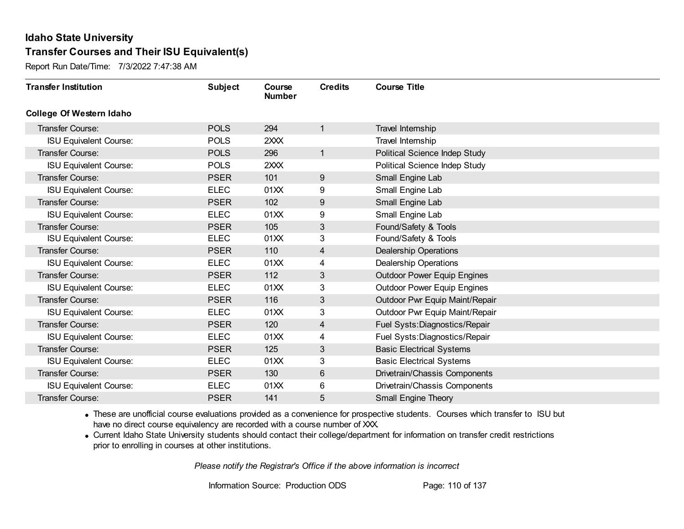Report Run Date/Time: 7/3/2022 7:47:38 AM

| <b>Transfer Institution</b>     | <b>Subject</b> | Course<br><b>Number</b> | <b>Credits</b> | <b>Course Title</b>                  |
|---------------------------------|----------------|-------------------------|----------------|--------------------------------------|
| <b>College Of Western Idaho</b> |                |                         |                |                                      |
| Transfer Course:                | <b>POLS</b>    | 294                     | 1              | Travel Internship                    |
| <b>ISU Equivalent Course:</b>   | <b>POLS</b>    | 2XXX                    |                | Travel Internship                    |
| Transfer Course:                | <b>POLS</b>    | 296                     | 1              | <b>Political Science Indep Study</b> |
| <b>ISU Equivalent Course:</b>   | <b>POLS</b>    | 2XXX                    |                | Political Science Indep Study        |
| Transfer Course:                | <b>PSER</b>    | 101                     | 9              | Small Engine Lab                     |
| <b>ISU Equivalent Course:</b>   | <b>ELEC</b>    | 01XX                    | 9              | Small Engine Lab                     |
| Transfer Course:                | <b>PSER</b>    | 102                     | 9              | Small Engine Lab                     |
| <b>ISU Equivalent Course:</b>   | <b>ELEC</b>    | 01XX                    | 9              | Small Engine Lab                     |
| <b>Transfer Course:</b>         | <b>PSER</b>    | 105                     | 3              | Found/Safety & Tools                 |
| <b>ISU Equivalent Course:</b>   | <b>ELEC</b>    | 01XX                    | 3              | Found/Safety & Tools                 |
| Transfer Course:                | <b>PSER</b>    | 110                     | $\overline{4}$ | <b>Dealership Operations</b>         |
| <b>ISU Equivalent Course:</b>   | <b>ELEC</b>    | 01XX                    | 4              | <b>Dealership Operations</b>         |
| Transfer Course:                | <b>PSER</b>    | 112                     | 3              | <b>Outdoor Power Equip Engines</b>   |
| <b>ISU Equivalent Course:</b>   | <b>ELEC</b>    | 01XX                    | 3              | <b>Outdoor Power Equip Engines</b>   |
| Transfer Course:                | <b>PSER</b>    | 116                     | 3              | Outdoor Pwr Equip Maint/Repair       |
| <b>ISU Equivalent Course:</b>   | <b>ELEC</b>    | 01XX                    | 3              | Outdoor Pwr Equip Maint/Repair       |
| Transfer Course:                | <b>PSER</b>    | 120                     | 4              | Fuel Systs: Diagnostics/Repair       |
| <b>ISU Equivalent Course:</b>   | <b>ELEC</b>    | 01XX                    | 4              | Fuel Systs: Diagnostics/Repair       |
| Transfer Course:                | <b>PSER</b>    | 125                     | 3              | <b>Basic Electrical Systems</b>      |
| <b>ISU Equivalent Course:</b>   | <b>ELEC</b>    | 01XX                    | 3              | <b>Basic Electrical Systems</b>      |
| Transfer Course:                | <b>PSER</b>    | 130                     | 6              | Drivetrain/Chassis Components        |
| <b>ISU Equivalent Course:</b>   | <b>ELEC</b>    | 01XX                    | 6              | Drivetrain/Chassis Components        |
| <b>Transfer Course:</b>         | <b>PSER</b>    | 141                     | 5              | <b>Small Engine Theory</b>           |

· These are unofficial course evaluations provided as a convenience for prospective students. Courses which transfer to ISU but have no direct course equivalency are recorded with a course number of XXX.

· Current Idaho State University students should contact their college/department for information on transfer credit restrictions prior to enrolling in courses at other institutions.

*Please notify the Registrar's Office if the above information is incorrect*

Information Source: Production ODS Page: 110 of 137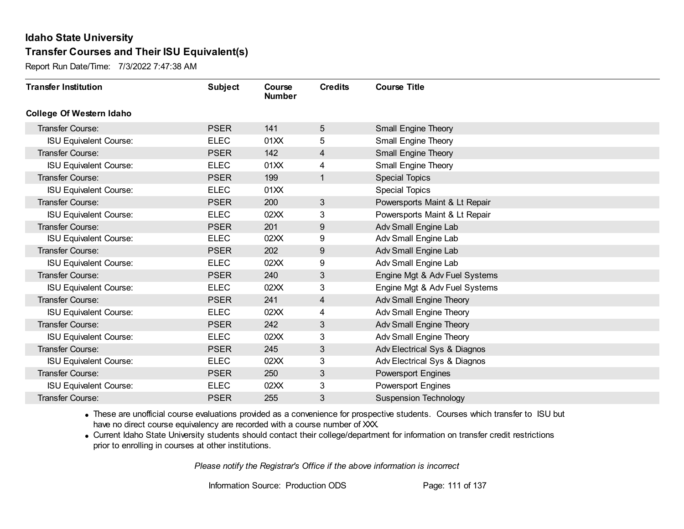Report Run Date/Time: 7/3/2022 7:47:38 AM

| <b>Transfer Institution</b>     | <b>Subject</b> | Course<br><b>Number</b> | <b>Credits</b> | <b>Course Title</b>           |
|---------------------------------|----------------|-------------------------|----------------|-------------------------------|
| <b>College Of Western Idaho</b> |                |                         |                |                               |
| Transfer Course:                | <b>PSER</b>    | 141                     | 5              | Small Engine Theory           |
| <b>ISU Equivalent Course:</b>   | <b>ELEC</b>    | 01 <sub>XX</sub>        | 5              | Small Engine Theory           |
| Transfer Course:                | <b>PSER</b>    | 142                     | 4              | <b>Small Engine Theory</b>    |
| <b>ISU Equivalent Course:</b>   | <b>ELEC</b>    | 01XX                    | 4              | Small Engine Theory           |
| <b>Transfer Course:</b>         | <b>PSER</b>    | 199                     | $\mathbf{1}$   | <b>Special Topics</b>         |
| <b>ISU Equivalent Course:</b>   | <b>ELEC</b>    | 01XX                    |                | <b>Special Topics</b>         |
| Transfer Course:                | <b>PSER</b>    | 200                     | 3              | Powersports Maint & Lt Repair |
| <b>ISU Equivalent Course:</b>   | <b>ELEC</b>    | 02XX                    | 3              | Powersports Maint & Lt Repair |
| <b>Transfer Course:</b>         | <b>PSER</b>    | 201                     | 9              | Adv Small Engine Lab          |
| <b>ISU Equivalent Course:</b>   | <b>ELEC</b>    | 02XX                    | 9              | Adv Small Engine Lab          |
| <b>Transfer Course:</b>         | <b>PSER</b>    | 202                     | 9              | Adv Small Engine Lab          |
| <b>ISU Equivalent Course:</b>   | <b>ELEC</b>    | 02XX                    | 9              | Adv Small Engine Lab          |
| Transfer Course:                | <b>PSER</b>    | 240                     | 3              | Engine Mgt & Adv Fuel Systems |
| <b>ISU Equivalent Course:</b>   | <b>ELEC</b>    | 02XX                    | 3              | Engine Mgt & Adv Fuel Systems |
| Transfer Course:                | <b>PSER</b>    | 241                     | 4              | Adv Small Engine Theory       |
| <b>ISU Equivalent Course:</b>   | <b>ELEC</b>    | 02XX                    | 4              | Adv Small Engine Theory       |
| Transfer Course:                | <b>PSER</b>    | 242                     | 3 <sup>1</sup> | Adv Small Engine Theory       |
| <b>ISU Equivalent Course:</b>   | <b>ELEC</b>    | 02XX                    | 3              | Adv Small Engine Theory       |
| Transfer Course:                | <b>PSER</b>    | 245                     | 3              | Adv Electrical Sys & Diagnos  |
| <b>ISU Equivalent Course:</b>   | <b>ELEC</b>    | 02XX                    | 3              | Adv Electrical Sys & Diagnos  |
| Transfer Course:                | <b>PSER</b>    | 250                     | 3              | Powersport Engines            |
| <b>ISU Equivalent Course:</b>   | <b>ELEC</b>    | 02XX                    | 3              | <b>Powersport Engines</b>     |
| <b>Transfer Course:</b>         | <b>PSER</b>    | 255                     | 3              | <b>Suspension Technology</b>  |

· These are unofficial course evaluations provided as a convenience for prospective students. Courses which transfer to ISU but have no direct course equivalency are recorded with a course number of XXX.

· Current Idaho State University students should contact their college/department for information on transfer credit restrictions prior to enrolling in courses at other institutions.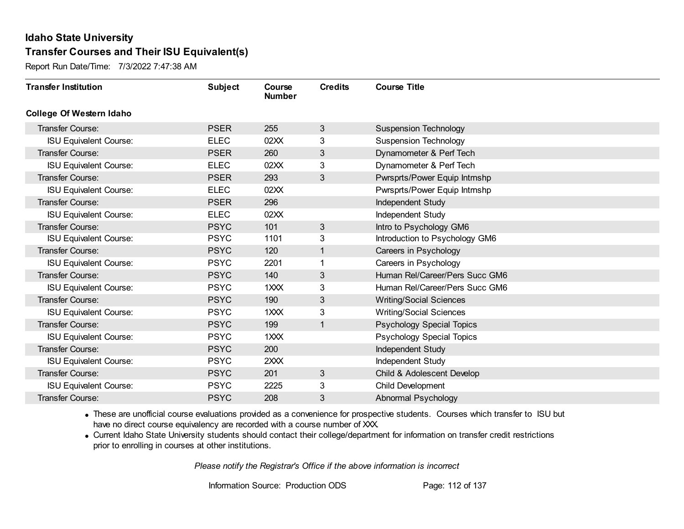Report Run Date/Time: 7/3/2022 7:47:38 AM

| <b>Transfer Institution</b>     | <b>Subject</b> | Course<br><b>Number</b> | <b>Credits</b> | <b>Course Title</b>              |
|---------------------------------|----------------|-------------------------|----------------|----------------------------------|
| <b>College Of Western Idaho</b> |                |                         |                |                                  |
| Transfer Course:                | <b>PSER</b>    | 255                     | $\mathfrak{S}$ | <b>Suspension Technology</b>     |
| <b>ISU Equivalent Course:</b>   | <b>ELEC</b>    | 02XX                    | 3              | <b>Suspension Technology</b>     |
| Transfer Course:                | <b>PSER</b>    | 260                     | 3              | Dynamometer & Perf Tech          |
| <b>ISU Equivalent Course:</b>   | <b>ELEC</b>    | 02XX                    | 3              | Dynamometer & Perf Tech          |
| Transfer Course:                | <b>PSER</b>    | 293                     | 3              | Pwrsprts/Power Equip Intrnshp    |
| <b>ISU Equivalent Course:</b>   | <b>ELEC</b>    | 02XX                    |                | Pwrsprts/Power Equip Intrnshp    |
| Transfer Course:                | <b>PSER</b>    | 296                     |                | Independent Study                |
| <b>ISU Equivalent Course:</b>   | <b>ELEC</b>    | 02XX                    |                | Independent Study                |
| Transfer Course:                | <b>PSYC</b>    | 101                     | $\mathfrak{B}$ | Intro to Psychology GM6          |
| <b>ISU Equivalent Course:</b>   | <b>PSYC</b>    | 1101                    | 3              | Introduction to Psychology GM6   |
| Transfer Course:                | <b>PSYC</b>    | 120                     | $\mathbf 1$    | Careers in Psychology            |
| <b>ISU Equivalent Course:</b>   | <b>PSYC</b>    | 2201                    |                | Careers in Psychology            |
| Transfer Course:                | <b>PSYC</b>    | 140                     | 3              | Human Rel/Career/Pers Succ GM6   |
| <b>ISU Equivalent Course:</b>   | <b>PSYC</b>    | 1XXX                    | 3              | Human Rel/Career/Pers Succ GM6   |
| Transfer Course:                | <b>PSYC</b>    | 190                     | 3              | <b>Writing/Social Sciences</b>   |
| <b>ISU Equivalent Course:</b>   | <b>PSYC</b>    | 1XXX                    | 3              | <b>Writing/Social Sciences</b>   |
| Transfer Course:                | <b>PSYC</b>    | 199                     | 1              | <b>Psychology Special Topics</b> |
| <b>ISU Equivalent Course:</b>   | <b>PSYC</b>    | 1XXX                    |                | <b>Psychology Special Topics</b> |
| Transfer Course:                | <b>PSYC</b>    | 200                     |                | Independent Study                |
| <b>ISU Equivalent Course:</b>   | <b>PSYC</b>    | 2XXX                    |                | Independent Study                |
| Transfer Course:                | <b>PSYC</b>    | 201                     | $\mathfrak{S}$ | Child & Adolescent Develop       |
| <b>ISU Equivalent Course:</b>   | <b>PSYC</b>    | 2225                    | 3              | <b>Child Development</b>         |
| Transfer Course:                | <b>PSYC</b>    | 208                     | 3              | Abnormal Psychology              |

· These are unofficial course evaluations provided as a convenience for prospective students. Courses which transfer to ISU but have no direct course equivalency are recorded with a course number of XXX.

· Current Idaho State University students should contact their college/department for information on transfer credit restrictions prior to enrolling in courses at other institutions.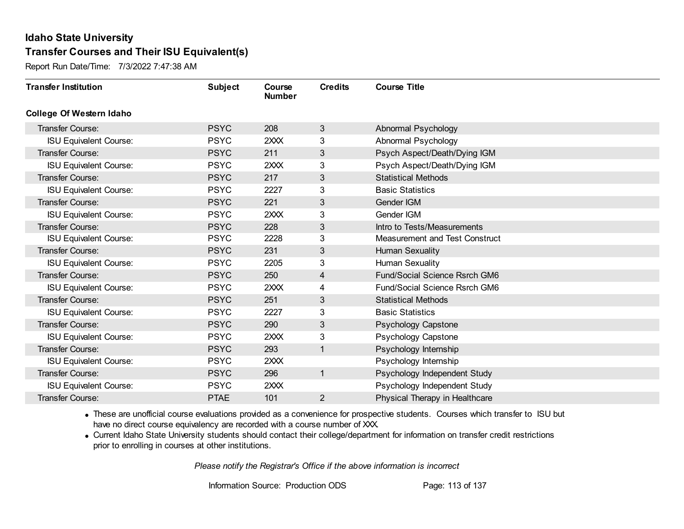Report Run Date/Time: 7/3/2022 7:47:38 AM

| <b>Transfer Institution</b>     | <b>Subject</b> | Course<br><b>Number</b> | <b>Credits</b> | <b>Course Title</b>                   |
|---------------------------------|----------------|-------------------------|----------------|---------------------------------------|
| <b>College Of Western Idaho</b> |                |                         |                |                                       |
| Transfer Course:                | <b>PSYC</b>    | 208                     | 3              | Abnormal Psychology                   |
| <b>ISU Equivalent Course:</b>   | <b>PSYC</b>    | 2XXX                    | 3              | Abnormal Psychology                   |
| Transfer Course:                | <b>PSYC</b>    | 211                     | 3              | Psych Aspect/Death/Dying IGM          |
| <b>ISU Equivalent Course:</b>   | <b>PSYC</b>    | 2XXX                    | 3              | Psych Aspect/Death/Dying IGM          |
| <b>Transfer Course:</b>         | <b>PSYC</b>    | 217                     | 3              | <b>Statistical Methods</b>            |
| <b>ISU Equivalent Course:</b>   | <b>PSYC</b>    | 2227                    | 3              | <b>Basic Statistics</b>               |
| <b>Transfer Course:</b>         | <b>PSYC</b>    | 221                     | 3              | Gender IGM                            |
| <b>ISU Equivalent Course:</b>   | <b>PSYC</b>    | 2XXX                    | 3              | Gender IGM                            |
| Transfer Course:                | <b>PSYC</b>    | 228                     | 3              | Intro to Tests/Measurements           |
| <b>ISU Equivalent Course:</b>   | <b>PSYC</b>    | 2228                    | 3              | <b>Measurement and Test Construct</b> |
| <b>Transfer Course:</b>         | <b>PSYC</b>    | 231                     | 3              | Human Sexuality                       |
| <b>ISU Equivalent Course:</b>   | <b>PSYC</b>    | 2205                    | 3              | Human Sexuality                       |
| Transfer Course:                | <b>PSYC</b>    | 250                     | 4              | Fund/Social Science Rsrch GM6         |
| <b>ISU Equivalent Course:</b>   | <b>PSYC</b>    | 2XXX                    | 4              | <b>Fund/Social Science Rsrch GM6</b>  |
| Transfer Course:                | <b>PSYC</b>    | 251                     | 3              | <b>Statistical Methods</b>            |
| <b>ISU Equivalent Course:</b>   | <b>PSYC</b>    | 2227                    | 3              | <b>Basic Statistics</b>               |
| Transfer Course:                | <b>PSYC</b>    | 290                     | 3              | <b>Psychology Capstone</b>            |
| <b>ISU Equivalent Course:</b>   | <b>PSYC</b>    | 2XXX                    | 3              | Psychology Capstone                   |
| Transfer Course:                | <b>PSYC</b>    | 293                     | $\mathbf{1}$   | Psychology Internship                 |
| <b>ISU Equivalent Course:</b>   | <b>PSYC</b>    | 2XXX                    |                | Psychology Internship                 |
| Transfer Course:                | <b>PSYC</b>    | 296                     | $\mathbf{1}$   | Psychology Independent Study          |
| <b>ISU Equivalent Course:</b>   | <b>PSYC</b>    | 2XXX                    |                | Psychology Independent Study          |
| Transfer Course:                | <b>PTAE</b>    | 101                     | $\overline{2}$ | Physical Therapy in Healthcare        |

· These are unofficial course evaluations provided as a convenience for prospective students. Courses which transfer to ISU but have no direct course equivalency are recorded with a course number of XXX.

· Current Idaho State University students should contact their college/department for information on transfer credit restrictions prior to enrolling in courses at other institutions.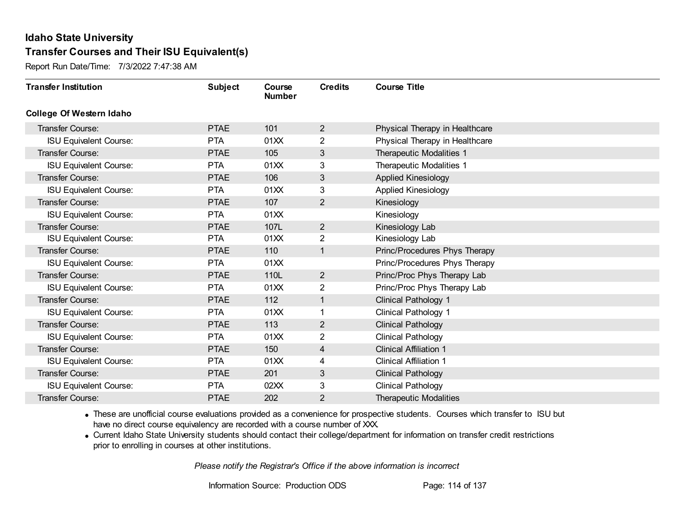Report Run Date/Time: 7/3/2022 7:47:38 AM

| <b>Transfer Institution</b>     | <b>Subject</b> | Course<br><b>Number</b> | <b>Credits</b> | <b>Course Title</b>            |
|---------------------------------|----------------|-------------------------|----------------|--------------------------------|
| <b>College Of Western Idaho</b> |                |                         |                |                                |
| Transfer Course:                | <b>PTAE</b>    | 101                     | $\overline{2}$ | Physical Therapy in Healthcare |
| <b>ISU Equivalent Course:</b>   | <b>PTA</b>     | 01XX                    | 2              | Physical Therapy in Healthcare |
| Transfer Course:                | <b>PTAE</b>    | 105                     | 3              | Therapeutic Modalities 1       |
| <b>ISU Equivalent Course:</b>   | <b>PTA</b>     | 01XX                    | 3              | Therapeutic Modalities 1       |
| <b>Transfer Course:</b>         | <b>PTAE</b>    | 106                     | 3              | <b>Applied Kinesiology</b>     |
| <b>ISU Equivalent Course:</b>   | <b>PTA</b>     | 01XX                    | 3              | <b>Applied Kinesiology</b>     |
| Transfer Course:                | <b>PTAE</b>    | 107                     | $\overline{2}$ | Kinesiology                    |
| <b>ISU Equivalent Course:</b>   | <b>PTA</b>     | 01XX                    |                | Kinesiology                    |
| <b>Transfer Course:</b>         | <b>PTAE</b>    | 107L                    | $\overline{2}$ | Kinesiology Lab                |
| <b>ISU Equivalent Course:</b>   | <b>PTA</b>     | 01XX                    | $\overline{2}$ | Kinesiology Lab                |
| <b>Transfer Course:</b>         | <b>PTAE</b>    | 110                     | $\mathbf{1}$   | Princ/Procedures Phys Therapy  |
| <b>ISU Equivalent Course:</b>   | <b>PTA</b>     | 01XX                    |                | Princ/Procedures Phys Therapy  |
| Transfer Course:                | <b>PTAE</b>    | 110L                    | $\overline{2}$ | Princ/Proc Phys Therapy Lab    |
| <b>ISU Equivalent Course:</b>   | <b>PTA</b>     | 01XX                    | $\overline{2}$ | Princ/Proc Phys Therapy Lab    |
| Transfer Course:                | <b>PTAE</b>    | 112                     | 1              | <b>Clinical Pathology 1</b>    |
| <b>ISU Equivalent Course:</b>   | <b>PTA</b>     | 01XX                    | 1              | Clinical Pathology 1           |
| Transfer Course:                | <b>PTAE</b>    | 113                     | $\overline{2}$ | <b>Clinical Pathology</b>      |
| <b>ISU Equivalent Course:</b>   | <b>PTA</b>     | 01XX                    | 2              | <b>Clinical Pathology</b>      |
| Transfer Course:                | <b>PTAE</b>    | 150                     | $\overline{4}$ | <b>Clinical Affiliation 1</b>  |
| <b>ISU Equivalent Course:</b>   | <b>PTA</b>     | 01XX                    | 4              | <b>Clinical Affiliation 1</b>  |
| Transfer Course:                | <b>PTAE</b>    | 201                     | 3              | <b>Clinical Pathology</b>      |
| <b>ISU Equivalent Course:</b>   | <b>PTA</b>     | 02XX                    | 3              | Clinical Pathology             |
| Transfer Course:                | <b>PTAE</b>    | 202                     | 2              | <b>Therapeutic Modalities</b>  |

· These are unofficial course evaluations provided as a convenience for prospective students. Courses which transfer to ISU but have no direct course equivalency are recorded with a course number of XXX.

· Current Idaho State University students should contact their college/department for information on transfer credit restrictions prior to enrolling in courses at other institutions.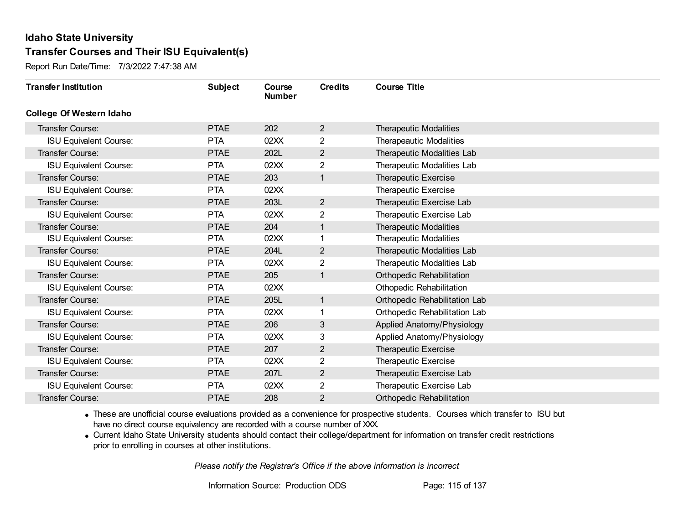Report Run Date/Time: 7/3/2022 7:47:38 AM

| <b>Transfer Institution</b>     | <b>Subject</b> | Course<br><b>Number</b> | <b>Credits</b> | <b>Course Title</b>           |
|---------------------------------|----------------|-------------------------|----------------|-------------------------------|
| <b>College Of Western Idaho</b> |                |                         |                |                               |
| Transfer Course:                | <b>PTAE</b>    | 202                     | $\overline{2}$ | <b>Therapeutic Modalities</b> |
| <b>ISU Equivalent Course:</b>   | <b>PTA</b>     | 02XX                    | 2              | Therapeautic Modalities       |
| Transfer Course:                | <b>PTAE</b>    | 202L                    | $\overline{2}$ | Therapeutic Modalities Lab    |
| <b>ISU Equivalent Course:</b>   | <b>PTA</b>     | 02XX                    | $\overline{2}$ | Therapeutic Modalities Lab    |
| Transfer Course:                | <b>PTAE</b>    | 203                     | $\mathbf{1}$   | <b>Therapeutic Exercise</b>   |
| <b>ISU Equivalent Course:</b>   | <b>PTA</b>     | 02XX                    |                | Therapeutic Exercise          |
| Transfer Course:                | <b>PTAE</b>    | 203L                    | $\overline{2}$ | Therapeutic Exercise Lab      |
| <b>ISU Equivalent Course:</b>   | <b>PTA</b>     | 02XX                    | 2              | Therapeutic Exercise Lab      |
| <b>Transfer Course:</b>         | <b>PTAE</b>    | 204                     | $\mathbf{1}$   | <b>Therapeutic Modalities</b> |
| <b>ISU Equivalent Course:</b>   | <b>PTA</b>     | 02XX                    | 1              | <b>Therapeutic Modalities</b> |
| <b>Transfer Course:</b>         | <b>PTAE</b>    | 204L                    | $\overline{2}$ | Therapeutic Modalities Lab    |
| <b>ISU Equivalent Course:</b>   | <b>PTA</b>     | 02XX                    | 2              | Therapeutic Modalities Lab    |
| Transfer Course:                | <b>PTAE</b>    | 205                     | 1              | Orthopedic Rehabilitation     |
| <b>ISU Equivalent Course:</b>   | <b>PTA</b>     | 02XX                    |                | Othopedic Rehabilitation      |
| Transfer Course:                | <b>PTAE</b>    | 205L                    | $\mathbf{1}$   | Orthopedic Rehabilitation Lab |
| <b>ISU Equivalent Course:</b>   | <b>PTA</b>     | 02XX                    | 1              | Orthopedic Rehabilitation Lab |
| Transfer Course:                | <b>PTAE</b>    | 206                     | $\mathbf{3}$   | Applied Anatomy/Physiology    |
| <b>ISU Equivalent Course:</b>   | <b>PTA</b>     | 02XX                    | 3              | Applied Anatomy/Physiology    |
| Transfer Course:                | <b>PTAE</b>    | 207                     | $\overline{2}$ | Therapeutic Exercise          |
| <b>ISU Equivalent Course:</b>   | <b>PTA</b>     | 02XX                    | 2              | Therapeutic Exercise          |
| Transfer Course:                | <b>PTAE</b>    | 207L                    | $\overline{2}$ | Therapeutic Exercise Lab      |
| <b>ISU Equivalent Course:</b>   | <b>PTA</b>     | 02XX                    | $\overline{2}$ | Therapeutic Exercise Lab      |
| Transfer Course:                | <b>PTAE</b>    | 208                     | 2              | Orthopedic Rehabilitation     |

· These are unofficial course evaluations provided as a convenience for prospective students. Courses which transfer to ISU but have no direct course equivalency are recorded with a course number of XXX.

· Current Idaho State University students should contact their college/department for information on transfer credit restrictions prior to enrolling in courses at other institutions.

*Please notify the Registrar's Office if the above information is incorrect*

Information Source: Production ODS Page: 115 of 137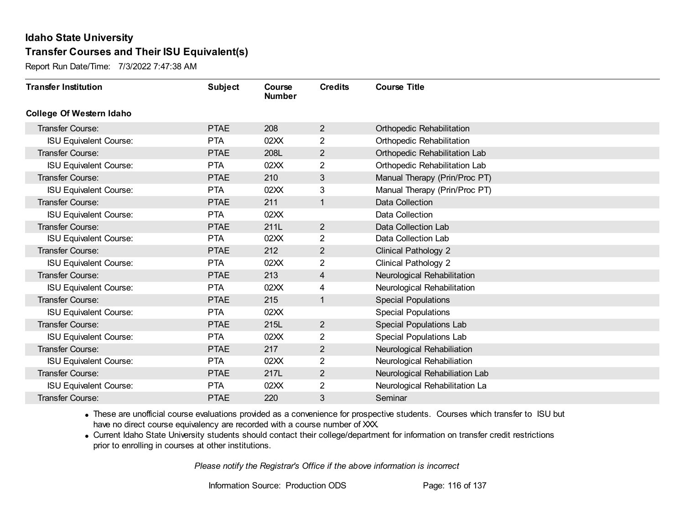Report Run Date/Time: 7/3/2022 7:47:38 AM

| <b>Transfer Institution</b>     | <b>Subject</b> | Course<br><b>Number</b> | <b>Credits</b> | <b>Course Title</b>            |
|---------------------------------|----------------|-------------------------|----------------|--------------------------------|
| <b>College Of Western Idaho</b> |                |                         |                |                                |
| Transfer Course:                | <b>PTAE</b>    | 208                     | $\overline{2}$ | Orthopedic Rehabilitation      |
| <b>ISU Equivalent Course:</b>   | <b>PTA</b>     | 02XX                    | 2              | Orthopedic Rehabilitation      |
| Transfer Course:                | <b>PTAE</b>    | 208L                    | $\overline{2}$ | Orthopedic Rehabilitation Lab  |
| <b>ISU Equivalent Course:</b>   | <b>PTA</b>     | 02XX                    | $\overline{2}$ | Orthopedic Rehabilitation Lab  |
| <b>Transfer Course:</b>         | <b>PTAE</b>    | 210                     | 3              | Manual Therapy (Prin/Proc PT)  |
| <b>ISU Equivalent Course:</b>   | <b>PTA</b>     | 02XX                    | 3              | Manual Therapy (Prin/Proc PT)  |
| <b>Transfer Course:</b>         | <b>PTAE</b>    | 211                     | $\mathbf{1}$   | Data Collection                |
| <b>ISU Equivalent Course:</b>   | <b>PTA</b>     | 02XX                    |                | Data Collection                |
| <b>Transfer Course:</b>         | <b>PTAE</b>    | 211L                    | $\overline{2}$ | Data Collection Lab            |
| <b>ISU Equivalent Course:</b>   | <b>PTA</b>     | 02XX                    | $\overline{2}$ | Data Collection Lab            |
| Transfer Course:                | <b>PTAE</b>    | 212                     | $\overline{2}$ | Clinical Pathology 2           |
| <b>ISU Equivalent Course:</b>   | <b>PTA</b>     | 02XX                    | 2              | <b>Clinical Pathology 2</b>    |
| Transfer Course:                | <b>PTAE</b>    | 213                     | 4              | Neurological Rehabilitation    |
| <b>ISU Equivalent Course:</b>   | <b>PTA</b>     | 02XX                    | 4              | Neurological Rehabilitation    |
| Transfer Course:                | <b>PTAE</b>    | 215                     | 1              | <b>Special Populations</b>     |
| <b>ISU Equivalent Course:</b>   | <b>PTA</b>     | 02XX                    |                | <b>Special Populations</b>     |
| Transfer Course:                | <b>PTAE</b>    | 215L                    | $\overline{2}$ | Special Populations Lab        |
| <b>ISU Equivalent Course:</b>   | <b>PTA</b>     | 02XX                    | $\overline{2}$ | Special Populations Lab        |
| Transfer Course:                | <b>PTAE</b>    | 217                     | $\overline{2}$ | Neurological Rehabiliation     |
| <b>ISU Equivalent Course:</b>   | <b>PTA</b>     | 02XX                    | 2              | Neurological Rehabiliation     |
| <b>Transfer Course:</b>         | <b>PTAE</b>    | 217L                    | $\overline{2}$ | Neurological Rehabiliation Lab |
| <b>ISU Equivalent Course:</b>   | <b>PTA</b>     | 02XX                    | 2              | Neurological Rehabilitation La |
| Transfer Course:                | <b>PTAE</b>    | 220                     | 3              | Seminar                        |

· These are unofficial course evaluations provided as a convenience for prospective students. Courses which transfer to ISU but have no direct course equivalency are recorded with a course number of XXX.

· Current Idaho State University students should contact their college/department for information on transfer credit restrictions prior to enrolling in courses at other institutions.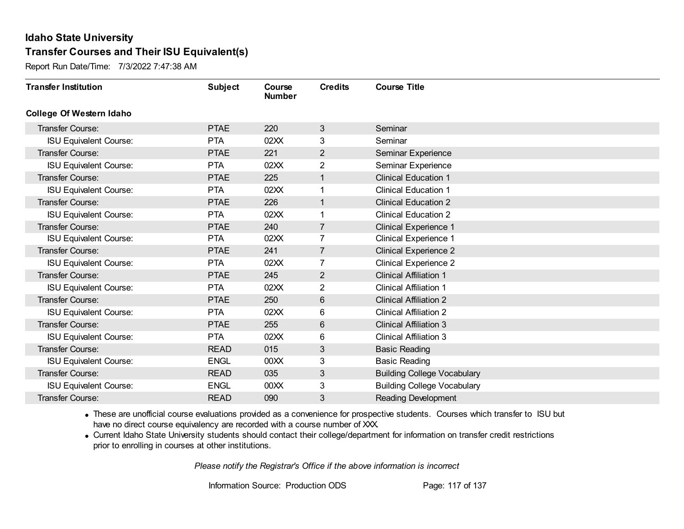Report Run Date/Time: 7/3/2022 7:47:38 AM

| <b>Transfer Institution</b>     | <b>Subject</b> | Course<br><b>Number</b> | <b>Credits</b> | <b>Course Title</b>                |
|---------------------------------|----------------|-------------------------|----------------|------------------------------------|
| <b>College Of Western Idaho</b> |                |                         |                |                                    |
| <b>Transfer Course:</b>         | <b>PTAE</b>    | 220                     | 3              | Seminar                            |
| <b>ISU Equivalent Course:</b>   | <b>PTA</b>     | 02XX                    | 3              | Seminar                            |
| <b>Transfer Course:</b>         | <b>PTAE</b>    | 221                     | 2              | Seminar Experience                 |
| <b>ISU Equivalent Course:</b>   | <b>PTA</b>     | 02XX                    | $\overline{2}$ | Seminar Experience                 |
| <b>Transfer Course:</b>         | <b>PTAE</b>    | 225                     | 1              | <b>Clinical Education 1</b>        |
| <b>ISU Equivalent Course:</b>   | <b>PTA</b>     | 02XX                    |                | <b>Clinical Education 1</b>        |
| <b>Transfer Course:</b>         | <b>PTAE</b>    | 226                     | 1              | <b>Clinical Education 2</b>        |
| <b>ISU Equivalent Course:</b>   | <b>PTA</b>     | 02XX                    |                | <b>Clinical Education 2</b>        |
| <b>Transfer Course:</b>         | <b>PTAE</b>    | 240                     | $\overline{7}$ | <b>Clinical Experience 1</b>       |
| <b>ISU Equivalent Course:</b>   | <b>PTA</b>     | 02XX                    | $\overline{7}$ | <b>Clinical Experience 1</b>       |
| Transfer Course:                | <b>PTAE</b>    | 241                     | $\overline{7}$ | <b>Clinical Experience 2</b>       |
| <b>ISU Equivalent Course:</b>   | <b>PTA</b>     | 02XX                    | 7              | <b>Clinical Experience 2</b>       |
| <b>Transfer Course:</b>         | <b>PTAE</b>    | 245                     | $\mathbf{2}$   | <b>Clinical Affiliation 1</b>      |
| <b>ISU Equivalent Course:</b>   | <b>PTA</b>     | 02XX                    | $\overline{2}$ | <b>Clinical Affiliation 1</b>      |
| Transfer Course:                | <b>PTAE</b>    | 250                     | $6\,$          | <b>Clinical Affiliation 2</b>      |
| <b>ISU Equivalent Course:</b>   | <b>PTA</b>     | 02XX                    | 6              | <b>Clinical Affiliation 2</b>      |
| Transfer Course:                | <b>PTAE</b>    | 255                     | $6\,$          | <b>Clinical Affiliation 3</b>      |
| <b>ISU Equivalent Course:</b>   | <b>PTA</b>     | 02XX                    | 6              | <b>Clinical Affiliation 3</b>      |
| <b>Transfer Course:</b>         | <b>READ</b>    | 015                     | 3              | <b>Basic Reading</b>               |
| <b>ISU Equivalent Course:</b>   | <b>ENGL</b>    | 00 <sub>XX</sub>        | 3              | <b>Basic Reading</b>               |
| <b>Transfer Course:</b>         | <b>READ</b>    | 035                     | 3              | <b>Building College Vocabulary</b> |
| <b>ISU Equivalent Course:</b>   | <b>ENGL</b>    | 00 <sub>XX</sub>        | 3              | <b>Building College Vocabulary</b> |
| <b>Transfer Course:</b>         | <b>READ</b>    | 090                     | 3              | <b>Reading Development</b>         |

· These are unofficial course evaluations provided as a convenience for prospective students. Courses which transfer to ISU but have no direct course equivalency are recorded with a course number of XXX.

· Current Idaho State University students should contact their college/department for information on transfer credit restrictions prior to enrolling in courses at other institutions.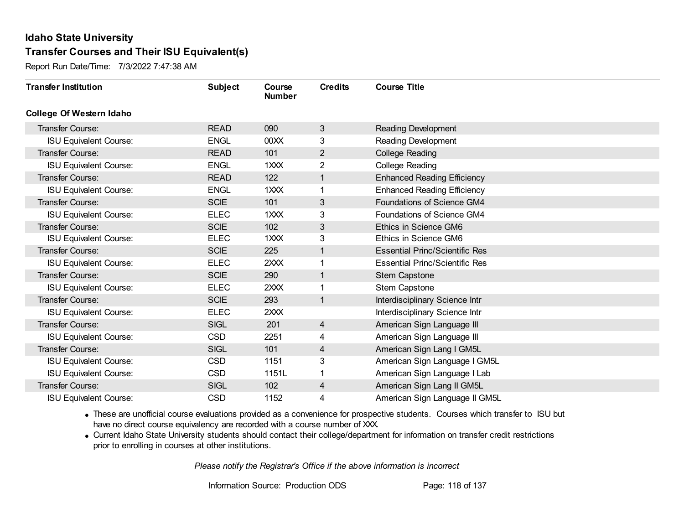Report Run Date/Time: 7/3/2022 7:47:38 AM

| <b>Transfer Institution</b>     | <b>Subject</b> | Course<br><b>Number</b> | <b>Credits</b> | <b>Course Title</b>                   |
|---------------------------------|----------------|-------------------------|----------------|---------------------------------------|
| <b>College Of Western Idaho</b> |                |                         |                |                                       |
| <b>Transfer Course:</b>         | <b>READ</b>    | 090                     | 3              | <b>Reading Development</b>            |
| <b>ISU Equivalent Course:</b>   | <b>ENGL</b>    | 00XX                    | 3              | Reading Development                   |
| Transfer Course:                | <b>READ</b>    | 101                     | $\overline{2}$ | <b>College Reading</b>                |
| <b>ISU Equivalent Course:</b>   | <b>ENGL</b>    | 1XXX                    | $\overline{2}$ | <b>College Reading</b>                |
| <b>Transfer Course:</b>         | <b>READ</b>    | 122                     | $\mathbf{1}$   | <b>Enhanced Reading Efficiency</b>    |
| <b>ISU Equivalent Course:</b>   | <b>ENGL</b>    | 1XXX                    | 1              | <b>Enhanced Reading Efficiency</b>    |
| Transfer Course:                | <b>SCIE</b>    | 101                     | 3              | Foundations of Science GM4            |
| <b>ISU Equivalent Course:</b>   | <b>ELEC</b>    | 1XXX                    | 3              | Foundations of Science GM4            |
| <b>Transfer Course:</b>         | <b>SCIE</b>    | 102                     | 3              | Ethics in Science GM6                 |
| <b>ISU Equivalent Course:</b>   | <b>ELEC</b>    | 1XXX                    | 3              | Ethics in Science GM6                 |
| <b>Transfer Course:</b>         | <b>SCIE</b>    | 225                     | $\mathbf{1}$   | <b>Essential Princ/Scientific Res</b> |
| <b>ISU Equivalent Course:</b>   | <b>ELEC</b>    | 2XXX                    | 1              | <b>Essential Princ/Scientific Res</b> |
| Transfer Course:                | <b>SCIE</b>    | 290                     | 1              | Stem Capstone                         |
| <b>ISU Equivalent Course:</b>   | <b>ELEC</b>    | 2XXX                    | 1              | <b>Stem Capstone</b>                  |
| Transfer Course:                | <b>SCIE</b>    | 293                     | $\mathbf{1}$   | Interdisciplinary Science Intr        |
| <b>ISU Equivalent Course:</b>   | <b>ELEC</b>    | 2XXX                    |                | Interdisciplinary Science Intr        |
| Transfer Course:                | <b>SIGL</b>    | 201                     | $\overline{4}$ | American Sign Language III            |
| <b>ISU Equivalent Course:</b>   | <b>CSD</b>     | 2251                    | 4              | American Sign Language III            |
| Transfer Course:                | <b>SIGL</b>    | 101                     | 4              | American Sign Lang I GM5L             |
| <b>ISU Equivalent Course:</b>   | <b>CSD</b>     | 1151                    | 3              | American Sign Language I GM5L         |
| <b>ISU Equivalent Course:</b>   | <b>CSD</b>     | 1151L                   | 1              | American Sign Language I Lab          |
| Transfer Course:                | <b>SIGL</b>    | 102                     | 4              | American Sign Lang II GM5L            |
| <b>ISU Equivalent Course:</b>   | <b>CSD</b>     | 1152                    | 4              | American Sign Language II GM5L        |

· These are unofficial course evaluations provided as a convenience for prospective students. Courses which transfer to ISU but have no direct course equivalency are recorded with a course number of XXX.

· Current Idaho State University students should contact their college/department for information on transfer credit restrictions prior to enrolling in courses at other institutions.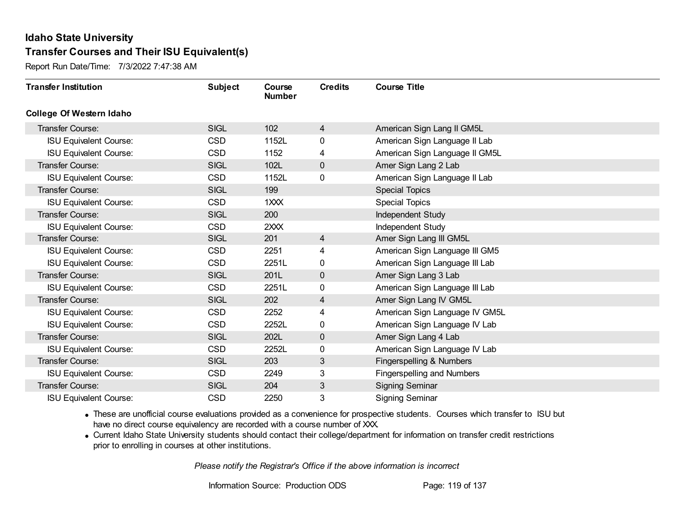Report Run Date/Time: 7/3/2022 7:47:38 AM

| <b>Transfer Institution</b>     | <b>Subject</b> | Course<br><b>Number</b> | <b>Credits</b> | <b>Course Title</b>            |
|---------------------------------|----------------|-------------------------|----------------|--------------------------------|
| <b>College Of Western Idaho</b> |                |                         |                |                                |
| Transfer Course:                | <b>SIGL</b>    | 102                     | $\overline{4}$ | American Sign Lang II GM5L     |
| <b>ISU Equivalent Course:</b>   | <b>CSD</b>     | 1152L                   | 0              | American Sign Language II Lab  |
| <b>ISU Equivalent Course:</b>   | <b>CSD</b>     | 1152                    | 4              | American Sign Language II GM5L |
| Transfer Course:                | <b>SIGL</b>    | 102L                    | $\mathbf{0}$   | Amer Sign Lang 2 Lab           |
| <b>ISU Equivalent Course:</b>   | <b>CSD</b>     | 1152L                   | 0              | American Sign Language II Lab  |
| Transfer Course:                | <b>SIGL</b>    | 199                     |                | <b>Special Topics</b>          |
| <b>ISU Equivalent Course:</b>   | <b>CSD</b>     | 1XXX                    |                | <b>Special Topics</b>          |
| Transfer Course:                | <b>SIGL</b>    | 200                     |                | Independent Study              |
| <b>ISU Equivalent Course:</b>   | <b>CSD</b>     | 2XXX                    |                | Independent Study              |
| Transfer Course:                | <b>SIGL</b>    | 201                     | 4              | Amer Sign Lang III GM5L        |
| <b>ISU Equivalent Course:</b>   | <b>CSD</b>     | 2251                    | 4              | American Sign Language III GM5 |
| <b>ISU Equivalent Course:</b>   | <b>CSD</b>     | 2251L                   | 0              | American Sign Language III Lab |
| <b>Transfer Course:</b>         | <b>SIGL</b>    | 201L                    | $\mathbf{0}$   | Amer Sign Lang 3 Lab           |
| <b>ISU Equivalent Course:</b>   | <b>CSD</b>     | 2251L                   | 0              | American Sign Language III Lab |
| Transfer Course:                | <b>SIGL</b>    | 202                     | $\overline{4}$ | Amer Sign Lang IV GM5L         |
| <b>ISU Equivalent Course:</b>   | <b>CSD</b>     | 2252                    | 4              | American Sign Language IV GM5L |
| <b>ISU Equivalent Course:</b>   | <b>CSD</b>     | 2252L                   | 0              | American Sign Language IV Lab  |
| Transfer Course:                | <b>SIGL</b>    | 202L                    | $\mathbf 0$    | Amer Sign Lang 4 Lab           |
| <b>ISU Equivalent Course:</b>   | <b>CSD</b>     | 2252L                   | 0              | American Sign Language IV Lab  |
| Transfer Course:                | <b>SIGL</b>    | 203                     | 3              | Fingerspelling & Numbers       |
| <b>ISU Equivalent Course:</b>   | <b>CSD</b>     | 2249                    | 3              | Fingerspelling and Numbers     |
| <b>Transfer Course:</b>         | <b>SIGL</b>    | 204                     | 3              | <b>Signing Seminar</b>         |
| <b>ISU Equivalent Course:</b>   | <b>CSD</b>     | 2250                    | 3              | <b>Signing Seminar</b>         |

· These are unofficial course evaluations provided as a convenience for prospective students. Courses which transfer to ISU but have no direct course equivalency are recorded with a course number of XXX.

· Current Idaho State University students should contact their college/department for information on transfer credit restrictions prior to enrolling in courses at other institutions.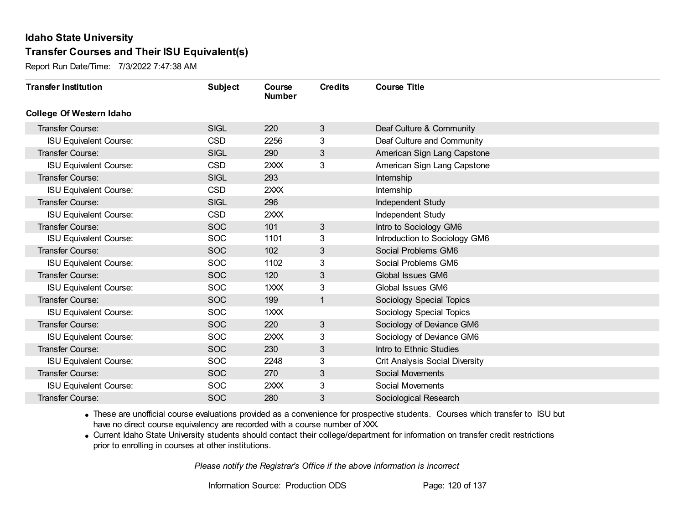Report Run Date/Time: 7/3/2022 7:47:38 AM

| <b>Transfer Institution</b>     | <b>Subject</b> | Course<br><b>Number</b> | <b>Credits</b> | <b>Course Title</b>                   |
|---------------------------------|----------------|-------------------------|----------------|---------------------------------------|
| <b>College Of Western Idaho</b> |                |                         |                |                                       |
| Transfer Course:                | <b>SIGL</b>    | 220                     | 3              | Deaf Culture & Community              |
| <b>ISU Equivalent Course:</b>   | <b>CSD</b>     | 2256                    | 3              | Deaf Culture and Community            |
| Transfer Course:                | <b>SIGL</b>    | 290                     | 3              | American Sign Lang Capstone           |
| <b>ISU Equivalent Course:</b>   | <b>CSD</b>     | 2XXX                    | 3              | American Sign Lang Capstone           |
| <b>Transfer Course:</b>         | <b>SIGL</b>    | 293                     |                | Internship                            |
| <b>ISU Equivalent Course:</b>   | <b>CSD</b>     | 2XXX                    |                | Internship                            |
| Transfer Course:                | <b>SIGL</b>    | 296                     |                | Independent Study                     |
| <b>ISU Equivalent Course:</b>   | <b>CSD</b>     | 2XXX                    |                | Independent Study                     |
| Transfer Course:                | <b>SOC</b>     | 101                     | 3              | Intro to Sociology GM6                |
| <b>ISU Equivalent Course:</b>   | <b>SOC</b>     | 1101                    | 3              | Introduction to Sociology GM6         |
| <b>Transfer Course:</b>         | <b>SOC</b>     | 102                     | 3              | Social Problems GM6                   |
| <b>ISU Equivalent Course:</b>   | <b>SOC</b>     | 1102                    | 3              | Social Problems GM6                   |
| Transfer Course:                | <b>SOC</b>     | 120                     | 3              | Global Issues GM6                     |
| <b>ISU Equivalent Course:</b>   | <b>SOC</b>     | 1XXX                    | 3              | Global Issues GM6                     |
| Transfer Course:                | <b>SOC</b>     | 199                     | 1              | Sociology Special Topics              |
| <b>ISU Equivalent Course:</b>   | <b>SOC</b>     | 1XXX                    |                | Sociology Special Topics              |
| Transfer Course:                | <b>SOC</b>     | 220                     | 3              | Sociology of Deviance GM6             |
| <b>ISU Equivalent Course:</b>   | <b>SOC</b>     | 2XXX                    | 3              | Sociology of Deviance GM6             |
| <b>Transfer Course:</b>         | <b>SOC</b>     | 230                     | 3              | Intro to Ethnic Studies               |
| <b>ISU Equivalent Course:</b>   | <b>SOC</b>     | 2248                    | 3              | <b>Crit Analysis Social Diversity</b> |
| Transfer Course:                | <b>SOC</b>     | 270                     | 3              | <b>Social Movements</b>               |
| <b>ISU Equivalent Course:</b>   | <b>SOC</b>     | 2XXX                    | 3              | Social Movements                      |
| Transfer Course:                | <b>SOC</b>     | 280                     | 3              | Sociological Research                 |

· These are unofficial course evaluations provided as a convenience for prospective students. Courses which transfer to ISU but have no direct course equivalency are recorded with a course number of XXX.

· Current Idaho State University students should contact their college/department for information on transfer credit restrictions prior to enrolling in courses at other institutions.

*Please notify the Registrar's Office if the above information is incorrect*

Information Source: Production ODS Page: 120 of 137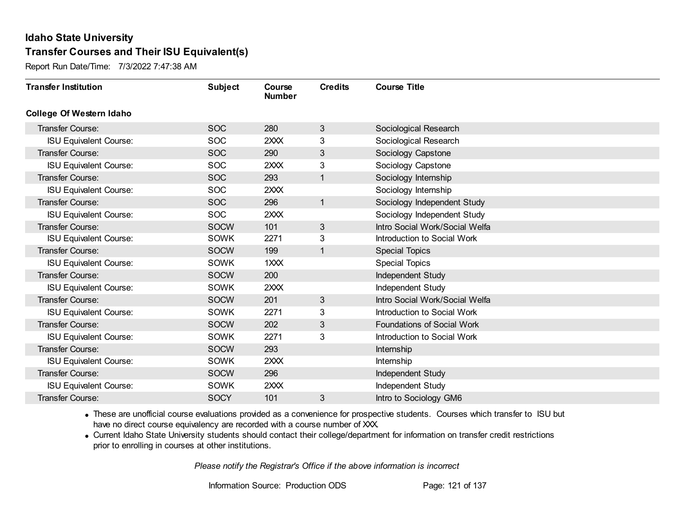Report Run Date/Time: 7/3/2022 7:47:38 AM

| <b>Transfer Institution</b>     | <b>Subject</b> | Course<br><b>Number</b> | <b>Credits</b> | <b>Course Title</b>            |
|---------------------------------|----------------|-------------------------|----------------|--------------------------------|
| <b>College Of Western Idaho</b> |                |                         |                |                                |
| Transfer Course:                | <b>SOC</b>     | 280                     | 3              | Sociological Research          |
| <b>ISU Equivalent Course:</b>   | <b>SOC</b>     | 2XXX                    | 3              | Sociological Research          |
| Transfer Course:                | <b>SOC</b>     | 290                     | 3              | Sociology Capstone             |
| <b>ISU Equivalent Course:</b>   | <b>SOC</b>     | 2XXX                    | 3              | Sociology Capstone             |
| <b>Transfer Course:</b>         | <b>SOC</b>     | 293                     | 1              | Sociology Internship           |
| <b>ISU Equivalent Course:</b>   | <b>SOC</b>     | 2XXX                    |                | Sociology Internship           |
| Transfer Course:                | <b>SOC</b>     | 296                     | 1              | Sociology Independent Study    |
| <b>ISU Equivalent Course:</b>   | <b>SOC</b>     | 2XXX                    |                | Sociology Independent Study    |
| <b>Transfer Course:</b>         | <b>SOCW</b>    | 101                     | 3              | Intro Social Work/Social Welfa |
| <b>ISU Equivalent Course:</b>   | <b>SOWK</b>    | 2271                    | 3              | Introduction to Social Work    |
| <b>Transfer Course:</b>         | <b>SOCW</b>    | 199                     | 1              | <b>Special Topics</b>          |
| <b>ISU Equivalent Course:</b>   | <b>SOWK</b>    | 1XXX                    |                | <b>Special Topics</b>          |
| Transfer Course:                | <b>SOCW</b>    | 200                     |                | Independent Study              |
| <b>ISU Equivalent Course:</b>   | <b>SOWK</b>    | 2XXX                    |                | Independent Study              |
| Transfer Course:                | <b>SOCW</b>    | 201                     | 3              | Intro Social Work/Social Welfa |
| <b>ISU Equivalent Course:</b>   | <b>SOWK</b>    | 2271                    | 3              | Introduction to Social Work    |
| Transfer Course:                | <b>SOCW</b>    | 202                     | $\mathfrak{S}$ | Foundations of Social Work     |
| <b>ISU Equivalent Course:</b>   | <b>SOWK</b>    | 2271                    | 3              | Introduction to Social Work    |
| Transfer Course:                | <b>SOCW</b>    | 293                     |                | Internship                     |
| <b>ISU Equivalent Course:</b>   | SOWK           | 2XXX                    |                | Internship                     |
| Transfer Course:                | <b>SOCW</b>    | 296                     |                | Independent Study              |
| <b>ISU Equivalent Course:</b>   | <b>SOWK</b>    | 2XXX                    |                | Independent Study              |
| Transfer Course:                | <b>SOCY</b>    | 101                     | 3              | Intro to Sociology GM6         |

· These are unofficial course evaluations provided as a convenience for prospective students. Courses which transfer to ISU but have no direct course equivalency are recorded with a course number of XXX.

· Current Idaho State University students should contact their college/department for information on transfer credit restrictions prior to enrolling in courses at other institutions.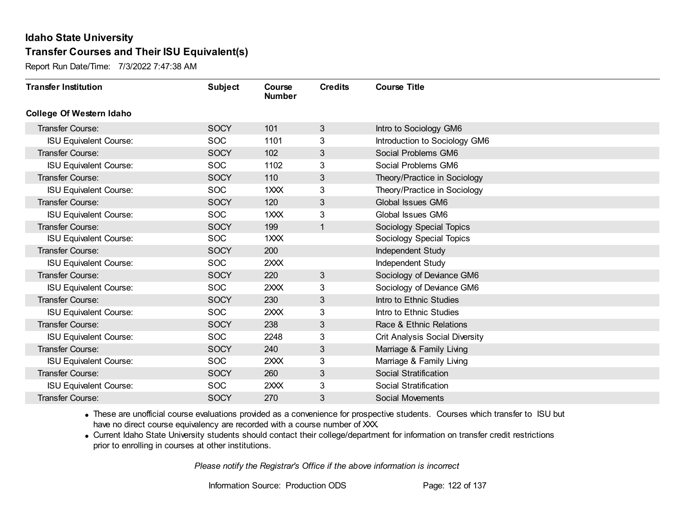Report Run Date/Time: 7/3/2022 7:47:38 AM

| <b>Transfer Institution</b>     | <b>Subject</b> | Course<br><b>Number</b> | <b>Credits</b> | <b>Course Title</b>                   |
|---------------------------------|----------------|-------------------------|----------------|---------------------------------------|
| <b>College Of Western Idaho</b> |                |                         |                |                                       |
| <b>Transfer Course:</b>         | <b>SOCY</b>    | 101                     | $\mathbf{3}$   | Intro to Sociology GM6                |
| <b>ISU Equivalent Course:</b>   | <b>SOC</b>     | 1101                    | 3              | Introduction to Sociology GM6         |
| Transfer Course:                | <b>SOCY</b>    | 102                     | 3              | Social Problems GM6                   |
| <b>ISU Equivalent Course:</b>   | <b>SOC</b>     | 1102                    | 3              | Social Problems GM6                   |
| <b>Transfer Course:</b>         | <b>SOCY</b>    | 110                     | 3              | Theory/Practice in Sociology          |
| <b>ISU Equivalent Course:</b>   | <b>SOC</b>     | 1XXX                    | 3              | Theory/Practice in Sociology          |
| Transfer Course:                | <b>SOCY</b>    | 120                     | 3              | Global Issues GM6                     |
| <b>ISU Equivalent Course:</b>   | <b>SOC</b>     | $1$ $XX$                | 3              | Global Issues GM6                     |
| <b>Transfer Course:</b>         | <b>SOCY</b>    | 199                     | 1              | Sociology Special Topics              |
| <b>ISU Equivalent Course:</b>   | <b>SOC</b>     | 1XXX                    |                | Sociology Special Topics              |
| <b>Transfer Course:</b>         | <b>SOCY</b>    | 200                     |                | Independent Study                     |
| <b>ISU Equivalent Course:</b>   | <b>SOC</b>     | 2XXX                    |                | Independent Study                     |
| Transfer Course:                | <b>SOCY</b>    | 220                     | 3              | Sociology of Deviance GM6             |
| <b>ISU Equivalent Course:</b>   | <b>SOC</b>     | 2XXX                    | 3              | Sociology of Deviance GM6             |
| Transfer Course:                | <b>SOCY</b>    | 230                     | 3              | Intro to Ethnic Studies               |
| <b>ISU Equivalent Course:</b>   | <b>SOC</b>     | 2XXX                    | 3              | Intro to Ethnic Studies               |
| Transfer Course:                | <b>SOCY</b>    | 238                     | 3              | Race & Ethnic Relations               |
| <b>ISU Equivalent Course:</b>   | <b>SOC</b>     | 2248                    | 3              | <b>Crit Analysis Social Diversity</b> |
| Transfer Course:                | <b>SOCY</b>    | 240                     | 3              | Marriage & Family Living              |
| <b>ISU Equivalent Course:</b>   | <b>SOC</b>     | 2XXX                    | 3              | Marriage & Family Living              |
| Transfer Course:                | <b>SOCY</b>    | 260                     | 3              | <b>Social Stratification</b>          |
| <b>ISU Equivalent Course:</b>   | <b>SOC</b>     | 2XXX                    | 3              | Social Stratification                 |
| <b>Transfer Course:</b>         | <b>SOCY</b>    | 270                     | 3              | Social Movements                      |

· These are unofficial course evaluations provided as a convenience for prospective students. Courses which transfer to ISU but have no direct course equivalency are recorded with a course number of XXX.

· Current Idaho State University students should contact their college/department for information on transfer credit restrictions prior to enrolling in courses at other institutions.

*Please notify the Registrar's Office if the above information is incorrect*

Information Source: Production ODS Page: 122 of 137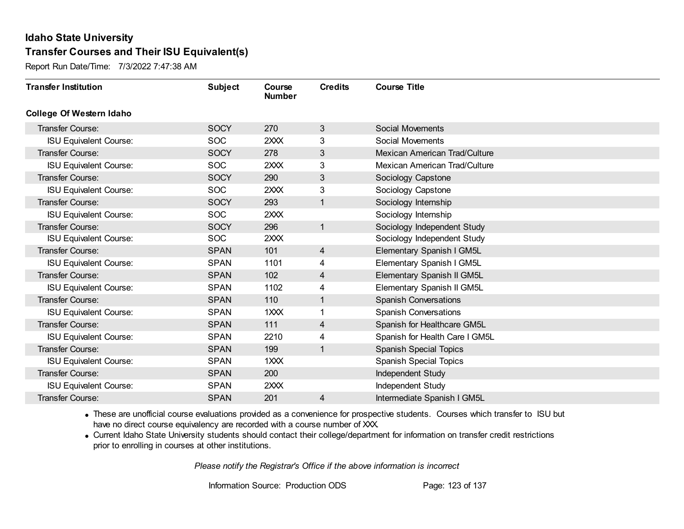Report Run Date/Time: 7/3/2022 7:47:38 AM

| <b>Transfer Institution</b>     | <b>Subject</b> | Course<br><b>Number</b> | <b>Credits</b> | <b>Course Title</b>            |
|---------------------------------|----------------|-------------------------|----------------|--------------------------------|
| <b>College Of Western Idaho</b> |                |                         |                |                                |
| Transfer Course:                | <b>SOCY</b>    | 270                     | 3              | <b>Social Movements</b>        |
| <b>ISU Equivalent Course:</b>   | <b>SOC</b>     | 2XXX                    | 3              | Social Movements               |
| Transfer Course:                | <b>SOCY</b>    | 278                     | 3              | Mexican American Trad/Culture  |
| <b>ISU Equivalent Course:</b>   | <b>SOC</b>     | 2XXX                    | 3              | Mexican American Trad/Culture  |
| Transfer Course:                | <b>SOCY</b>    | 290                     | 3              | Sociology Capstone             |
| <b>ISU Equivalent Course:</b>   | <b>SOC</b>     | 2XXX                    | 3              | Sociology Capstone             |
| Transfer Course:                | <b>SOCY</b>    | 293                     | 1              | Sociology Internship           |
| <b>ISU Equivalent Course:</b>   | <b>SOC</b>     | 2XXX                    |                | Sociology Internship           |
| Transfer Course:                | <b>SOCY</b>    | 296                     | $\mathbf{1}$   | Sociology Independent Study    |
| <b>ISU Equivalent Course:</b>   | <b>SOC</b>     | 2XXX                    |                | Sociology Independent Study    |
| Transfer Course:                | <b>SPAN</b>    | 101                     | 4              | Elementary Spanish I GM5L      |
| <b>ISU Equivalent Course:</b>   | <b>SPAN</b>    | 1101                    | 4              | Elementary Spanish I GM5L      |
| Transfer Course:                | <b>SPAN</b>    | 102                     | 4              | Elementary Spanish II GM5L     |
| <b>ISU Equivalent Course:</b>   | <b>SPAN</b>    | 1102                    | 4              | Elementary Spanish II GM5L     |
| Transfer Course:                | <b>SPAN</b>    | 110                     | 1              | <b>Spanish Conversations</b>   |
| <b>ISU Equivalent Course:</b>   | <b>SPAN</b>    | 1XXX                    | 1              | <b>Spanish Conversations</b>   |
| Transfer Course:                | <b>SPAN</b>    | 111                     | 4              | Spanish for Healthcare GM5L    |
| <b>ISU Equivalent Course:</b>   | <b>SPAN</b>    | 2210                    | 4              | Spanish for Health Care I GM5L |
| Transfer Course:                | <b>SPAN</b>    | 199                     | $\mathbf 1$    | <b>Spanish Special Topics</b>  |
| <b>ISU Equivalent Course:</b>   | <b>SPAN</b>    | 1XXX                    |                | <b>Spanish Special Topics</b>  |
| Transfer Course:                | <b>SPAN</b>    | 200                     |                | Independent Study              |
| <b>ISU Equivalent Course:</b>   | <b>SPAN</b>    | 2XXX                    |                | Independent Study              |
| Transfer Course:                | <b>SPAN</b>    | 201                     | 4              | Intermediate Spanish I GM5L    |

· These are unofficial course evaluations provided as a convenience for prospective students. Courses which transfer to ISU but have no direct course equivalency are recorded with a course number of XXX.

· Current Idaho State University students should contact their college/department for information on transfer credit restrictions prior to enrolling in courses at other institutions.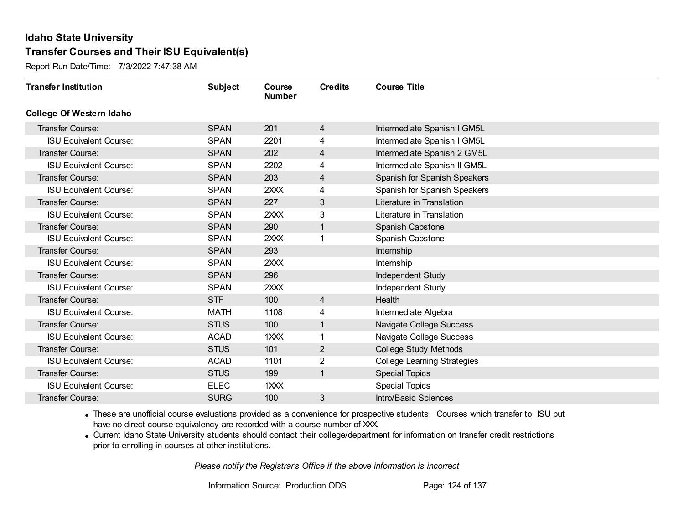Report Run Date/Time: 7/3/2022 7:47:38 AM

| <b>Transfer Institution</b>     | <b>Subject</b> | Course<br><b>Number</b> | <b>Credits</b> | <b>Course Title</b>                |
|---------------------------------|----------------|-------------------------|----------------|------------------------------------|
| <b>College Of Western Idaho</b> |                |                         |                |                                    |
| Transfer Course:                | <b>SPAN</b>    | 201                     | $\overline{4}$ | Intermediate Spanish I GM5L        |
| <b>ISU Equivalent Course:</b>   | <b>SPAN</b>    | 2201                    | 4              | Intermediate Spanish I GM5L        |
| Transfer Course:                | <b>SPAN</b>    | 202                     | 4              | Intermediate Spanish 2 GM5L        |
| <b>ISU Equivalent Course:</b>   | <b>SPAN</b>    | 2202                    | 4              | Intermediate Spanish II GM5L       |
| <b>Transfer Course:</b>         | <b>SPAN</b>    | 203                     | 4              | Spanish for Spanish Speakers       |
| <b>ISU Equivalent Course:</b>   | <b>SPAN</b>    | 2XXX                    | 4              | Spanish for Spanish Speakers       |
| Transfer Course:                | <b>SPAN</b>    | 227                     | 3              | Literature in Translation          |
| <b>ISU Equivalent Course:</b>   | <b>SPAN</b>    | 2XXX                    | 3              | Literature in Translation          |
| <b>Transfer Course:</b>         | <b>SPAN</b>    | 290                     | $\mathbf{1}$   | Spanish Capstone                   |
| <b>ISU Equivalent Course:</b>   | <b>SPAN</b>    | 2XXX                    | 1              | Spanish Capstone                   |
| <b>Transfer Course:</b>         | <b>SPAN</b>    | 293                     |                | Internship                         |
| <b>ISU Equivalent Course:</b>   | <b>SPAN</b>    | 2XXX                    |                | Internship                         |
| Transfer Course:                | <b>SPAN</b>    | 296                     |                | Independent Study                  |
| <b>ISU Equivalent Course:</b>   | <b>SPAN</b>    | 2XXX                    |                | Independent Study                  |
| Transfer Course:                | <b>STF</b>     | 100                     | $\overline{4}$ | Health                             |
| <b>ISU Equivalent Course:</b>   | <b>MATH</b>    | 1108                    | 4              | Intermediate Algebra               |
| Transfer Course:                | <b>STUS</b>    | 100                     | $\mathbf{1}$   | Navigate College Success           |
| <b>ISU Equivalent Course:</b>   | <b>ACAD</b>    | 1XXX                    | 1              | Navigate College Success           |
| Transfer Course:                | <b>STUS</b>    | 101                     | $\overline{c}$ | <b>College Study Methods</b>       |
| <b>ISU Equivalent Course:</b>   | <b>ACAD</b>    | 1101                    | 2              | <b>College Learning Strategies</b> |
| Transfer Course:                | <b>STUS</b>    | 199                     | $\mathbf{1}$   | <b>Special Topics</b>              |
| <b>ISU Equivalent Course:</b>   | <b>ELEC</b>    | 1XXX                    |                | <b>Special Topics</b>              |
| Transfer Course:                | <b>SURG</b>    | 100                     | 3              | Intro/Basic Sciences               |

· These are unofficial course evaluations provided as a convenience for prospective students. Courses which transfer to ISU but have no direct course equivalency are recorded with a course number of XXX.

· Current Idaho State University students should contact their college/department for information on transfer credit restrictions prior to enrolling in courses at other institutions.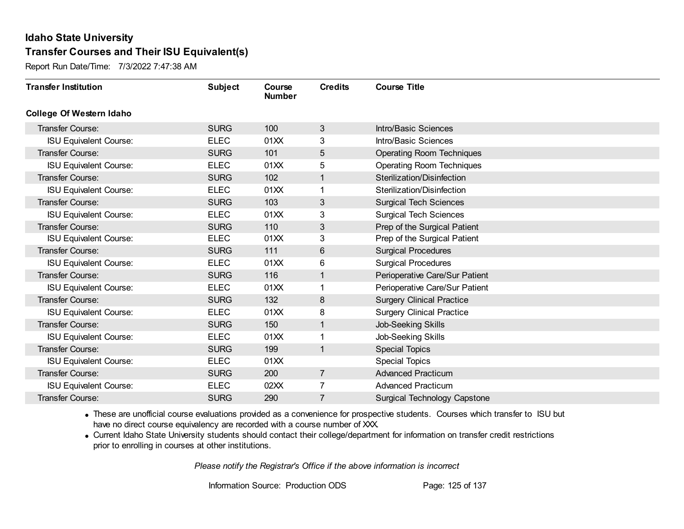Report Run Date/Time: 7/3/2022 7:47:38 AM

| <b>Transfer Institution</b>     | <b>Subject</b> | Course<br><b>Number</b> | <b>Credits</b> | <b>Course Title</b>                 |
|---------------------------------|----------------|-------------------------|----------------|-------------------------------------|
| <b>College Of Western Idaho</b> |                |                         |                |                                     |
| Transfer Course:                | <b>SURG</b>    | 100                     | $\mathbf{3}$   | Intro/Basic Sciences                |
| <b>ISU Equivalent Course:</b>   | <b>ELEC</b>    | 01XX                    | 3              | Intro/Basic Sciences                |
| Transfer Course:                | <b>SURG</b>    | 101                     | 5              | <b>Operating Room Techniques</b>    |
| <b>ISU Equivalent Course:</b>   | <b>ELEC</b>    | 01XX                    | 5              | <b>Operating Room Techniques</b>    |
| <b>Transfer Course:</b>         | <b>SURG</b>    | 102                     | $\mathbf{1}$   | Sterilization/Disinfection          |
| <b>ISU Equivalent Course:</b>   | <b>ELEC</b>    | 01XX                    | 1              | Sterilization/Disinfection          |
| <b>Transfer Course:</b>         | <b>SURG</b>    | 103                     | 3              | <b>Surgical Tech Sciences</b>       |
| <b>ISU Equivalent Course:</b>   | <b>ELEC</b>    | 01XX                    | 3              | <b>Surgical Tech Sciences</b>       |
| <b>Transfer Course:</b>         | <b>SURG</b>    | 110                     | 3              | Prep of the Surgical Patient        |
| <b>ISU Equivalent Course:</b>   | <b>ELEC</b>    | 01XX                    | 3              | Prep of the Surgical Patient        |
| Transfer Course:                | <b>SURG</b>    | 111                     | 6              | <b>Surgical Procedures</b>          |
| <b>ISU Equivalent Course:</b>   | <b>ELEC</b>    | 01XX                    | 6              | <b>Surgical Procedures</b>          |
| Transfer Course:                | <b>SURG</b>    | 116                     | 1              | Perioperative Care/Sur Patient      |
| <b>ISU Equivalent Course:</b>   | <b>ELEC</b>    | 01XX                    | 1              | Perioperative Care/Sur Patient      |
| Transfer Course:                | <b>SURG</b>    | 132                     | 8              | <b>Surgery Clinical Practice</b>    |
| <b>ISU Equivalent Course:</b>   | <b>ELEC</b>    | 01XX                    | 8              | <b>Surgery Clinical Practice</b>    |
| Transfer Course:                | <b>SURG</b>    | 150                     | $\mathbf{1}$   | Job-Seeking Skills                  |
| <b>ISU Equivalent Course:</b>   | <b>ELEC</b>    | 01XX                    | 1              | Job-Seeking Skills                  |
| Transfer Course:                | <b>SURG</b>    | 199                     | $\mathbf{1}$   | <b>Special Topics</b>               |
| <b>ISU Equivalent Course:</b>   | <b>ELEC</b>    | 01XX                    |                | <b>Special Topics</b>               |
| Transfer Course:                | <b>SURG</b>    | 200                     | $\overline{7}$ | <b>Advanced Practicum</b>           |
| <b>ISU Equivalent Course:</b>   | <b>ELEC</b>    | 02XX                    | 7              | <b>Advanced Practicum</b>           |
| Transfer Course:                | <b>SURG</b>    | 290                     | 7              | <b>Surgical Technology Capstone</b> |

· These are unofficial course evaluations provided as a convenience for prospective students. Courses which transfer to ISU but have no direct course equivalency are recorded with a course number of XXX.

· Current Idaho State University students should contact their college/department for information on transfer credit restrictions prior to enrolling in courses at other institutions.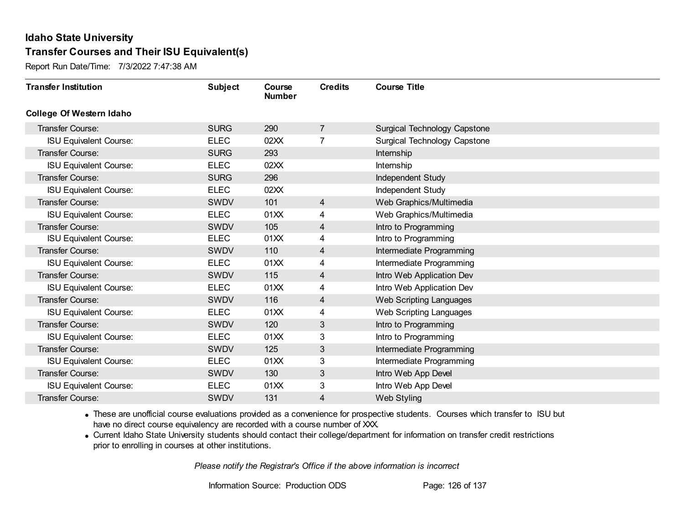Report Run Date/Time: 7/3/2022 7:47:38 AM

| <b>Transfer Institution</b>     | <b>Subject</b> | Course<br><b>Number</b> | <b>Credits</b> | <b>Course Title</b>                 |
|---------------------------------|----------------|-------------------------|----------------|-------------------------------------|
| <b>College Of Western Idaho</b> |                |                         |                |                                     |
| Transfer Course:                | <b>SURG</b>    | 290                     | $\overline{7}$ | Surgical Technology Capstone        |
| <b>ISU Equivalent Course:</b>   | <b>ELEC</b>    | 02XX                    | 7              | <b>Surgical Technology Capstone</b> |
| Transfer Course:                | <b>SURG</b>    | 293                     |                | Internship                          |
| <b>ISU Equivalent Course:</b>   | <b>ELEC</b>    | 02XX                    |                | Internship                          |
| <b>Transfer Course:</b>         | <b>SURG</b>    | 296                     |                | Independent Study                   |
| <b>ISU Equivalent Course:</b>   | <b>ELEC</b>    | 02XX                    |                | Independent Study                   |
| Transfer Course:                | <b>SWDV</b>    | 101                     | 4              | Web Graphics/Multimedia             |
| <b>ISU Equivalent Course:</b>   | <b>ELEC</b>    | 01XX                    | 4              | Web Graphics/Multimedia             |
| <b>Transfer Course:</b>         | <b>SWDV</b>    | 105                     | $\overline{4}$ | Intro to Programming                |
| <b>ISU Equivalent Course:</b>   | <b>ELEC</b>    | 01XX                    | 4              | Intro to Programming                |
| Transfer Course:                | <b>SWDV</b>    | 110                     | 4              | Intermediate Programming            |
| <b>ISU Equivalent Course:</b>   | <b>ELEC</b>    | 01XX                    | 4              | Intermediate Programming            |
| Transfer Course:                | <b>SWDV</b>    | 115                     | 4              | Intro Web Application Dev           |
| <b>ISU Equivalent Course:</b>   | <b>ELEC</b>    | 01XX                    | 4              | Intro Web Application Dev           |
| Transfer Course:                | <b>SWDV</b>    | 116                     | $\overline{4}$ | Web Scripting Languages             |
| <b>ISU Equivalent Course:</b>   | <b>ELEC</b>    | 01XX                    | 4              | Web Scripting Languages             |
| Transfer Course:                | <b>SWDV</b>    | 120                     | 3              | Intro to Programming                |
| <b>ISU Equivalent Course:</b>   | <b>ELEC</b>    | 01XX                    | 3              | Intro to Programming                |
| Transfer Course:                | <b>SWDV</b>    | 125                     | 3              | Intermediate Programming            |
| <b>ISU Equivalent Course:</b>   | <b>ELEC</b>    | 01XX                    | 3              | Intermediate Programming            |
| <b>Transfer Course:</b>         | <b>SWDV</b>    | 130                     | 3              | Intro Web App Devel                 |
| <b>ISU Equivalent Course:</b>   | <b>ELEC</b>    | 01XX                    | 3              | Intro Web App Devel                 |
| Transfer Course:                | <b>SWDV</b>    | 131                     | 4              | <b>Web Styling</b>                  |

· These are unofficial course evaluations provided as a convenience for prospective students. Courses which transfer to ISU but have no direct course equivalency are recorded with a course number of XXX.

· Current Idaho State University students should contact their college/department for information on transfer credit restrictions prior to enrolling in courses at other institutions.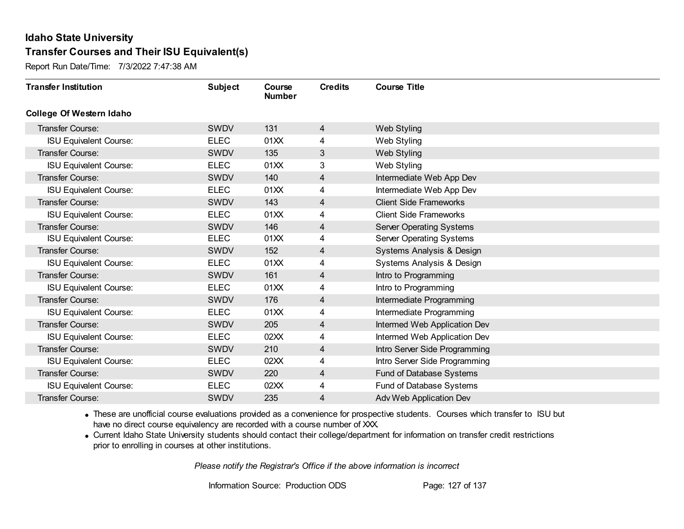Report Run Date/Time: 7/3/2022 7:47:38 AM

| <b>Transfer Institution</b>     | <b>Subject</b> | Course<br><b>Number</b> | <b>Credits</b> | <b>Course Title</b>           |
|---------------------------------|----------------|-------------------------|----------------|-------------------------------|
| <b>College Of Western Idaho</b> |                |                         |                |                               |
| Transfer Course:                | <b>SWDV</b>    | 131                     | 4              | Web Styling                   |
| <b>ISU Equivalent Course:</b>   | <b>ELEC</b>    | 01XX                    | 4              | Web Styling                   |
| Transfer Course:                | <b>SWDV</b>    | 135                     | 3              | Web Styling                   |
| <b>ISU Equivalent Course:</b>   | <b>ELEC</b>    | 01XX                    | 3              | Web Styling                   |
| Transfer Course:                | <b>SWDV</b>    | 140                     | 4              | Intermediate Web App Dev      |
| <b>ISU Equivalent Course:</b>   | <b>ELEC</b>    | 01XX                    | 4              | Intermediate Web App Dev      |
| <b>Transfer Course:</b>         | <b>SWDV</b>    | 143                     | 4              | <b>Client Side Frameworks</b> |
| <b>ISU Equivalent Course:</b>   | <b>ELEC</b>    | 01XX                    | 4              | <b>Client Side Frameworks</b> |
| <b>Transfer Course:</b>         | <b>SWDV</b>    | 146                     | 4              | Server Operating Systems      |
| <b>ISU Equivalent Course:</b>   | <b>ELEC</b>    | 01XX                    | 4              | Server Operating Systems      |
| <b>Transfer Course:</b>         | <b>SWDV</b>    | 152                     | 4              | Systems Analysis & Design     |
| <b>ISU Equivalent Course:</b>   | <b>ELEC</b>    | 01XX                    | 4              | Systems Analysis & Design     |
| Transfer Course:                | <b>SWDV</b>    | 161                     | 4              | Intro to Programming          |
| <b>ISU Equivalent Course:</b>   | <b>ELEC</b>    | 01XX                    | 4              | Intro to Programming          |
| Transfer Course:                | <b>SWDV</b>    | 176                     | 4              | Intermediate Programming      |
| <b>ISU Equivalent Course:</b>   | <b>ELEC</b>    | 01XX                    | 4              | Intermediate Programming      |
| Transfer Course:                | <b>SWDV</b>    | 205                     | 4              | Intermed Web Application Dev  |
| <b>ISU Equivalent Course:</b>   | <b>ELEC</b>    | 02XX                    | 4              | Intermed Web Application Dev  |
| Transfer Course:                | <b>SWDV</b>    | 210                     | 4              | Intro Server Side Programming |
| <b>ISU Equivalent Course:</b>   | <b>ELEC</b>    | 02XX                    | 4              | Intro Server Side Programming |
| Transfer Course:                | <b>SWDV</b>    | 220                     | 4              | Fund of Database Systems      |
| <b>ISU Equivalent Course:</b>   | <b>ELEC</b>    | 02XX                    | 4              | Fund of Database Systems      |
| <b>Transfer Course:</b>         | <b>SWDV</b>    | 235                     | 4              | Adv Web Application Dev       |

· These are unofficial course evaluations provided as a convenience for prospective students. Courses which transfer to ISU but have no direct course equivalency are recorded with a course number of XXX.

· Current Idaho State University students should contact their college/department for information on transfer credit restrictions prior to enrolling in courses at other institutions.

*Please notify the Registrar's Office if the above information is incorrect*

Information Source: Production ODS Page: 127 of 137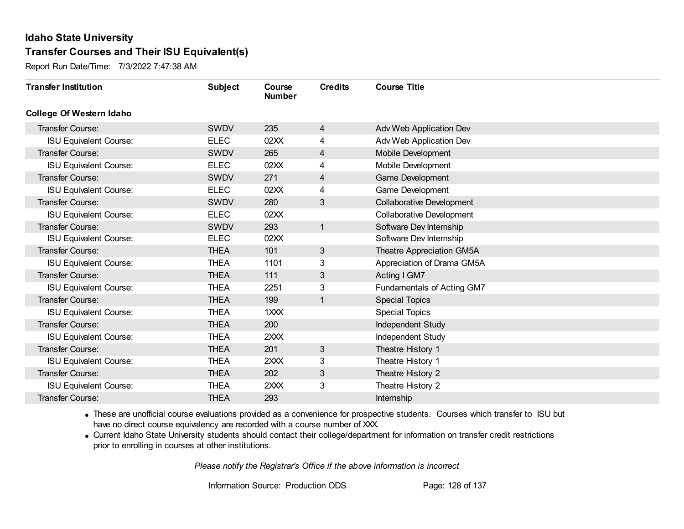Report Run Date/Time: 7/3/2022 7:47:38 AM

| <b>Transfer Institution</b>     | <b>Subject</b> | Course<br><b>Number</b> | <b>Credits</b> | <b>Course Title</b>              |
|---------------------------------|----------------|-------------------------|----------------|----------------------------------|
| <b>College Of Western Idaho</b> |                |                         |                |                                  |
| Transfer Course:                | <b>SWDV</b>    | 235                     | 4              | Adv Web Application Dev          |
| <b>ISU Equivalent Course:</b>   | <b>ELEC</b>    | 02XX                    | 4              | Adv Web Application Dev          |
| Transfer Course:                | <b>SWDV</b>    | 265                     | 4              | Mobile Development               |
| <b>ISU Equivalent Course:</b>   | <b>ELEC</b>    | 02XX                    | 4              | Mobile Development               |
| <b>Transfer Course:</b>         | <b>SWDV</b>    | 271                     | 4              | <b>Game Development</b>          |
| <b>ISU Equivalent Course:</b>   | <b>ELEC</b>    | 02XX                    | 4              | <b>Game Development</b>          |
| Transfer Course:                | <b>SWDV</b>    | 280                     | 3              | <b>Collaborative Development</b> |
| <b>ISU Equivalent Course:</b>   | <b>ELEC</b>    | 02XX                    |                | <b>Collaborative Development</b> |
| <b>Transfer Course:</b>         | <b>SWDV</b>    | 293                     | $\mathbf{1}$   | Software Dev Internship          |
| <b>ISU Equivalent Course:</b>   | <b>ELEC</b>    | 02XX                    |                | Software Dev Internship          |
| <b>Transfer Course:</b>         | <b>THEA</b>    | 101                     | $\mathbf{3}$   | Theatre Appreciation GM5A        |
| <b>ISU Equivalent Course:</b>   | <b>THEA</b>    | 1101                    | 3              | Appreciation of Drama GM5A       |
| Transfer Course:                | <b>THEA</b>    | 111                     | 3              | Acting I GM7                     |
| <b>ISU Equivalent Course:</b>   | <b>THEA</b>    | 2251                    | 3              | Fundamentals of Acting GM7       |
| Transfer Course:                | <b>THEA</b>    | 199                     | 1              | <b>Special Topics</b>            |
| <b>ISU Equivalent Course:</b>   | <b>THEA</b>    | 1XXX                    |                | <b>Special Topics</b>            |
| Transfer Course:                | <b>THEA</b>    | 200                     |                | Independent Study                |
| <b>ISU Equivalent Course:</b>   | <b>THEA</b>    | 2XXX                    |                | Independent Study                |
| Transfer Course:                | <b>THEA</b>    | 201                     | 3              | Theatre History 1                |
| <b>ISU Equivalent Course:</b>   | <b>THEA</b>    | 2XXX                    | 3              | Theatre History 1                |
| Transfer Course:                | <b>THEA</b>    | 202                     | 3              | Theatre History 2                |
| <b>ISU Equivalent Course:</b>   | <b>THEA</b>    | 2XXX                    | 3              | Theatre History 2                |
| <b>Transfer Course:</b>         | <b>THEA</b>    | 293                     |                | Internship                       |

· These are unofficial course evaluations provided as a convenience for prospective students. Courses which transfer to ISU but have no direct course equivalency are recorded with a course number of XXX.

· Current Idaho State University students should contact their college/department for information on transfer credit restrictions prior to enrolling in courses at other institutions.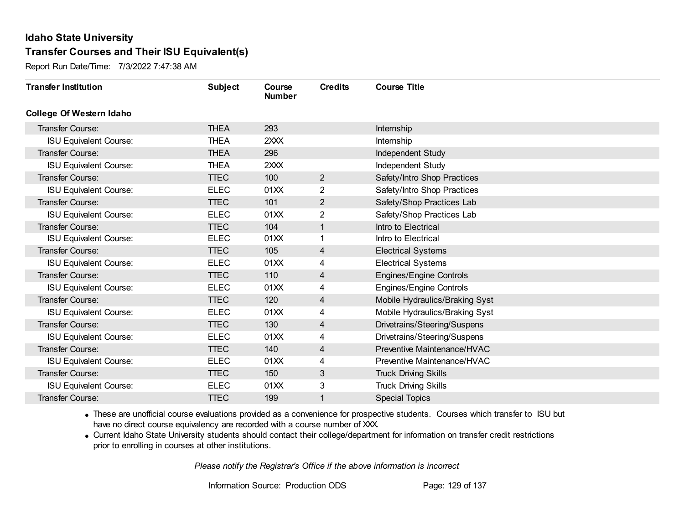Report Run Date/Time: 7/3/2022 7:47:38 AM

| <b>Transfer Institution</b>     | <b>Subject</b> | Course<br><b>Number</b> | <b>Credits</b> | <b>Course Title</b>            |
|---------------------------------|----------------|-------------------------|----------------|--------------------------------|
| <b>College Of Western Idaho</b> |                |                         |                |                                |
| Transfer Course:                | <b>THEA</b>    | 293                     |                | Internship                     |
| <b>ISU Equivalent Course:</b>   | <b>THEA</b>    | 2XXX                    |                | Internship                     |
| Transfer Course:                | <b>THEA</b>    | 296                     |                | Independent Study              |
| <b>ISU Equivalent Course:</b>   | <b>THEA</b>    | 2XXX                    |                | Independent Study              |
| <b>Transfer Course:</b>         | <b>TTEC</b>    | 100                     | $\overline{2}$ | Safety/Intro Shop Practices    |
| <b>ISU Equivalent Course:</b>   | <b>ELEC</b>    | 01XX                    | 2              | Safety/Intro Shop Practices    |
| Transfer Course:                | <b>TTEC</b>    | 101                     | $\overline{2}$ | Safety/Shop Practices Lab      |
| <b>ISU Equivalent Course:</b>   | <b>ELEC</b>    | 01XX                    | 2              | Safety/Shop Practices Lab      |
| Transfer Course:                | <b>TTEC</b>    | 104                     | 1              | Intro to Electrical            |
| <b>ISU Equivalent Course:</b>   | <b>ELEC</b>    | 01XX                    | 1              | Intro to Electrical            |
| <b>Transfer Course:</b>         | <b>TTEC</b>    | 105                     | 4              | <b>Electrical Systems</b>      |
| <b>ISU Equivalent Course:</b>   | <b>ELEC</b>    | 01XX                    | 4              | <b>Electrical Systems</b>      |
| Transfer Course:                | <b>TTEC</b>    | 110                     | 4              | Engines/Engine Controls        |
| <b>ISU Equivalent Course:</b>   | <b>ELEC</b>    | 01XX                    | 4              | Engines/Engine Controls        |
| Transfer Course:                | <b>TTEC</b>    | 120                     | 4              | Mobile Hydraulics/Braking Syst |
| <b>ISU Equivalent Course:</b>   | <b>ELEC</b>    | 01XX                    | 4              | Mobile Hydraulics/Braking Syst |
| Transfer Course:                | <b>TTEC</b>    | 130                     | 4              | Drivetrains/Steering/Suspens   |
| <b>ISU Equivalent Course:</b>   | <b>ELEC</b>    | 01XX                    | 4              | Drivetrains/Steering/Suspens   |
| Transfer Course:                | <b>TTEC</b>    | 140                     | $\overline{4}$ | Preventive Maintenance/HVAC    |
| <b>ISU Equivalent Course:</b>   | <b>ELEC</b>    | 01XX                    | 4              | Preventive Maintenance/HVAC    |
| Transfer Course:                | <b>TTEC</b>    | 150                     | 3              | <b>Truck Driving Skills</b>    |
| <b>ISU Equivalent Course:</b>   | <b>ELEC</b>    | 01XX                    | 3              | <b>Truck Driving Skills</b>    |
| <b>Transfer Course:</b>         | <b>TTEC</b>    | 199                     | 1              | <b>Special Topics</b>          |

· These are unofficial course evaluations provided as a convenience for prospective students. Courses which transfer to ISU but have no direct course equivalency are recorded with a course number of XXX.

· Current Idaho State University students should contact their college/department for information on transfer credit restrictions prior to enrolling in courses at other institutions.

*Please notify the Registrar's Office if the above information is incorrect*

Information Source: Production ODS Page: 129 of 137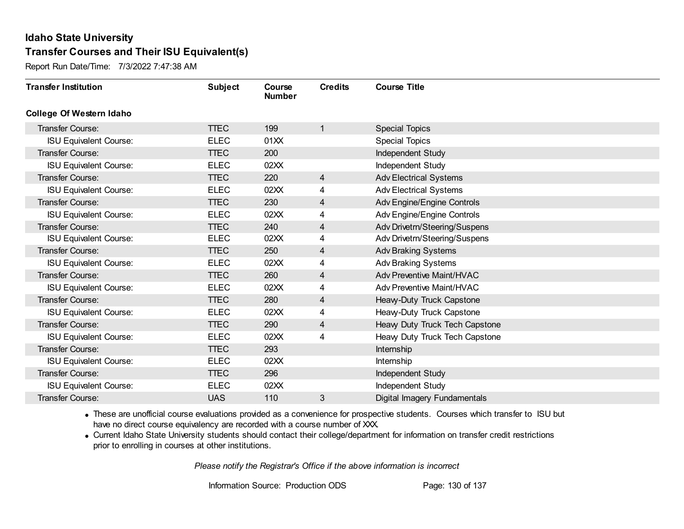Report Run Date/Time: 7/3/2022 7:47:38 AM

| <b>Transfer Institution</b>     | <b>Subject</b> | Course<br><b>Number</b> | <b>Credits</b> | <b>Course Title</b>            |
|---------------------------------|----------------|-------------------------|----------------|--------------------------------|
| <b>College Of Western Idaho</b> |                |                         |                |                                |
| Transfer Course:                | <b>TTEC</b>    | 199                     | 1              | <b>Special Topics</b>          |
| <b>ISU Equivalent Course:</b>   | <b>ELEC</b>    | 01XX                    |                | <b>Special Topics</b>          |
| Transfer Course:                | <b>TTEC</b>    | 200                     |                | Independent Study              |
| <b>ISU Equivalent Course:</b>   | <b>ELEC</b>    | 02XX                    |                | Independent Study              |
| <b>Transfer Course:</b>         | <b>TTEC</b>    | 220                     | $\overline{4}$ | <b>Adv Electrical Systems</b>  |
| <b>ISU Equivalent Course:</b>   | <b>ELEC</b>    | 02XX                    | 4              | <b>Adv Electrical Systems</b>  |
| Transfer Course:                | <b>TTEC</b>    | 230                     | 4              | Adv Engine/Engine Controls     |
| <b>ISU Equivalent Course:</b>   | <b>ELEC</b>    | 02XX                    | 4              | Adv Engine/Engine Controls     |
| Transfer Course:                | <b>TTEC</b>    | 240                     | 4              | Adv Drivetrn/Steering/Suspens  |
| <b>ISU Equivalent Course:</b>   | <b>ELEC</b>    | 02XX                    | 4              | Adv Drivetrn/Steering/Suspens  |
| Transfer Course:                | <b>TTEC</b>    | 250                     | 4              | <b>Adv Braking Systems</b>     |
| <b>ISU Equivalent Course:</b>   | <b>ELEC</b>    | 02XX                    | 4              | Adv Braking Systems            |
| Transfer Course:                | <b>TTEC</b>    | 260                     | 4              | Adv Preventive Maint/HVAC      |
| <b>ISU Equivalent Course:</b>   | <b>ELEC</b>    | 02XX                    | 4              | Adv Preventive Maint/HVAC      |
| Transfer Course:                | <b>TTEC</b>    | 280                     | 4              | Heavy-Duty Truck Capstone      |
| <b>ISU Equivalent Course:</b>   | <b>ELEC</b>    | 02XX                    | 4              | Heavy-Duty Truck Capstone      |
| Transfer Course:                | <b>TTEC</b>    | 290                     | 4              | Heavy Duty Truck Tech Capstone |
| <b>ISU Equivalent Course:</b>   | <b>ELEC</b>    | 02XX                    | 4              | Heavy Duty Truck Tech Capstone |
| Transfer Course:                | <b>TTEC</b>    | 293                     |                | Internship                     |
| <b>ISU Equivalent Course:</b>   | <b>ELEC</b>    | 02XX                    |                | Internship                     |
| Transfer Course:                | <b>TTEC</b>    | 296                     |                | Independent Study              |
| <b>ISU Equivalent Course:</b>   | <b>ELEC</b>    | 02XX                    |                | Independent Study              |
| Transfer Course:                | <b>UAS</b>     | 110                     | 3              | Digital Imagery Fundamentals   |

· These are unofficial course evaluations provided as a convenience for prospective students. Courses which transfer to ISU but have no direct course equivalency are recorded with a course number of XXX.

· Current Idaho State University students should contact their college/department for information on transfer credit restrictions prior to enrolling in courses at other institutions.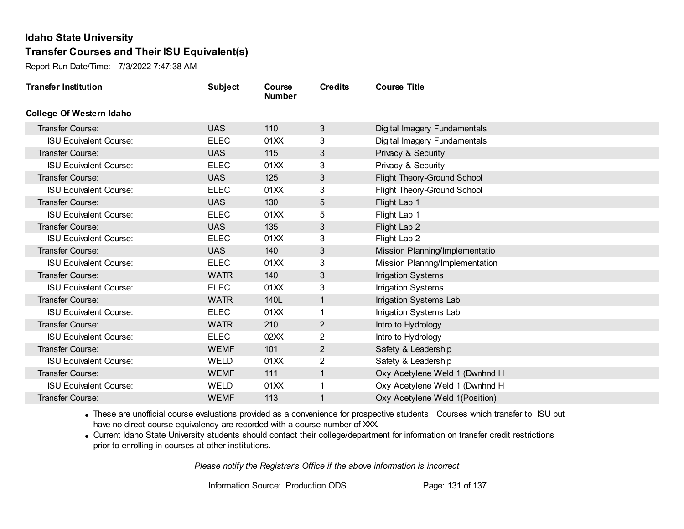Report Run Date/Time: 7/3/2022 7:47:38 AM

| <b>Transfer Institution</b>     | <b>Subject</b> | Course<br><b>Number</b> | <b>Credits</b> | <b>Course Title</b>            |
|---------------------------------|----------------|-------------------------|----------------|--------------------------------|
| <b>College Of Western Idaho</b> |                |                         |                |                                |
| Transfer Course:                | <b>UAS</b>     | 110                     | 3              | Digital Imagery Fundamentals   |
| <b>ISU Equivalent Course:</b>   | <b>ELEC</b>    | 01XX                    | 3              | Digital Imagery Fundamentals   |
| Transfer Course:                | <b>UAS</b>     | 115                     | 3              | Privacy & Security             |
| <b>ISU Equivalent Course:</b>   | <b>ELEC</b>    | 01XX                    | 3              | Privacy & Security             |
| <b>Transfer Course:</b>         | <b>UAS</b>     | 125                     | 3              | Flight Theory-Ground School    |
| <b>ISU Equivalent Course:</b>   | <b>ELEC</b>    | 01XX                    | 3              | Flight Theory-Ground School    |
| Transfer Course:                | <b>UAS</b>     | 130                     | 5              | Flight Lab 1                   |
| <b>ISU Equivalent Course:</b>   | <b>ELEC</b>    | 01XX                    | 5              | Flight Lab 1                   |
| <b>Transfer Course:</b>         | <b>UAS</b>     | 135                     | 3              | Flight Lab 2                   |
| <b>ISU Equivalent Course:</b>   | <b>ELEC</b>    | 01XX                    | 3              | Flight Lab 2                   |
| <b>Transfer Course:</b>         | <b>UAS</b>     | 140                     | 3              | Mission Planning/Implementatio |
| <b>ISU Equivalent Course:</b>   | <b>ELEC</b>    | 01XX                    | 3              | Mission Plannng/Implementation |
| <b>Transfer Course:</b>         | <b>WATR</b>    | 140                     | 3              | <b>Irrigation Systems</b>      |
| <b>ISU Equivalent Course:</b>   | <b>ELEC</b>    | 01XX                    | 3              | <b>Irrigation Systems</b>      |
| <b>Transfer Course:</b>         | <b>WATR</b>    | 140L                    |                | Irrigation Systems Lab         |
| <b>ISU Equivalent Course:</b>   | <b>ELEC</b>    | 01XX                    |                | Irrigation Systems Lab         |
| <b>Transfer Course:</b>         | <b>WATR</b>    | 210                     | $\overline{2}$ | Intro to Hydrology             |
| <b>ISU Equivalent Course:</b>   | <b>ELEC</b>    | 02XX                    | 2              | Intro to Hydrology             |
| Transfer Course:                | <b>WEMF</b>    | 101                     | $\overline{2}$ | Safety & Leadership            |
| <b>ISU Equivalent Course:</b>   | WELD           | 01XX                    | 2              | Safety & Leadership            |
| <b>Transfer Course:</b>         | <b>WEMF</b>    | 111                     | 1              | Oxy Acetylene Weld 1 (Dwnhnd H |
| <b>ISU Equivalent Course:</b>   | WELD           | 01XX                    |                | Oxy Acetylene Weld 1 (Dwnhnd H |
| <b>Transfer Course:</b>         | <b>WEMF</b>    | 113                     |                | Oxy Acetylene Weld 1(Position) |

· These are unofficial course evaluations provided as a convenience for prospective students. Courses which transfer to ISU but have no direct course equivalency are recorded with a course number of XXX.

· Current Idaho State University students should contact their college/department for information on transfer credit restrictions prior to enrolling in courses at other institutions.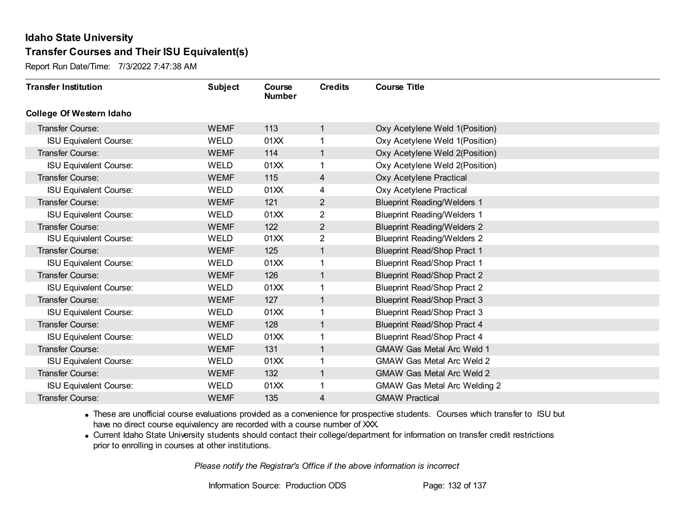Report Run Date/Time: 7/3/2022 7:47:38 AM

| <b>Transfer Institution</b>     | <b>Subject</b> | Course<br><b>Number</b> | <b>Credits</b> | <b>Course Title</b>                 |
|---------------------------------|----------------|-------------------------|----------------|-------------------------------------|
| <b>College Of Western Idaho</b> |                |                         |                |                                     |
| Transfer Course:                | <b>WEMF</b>    | 113                     | 1              | Oxy Acetylene Weld 1(Position)      |
| <b>ISU Equivalent Course:</b>   | <b>WELD</b>    | 01XX                    | 1              | Oxy Acetylene Weld 1(Position)      |
| Transfer Course:                | <b>WEMF</b>    | 114                     | 1              | Oxy Acetylene Weld 2(Position)      |
| <b>ISU Equivalent Course:</b>   | WELD           | 01XX                    | 1              | Oxy Acetylene Weld 2(Position)      |
| Transfer Course:                | <b>WEMF</b>    | 115                     | 4              | Oxy Acetylene Practical             |
| <b>ISU Equivalent Course:</b>   | <b>WELD</b>    | 01XX                    | 4              | Oxy Acetylene Practical             |
| Transfer Course:                | <b>WEMF</b>    | 121                     | 2              | <b>Blueprint Reading/Welders 1</b>  |
| <b>ISU Equivalent Course:</b>   | <b>WELD</b>    | 01XX                    | $\overline{2}$ | <b>Blueprint Reading/Welders 1</b>  |
| Transfer Course:                | <b>WEMF</b>    | 122                     | $\overline{2}$ | <b>Blueprint Reading/Welders 2</b>  |
| <b>ISU Equivalent Course:</b>   | <b>WELD</b>    | 01XX                    | $\overline{2}$ | <b>Blueprint Reading/Welders 2</b>  |
| Transfer Course:                | <b>WEMF</b>    | 125                     | 1              | <b>Blueprint Read/Shop Pract 1</b>  |
| <b>ISU Equivalent Course:</b>   | <b>WELD</b>    | 01XX                    | 1              | <b>Blueprint Read/Shop Pract 1</b>  |
| Transfer Course:                | <b>WEMF</b>    | 126                     | 1              | <b>Blueprint Read/Shop Pract 2</b>  |
| <b>ISU Equivalent Course:</b>   | <b>WELD</b>    | 01XX                    | 1              | <b>Blueprint Read/Shop Pract 2</b>  |
| Transfer Course:                | <b>WEMF</b>    | 127                     | 1              | <b>Blueprint Read/Shop Pract 3</b>  |
| <b>ISU Equivalent Course:</b>   | <b>WELD</b>    | 01XX                    | 1              | <b>Blueprint Read/Shop Pract 3</b>  |
| Transfer Course:                | <b>WEMF</b>    | 128                     | 1              | <b>Blueprint Read/Shop Pract 4</b>  |
| <b>ISU Equivalent Course:</b>   | <b>WELD</b>    | 01XX                    | 1              | <b>Blueprint Read/Shop Pract 4</b>  |
| Transfer Course:                | <b>WEMF</b>    | 131                     | 1              | <b>GMAW Gas Metal Arc Weld 1</b>    |
| <b>ISU Equivalent Course:</b>   | WELD           | 01XX                    |                | <b>GMAW Gas Metal Arc Weld 2</b>    |
| Transfer Course:                | <b>WEMF</b>    | 132                     | 1              | <b>GMAW Gas Metal Arc Weld 2</b>    |
| <b>ISU Equivalent Course:</b>   | WELD           | 01XX                    | 1              | <b>GMAW Gas Metal Arc Welding 2</b> |
| <b>Transfer Course:</b>         | <b>WEMF</b>    | 135                     | 4              | <b>GMAW Practical</b>               |

· These are unofficial course evaluations provided as a convenience for prospective students. Courses which transfer to ISU but have no direct course equivalency are recorded with a course number of XXX.

· Current Idaho State University students should contact their college/department for information on transfer credit restrictions prior to enrolling in courses at other institutions.

*Please notify the Registrar's Office if the above information is incorrect*

Information Source: Production ODS Page: 132 of 137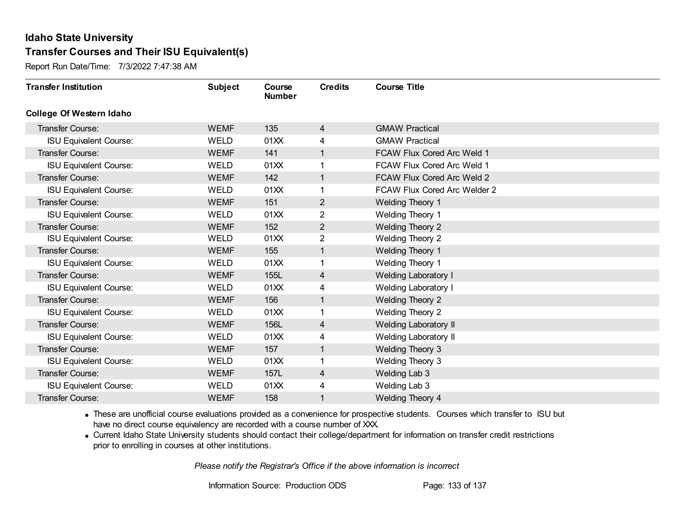Report Run Date/Time: 7/3/2022 7:47:38 AM

| <b>Transfer Institution</b>     | <b>Subject</b> | Course<br><b>Number</b> | <b>Credits</b> | <b>Course Title</b>          |
|---------------------------------|----------------|-------------------------|----------------|------------------------------|
| <b>College Of Western Idaho</b> |                |                         |                |                              |
| <b>Transfer Course:</b>         | <b>WEMF</b>    | 135                     | $\overline{4}$ | <b>GMAW Practical</b>        |
| <b>ISU Equivalent Course:</b>   | <b>WELD</b>    | 01XX                    | 4              | <b>GMAW Practical</b>        |
| Transfer Course:                | <b>WEMF</b>    | 141                     | $\mathbf{1}$   | FCAW Flux Cored Arc Weld 1   |
| <b>ISU Equivalent Course:</b>   | WELD           | 01XX                    | 1              | FCAW Flux Cored Arc Weld 1   |
| <b>Transfer Course:</b>         | <b>WEMF</b>    | 142                     | $\mathbf{1}$   | FCAW Flux Cored Arc Weld 2   |
| <b>ISU Equivalent Course:</b>   | <b>WELD</b>    | 01XX                    | 1              | FCAW Flux Cored Arc Welder 2 |
| Transfer Course:                | <b>WEMF</b>    | 151                     | $\overline{2}$ | <b>Welding Theory 1</b>      |
| <b>ISU Equivalent Course:</b>   | <b>WELD</b>    | 01XX                    | 2              | Welding Theory 1             |
| Transfer Course:                | <b>WEMF</b>    | 152                     | $\overline{2}$ | <b>Welding Theory 2</b>      |
| <b>ISU Equivalent Course:</b>   | WELD           | 01XX                    | $\overline{2}$ | <b>Welding Theory 2</b>      |
| Transfer Course:                | <b>WEMF</b>    | 155                     | $\mathbf{1}$   | Welding Theory 1             |
| <b>ISU Equivalent Course:</b>   | <b>WELD</b>    | 01XX                    | 1              | Welding Theory 1             |
| Transfer Course:                | <b>WEMF</b>    | 155L                    | 4              | <b>Welding Laboratory I</b>  |
| <b>ISU Equivalent Course:</b>   | <b>WELD</b>    | 01XX                    | 4              | <b>Welding Laboratory I</b>  |
| Transfer Course:                | <b>WEMF</b>    | 156                     | $\mathbf{1}$   | <b>Welding Theory 2</b>      |
| <b>ISU Equivalent Course:</b>   | WELD           | 01XX                    | 1              | Welding Theory 2             |
| Transfer Course:                | <b>WEMF</b>    | 156L                    | 4              | <b>Welding Laboratory II</b> |
| <b>ISU Equivalent Course:</b>   | <b>WELD</b>    | 01XX                    | 4              | Welding Laboratory II        |
| Transfer Course:                | <b>WEMF</b>    | 157                     | $\mathbf{1}$   | <b>Welding Theory 3</b>      |
| <b>ISU Equivalent Course:</b>   | WELD           | 01XX                    |                | <b>Welding Theory 3</b>      |
| Transfer Course:                | <b>WEMF</b>    | 157L                    | $\overline{4}$ | Welding Lab 3                |
| <b>ISU Equivalent Course:</b>   | WELD           | 01XX                    | 4              | Welding Lab 3                |
| Transfer Course:                | <b>WEMF</b>    | 158                     | 1              | Welding Theory 4             |

· These are unofficial course evaluations provided as a convenience for prospective students. Courses which transfer to ISU but have no direct course equivalency are recorded with a course number of XXX.

· Current Idaho State University students should contact their college/department for information on transfer credit restrictions prior to enrolling in courses at other institutions.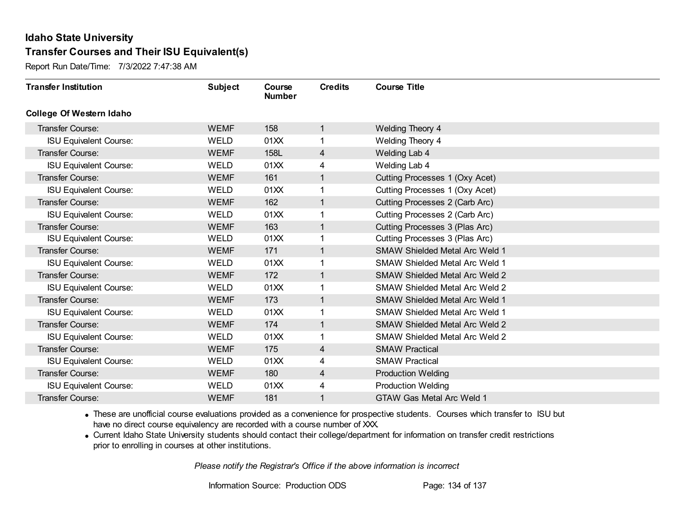Report Run Date/Time: 7/3/2022 7:47:38 AM

| <b>Transfer Institution</b>     | <b>Subject</b> | Course<br><b>Number</b> | <b>Credits</b> | <b>Course Title</b>                   |
|---------------------------------|----------------|-------------------------|----------------|---------------------------------------|
| <b>College Of Western Idaho</b> |                |                         |                |                                       |
| Transfer Course:                | <b>WEMF</b>    | 158                     | $\mathbf{1}$   | <b>Welding Theory 4</b>               |
| <b>ISU Equivalent Course:</b>   | WELD           | 01XX                    |                | Welding Theory 4                      |
| Transfer Course:                | <b>WEMF</b>    | 158L                    | 4              | Welding Lab 4                         |
| <b>ISU Equivalent Course:</b>   | <b>WELD</b>    | 01XX                    | 4              | Welding Lab 4                         |
| Transfer Course:                | <b>WEMF</b>    | 161                     | $\mathbf{1}$   | Cutting Processes 1 (Oxy Acet)        |
| <b>ISU Equivalent Course:</b>   | WELD           | 01XX                    |                | Cutting Processes 1 (Oxy Acet)        |
| Transfer Course:                | <b>WEMF</b>    | 162                     | $\mathbf{1}$   | Cutting Processes 2 (Carb Arc)        |
| <b>ISU Equivalent Course:</b>   | WELD           | 01XX                    |                | Cutting Processes 2 (Carb Arc)        |
| Transfer Course:                | <b>WEMF</b>    | 163                     | 1              | Cutting Processes 3 (Plas Arc)        |
| <b>ISU Equivalent Course:</b>   | <b>WELD</b>    | 01XX                    |                | Cutting Processes 3 (Plas Arc)        |
| Transfer Course:                | <b>WEMF</b>    | 171                     | $\mathbf{1}$   | <b>SMAW Shielded Metal Arc Weld 1</b> |
| <b>ISU Equivalent Course:</b>   | <b>WELD</b>    | 01XX                    |                | <b>SMAW Shielded Metal Arc Weld 1</b> |
| Transfer Course:                | <b>WEMF</b>    | 172                     |                | <b>SMAW Shielded Metal Arc Weld 2</b> |
| <b>ISU Equivalent Course:</b>   | <b>WELD</b>    | 01XX                    |                | <b>SMAW Shielded Metal Arc Weld 2</b> |
| Transfer Course:                | <b>WEMF</b>    | 173                     | 1              | <b>SMAW Shielded Metal Arc Weld 1</b> |
| <b>ISU Equivalent Course:</b>   | <b>WELD</b>    | 01XX                    |                | <b>SMAW Shielded Metal Arc Weld 1</b> |
| Transfer Course:                | <b>WEMF</b>    | 174                     | $\mathbf{1}$   | <b>SMAW Shielded Metal Arc Weld 2</b> |
| <b>ISU Equivalent Course:</b>   | <b>WELD</b>    | 01XX                    |                | <b>SMAW Shielded Metal Arc Weld 2</b> |
| Transfer Course:                | <b>WEMF</b>    | 175                     | 4              | <b>SMAW Practical</b>                 |
| <b>ISU Equivalent Course:</b>   | <b>WELD</b>    | 01XX                    | 4              | <b>SMAW Practical</b>                 |
| Transfer Course:                | <b>WEMF</b>    | 180                     | 4              | <b>Production Welding</b>             |
| <b>ISU Equivalent Course:</b>   | WELD           | 01XX                    | 4              | <b>Production Welding</b>             |
| Transfer Course:                | <b>WEMF</b>    | 181                     | 1              | GTAW Gas Metal Arc Weld 1             |

· These are unofficial course evaluations provided as a convenience for prospective students. Courses which transfer to ISU but have no direct course equivalency are recorded with a course number of XXX.

· Current Idaho State University students should contact their college/department for information on transfer credit restrictions prior to enrolling in courses at other institutions.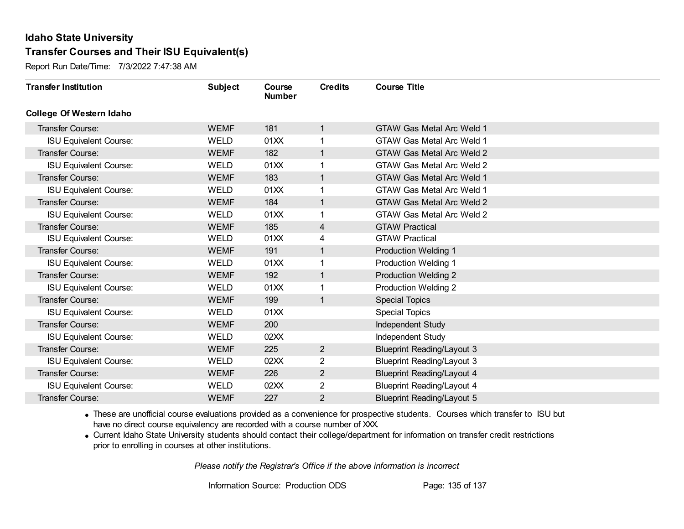Report Run Date/Time: 7/3/2022 7:47:38 AM

| <b>Transfer Institution</b>     | <b>Subject</b> | Course<br><b>Number</b> | <b>Credits</b> | <b>Course Title</b>               |
|---------------------------------|----------------|-------------------------|----------------|-----------------------------------|
| <b>College Of Western Idaho</b> |                |                         |                |                                   |
| Transfer Course:                | <b>WEMF</b>    | 181                     | $\mathbf{1}$   | <b>GTAW Gas Metal Arc Weld 1</b>  |
| <b>ISU Equivalent Course:</b>   | <b>WELD</b>    | 01XX                    | 1              | GTAW Gas Metal Arc Weld 1         |
| Transfer Course:                | <b>WEMF</b>    | 182                     | $\mathbf{1}$   | <b>GTAW Gas Metal Arc Weld 2</b>  |
| <b>ISU Equivalent Course:</b>   | <b>WELD</b>    | 01XX                    | 1              | <b>GTAW Gas Metal Arc Weld 2</b>  |
| <b>Transfer Course:</b>         | <b>WEMF</b>    | 183                     | $\mathbf{1}$   | <b>GTAW Gas Metal Arc Weld 1</b>  |
| <b>ISU Equivalent Course:</b>   | WELD           | 01XX                    | 1              | GTAW Gas Metal Arc Weld 1         |
| <b>Transfer Course:</b>         | <b>WEMF</b>    | 184                     | $\mathbf{1}$   | <b>GTAW Gas Metal Arc Weld 2</b>  |
| <b>ISU Equivalent Course:</b>   | WELD           | 01XX                    |                | GTAW Gas Metal Arc Weld 2         |
| <b>Transfer Course:</b>         | <b>WEMF</b>    | 185                     | $\overline{4}$ | <b>GTAW Practical</b>             |
| <b>ISU Equivalent Course:</b>   | WELD           | 01XX                    | 4              | <b>GTAW Practical</b>             |
| Transfer Course:                | <b>WEMF</b>    | 191                     | $\mathbf{1}$   | <b>Production Welding 1</b>       |
| <b>ISU Equivalent Course:</b>   | <b>WELD</b>    | 01XX                    | 1              | <b>Production Welding 1</b>       |
| Transfer Course:                | <b>WEMF</b>    | 192                     | $\mathbf{1}$   | <b>Production Welding 2</b>       |
| <b>ISU Equivalent Course:</b>   | <b>WELD</b>    | 01XX                    | 1              | Production Welding 2              |
| Transfer Course:                | <b>WEMF</b>    | 199                     | 1              | <b>Special Topics</b>             |
| <b>ISU Equivalent Course:</b>   | <b>WELD</b>    | 01XX                    |                | <b>Special Topics</b>             |
| Transfer Course:                | <b>WEMF</b>    | 200                     |                | Independent Study                 |
| <b>ISU Equivalent Course:</b>   | WELD           | 02XX                    |                | Independent Study                 |
| Transfer Course:                | <b>WEMF</b>    | 225                     | $\overline{2}$ | <b>Blueprint Reading/Layout 3</b> |
| <b>ISU Equivalent Course:</b>   | WELD           | 02XX                    | 2              | <b>Blueprint Reading/Layout 3</b> |
| <b>Transfer Course:</b>         | <b>WEMF</b>    | 226                     | $\overline{2}$ | <b>Blueprint Reading/Layout 4</b> |
| <b>ISU Equivalent Course:</b>   | <b>WELD</b>    | 02XX                    | 2              | <b>Blueprint Reading/Layout 4</b> |
| Transfer Course:                | <b>WEMF</b>    | 227                     | 2              | <b>Blueprint Reading/Layout 5</b> |

· These are unofficial course evaluations provided as a convenience for prospective students. Courses which transfer to ISU but have no direct course equivalency are recorded with a course number of XXX.

· Current Idaho State University students should contact their college/department for information on transfer credit restrictions prior to enrolling in courses at other institutions.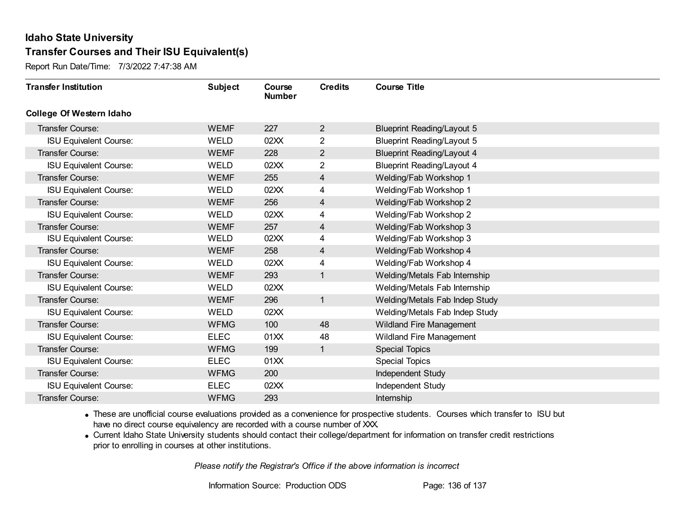Report Run Date/Time: 7/3/2022 7:47:38 AM

| <b>Transfer Institution</b>     | <b>Subject</b> | Course<br><b>Number</b> | <b>Credits</b>          | <b>Course Title</b>               |
|---------------------------------|----------------|-------------------------|-------------------------|-----------------------------------|
| <b>College Of Western Idaho</b> |                |                         |                         |                                   |
| Transfer Course:                | <b>WEMF</b>    | 227                     | $\overline{2}$          | <b>Blueprint Reading/Layout 5</b> |
| <b>ISU Equivalent Course:</b>   | <b>WELD</b>    | 02XX                    | 2                       | <b>Blueprint Reading/Layout 5</b> |
| Transfer Course:                | <b>WEMF</b>    | 228                     | $\overline{2}$          | <b>Blueprint Reading/Layout 4</b> |
| <b>ISU Equivalent Course:</b>   | <b>WELD</b>    | 02XX                    | $\overline{2}$          | <b>Blueprint Reading/Layout 4</b> |
| <b>Transfer Course:</b>         | <b>WEMF</b>    | 255                     | $\overline{\mathbf{4}}$ | Welding/Fab Workshop 1            |
| <b>ISU Equivalent Course:</b>   | <b>WELD</b>    | 02XX                    | 4                       | Welding/Fab Workshop 1            |
| Transfer Course:                | <b>WEMF</b>    | 256                     | $\overline{4}$          | Welding/Fab Workshop 2            |
| <b>ISU Equivalent Course:</b>   | WELD           | 02XX                    | 4                       | Welding/Fab Workshop 2            |
| Transfer Course:                | <b>WEMF</b>    | 257                     | 4                       | Welding/Fab Workshop 3            |
| <b>ISU Equivalent Course:</b>   | <b>WELD</b>    | 02XX                    | 4                       | Welding/Fab Workshop 3            |
| <b>Transfer Course:</b>         | <b>WEMF</b>    | 258                     | $\overline{4}$          | Welding/Fab Workshop 4            |
| <b>ISU Equivalent Course:</b>   | <b>WELD</b>    | 02XX                    | 4                       | Welding/Fab Workshop 4            |
| Transfer Course:                | <b>WEMF</b>    | 293                     | 1                       | Welding/Metals Fab Internship     |
| <b>ISU Equivalent Course:</b>   | <b>WELD</b>    | 02XX                    |                         | Welding/Metals Fab Internship     |
| Transfer Course:                | <b>WEMF</b>    | 296                     | $\mathbf{1}$            | Welding/Metals Fab Indep Study    |
| <b>ISU Equivalent Course:</b>   | <b>WELD</b>    | 02XX                    |                         | Welding/Metals Fab Indep Study    |
| Transfer Course:                | <b>WFMG</b>    | 100                     | 48                      | <b>Wildland Fire Management</b>   |
| <b>ISU Equivalent Course:</b>   | <b>ELEC</b>    | 01XX                    | 48                      | <b>Wildland Fire Management</b>   |
| Transfer Course:                | <b>WFMG</b>    | 199                     | $\mathbf{1}$            | <b>Special Topics</b>             |
| <b>ISU Equivalent Course:</b>   | <b>ELEC</b>    | 01XX                    |                         | <b>Special Topics</b>             |
| Transfer Course:                | <b>WFMG</b>    | 200                     |                         | Independent Study                 |
| <b>ISU Equivalent Course:</b>   | <b>ELEC</b>    | 02XX                    |                         | Independent Study                 |
| Transfer Course:                | <b>WFMG</b>    | 293                     |                         | Internship                        |

· These are unofficial course evaluations provided as a convenience for prospective students. Courses which transfer to ISU but have no direct course equivalency are recorded with a course number of XXX.

· Current Idaho State University students should contact their college/department for information on transfer credit restrictions prior to enrolling in courses at other institutions.